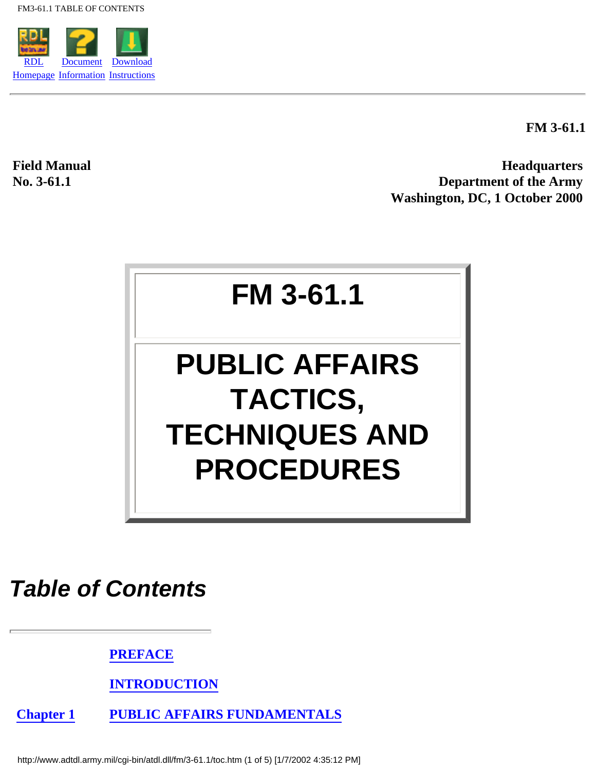<span id="page-0-0"></span>

**FM 3-61.1**

**Field Manual No. 3-61.1**

**Headquarters Department of the Army Washington, DC, 1 October 2000**

# **FM 3-61.1**

# **PUBLIC AFFAIRS TACTICS, TECHNIQUES AND PROCEDURES**

## **Table of Contents**

**[PREFACE](#page-5-0)**

**[INTRODUCTION](#page-6-0)**

**[Chapter 1](#page-8-0) [PUBLIC AFFAIRS FUNDAMENTALS](#page-8-0)**

http://www.adtdl.army.mil/cgi-bin/atdl.dll/fm/3-61.1/toc.htm (1 of 5) [1/7/2002 4:35:12 PM]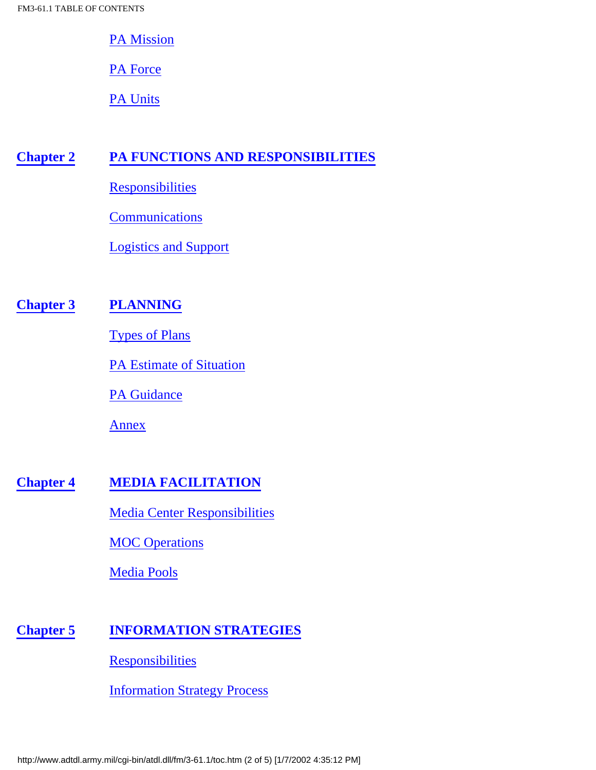[PA Mission](#page-8-1)

[PA Force](#page-9-0)

[PA Units](#page-10-0)

### **[Chapter 2](#page-20-0) [PA FUNCTIONS AND RESPONSIBILITIES](#page-20-0)**

**Responsibilities** 

**Communications** 

Logistics and Support

#### **[Chapter 3](#page-28-0) [PLANNING](#page-28-0)**

[Types of Plans](#page-29-0)

[PA Estimate of Situation](#page-36-0)

[PA Guidance](#page-36-0)

[Annex](#page-38-0)

### **[Chapter 4](#page-46-0) [MEDIA FACILITATION](#page-46-0)**

[Media Center Responsibilities](#page-47-0)

**[MOC Operations](#page-50-0)** 

[Media Pools](#page-54-0)

#### **[Chapter 5](#page-58-0) [INFORMATION STRATEGIES](#page-58-0)**

**[Responsibilities](#page-60-0)** 

[Information Strategy Process](#page-61-0)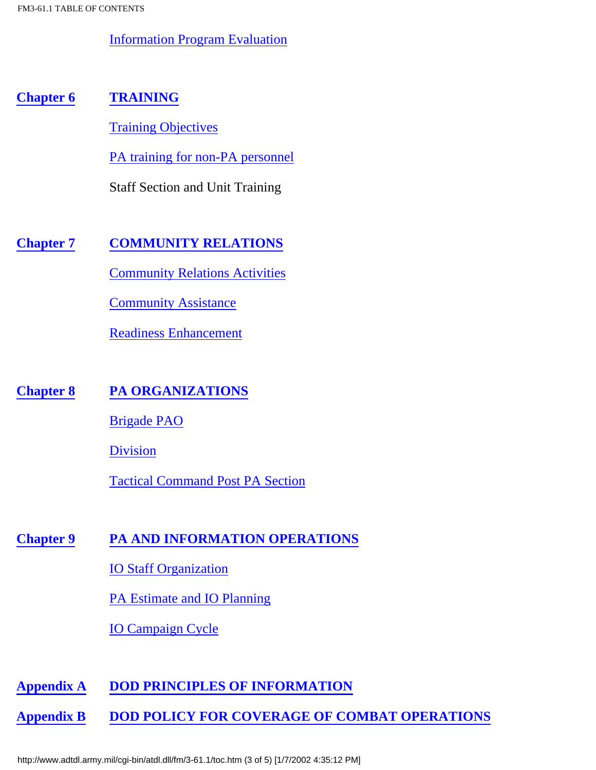FM3-61.1 TABLE OF CONTENTS

[Information Program Evaluation](#page-65-0)

#### **[Chapter 6](#page-69-0) [TRAINING](#page-69-0)**

Training Objectives

PA training for non-PA personnel

Staff Section and Unit Training

### **[Chapter 7](#page-79-0) [COMMUNITY RELATIONS](#page-79-0)**

[Community Relations Activities](#page-80-0)

[Community Assistance](#page-89-0)

[Readiness Enhancement](#page-90-0)

### **[Chapter 8](#page-93-0) [PA ORGANIZATIONS](#page-93-0)**

[Brigade PAO](#page-93-1)

[Division](#page-96-0)

[Tactical Command Post PA Section](#page-98-0)

### **[Chapter 9](#page-101-0) [PA AND INFORMATION OPERATIONS](#page-101-0)**

IO Staff Organization

PA Estimate and IO Planning

IO Campaign Cycle

### **[Appendix A](#page-108-0) [DOD PRINCIPLES OF INFORMATION](#page-108-0)**

**[Appendix B](#page-110-0) [DOD POLICY FOR COVERAGE OF COMBAT OPERATIONS](#page-110-0)**

http://www.adtdl.army.mil/cgi-bin/atdl.dll/fm/3-61.1/toc.htm (3 of 5) [1/7/2002 4:35:12 PM]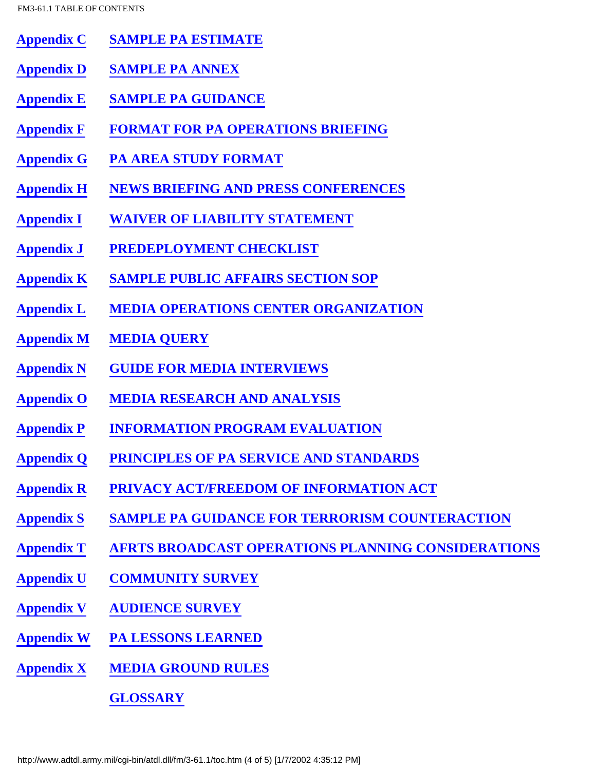FM3-61.1 TABLE OF CONTENTS

- **[Appendix C](#page-112-0) [SAMPLE PA ESTIMATE](#page-112-0) [Appendix D](#page-116-0) [SAMPLE PA ANNEX](#page-116-0) [Appendix E](#page-119-0) [SAMPLE PA GUIDANCE](#page-119-0) [Appendix F](#page-125-0) [FORMAT FOR PA OPERATIONS BRIEFING](#page-125-0) [Appendix G](#page-127-0) [PA AREA STUDY FORMAT](#page-127-0) [Appendix H](#page-136-0) [NEWS BRIEFING AND PRESS CONFERENCES](#page-136-0)**
	- **[Appendix I](#page-139-0) [WAIVER OF LIABILITY STATEMENT](#page-139-0)**
	- **[Appendix J](#page-141-0) [PREDEPLOYMENT CHECKLIST](#page-141-0)**
	- **[Appendix K](#page-144-0) [SAMPLE PUBLIC AFFAIRS SECTION SOP](#page-144-0)**
	- **[Appendix L](#page-146-0) [MEDIA OPERATIONS CENTER ORGANIZATION](#page-146-0)**
	- **[Appendix M](#page-148-0) [MEDIA QUERY](#page-148-0)**
	- **[Appendix N](#page-150-0) [GUIDE FOR MEDIA INTERVIEWS](#page-150-0)**
	- **[Appendix O](#page-152-0) [MEDIA RESEARCH AND ANALYSIS](#page-152-0)**
	- **[Appendix P](#page-159-0) [INFORMATION PROGRAM EVALUATION](#page-159-0)**
	- **[Appendix Q](#page-161-0) [PRINCIPLES OF PA SERVICE AND STANDARDS](#page-161-0)**
	- **[Appendix R](#page-165-0) [PRIVACY ACT/FREEDOM OF INFORMATION ACT](#page-165-0)**
	- **[Appendix S](#page-167-0) [SAMPLE PA GUIDANCE FOR TERRORISM COUNTERACTION](#page-167-0)**
	- **[Appendix T](#page-169-0) [AFRTS BROADCAST OPERATIONS PLANNING CONSIDERATIONS](#page-169-0)**
	- **[Appendix U](#page-176-0) [COMMUNITY SURVEY](#page-176-0)**
	- **[Appendix V](#page-180-0) [AUDIENCE SURVEY](#page-180-0)**
	- **[Appendix W](#page-184-0) [PA LESSONS LEARNED](#page-184-0)**
	- **[Appendix X](#page-190-0) [MEDIA GROUND RULES](#page-190-0)**

**[GLOSSARY](#page-192-0)**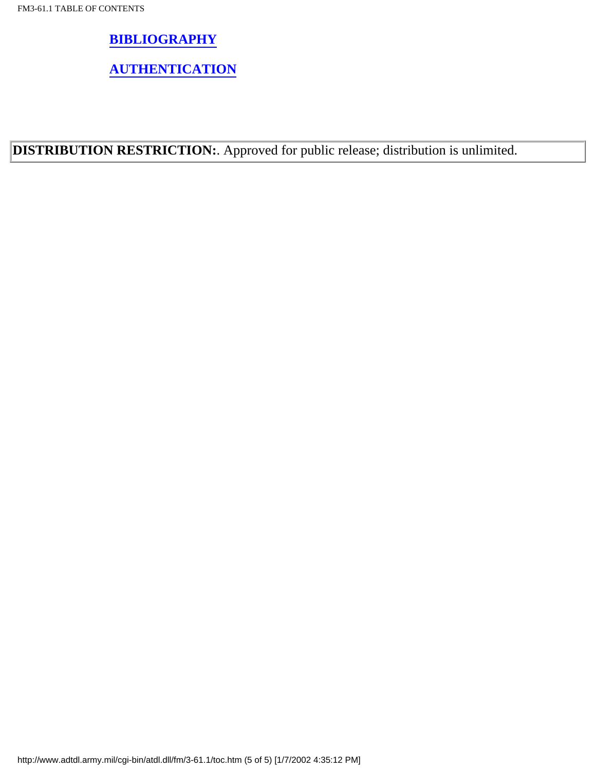### **[BIBLIOGRAPHY](#page-199-0)**

**[AUTHENTICATION](#page-201-0)**

**DISTRIBUTION RESTRICTION:**. Approved for public release; distribution is unlimited.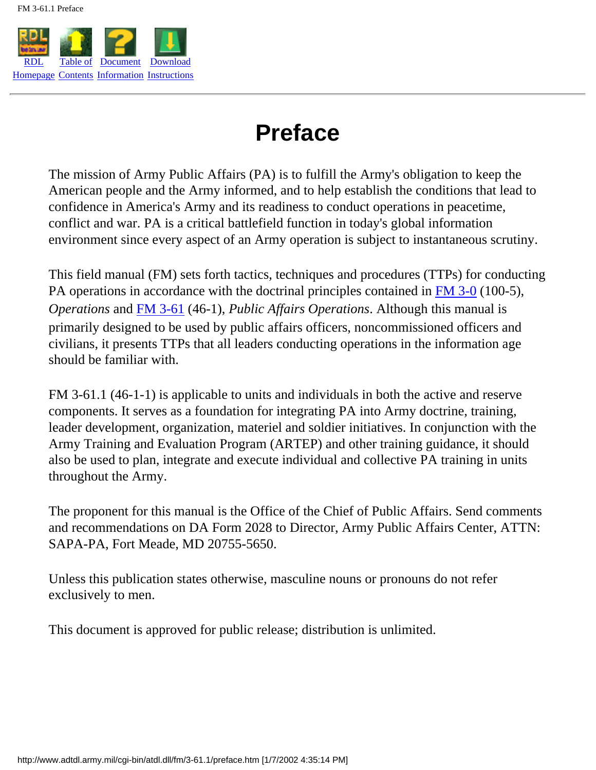<span id="page-5-0"></span>

## **Preface**

The mission of Army Public Affairs (PA) is to fulfill the Army's obligation to keep the American people and the Army informed, and to help establish the conditions that lead to confidence in America's Army and its readiness to conduct operations in peacetime, conflict and war. PA is a critical battlefield function in today's global information environment since every aspect of an Army operation is subject to instantaneous scrutiny.

This field manual (FM) sets forth tactics, techniques and procedures (TTPs) for conducting PA operations in accordance with the doctrinal principles contained in FM 3-0 (100-5), *Operations* and FM 3-61 (46-1), *Public Affairs Operations*. Although this manual is primarily designed to be used by public affairs officers, noncommissioned officers and civilians, it presents TTPs that all leaders conducting operations in the information age should be familiar with.

FM 3-61.1 (46-1-1) is applicable to units and individuals in both the active and reserve components. It serves as a foundation for integrating PA into Army doctrine, training, leader development, organization, materiel and soldier initiatives. In conjunction with the Army Training and Evaluation Program (ARTEP) and other training guidance, it should also be used to plan, integrate and execute individual and collective PA training in units throughout the Army.

The proponent for this manual is the Office of the Chief of Public Affairs. Send comments and recommendations on DA Form 2028 to Director, Army Public Affairs Center, ATTN: SAPA-PA, Fort Meade, MD 20755-5650.

Unless this publication states otherwise, masculine nouns or pronouns do not refer exclusively to men.

This document is approved for public release; distribution is unlimited.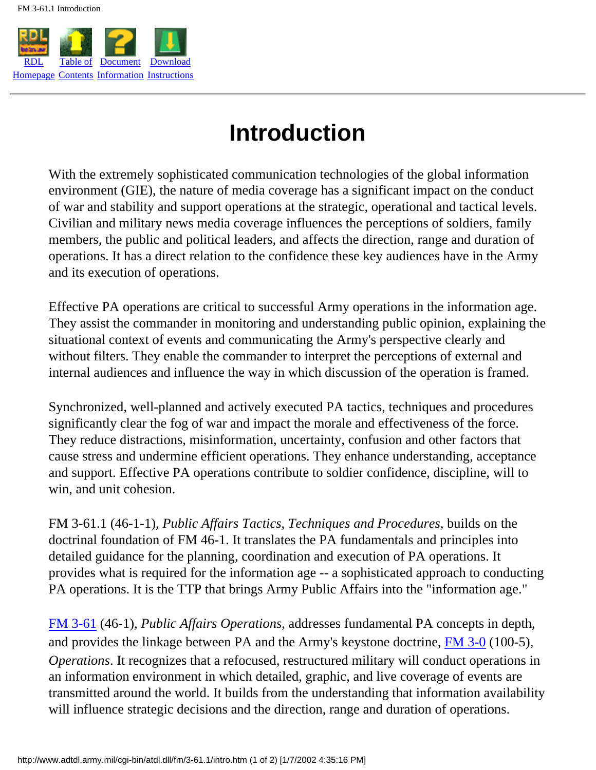<span id="page-6-0"></span>

## **Introduction**

With the extremely sophisticated communication technologies of the global information environment (GIE), the nature of media coverage has a significant impact on the conduct of war and stability and support operations at the strategic, operational and tactical levels. Civilian and military news media coverage influences the perceptions of soldiers, family members, the public and political leaders, and affects the direction, range and duration of operations. It has a direct relation to the confidence these key audiences have in the Army and its execution of operations.

Effective PA operations are critical to successful Army operations in the information age. They assist the commander in monitoring and understanding public opinion, explaining the situational context of events and communicating the Army's perspective clearly and without filters. They enable the commander to interpret the perceptions of external and internal audiences and influence the way in which discussion of the operation is framed.

Synchronized, well-planned and actively executed PA tactics, techniques and procedures significantly clear the fog of war and impact the morale and effectiveness of the force. They reduce distractions, misinformation, uncertainty, confusion and other factors that cause stress and undermine efficient operations. They enhance understanding, acceptance and support. Effective PA operations contribute to soldier confidence, discipline, will to win, and unit cohesion.

FM 3-61.1 (46-1-1), *Public Affairs Tactics, Techniques and Procedures*, builds on the doctrinal foundation of FM 46-1. It translates the PA fundamentals and principles into detailed guidance for the planning, coordination and execution of PA operations. It provides what is required for the information age -- a sophisticated approach to conducting PA operations. It is the TTP that brings Army Public Affairs into the "information age."

FM 3-61 (46-1), *Public Affairs Operations*, addresses fundamental PA concepts in depth, and provides the linkage between PA and the Army's keystone doctrine, FM 3-0 (100-5), *Operations*. It recognizes that a refocused, restructured military will conduct operations in an information environment in which detailed, graphic, and live coverage of events are transmitted around the world. It builds from the understanding that information availability will influence strategic decisions and the direction, range and duration of operations.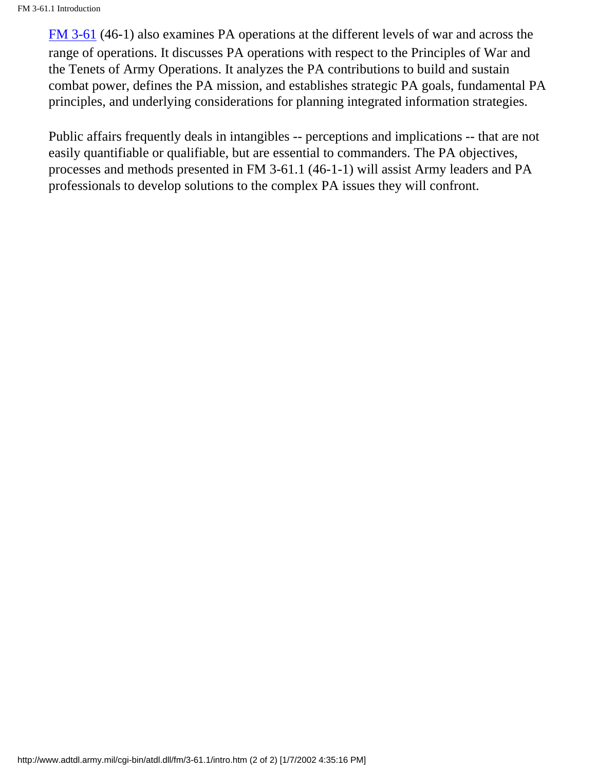FM 3-61 (46-1) also examines PA operations at the different levels of war and across the range of operations. It discusses PA operations with respect to the Principles of War and the Tenets of Army Operations. It analyzes the PA contributions to build and sustain combat power, defines the PA mission, and establishes strategic PA goals, fundamental PA principles, and underlying considerations for planning integrated information strategies.

Public affairs frequently deals in intangibles -- perceptions and implications -- that are not easily quantifiable or qualifiable, but are essential to commanders. The PA objectives, processes and methods presented in FM 3-61.1 (46-1-1) will assist Army leaders and PA professionals to develop solutions to the complex PA issues they will confront.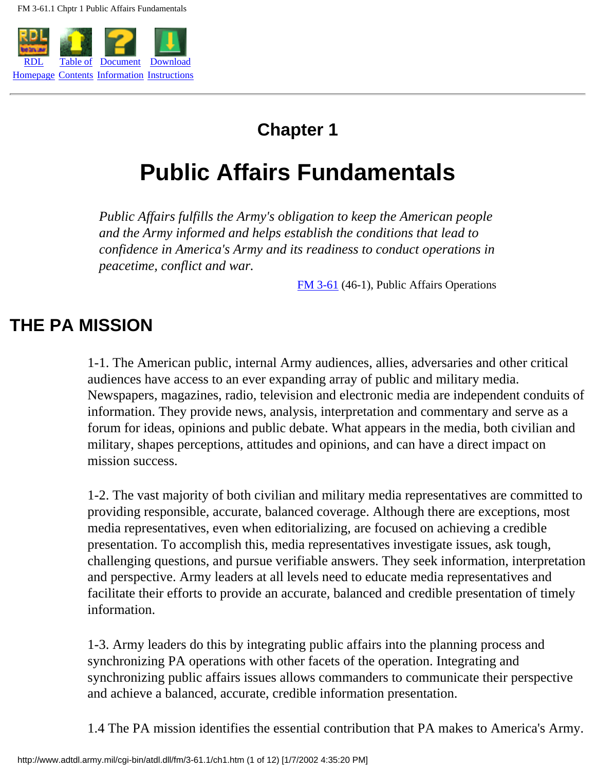<span id="page-8-0"></span>

## **Chapter 1**

## **Public Affairs Fundamentals**

*Public Affairs fulfills the Army's obligation to keep the American people and the Army informed and helps establish the conditions that lead to confidence in America's Army and its readiness to conduct operations in peacetime, conflict and war.*

FM 3-61 (46-1), Public Affairs Operations

### <span id="page-8-1"></span>**THE PA MISSION**

1-1. The American public, internal Army audiences, allies, adversaries and other critical audiences have access to an ever expanding array of public and military media. Newspapers, magazines, radio, television and electronic media are independent conduits of information. They provide news, analysis, interpretation and commentary and serve as a forum for ideas, opinions and public debate. What appears in the media, both civilian and military, shapes perceptions, attitudes and opinions, and can have a direct impact on mission success.

1-2. The vast majority of both civilian and military media representatives are committed to providing responsible, accurate, balanced coverage. Although there are exceptions, most media representatives, even when editorializing, are focused on achieving a credible presentation. To accomplish this, media representatives investigate issues, ask tough, challenging questions, and pursue verifiable answers. They seek information, interpretation and perspective. Army leaders at all levels need to educate media representatives and facilitate their efforts to provide an accurate, balanced and credible presentation of timely information.

1-3. Army leaders do this by integrating public affairs into the planning process and synchronizing PA operations with other facets of the operation. Integrating and synchronizing public affairs issues allows commanders to communicate their perspective and achieve a balanced, accurate, credible information presentation.

1.4 The PA mission identifies the essential contribution that PA makes to America's Army.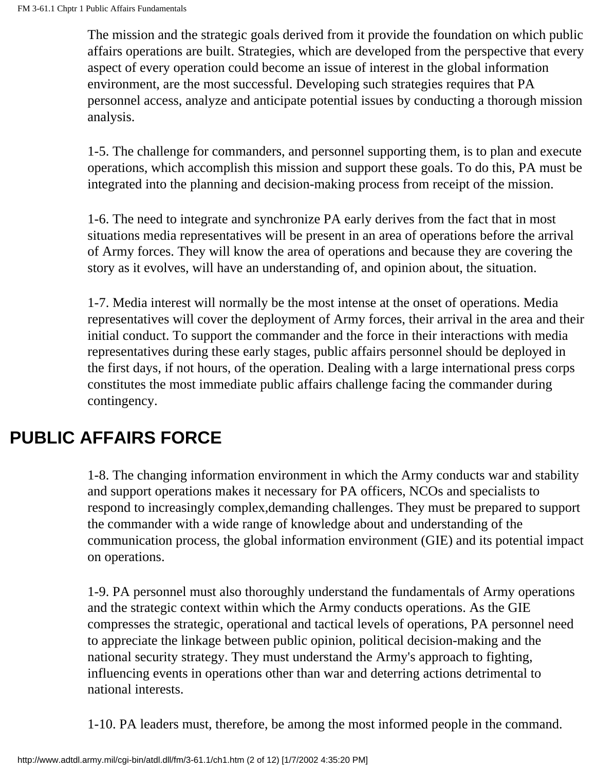The mission and the strategic goals derived from it provide the foundation on which public affairs operations are built. Strategies, which are developed from the perspective that every aspect of every operation could become an issue of interest in the global information environment, are the most successful. Developing such strategies requires that PA personnel access, analyze and anticipate potential issues by conducting a thorough mission analysis.

1-5. The challenge for commanders, and personnel supporting them, is to plan and execute operations, which accomplish this mission and support these goals. To do this, PA must be integrated into the planning and decision-making process from receipt of the mission.

1-6. The need to integrate and synchronize PA early derives from the fact that in most situations media representatives will be present in an area of operations before the arrival of Army forces. They will know the area of operations and because they are covering the story as it evolves, will have an understanding of, and opinion about, the situation.

1-7. Media interest will normally be the most intense at the onset of operations. Media representatives will cover the deployment of Army forces, their arrival in the area and their initial conduct. To support the commander and the force in their interactions with media representatives during these early stages, public affairs personnel should be deployed in the first days, if not hours, of the operation. Dealing with a large international press corps constitutes the most immediate public affairs challenge facing the commander during contingency.

## <span id="page-9-0"></span>**PUBLIC AFFAIRS FORCE**

1-8. The changing information environment in which the Army conducts war and stability and support operations makes it necessary for PA officers, NCOs and specialists to respond to increasingly complex,demanding challenges. They must be prepared to support the commander with a wide range of knowledge about and understanding of the communication process, the global information environment (GIE) and its potential impact on operations.

1-9. PA personnel must also thoroughly understand the fundamentals of Army operations and the strategic context within which the Army conducts operations. As the GIE compresses the strategic, operational and tactical levels of operations, PA personnel need to appreciate the linkage between public opinion, political decision-making and the national security strategy. They must understand the Army's approach to fighting, influencing events in operations other than war and deterring actions detrimental to national interests.

1-10. PA leaders must, therefore, be among the most informed people in the command.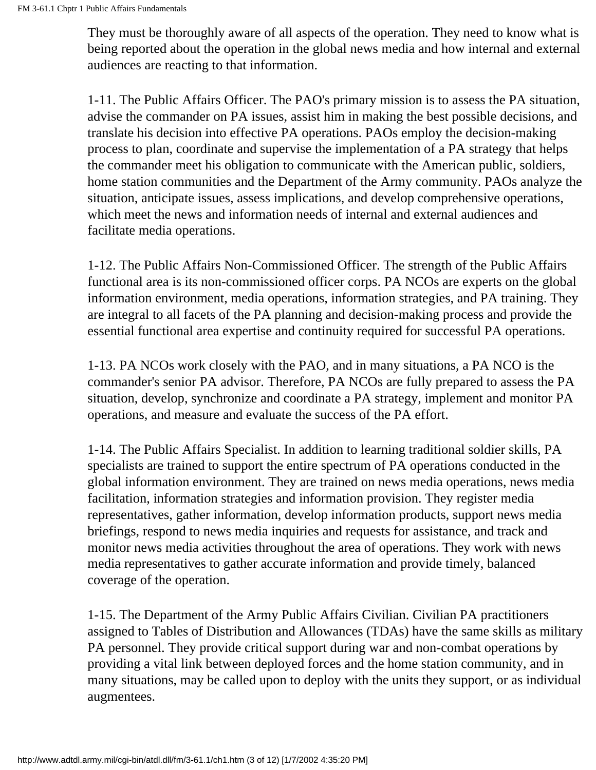They must be thoroughly aware of all aspects of the operation. They need to know what is being reported about the operation in the global news media and how internal and external audiences are reacting to that information.

1-11. The Public Affairs Officer. The PAO's primary mission is to assess the PA situation, advise the commander on PA issues, assist him in making the best possible decisions, and translate his decision into effective PA operations. PAOs employ the decision-making process to plan, coordinate and supervise the implementation of a PA strategy that helps the commander meet his obligation to communicate with the American public, soldiers, home station communities and the Department of the Army community. PAOs analyze the situation, anticipate issues, assess implications, and develop comprehensive operations, which meet the news and information needs of internal and external audiences and facilitate media operations.

1-12. The Public Affairs Non-Commissioned Officer. The strength of the Public Affairs functional area is its non-commissioned officer corps. PA NCOs are experts on the global information environment, media operations, information strategies, and PA training. They are integral to all facets of the PA planning and decision-making process and provide the essential functional area expertise and continuity required for successful PA operations.

1-13. PA NCOs work closely with the PAO, and in many situations, a PA NCO is the commander's senior PA advisor. Therefore, PA NCOs are fully prepared to assess the PA situation, develop, synchronize and coordinate a PA strategy, implement and monitor PA operations, and measure and evaluate the success of the PA effort.

1-14. The Public Affairs Specialist. In addition to learning traditional soldier skills, PA specialists are trained to support the entire spectrum of PA operations conducted in the global information environment. They are trained on news media operations, news media facilitation, information strategies and information provision. They register media representatives, gather information, develop information products, support news media briefings, respond to news media inquiries and requests for assistance, and track and monitor news media activities throughout the area of operations. They work with news media representatives to gather accurate information and provide timely, balanced coverage of the operation.

<span id="page-10-0"></span>1-15. The Department of the Army Public Affairs Civilian. Civilian PA practitioners assigned to Tables of Distribution and Allowances (TDAs) have the same skills as military PA personnel. They provide critical support during war and non-combat operations by providing a vital link between deployed forces and the home station community, and in many situations, may be called upon to deploy with the units they support, or as individual augmentees.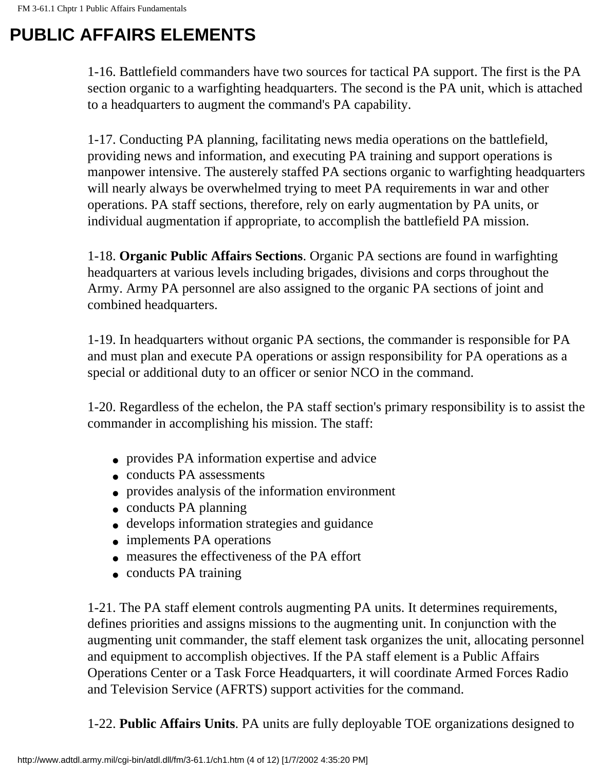## **PUBLIC AFFAIRS ELEMENTS**

1-16. Battlefield commanders have two sources for tactical PA support. The first is the PA section organic to a warfighting headquarters. The second is the PA unit, which is attached to a headquarters to augment the command's PA capability.

1-17. Conducting PA planning, facilitating news media operations on the battlefield, providing news and information, and executing PA training and support operations is manpower intensive. The austerely staffed PA sections organic to warfighting headquarters will nearly always be overwhelmed trying to meet PA requirements in war and other operations. PA staff sections, therefore, rely on early augmentation by PA units, or individual augmentation if appropriate, to accomplish the battlefield PA mission.

1-18. **Organic Public Affairs Sections**. Organic PA sections are found in warfighting headquarters at various levels including brigades, divisions and corps throughout the Army. Army PA personnel are also assigned to the organic PA sections of joint and combined headquarters.

1-19. In headquarters without organic PA sections, the commander is responsible for PA and must plan and execute PA operations or assign responsibility for PA operations as a special or additional duty to an officer or senior NCO in the command.

1-20. Regardless of the echelon, the PA staff section's primary responsibility is to assist the commander in accomplishing his mission. The staff:

- provides PA information expertise and advice
- conducts PA assessments
- provides analysis of the information environment
- conducts PA planning
- develops information strategies and guidance
- implements PA operations
- measures the effectiveness of the PA effort
- conducts PA training

1-21. The PA staff element controls augmenting PA units. It determines requirements, defines priorities and assigns missions to the augmenting unit. In conjunction with the augmenting unit commander, the staff element task organizes the unit, allocating personnel and equipment to accomplish objectives. If the PA staff element is a Public Affairs Operations Center or a Task Force Headquarters, it will coordinate Armed Forces Radio and Television Service (AFRTS) support activities for the command.

1-22. **Public Affairs Units**. PA units are fully deployable TOE organizations designed to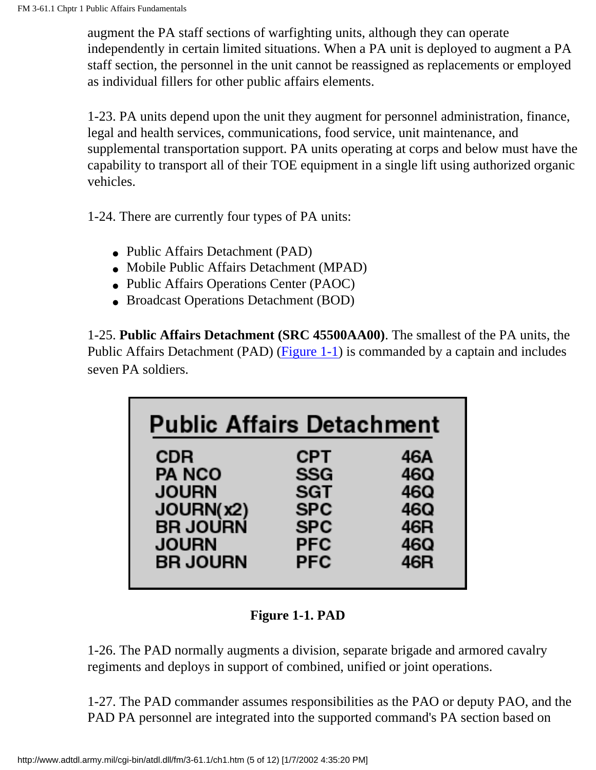augment the PA staff sections of warfighting units, although they can operate independently in certain limited situations. When a PA unit is deployed to augment a PA staff section, the personnel in the unit cannot be reassigned as replacements or employed as individual fillers for other public affairs elements.

1-23. PA units depend upon the unit they augment for personnel administration, finance, legal and health services, communications, food service, unit maintenance, and supplemental transportation support. PA units operating at corps and below must have the capability to transport all of their TOE equipment in a single lift using authorized organic vehicles.

1-24. There are currently four types of PA units:

- Public Affairs Detachment (PAD)
- Mobile Public Affairs Detachment (MPAD)
- Public Affairs Operations Center (PAOC)
- Broadcast Operations Detachment (BOD)

<span id="page-12-0"></span>1-25. **Public Affairs Detachment (SRC 45500AA00)**. The smallest of the PA units, the Public Affairs Detachment (PAD) [\(Figure 1-1\)](#page-12-0) is commanded by a captain and includes seven PA soldiers.

| <b>Public Affairs Detachment</b> |            |     |  |  |
|----------------------------------|------------|-----|--|--|
| CDR                              | <b>CPT</b> | 46A |  |  |
| <b>PANCO</b>                     | <b>SSG</b> | 46Q |  |  |
| <b>JOURN</b>                     | <b>SGT</b> | 46Q |  |  |
| JOURN(x2)                        | <b>SPC</b> | 46Q |  |  |
| <b>BR JOURN</b>                  | <b>SPC</b> | 46R |  |  |
| <b>JOURN</b>                     | <b>PFC</b> | 46Q |  |  |
| <b>BR JOURN</b>                  | <b>PFC</b> | 46R |  |  |

**Figure 1-1. PAD**

1-26. The PAD normally augments a division, separate brigade and armored cavalry regiments and deploys in support of combined, unified or joint operations.

1-27. The PAD commander assumes responsibilities as the PAO or deputy PAO, and the PAD PA personnel are integrated into the supported command's PA section based on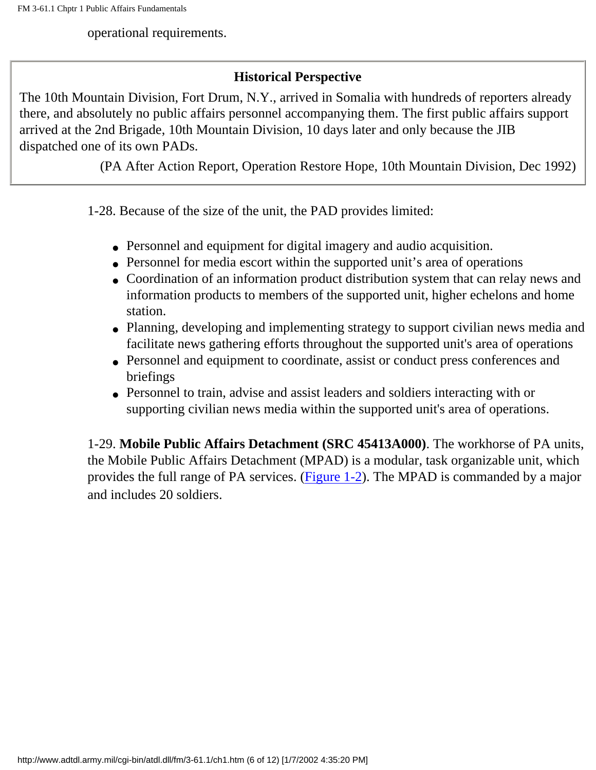operational requirements.

### **Historical Perspective**

The 10th Mountain Division, Fort Drum, N.Y., arrived in Somalia with hundreds of reporters already there, and absolutely no public affairs personnel accompanying them. The first public affairs support arrived at the 2nd Brigade, 10th Mountain Division, 10 days later and only because the JIB dispatched one of its own PADs.

(PA After Action Report, Operation Restore Hope, 10th Mountain Division, Dec 1992)

1-28. Because of the size of the unit, the PAD provides limited:

- Personnel and equipment for digital imagery and audio acquisition.
- Personnel for media escort within the supported unit's area of operations
- Coordination of an information product distribution system that can relay news and information products to members of the supported unit, higher echelons and home station.
- Planning, developing and implementing strategy to support civilian news media and facilitate news gathering efforts throughout the supported unit's area of operations
- Personnel and equipment to coordinate, assist or conduct press conferences and briefings
- Personnel to train, advise and assist leaders and soldiers interacting with or supporting civilian news media within the supported unit's area of operations.

<span id="page-13-0"></span>1-29. **Mobile Public Affairs Detachment (SRC 45413A000)**. The workhorse of PA units, the Mobile Public Affairs Detachment (MPAD) is a modular, task organizable unit, which provides the full range of PA services. [\(Figure 1-2\)](#page-13-0). The MPAD is commanded by a major and includes 20 soldiers.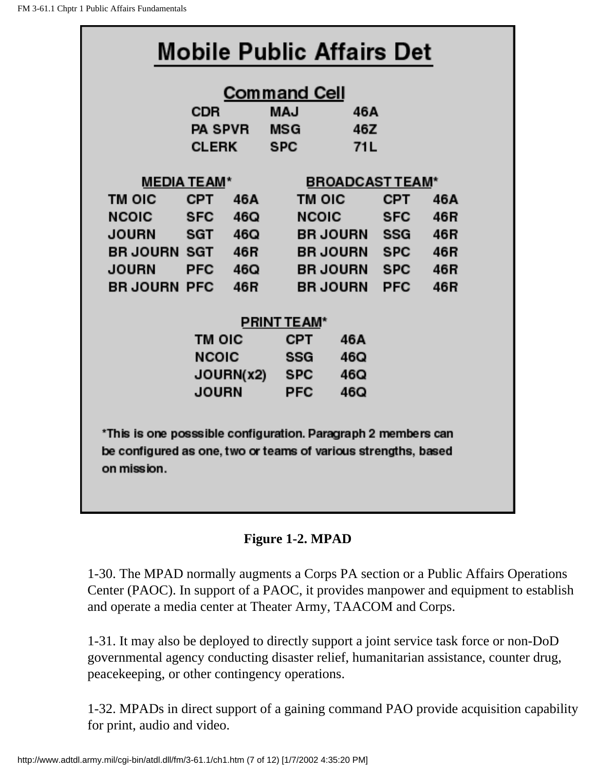## **Mobile Public Affairs Det**

| <b>Command Cell</b>                                            |                  |     |                    |                        |            |     |  |
|----------------------------------------------------------------|------------------|-----|--------------------|------------------------|------------|-----|--|
|                                                                | <b>CDR</b>       |     | <b>MAJ</b>         | 46A                    |            |     |  |
|                                                                | <b>PA SPVR</b>   |     | <b>MSG</b>         | 46Z                    |            |     |  |
|                                                                | <b>CLERK</b>     |     | <b>SPC</b>         | 71 L                   |            |     |  |
|                                                                |                  |     |                    |                        |            |     |  |
| <b>MEDIA TEAM*</b>                                             |                  |     |                    | <b>BROADCAST TEAM*</b> |            |     |  |
| TM OIC                                                         | <b>CPT</b>       | 46A | TM OIC             |                        | <b>CPT</b> | 46A |  |
| <b>NCOIC</b>                                                   | <b>SFC</b>       | 46Q | <b>NCOIC</b>       |                        | <b>SFC</b> | 46R |  |
| <b>JOURN</b>                                                   | SGT              | 46Q |                    | <b>BR JOURN</b>        | SSG        | 46R |  |
| BR JOURN SGT                                                   |                  | 46R |                    | <b>BR JOURN</b>        | <b>SPC</b> | 46R |  |
| <b>JOURN</b>                                                   | <b>PFC</b>       | 46Q |                    | <b>BR JOURN</b>        | <b>SPC</b> | 46R |  |
| <b>BR JOURN PFC</b>                                            |                  | 46R |                    | <b>BR JOURN</b>        | <b>PFC</b> | 46R |  |
|                                                                |                  |     |                    |                        |            |     |  |
|                                                                |                  |     | <b>PRINT TEAM*</b> |                        |            |     |  |
|                                                                | TM OIC           |     | <b>CPT</b>         | 46A                    |            |     |  |
|                                                                | <b>NCOIC</b>     |     | SSG                | 46Q                    |            |     |  |
|                                                                | <b>JOURN(x2)</b> |     | <b>SPC</b>         | 46Q                    |            |     |  |
|                                                                | <b>JOURN</b>     |     | <b>PFC</b>         | 46Q                    |            |     |  |
|                                                                |                  |     |                    |                        |            |     |  |
| *This is one posssible configuration. Paragraph 2 members can  |                  |     |                    |                        |            |     |  |
| be configured as one, two or teams of various strengths, based |                  |     |                    |                        |            |     |  |
| on mission.                                                    |                  |     |                    |                        |            |     |  |
|                                                                |                  |     |                    |                        |            |     |  |
|                                                                |                  |     |                    |                        |            |     |  |



1-30. The MPAD normally augments a Corps PA section or a Public Affairs Operations Center (PAOC). In support of a PAOC, it provides manpower and equipment to establish and operate a media center at Theater Army, TAACOM and Corps.

1-31. It may also be deployed to directly support a joint service task force or non-DoD governmental agency conducting disaster relief, humanitarian assistance, counter drug, peacekeeping, or other contingency operations.

1-32. MPADs in direct support of a gaining command PAO provide acquisition capability for print, audio and video.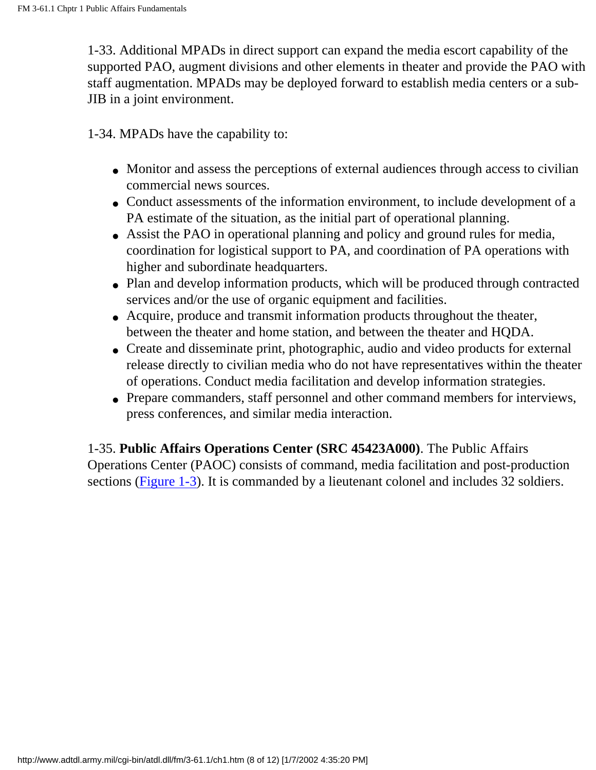1-33. Additional MPADs in direct support can expand the media escort capability of the supported PAO, augment divisions and other elements in theater and provide the PAO with staff augmentation. MPADs may be deployed forward to establish media centers or a sub-JIB in a joint environment.

1-34. MPADs have the capability to:

- Monitor and assess the perceptions of external audiences through access to civilian commercial news sources.
- Conduct assessments of the information environment, to include development of a PA estimate of the situation, as the initial part of operational planning.
- Assist the PAO in operational planning and policy and ground rules for media, coordination for logistical support to PA, and coordination of PA operations with higher and subordinate headquarters.
- Plan and develop information products, which will be produced through contracted services and/or the use of organic equipment and facilities.
- Acquire, produce and transmit information products throughout the theater, between the theater and home station, and between the theater and HQDA.
- Create and disseminate print, photographic, audio and video products for external release directly to civilian media who do not have representatives within the theater of operations. Conduct media facilitation and develop information strategies.
- Prepare commanders, staff personnel and other command members for interviews, press conferences, and similar media interaction.

<span id="page-15-0"></span>1-35. **Public Affairs Operations Center (SRC 45423A000)**. The Public Affairs Operations Center (PAOC) consists of command, media facilitation and post-production sections [\(Figure 1-3\)](#page-15-0). It is commanded by a lieutenant colonel and includes 32 soldiers.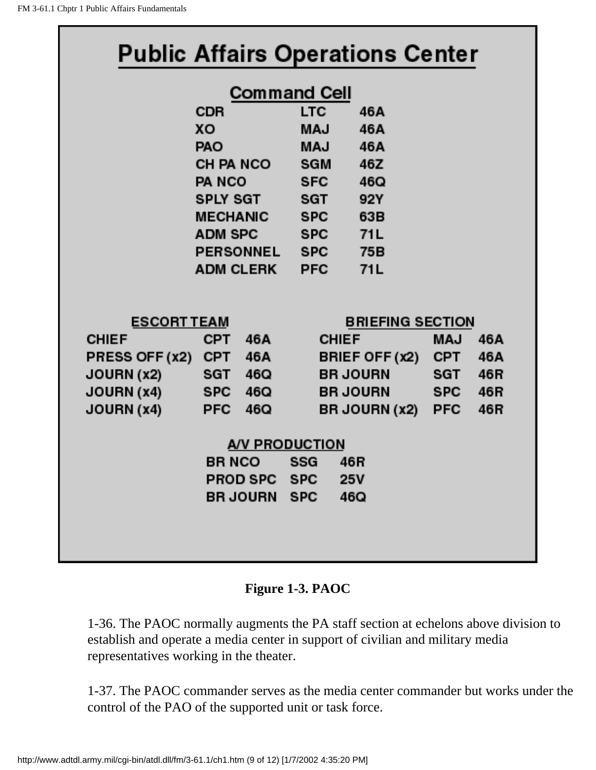| <b>Public Affairs Operations Center</b>                 |                  |     |                                                              |                    |            |     |  |  |
|---------------------------------------------------------|------------------|-----|--------------------------------------------------------------|--------------------|------------|-----|--|--|
| Command Cell                                            |                  |     |                                                              |                    |            |     |  |  |
|                                                         | 46A              |     |                                                              |                    |            |     |  |  |
|                                                         | CDR<br>ΧO        |     | MAJ                                                          | 46A                |            |     |  |  |
|                                                         | <b>PAO</b>       |     | <b>MAJ</b>                                                   | 46A                |            |     |  |  |
|                                                         | CH PANCO         |     |                                                              | <b>SGM</b><br>46Z  |            |     |  |  |
|                                                         | <b>PANCO</b>     |     | <b>SFC</b>                                                   | 46Q                |            |     |  |  |
|                                                         | SPLY SGT         |     | SGT                                                          | 92Y                |            |     |  |  |
|                                                         | <b>MECHANIC</b>  |     | <b>SPC</b>                                                   | 63B                |            |     |  |  |
|                                                         | <b>ADM SPC</b>   |     | <b>SPC</b>                                                   | 71L                |            |     |  |  |
|                                                         | <b>PERSONNEL</b> |     | <b>SPC</b>                                                   | 75B                |            |     |  |  |
|                                                         | <b>ADM CLERK</b> |     | <b>PFC</b>                                                   | 71L                |            |     |  |  |
| <b>ESCORT TEAM</b><br><b>CHIEF</b><br><b>CPT</b><br>46A |                  |     | <b>BRIEFING SECTION</b><br><b>CHIEF</b><br><b>MAJ</b><br>46A |                    |            |     |  |  |
| <b>PRESS OFF (x2)</b>                                   | <b>CPT</b>       | 46A |                                                              | BRIEF OFF (x2) CPT |            | 46A |  |  |
| <b>JOURN (x2)</b>                                       | SGT              | 46Q |                                                              | <b>BR JOURN</b>    | SGT        | 46R |  |  |
| JOURN (x4)                                              | <b>SPC</b>       | 46Q |                                                              | <b>BR JOURN</b>    | <b>SPC</b> | 46R |  |  |
| <b>JOURN</b> (x4)                                       | <b>PFC</b>       | 46Q |                                                              | BR JOURN (x2) PFC  |            | 46R |  |  |
| <b>A/V PRODUCTION</b>                                   |                  |     |                                                              |                    |            |     |  |  |
|                                                         | BR NCO           |     | SSG                                                          | 46R                |            |     |  |  |
|                                                         | <b>PROD SPC</b>  |     | <b>SPC</b>                                                   | 25V                |            |     |  |  |
|                                                         | <b>BR JOURN</b>  |     | <b>SPC</b>                                                   | 46Q                |            |     |  |  |
|                                                         |                  |     |                                                              |                    |            |     |  |  |

**Figure 1-3. PAOC**

1-36. The PAOC normally augments the PA staff section at echelons above division to establish and operate a media center in support of civilian and military media representatives working in the theater.

1-37. The PAOC commander serves as the media center commander but works under the control of the PAO of the supported unit or task force.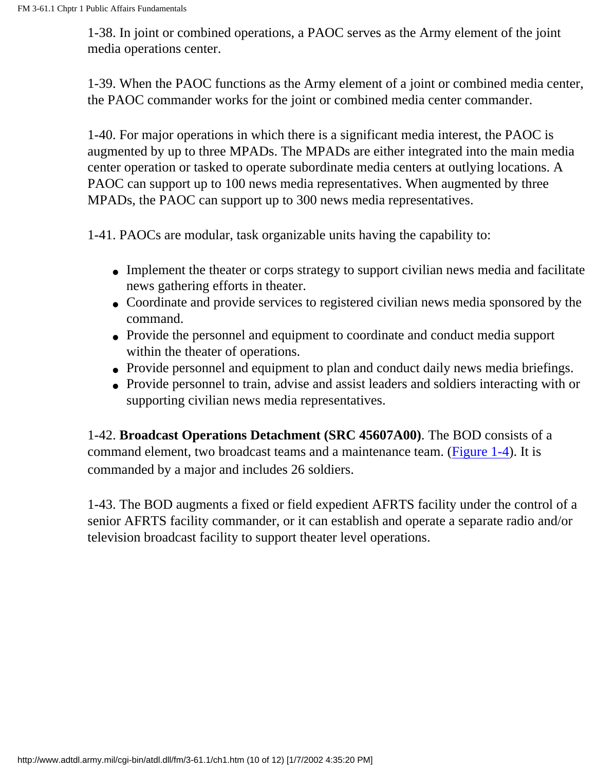1-38. In joint or combined operations, a PAOC serves as the Army element of the joint media operations center.

1-39. When the PAOC functions as the Army element of a joint or combined media center, the PAOC commander works for the joint or combined media center commander.

1-40. For major operations in which there is a significant media interest, the PAOC is augmented by up to three MPADs. The MPADs are either integrated into the main media center operation or tasked to operate subordinate media centers at outlying locations. A PAOC can support up to 100 news media representatives. When augmented by three MPADs, the PAOC can support up to 300 news media representatives.

1-41. PAOCs are modular, task organizable units having the capability to:

- Implement the theater or corps strategy to support civilian news media and facilitate news gathering efforts in theater.
- Coordinate and provide services to registered civilian news media sponsored by the command.
- Provide the personnel and equipment to coordinate and conduct media support within the theater of operations.
- Provide personnel and equipment to plan and conduct daily news media briefings.
- Provide personnel to train, advise and assist leaders and soldiers interacting with or supporting civilian news media representatives.

1-42. **Broadcast Operations Detachment (SRC 45607A00)**. The BOD consists of a command element, two broadcast teams and a maintenance team. [\(Figure 1-4](#page-17-0)). It is commanded by a major and includes 26 soldiers.

<span id="page-17-0"></span>1-43. The BOD augments a fixed or field expedient AFRTS facility under the control of a senior AFRTS facility commander, or it can establish and operate a separate radio and/or television broadcast facility to support theater level operations.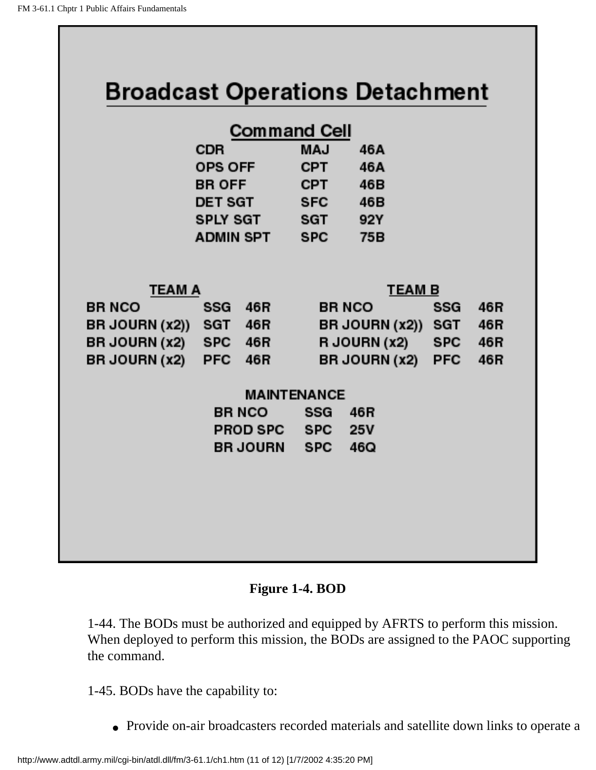## **Broadcast Operations Detachment**

### **Command Cell**

| MAJ | 46A |
|-----|-----|
| CPT | 46A |
| CPT | 46B |
| SFC | 46B |
| SGT | 92Y |
| SPC | 75B |
|     |     |

| TEAM A                      |            |     |                | <b>TEAM B</b> |     |  |  |  |
|-----------------------------|------------|-----|----------------|---------------|-----|--|--|--|
| <b>BR NCO</b>               | SSG        | 46R | <b>BR NCO</b>  | SSG           | 46R |  |  |  |
| BR JOURN (x2))              | SGT        | 46R | BR JOURN (x2)) | <b>SGT</b>    | 46R |  |  |  |
| BR JOURN (x2)               | <b>SPC</b> | 46R | R JOURN (x2)   | <b>SPC</b>    | 46R |  |  |  |
| BR JOURN (x2)               | <b>PFC</b> | 46R | BR JOURN (x2)  | <b>PFC</b>    | 46R |  |  |  |
| <b>MAINTENANCE</b>          |            |     |                |               |     |  |  |  |
| <b>BR NCO</b><br>SSG<br>46R |            |     |                |               |     |  |  |  |

**SPC** 

**SPC** 

**25V** 

46Q

**PROD SPC** 

**BR JOURN** 

#### **Figure 1-4. BOD**

1-44. The BODs must be authorized and equipped by AFRTS to perform this mission. When deployed to perform this mission, the BODs are assigned to the PAOC supporting the command.

1-45. BODs have the capability to:

● Provide on-air broadcasters recorded materials and satellite down links to operate a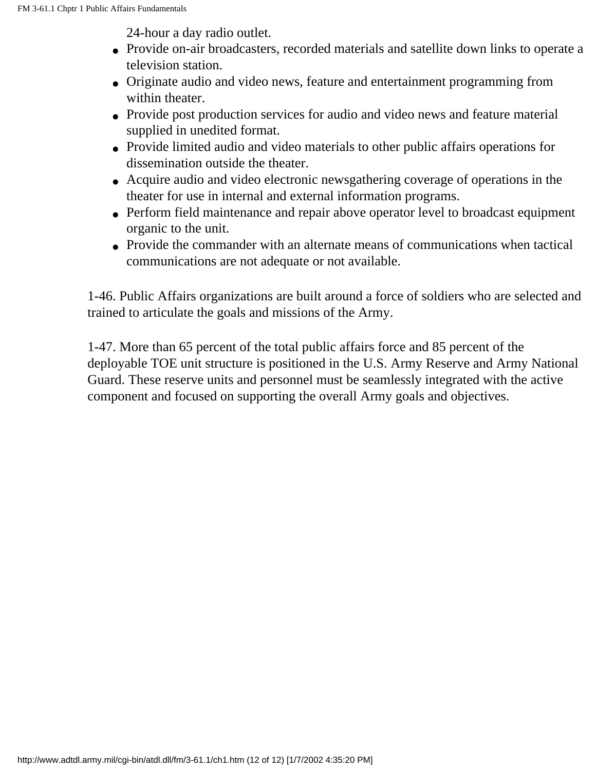24-hour a day radio outlet.

- Provide on-air broadcasters, recorded materials and satellite down links to operate a television station.
- Originate audio and video news, feature and entertainment programming from within theater.
- Provide post production services for audio and video news and feature material supplied in unedited format.
- Provide limited audio and video materials to other public affairs operations for dissemination outside the theater.
- Acquire audio and video electronic newsgathering coverage of operations in the theater for use in internal and external information programs.
- Perform field maintenance and repair above operator level to broadcast equipment organic to the unit.
- Provide the commander with an alternate means of communications when tactical communications are not adequate or not available.

1-46. Public Affairs organizations are built around a force of soldiers who are selected and trained to articulate the goals and missions of the Army.

1-47. More than 65 percent of the total public affairs force and 85 percent of the deployable TOE unit structure is positioned in the U.S. Army Reserve and Army National Guard. These reserve units and personnel must be seamlessly integrated with the active component and focused on supporting the overall Army goals and objectives.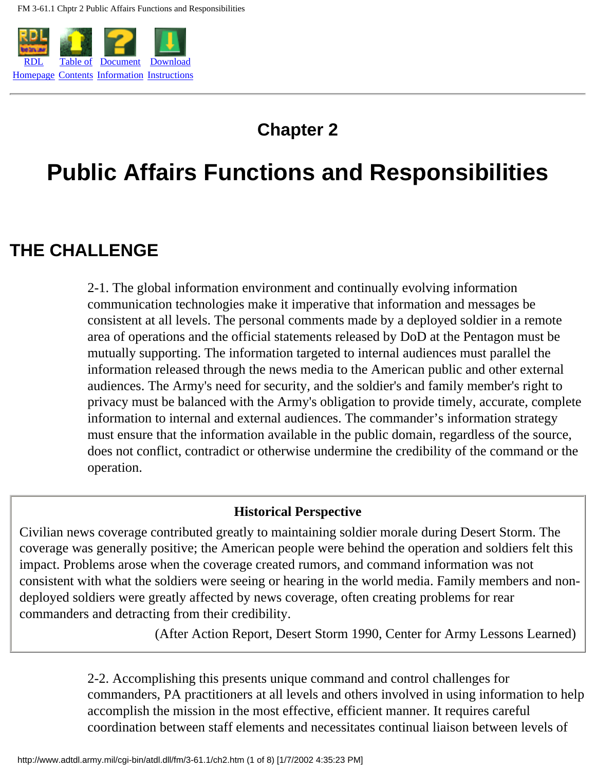<span id="page-20-0"></span>

## **Chapter 2**

## **Public Affairs Functions and Responsibilities**

### **THE CHALLENGE**

2-1. The global information environment and continually evolving information communication technologies make it imperative that information and messages be consistent at all levels. The personal comments made by a deployed soldier in a remote area of operations and the official statements released by DoD at the Pentagon must be mutually supporting. The information targeted to internal audiences must parallel the information released through the news media to the American public and other external audiences. The Army's need for security, and the soldier's and family member's right to privacy must be balanced with the Army's obligation to provide timely, accurate, complete information to internal and external audiences. The commander's information strategy must ensure that the information available in the public domain, regardless of the source, does not conflict, contradict or otherwise undermine the credibility of the command or the operation.

#### **Historical Perspective**

Civilian news coverage contributed greatly to maintaining soldier morale during Desert Storm. The coverage was generally positive; the American people were behind the operation and soldiers felt this impact. Problems arose when the coverage created rumors, and command information was not consistent with what the soldiers were seeing or hearing in the world media. Family members and nondeployed soldiers were greatly affected by news coverage, often creating problems for rear commanders and detracting from their credibility.

(After Action Report, Desert Storm 1990, Center for Army Lessons Learned)

2-2. Accomplishing this presents unique command and control challenges for commanders, PA practitioners at all levels and others involved in using information to help accomplish the mission in the most effective, efficient manner. It requires careful coordination between staff elements and necessitates continual liaison between levels of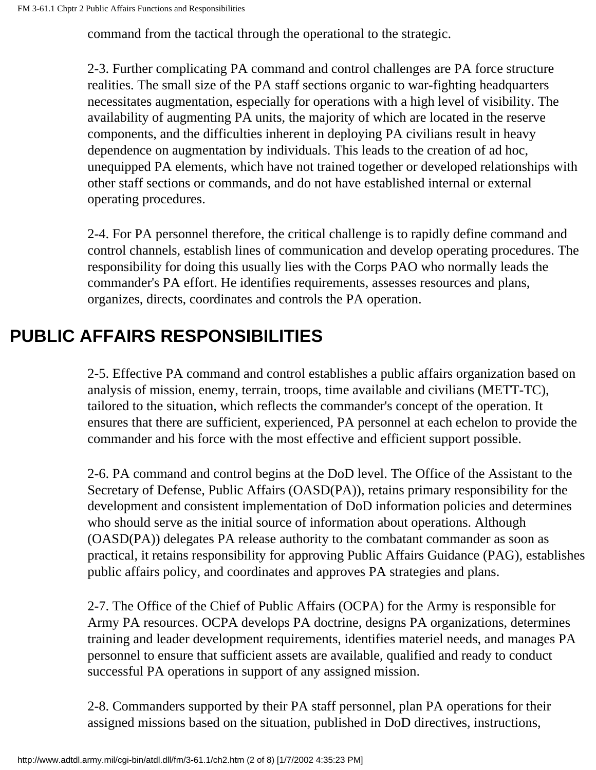command from the tactical through the operational to the strategic.

2-3. Further complicating PA command and control challenges are PA force structure realities. The small size of the PA staff sections organic to war-fighting headquarters necessitates augmentation, especially for operations with a high level of visibility. The availability of augmenting PA units, the majority of which are located in the reserve components, and the difficulties inherent in deploying PA civilians result in heavy dependence on augmentation by individuals. This leads to the creation of ad hoc, unequipped PA elements, which have not trained together or developed relationships with other staff sections or commands, and do not have established internal or external operating procedures.

2-4. For PA personnel therefore, the critical challenge is to rapidly define command and control channels, establish lines of communication and develop operating procedures. The responsibility for doing this usually lies with the Corps PAO who normally leads the commander's PA effort. He identifies requirements, assesses resources and plans, organizes, directs, coordinates and controls the PA operation.

### **PUBLIC AFFAIRS RESPONSIBILITIES**

2-5. Effective PA command and control establishes a public affairs organization based on analysis of mission, enemy, terrain, troops, time available and civilians (METT-TC), tailored to the situation, which reflects the commander's concept of the operation. It ensures that there are sufficient, experienced, PA personnel at each echelon to provide the commander and his force with the most effective and efficient support possible.

2-6. PA command and control begins at the DoD level. The Office of the Assistant to the Secretary of Defense, Public Affairs (OASD(PA)), retains primary responsibility for the development and consistent implementation of DoD information policies and determines who should serve as the initial source of information about operations. Although (OASD(PA)) delegates PA release authority to the combatant commander as soon as practical, it retains responsibility for approving Public Affairs Guidance (PAG), establishes public affairs policy, and coordinates and approves PA strategies and plans.

2-7. The Office of the Chief of Public Affairs (OCPA) for the Army is responsible for Army PA resources. OCPA develops PA doctrine, designs PA organizations, determines training and leader development requirements, identifies materiel needs, and manages PA personnel to ensure that sufficient assets are available, qualified and ready to conduct successful PA operations in support of any assigned mission.

2-8. Commanders supported by their PA staff personnel, plan PA operations for their assigned missions based on the situation, published in DoD directives, instructions,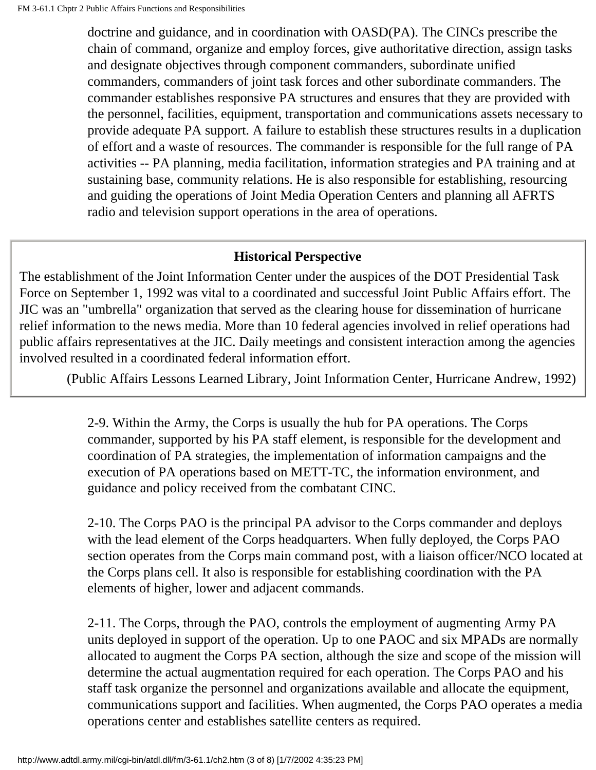doctrine and guidance, and in coordination with OASD(PA). The CINCs prescribe the chain of command, organize and employ forces, give authoritative direction, assign tasks and designate objectives through component commanders, subordinate unified commanders, commanders of joint task forces and other subordinate commanders. The commander establishes responsive PA structures and ensures that they are provided with the personnel, facilities, equipment, transportation and communications assets necessary to provide adequate PA support. A failure to establish these structures results in a duplication of effort and a waste of resources. The commander is responsible for the full range of PA activities -- PA planning, media facilitation, information strategies and PA training and at sustaining base, community relations. He is also responsible for establishing, resourcing and guiding the operations of Joint Media Operation Centers and planning all AFRTS radio and television support operations in the area of operations.

#### **Historical Perspective**

The establishment of the Joint Information Center under the auspices of the DOT Presidential Task Force on September 1, 1992 was vital to a coordinated and successful Joint Public Affairs effort. The JIC was an "umbrella" organization that served as the clearing house for dissemination of hurricane relief information to the news media. More than 10 federal agencies involved in relief operations had public affairs representatives at the JIC. Daily meetings and consistent interaction among the agencies involved resulted in a coordinated federal information effort.

(Public Affairs Lessons Learned Library, Joint Information Center, Hurricane Andrew, 1992)

2-9. Within the Army, the Corps is usually the hub for PA operations. The Corps commander, supported by his PA staff element, is responsible for the development and coordination of PA strategies, the implementation of information campaigns and the execution of PA operations based on METT-TC, the information environment, and guidance and policy received from the combatant CINC.

2-10. The Corps PAO is the principal PA advisor to the Corps commander and deploys with the lead element of the Corps headquarters. When fully deployed, the Corps PAO section operates from the Corps main command post, with a liaison officer/NCO located at the Corps plans cell. It also is responsible for establishing coordination with the PA elements of higher, lower and adjacent commands.

2-11. The Corps, through the PAO, controls the employment of augmenting Army PA units deployed in support of the operation. Up to one PAOC and six MPADs are normally allocated to augment the Corps PA section, although the size and scope of the mission will determine the actual augmentation required for each operation. The Corps PAO and his staff task organize the personnel and organizations available and allocate the equipment, communications support and facilities. When augmented, the Corps PAO operates a media operations center and establishes satellite centers as required.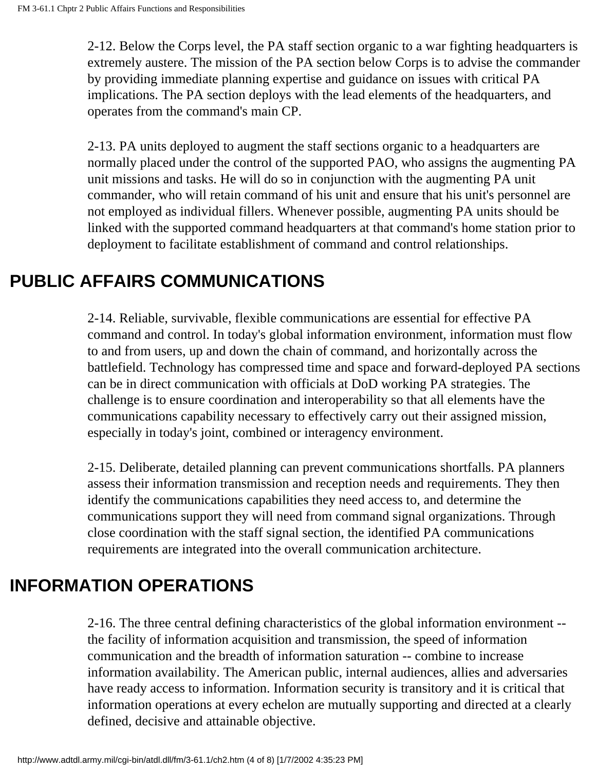2-12. Below the Corps level, the PA staff section organic to a war fighting headquarters is extremely austere. The mission of the PA section below Corps is to advise the commander by providing immediate planning expertise and guidance on issues with critical PA implications. The PA section deploys with the lead elements of the headquarters, and operates from the command's main CP.

2-13. PA units deployed to augment the staff sections organic to a headquarters are normally placed under the control of the supported PAO, who assigns the augmenting PA unit missions and tasks. He will do so in conjunction with the augmenting PA unit commander, who will retain command of his unit and ensure that his unit's personnel are not employed as individual fillers. Whenever possible, augmenting PA units should be linked with the supported command headquarters at that command's home station prior to deployment to facilitate establishment of command and control relationships.

### **PUBLIC AFFAIRS COMMUNICATIONS**

2-14. Reliable, survivable, flexible communications are essential for effective PA command and control. In today's global information environment, information must flow to and from users, up and down the chain of command, and horizontally across the battlefield. Technology has compressed time and space and forward-deployed PA sections can be in direct communication with officials at DoD working PA strategies. The challenge is to ensure coordination and interoperability so that all elements have the communications capability necessary to effectively carry out their assigned mission, especially in today's joint, combined or interagency environment.

2-15. Deliberate, detailed planning can prevent communications shortfalls. PA planners assess their information transmission and reception needs and requirements. They then identify the communications capabilities they need access to, and determine the communications support they will need from command signal organizations. Through close coordination with the staff signal section, the identified PA communications requirements are integrated into the overall communication architecture.

## **INFORMATION OPERATIONS**

2-16. The three central defining characteristics of the global information environment - the facility of information acquisition and transmission, the speed of information communication and the breadth of information saturation -- combine to increase information availability. The American public, internal audiences, allies and adversaries have ready access to information. Information security is transitory and it is critical that information operations at every echelon are mutually supporting and directed at a clearly defined, decisive and attainable objective.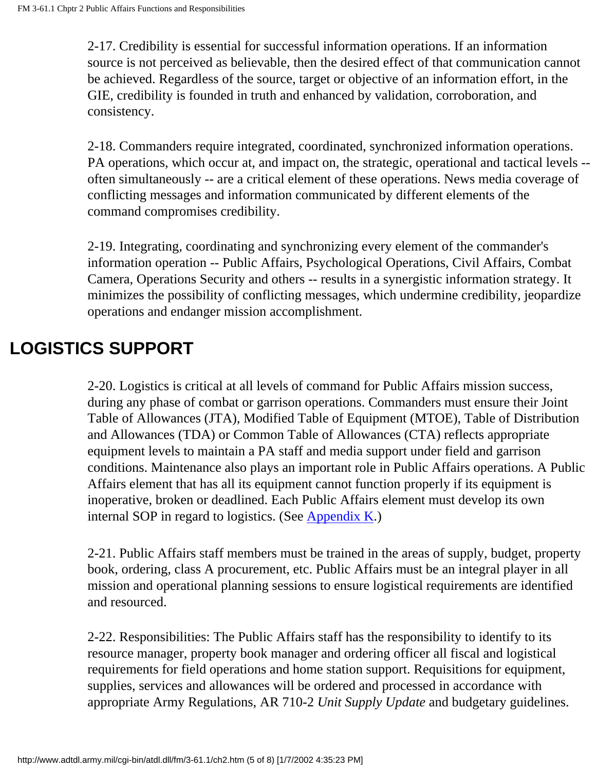2-17. Credibility is essential for successful information operations. If an information source is not perceived as believable, then the desired effect of that communication cannot be achieved. Regardless of the source, target or objective of an information effort, in the GIE, credibility is founded in truth and enhanced by validation, corroboration, and consistency.

2-18. Commanders require integrated, coordinated, synchronized information operations. PA operations, which occur at, and impact on, the strategic, operational and tactical levels - often simultaneously -- are a critical element of these operations. News media coverage of conflicting messages and information communicated by different elements of the command compromises credibility.

2-19. Integrating, coordinating and synchronizing every element of the commander's information operation -- Public Affairs, Psychological Operations, Civil Affairs, Combat Camera, Operations Security and others -- results in a synergistic information strategy. It minimizes the possibility of conflicting messages, which undermine credibility, jeopardize operations and endanger mission accomplishment.

## **LOGISTICS SUPPORT**

2-20. Logistics is critical at all levels of command for Public Affairs mission success, during any phase of combat or garrison operations. Commanders must ensure their Joint Table of Allowances (JTA), Modified Table of Equipment (MTOE), Table of Distribution and Allowances (TDA) or Common Table of Allowances (CTA) reflects appropriate equipment levels to maintain a PA staff and media support under field and garrison conditions. Maintenance also plays an important role in Public Affairs operations. A Public Affairs element that has all its equipment cannot function properly if its equipment is inoperative, broken or deadlined. Each Public Affairs element must develop its own internal SOP in regard to logistics. (See [Appendix K](#page-144-0).)

2-21. Public Affairs staff members must be trained in the areas of supply, budget, property book, ordering, class A procurement, etc. Public Affairs must be an integral player in all mission and operational planning sessions to ensure logistical requirements are identified and resourced.

2-22. Responsibilities: The Public Affairs staff has the responsibility to identify to its resource manager, property book manager and ordering officer all fiscal and logistical requirements for field operations and home station support. Requisitions for equipment, supplies, services and allowances will be ordered and processed in accordance with appropriate Army Regulations, AR 710-2 *Unit Supply Update* and budgetary guidelines.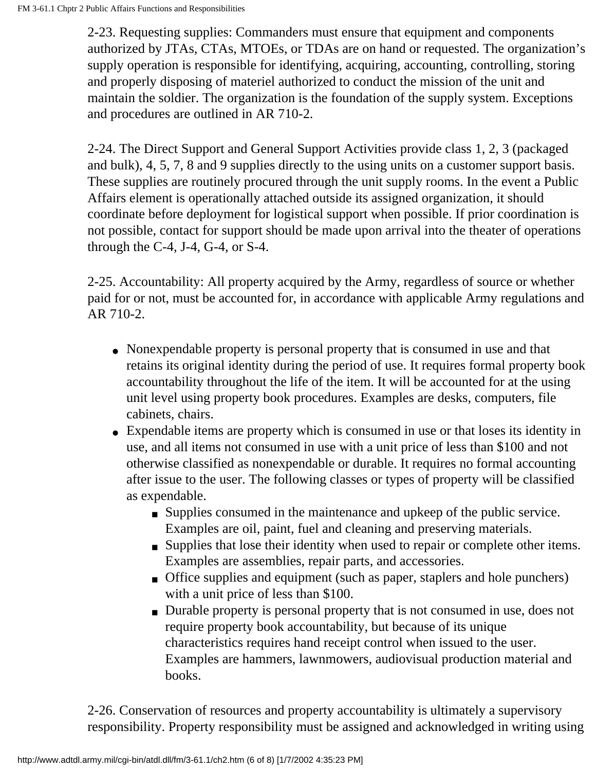2-23. Requesting supplies: Commanders must ensure that equipment and components authorized by JTAs, CTAs, MTOEs, or TDAs are on hand or requested. The organization's supply operation is responsible for identifying, acquiring, accounting, controlling, storing and properly disposing of materiel authorized to conduct the mission of the unit and maintain the soldier. The organization is the foundation of the supply system. Exceptions and procedures are outlined in AR 710-2.

2-24. The Direct Support and General Support Activities provide class 1, 2, 3 (packaged and bulk), 4, 5, 7, 8 and 9 supplies directly to the using units on a customer support basis. These supplies are routinely procured through the unit supply rooms. In the event a Public Affairs element is operationally attached outside its assigned organization, it should coordinate before deployment for logistical support when possible. If prior coordination is not possible, contact for support should be made upon arrival into the theater of operations through the C-4, J-4, G-4, or S-4.

2-25. Accountability: All property acquired by the Army, regardless of source or whether paid for or not, must be accounted for, in accordance with applicable Army regulations and AR 710-2.

- Nonexpendable property is personal property that is consumed in use and that retains its original identity during the period of use. It requires formal property book accountability throughout the life of the item. It will be accounted for at the using unit level using property book procedures. Examples are desks, computers, file cabinets, chairs.
- Expendable items are property which is consumed in use or that loses its identity in use, and all items not consumed in use with a unit price of less than \$100 and not otherwise classified as nonexpendable or durable. It requires no formal accounting after issue to the user. The following classes or types of property will be classified as expendable.
	- Supplies consumed in the maintenance and upkeep of the public service. Examples are oil, paint, fuel and cleaning and preserving materials.
	- Supplies that lose their identity when used to repair or complete other items. Examples are assemblies, repair parts, and accessories.
	- Office supplies and equipment (such as paper, staplers and hole punchers) with a unit price of less than \$100.
	- Durable property is personal property that is not consumed in use, does not require property book accountability, but because of its unique characteristics requires hand receipt control when issued to the user. Examples are hammers, lawnmowers, audiovisual production material and books.

2-26. Conservation of resources and property accountability is ultimately a supervisory responsibility. Property responsibility must be assigned and acknowledged in writing using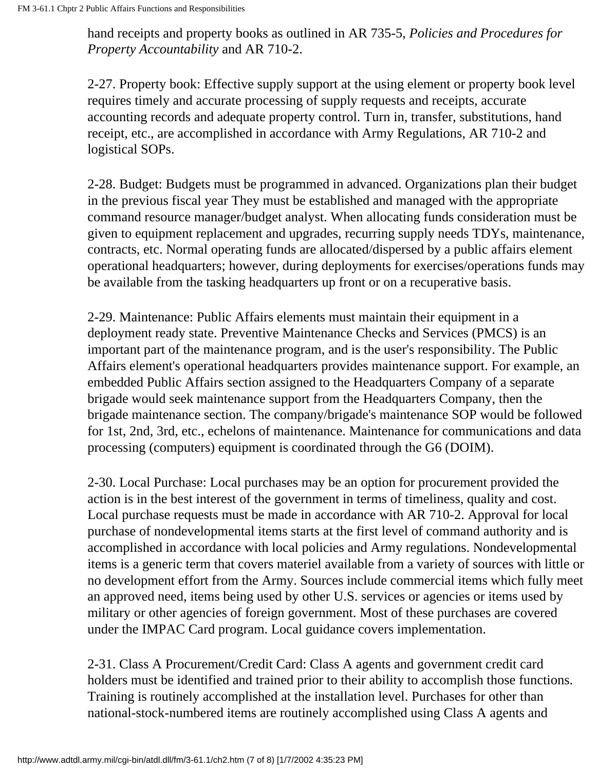hand receipts and property books as outlined in AR 735-5, *Policies and Procedures for Property Accountability* and AR 710-2.

2-27. Property book: Effective supply support at the using element or property book level requires timely and accurate processing of supply requests and receipts, accurate accounting records and adequate property control. Turn in, transfer, substitutions, hand receipt, etc., are accomplished in accordance with Army Regulations, AR 710-2 and logistical SOPs.

2-28. Budget: Budgets must be programmed in advanced. Organizations plan their budget in the previous fiscal year They must be established and managed with the appropriate command resource manager/budget analyst. When allocating funds consideration must be given to equipment replacement and upgrades, recurring supply needs TDYs, maintenance, contracts, etc. Normal operating funds are allocated/dispersed by a public affairs element operational headquarters; however, during deployments for exercises/operations funds may be available from the tasking headquarters up front or on a recuperative basis.

2-29. Maintenance: Public Affairs elements must maintain their equipment in a deployment ready state. Preventive Maintenance Checks and Services (PMCS) is an important part of the maintenance program, and is the user's responsibility. The Public Affairs element's operational headquarters provides maintenance support. For example, an embedded Public Affairs section assigned to the Headquarters Company of a separate brigade would seek maintenance support from the Headquarters Company, then the brigade maintenance section. The company/brigade's maintenance SOP would be followed for 1st, 2nd, 3rd, etc., echelons of maintenance. Maintenance for communications and data processing (computers) equipment is coordinated through the G6 (DOIM).

2-30. Local Purchase: Local purchases may be an option for procurement provided the action is in the best interest of the government in terms of timeliness, quality and cost. Local purchase requests must be made in accordance with AR 710-2. Approval for local purchase of nondevelopmental items starts at the first level of command authority and is accomplished in accordance with local policies and Army regulations. Nondevelopmental items is a generic term that covers materiel available from a variety of sources with little or no development effort from the Army. Sources include commercial items which fully meet an approved need, items being used by other U.S. services or agencies or items used by military or other agencies of foreign government. Most of these purchases are covered under the IMPAC Card program. Local guidance covers implementation.

2-31. Class A Procurement/Credit Card: Class A agents and government credit card holders must be identified and trained prior to their ability to accomplish those functions. Training is routinely accomplished at the installation level. Purchases for other than national-stock-numbered items are routinely accomplished using Class A agents and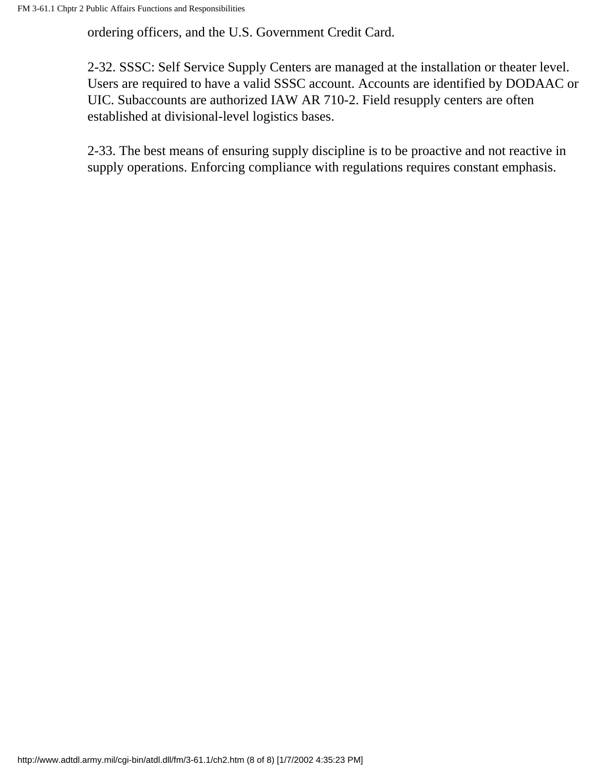ordering officers, and the U.S. Government Credit Card.

2-32. SSSC: Self Service Supply Centers are managed at the installation or theater level. Users are required to have a valid SSSC account. Accounts are identified by DODAAC or UIC. Subaccounts are authorized IAW AR 710-2. Field resupply centers are often established at divisional-level logistics bases.

2-33. The best means of ensuring supply discipline is to be proactive and not reactive in supply operations. Enforcing compliance with regulations requires constant emphasis.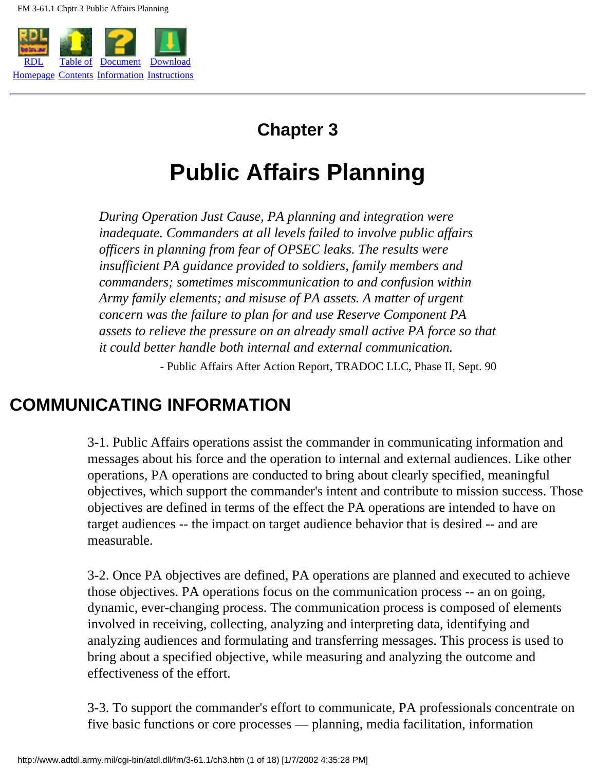<span id="page-28-0"></span>

## **Chapter 3**

## **Public Affairs Planning**

*During Operation Just Cause, PA planning and integration were inadequate. Commanders at all levels failed to involve public affairs officers in planning from fear of OPSEC leaks. The results were insufficient PA guidance provided to soldiers, family members and commanders; sometimes miscommunication to and confusion within Army family elements; and misuse of PA assets. A matter of urgent concern was the failure to plan for and use Reserve Component PA assets to relieve the pressure on an already small active PA force so that it could better handle both internal and external communication.*

- Public Affairs After Action Report, TRADOC LLC, Phase II, Sept. 90

### **COMMUNICATING INFORMATION**

3-1. Public Affairs operations assist the commander in communicating information and messages about his force and the operation to internal and external audiences. Like other operations, PA operations are conducted to bring about clearly specified, meaningful objectives, which support the commander's intent and contribute to mission success. Those objectives are defined in terms of the effect the PA operations are intended to have on target audiences -- the impact on target audience behavior that is desired -- and are measurable.

3-2. Once PA objectives are defined, PA operations are planned and executed to achieve those objectives. PA operations focus on the communication process -- an on going, dynamic, ever-changing process. The communication process is composed of elements involved in receiving, collecting, analyzing and interpreting data, identifying and analyzing audiences and formulating and transferring messages. This process is used to bring about a specified objective, while measuring and analyzing the outcome and effectiveness of the effort.

3-3. To support the commander's effort to communicate, PA professionals concentrate on five basic functions or core processes — planning, media facilitation, information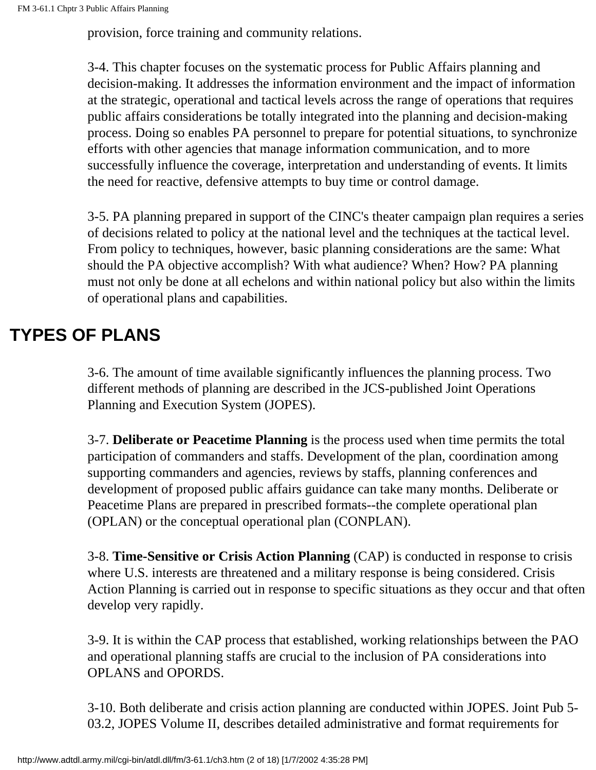provision, force training and community relations.

3-4. This chapter focuses on the systematic process for Public Affairs planning and decision-making. It addresses the information environment and the impact of information at the strategic, operational and tactical levels across the range of operations that requires public affairs considerations be totally integrated into the planning and decision-making process. Doing so enables PA personnel to prepare for potential situations, to synchronize efforts with other agencies that manage information communication, and to more successfully influence the coverage, interpretation and understanding of events. It limits the need for reactive, defensive attempts to buy time or control damage.

3-5. PA planning prepared in support of the CINC's theater campaign plan requires a series of decisions related to policy at the national level and the techniques at the tactical level. From policy to techniques, however, basic planning considerations are the same: What should the PA objective accomplish? With what audience? When? How? PA planning must not only be done at all echelons and within national policy but also within the limits of operational plans and capabilities.

### <span id="page-29-0"></span>**TYPES OF PLANS**

3-6. The amount of time available significantly influences the planning process. Two different methods of planning are described in the JCS-published Joint Operations Planning and Execution System (JOPES).

3-7. **Deliberate or Peacetime Planning** is the process used when time permits the total participation of commanders and staffs. Development of the plan, coordination among supporting commanders and agencies, reviews by staffs, planning conferences and development of proposed public affairs guidance can take many months. Deliberate or Peacetime Plans are prepared in prescribed formats--the complete operational plan (OPLAN) or the conceptual operational plan (CONPLAN).

3-8. **Time-Sensitive or Crisis Action Planning** (CAP) is conducted in response to crisis where U.S. interests are threatened and a military response is being considered. Crisis Action Planning is carried out in response to specific situations as they occur and that often develop very rapidly.

3-9. It is within the CAP process that established, working relationships between the PAO and operational planning staffs are crucial to the inclusion of PA considerations into OPLANS and OPORDS.

3-10. Both deliberate and crisis action planning are conducted within JOPES. Joint Pub 5- 03.2, JOPES Volume II, describes detailed administrative and format requirements for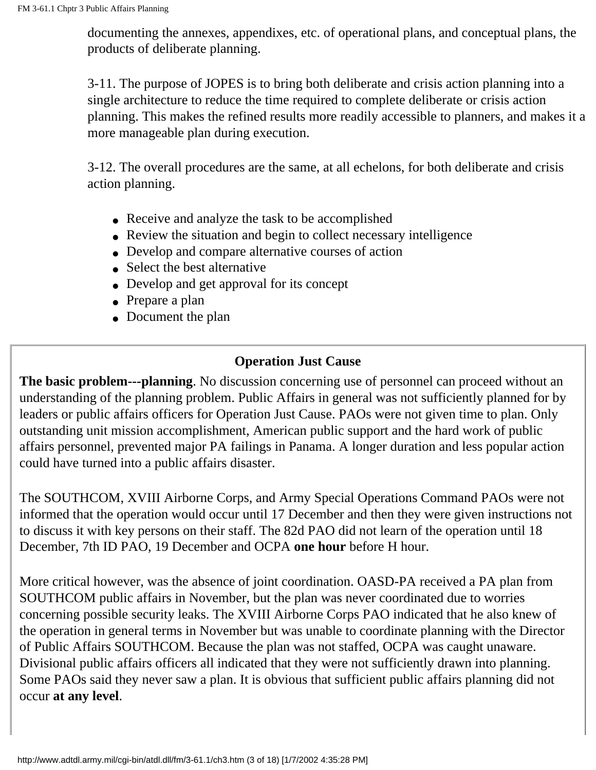documenting the annexes, appendixes, etc. of operational plans, and conceptual plans, the products of deliberate planning.

3-11. The purpose of JOPES is to bring both deliberate and crisis action planning into a single architecture to reduce the time required to complete deliberate or crisis action planning. This makes the refined results more readily accessible to planners, and makes it a more manageable plan during execution.

3-12. The overall procedures are the same, at all echelons, for both deliberate and crisis action planning.

- Receive and analyze the task to be accomplished
- Review the situation and begin to collect necessary intelligence
- Develop and compare alternative courses of action
- Select the best alternative
- Develop and get approval for its concept
- Prepare a plan
- Document the plan

#### **Operation Just Cause**

**The basic problem---planning**. No discussion concerning use of personnel can proceed without an understanding of the planning problem. Public Affairs in general was not sufficiently planned for by leaders or public affairs officers for Operation Just Cause. PAOs were not given time to plan. Only outstanding unit mission accomplishment, American public support and the hard work of public affairs personnel, prevented major PA failings in Panama. A longer duration and less popular action could have turned into a public affairs disaster.

The SOUTHCOM, XVIII Airborne Corps, and Army Special Operations Command PAOs were not informed that the operation would occur until 17 December and then they were given instructions not to discuss it with key persons on their staff. The 82d PAO did not learn of the operation until 18 December, 7th ID PAO, 19 December and OCPA **one hour** before H hour.

More critical however, was the absence of joint coordination. OASD-PA received a PA plan from SOUTHCOM public affairs in November, but the plan was never coordinated due to worries concerning possible security leaks. The XVIII Airborne Corps PAO indicated that he also knew of the operation in general terms in November but was unable to coordinate planning with the Director of Public Affairs SOUTHCOM. Because the plan was not staffed, OCPA was caught unaware. Divisional public affairs officers all indicated that they were not sufficiently drawn into planning. Some PAOs said they never saw a plan. It is obvious that sufficient public affairs planning did not occur **at any level**.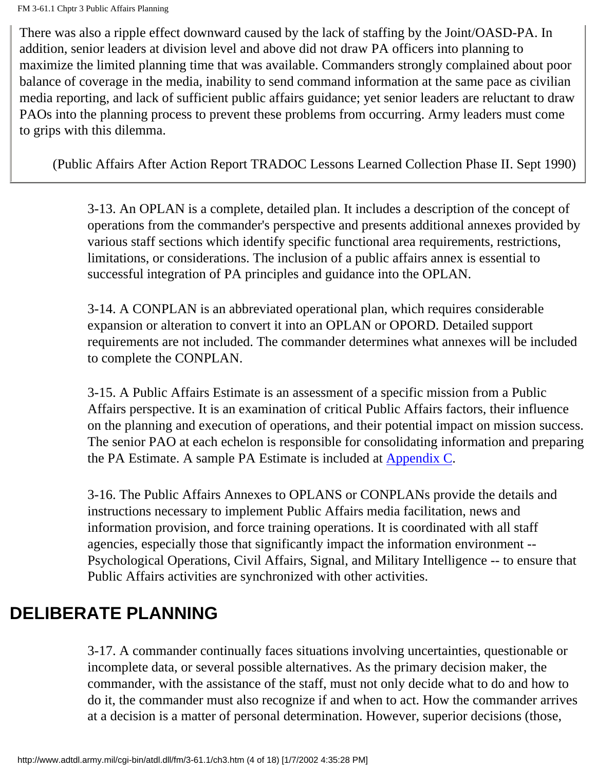There was also a ripple effect downward caused by the lack of staffing by the Joint/OASD-PA. In addition, senior leaders at division level and above did not draw PA officers into planning to maximize the limited planning time that was available. Commanders strongly complained about poor balance of coverage in the media, inability to send command information at the same pace as civilian media reporting, and lack of sufficient public affairs guidance; yet senior leaders are reluctant to draw PAOs into the planning process to prevent these problems from occurring. Army leaders must come to grips with this dilemma.

(Public Affairs After Action Report TRADOC Lessons Learned Collection Phase II. Sept 1990)

3-13. An OPLAN is a complete, detailed plan. It includes a description of the concept of operations from the commander's perspective and presents additional annexes provided by various staff sections which identify specific functional area requirements, restrictions, limitations, or considerations. The inclusion of a public affairs annex is essential to successful integration of PA principles and guidance into the OPLAN.

3-14. A CONPLAN is an abbreviated operational plan, which requires considerable expansion or alteration to convert it into an OPLAN or OPORD. Detailed support requirements are not included. The commander determines what annexes will be included to complete the CONPLAN.

3-15. A Public Affairs Estimate is an assessment of a specific mission from a Public Affairs perspective. It is an examination of critical Public Affairs factors, their influence on the planning and execution of operations, and their potential impact on mission success. The senior PAO at each echelon is responsible for consolidating information and preparing the PA Estimate. A sample PA Estimate is included at [Appendix C.](#page-112-0)

3-16. The Public Affairs Annexes to OPLANS or CONPLANs provide the details and instructions necessary to implement Public Affairs media facilitation, news and information provision, and force training operations. It is coordinated with all staff agencies, especially those that significantly impact the information environment -- Psychological Operations, Civil Affairs, Signal, and Military Intelligence -- to ensure that Public Affairs activities are synchronized with other activities.

### **DELIBERATE PLANNING**

3-17. A commander continually faces situations involving uncertainties, questionable or incomplete data, or several possible alternatives. As the primary decision maker, the commander, with the assistance of the staff, must not only decide what to do and how to do it, the commander must also recognize if and when to act. How the commander arrives at a decision is a matter of personal determination. However, superior decisions (those,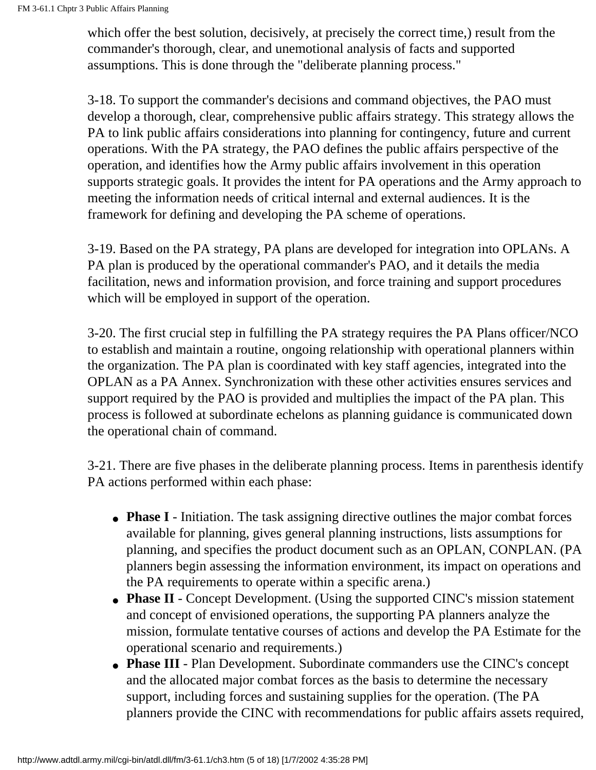which offer the best solution, decisively, at precisely the correct time,) result from the commander's thorough, clear, and unemotional analysis of facts and supported assumptions. This is done through the "deliberate planning process."

3-18. To support the commander's decisions and command objectives, the PAO must develop a thorough, clear, comprehensive public affairs strategy. This strategy allows the PA to link public affairs considerations into planning for contingency, future and current operations. With the PA strategy, the PAO defines the public affairs perspective of the operation, and identifies how the Army public affairs involvement in this operation supports strategic goals. It provides the intent for PA operations and the Army approach to meeting the information needs of critical internal and external audiences. It is the framework for defining and developing the PA scheme of operations.

3-19. Based on the PA strategy, PA plans are developed for integration into OPLANs. A PA plan is produced by the operational commander's PAO, and it details the media facilitation, news and information provision, and force training and support procedures which will be employed in support of the operation.

3-20. The first crucial step in fulfilling the PA strategy requires the PA Plans officer/NCO to establish and maintain a routine, ongoing relationship with operational planners within the organization. The PA plan is coordinated with key staff agencies, integrated into the OPLAN as a PA Annex. Synchronization with these other activities ensures services and support required by the PAO is provided and multiplies the impact of the PA plan. This process is followed at subordinate echelons as planning guidance is communicated down the operational chain of command.

3-21. There are five phases in the deliberate planning process. Items in parenthesis identify PA actions performed within each phase:

- **Phase I** Initiation. The task assigning directive outlines the major combat forces available for planning, gives general planning instructions, lists assumptions for planning, and specifies the product document such as an OPLAN, CONPLAN. (PA planners begin assessing the information environment, its impact on operations and the PA requirements to operate within a specific arena.)
- **Phase II** Concept Development. (Using the supported CINC's mission statement and concept of envisioned operations, the supporting PA planners analyze the mission, formulate tentative courses of actions and develop the PA Estimate for the operational scenario and requirements.)
- **Phase III** Plan Development. Subordinate commanders use the CINC's concept and the allocated major combat forces as the basis to determine the necessary support, including forces and sustaining supplies for the operation. (The PA planners provide the CINC with recommendations for public affairs assets required,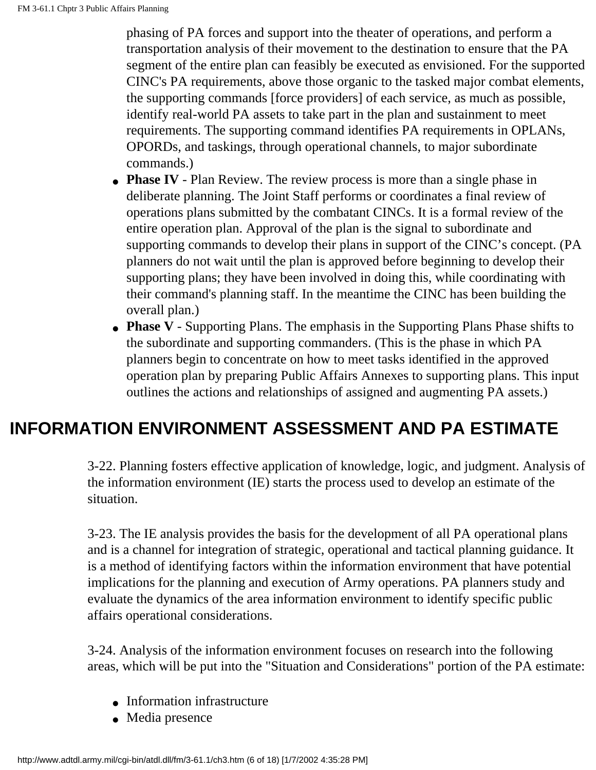phasing of PA forces and support into the theater of operations, and perform a transportation analysis of their movement to the destination to ensure that the PA segment of the entire plan can feasibly be executed as envisioned. For the supported CINC's PA requirements, above those organic to the tasked major combat elements, the supporting commands [force providers] of each service, as much as possible, identify real-world PA assets to take part in the plan and sustainment to meet requirements. The supporting command identifies PA requirements in OPLANs, OPORDs, and taskings, through operational channels, to major subordinate commands.)

- **Phase IV** Plan Review. The review process is more than a single phase in deliberate planning. The Joint Staff performs or coordinates a final review of operations plans submitted by the combatant CINCs. It is a formal review of the entire operation plan. Approval of the plan is the signal to subordinate and supporting commands to develop their plans in support of the CINC's concept. (PA planners do not wait until the plan is approved before beginning to develop their supporting plans; they have been involved in doing this, while coordinating with their command's planning staff. In the meantime the CINC has been building the overall plan.)
- **Phase V** Supporting Plans. The emphasis in the Supporting Plans Phase shifts to the subordinate and supporting commanders. (This is the phase in which PA planners begin to concentrate on how to meet tasks identified in the approved operation plan by preparing Public Affairs Annexes to supporting plans. This input outlines the actions and relationships of assigned and augmenting PA assets.)

## **INFORMATION ENVIRONMENT ASSESSMENT AND PA ESTIMATE**

3-22. Planning fosters effective application of knowledge, logic, and judgment. Analysis of the information environment (IE) starts the process used to develop an estimate of the situation.

3-23. The IE analysis provides the basis for the development of all PA operational plans and is a channel for integration of strategic, operational and tactical planning guidance. It is a method of identifying factors within the information environment that have potential implications for the planning and execution of Army operations. PA planners study and evaluate the dynamics of the area information environment to identify specific public affairs operational considerations.

3-24. Analysis of the information environment focuses on research into the following areas, which will be put into the "Situation and Considerations" portion of the PA estimate:

- Information infrastructure
- Media presence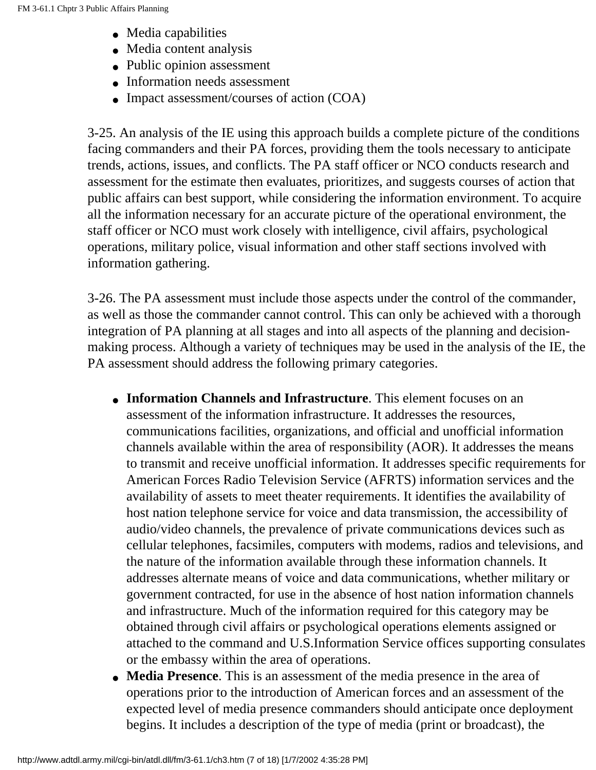- Media capabilities
- Media content analysis
- Public opinion assessment
- Information needs assessment
- Impact assessment/courses of action (COA)

3-25. An analysis of the IE using this approach builds a complete picture of the conditions facing commanders and their PA forces, providing them the tools necessary to anticipate trends, actions, issues, and conflicts. The PA staff officer or NCO conducts research and assessment for the estimate then evaluates, prioritizes, and suggests courses of action that public affairs can best support, while considering the information environment. To acquire all the information necessary for an accurate picture of the operational environment, the staff officer or NCO must work closely with intelligence, civil affairs, psychological operations, military police, visual information and other staff sections involved with information gathering.

3-26. The PA assessment must include those aspects under the control of the commander, as well as those the commander cannot control. This can only be achieved with a thorough integration of PA planning at all stages and into all aspects of the planning and decisionmaking process. Although a variety of techniques may be used in the analysis of the IE, the PA assessment should address the following primary categories.

- **Information Channels and Infrastructure**. This element focuses on an assessment of the information infrastructure. It addresses the resources, communications facilities, organizations, and official and unofficial information channels available within the area of responsibility (AOR). It addresses the means to transmit and receive unofficial information. It addresses specific requirements for American Forces Radio Television Service (AFRTS) information services and the availability of assets to meet theater requirements. It identifies the availability of host nation telephone service for voice and data transmission, the accessibility of audio/video channels, the prevalence of private communications devices such as cellular telephones, facsimiles, computers with modems, radios and televisions, and the nature of the information available through these information channels. It addresses alternate means of voice and data communications, whether military or government contracted, for use in the absence of host nation information channels and infrastructure. Much of the information required for this category may be obtained through civil affairs or psychological operations elements assigned or attached to the command and U.S.Information Service offices supporting consulates or the embassy within the area of operations.
- **Media Presence**. This is an assessment of the media presence in the area of operations prior to the introduction of American forces and an assessment of the expected level of media presence commanders should anticipate once deployment begins. It includes a description of the type of media (print or broadcast), the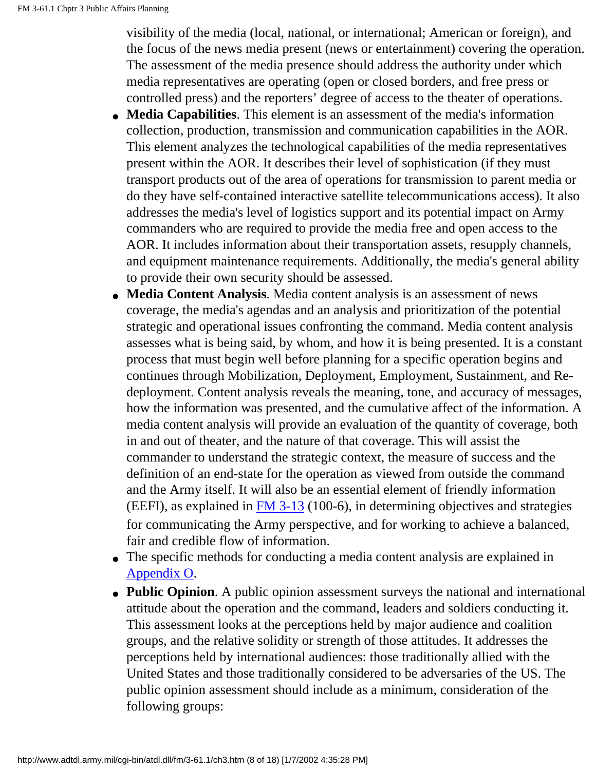visibility of the media (local, national, or international; American or foreign), and the focus of the news media present (news or entertainment) covering the operation. The assessment of the media presence should address the authority under which media representatives are operating (open or closed borders, and free press or controlled press) and the reporters' degree of access to the theater of operations.

- **Media Capabilities**. This element is an assessment of the media's information collection, production, transmission and communication capabilities in the AOR. This element analyzes the technological capabilities of the media representatives present within the AOR. It describes their level of sophistication (if they must transport products out of the area of operations for transmission to parent media or do they have self-contained interactive satellite telecommunications access). It also addresses the media's level of logistics support and its potential impact on Army commanders who are required to provide the media free and open access to the AOR. It includes information about their transportation assets, resupply channels, and equipment maintenance requirements. Additionally, the media's general ability to provide their own security should be assessed.
- **Media Content Analysis**. Media content analysis is an assessment of news coverage, the media's agendas and an analysis and prioritization of the potential strategic and operational issues confronting the command. Media content analysis assesses what is being said, by whom, and how it is being presented. It is a constant process that must begin well before planning for a specific operation begins and continues through Mobilization, Deployment, Employment, Sustainment, and Redeployment. Content analysis reveals the meaning, tone, and accuracy of messages, how the information was presented, and the cumulative affect of the information. A media content analysis will provide an evaluation of the quantity of coverage, both in and out of theater, and the nature of that coverage. This will assist the commander to understand the strategic context, the measure of success and the definition of an end-state for the operation as viewed from outside the command and the Army itself. It will also be an essential element of friendly information (EEFI), as explained in FM 3-13 (100-6), in determining objectives and strategies for communicating the Army perspective, and for working to achieve a balanced, fair and credible flow of information.
- The specific methods for conducting a media content analysis are explained in [Appendix O.](#page-152-0)
- **Public Opinion**. A public opinion assessment surveys the national and international attitude about the operation and the command, leaders and soldiers conducting it. This assessment looks at the perceptions held by major audience and coalition groups, and the relative solidity or strength of those attitudes. It addresses the perceptions held by international audiences: those traditionally allied with the United States and those traditionally considered to be adversaries of the US. The public opinion assessment should include as a minimum, consideration of the following groups: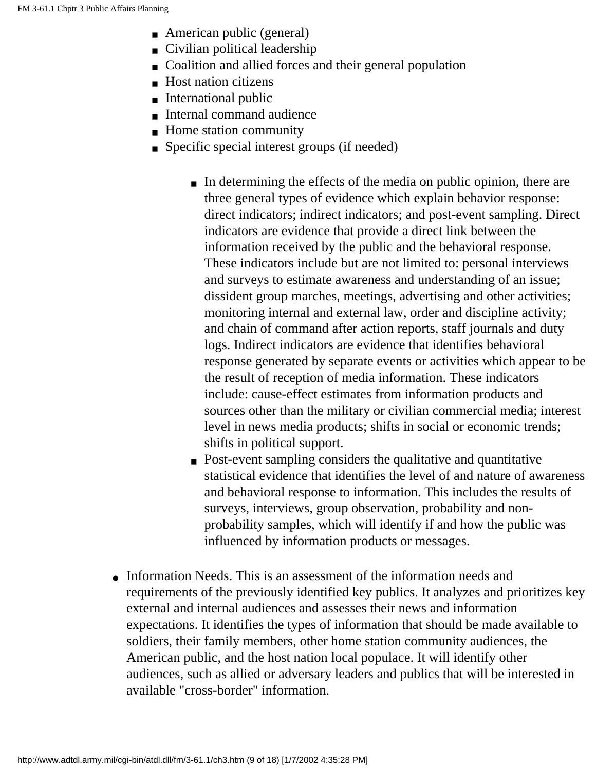- American public (general)
- Civilian political leadership
- Coalition and allied forces and their general population
- Host nation citizens
- International public
- Internal command audience
- Home station community
- Specific special interest groups (if needed)
	- In determining the effects of the media on public opinion, there are three general types of evidence which explain behavior response: direct indicators; indirect indicators; and post-event sampling. Direct indicators are evidence that provide a direct link between the information received by the public and the behavioral response. These indicators include but are not limited to: personal interviews and surveys to estimate awareness and understanding of an issue; dissident group marches, meetings, advertising and other activities; monitoring internal and external law, order and discipline activity; and chain of command after action reports, staff journals and duty logs. Indirect indicators are evidence that identifies behavioral response generated by separate events or activities which appear to be the result of reception of media information. These indicators include: cause-effect estimates from information products and sources other than the military or civilian commercial media; interest level in news media products; shifts in social or economic trends; shifts in political support.
	- Post-event sampling considers the qualitative and quantitative statistical evidence that identifies the level of and nature of awareness and behavioral response to information. This includes the results of surveys, interviews, group observation, probability and nonprobability samples, which will identify if and how the public was influenced by information products or messages.
- Information Needs. This is an assessment of the information needs and requirements of the previously identified key publics. It analyzes and prioritizes key external and internal audiences and assesses their news and information expectations. It identifies the types of information that should be made available to soldiers, their family members, other home station community audiences, the American public, and the host nation local populace. It will identify other audiences, such as allied or adversary leaders and publics that will be interested in available "cross-border" information.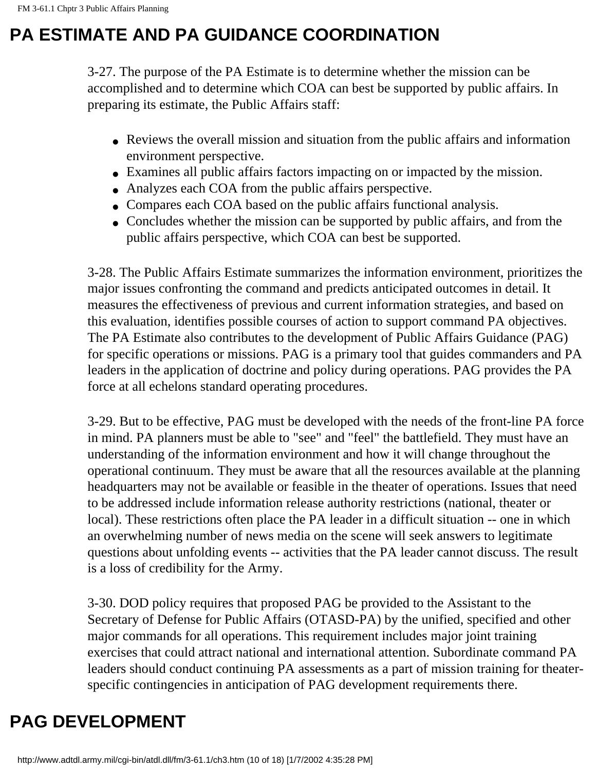# **PA ESTIMATE AND PA GUIDANCE COORDINATION**

3-27. The purpose of the PA Estimate is to determine whether the mission can be accomplished and to determine which COA can best be supported by public affairs. In preparing its estimate, the Public Affairs staff:

- Reviews the overall mission and situation from the public affairs and information environment perspective.
- Examines all public affairs factors impacting on or impacted by the mission.
- Analyzes each COA from the public affairs perspective.
- Compares each COA based on the public affairs functional analysis.
- Concludes whether the mission can be supported by public affairs, and from the public affairs perspective, which COA can best be supported.

3-28. The Public Affairs Estimate summarizes the information environment, prioritizes the major issues confronting the command and predicts anticipated outcomes in detail. It measures the effectiveness of previous and current information strategies, and based on this evaluation, identifies possible courses of action to support command PA objectives. The PA Estimate also contributes to the development of Public Affairs Guidance (PAG) for specific operations or missions. PAG is a primary tool that guides commanders and PA leaders in the application of doctrine and policy during operations. PAG provides the PA force at all echelons standard operating procedures.

3-29. But to be effective, PAG must be developed with the needs of the front-line PA force in mind. PA planners must be able to "see" and "feel" the battlefield. They must have an understanding of the information environment and how it will change throughout the operational continuum. They must be aware that all the resources available at the planning headquarters may not be available or feasible in the theater of operations. Issues that need to be addressed include information release authority restrictions (national, theater or local). These restrictions often place the PA leader in a difficult situation -- one in which an overwhelming number of news media on the scene will seek answers to legitimate questions about unfolding events -- activities that the PA leader cannot discuss. The result is a loss of credibility for the Army.

3-30. DOD policy requires that proposed PAG be provided to the Assistant to the Secretary of Defense for Public Affairs (OTASD-PA) by the unified, specified and other major commands for all operations. This requirement includes major joint training exercises that could attract national and international attention. Subordinate command PA leaders should conduct continuing PA assessments as a part of mission training for theaterspecific contingencies in anticipation of PAG development requirements there.

# **PAG DEVELOPMENT**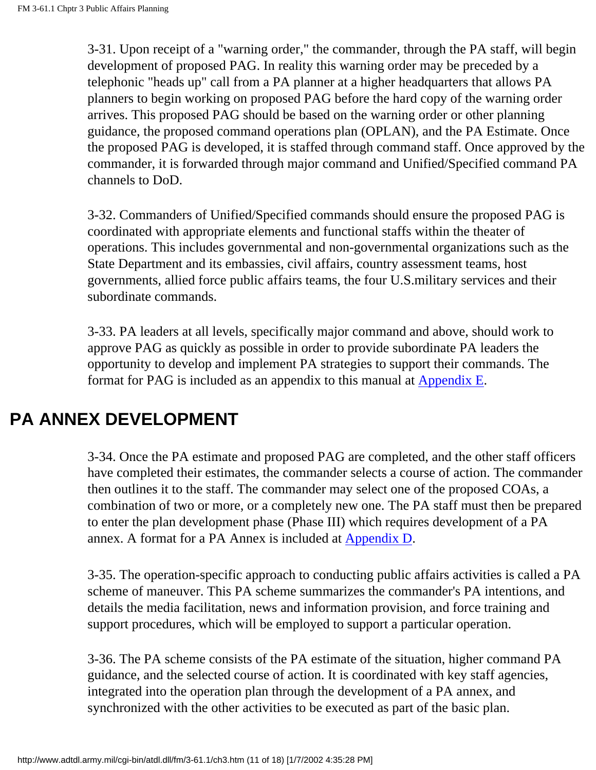3-31. Upon receipt of a "warning order," the commander, through the PA staff, will begin development of proposed PAG. In reality this warning order may be preceded by a telephonic "heads up" call from a PA planner at a higher headquarters that allows PA planners to begin working on proposed PAG before the hard copy of the warning order arrives. This proposed PAG should be based on the warning order or other planning guidance, the proposed command operations plan (OPLAN), and the PA Estimate. Once the proposed PAG is developed, it is staffed through command staff. Once approved by the commander, it is forwarded through major command and Unified/Specified command PA channels to DoD.

3-32. Commanders of Unified/Specified commands should ensure the proposed PAG is coordinated with appropriate elements and functional staffs within the theater of operations. This includes governmental and non-governmental organizations such as the State Department and its embassies, civil affairs, country assessment teams, host governments, allied force public affairs teams, the four U.S.military services and their subordinate commands.

3-33. PA leaders at all levels, specifically major command and above, should work to approve PAG as quickly as possible in order to provide subordinate PA leaders the opportunity to develop and implement PA strategies to support their commands. The format for PAG is included as an appendix to this manual at [Appendix E](#page-119-0).

### **PA ANNEX DEVELOPMENT**

3-34. Once the PA estimate and proposed PAG are completed, and the other staff officers have completed their estimates, the commander selects a course of action. The commander then outlines it to the staff. The commander may select one of the proposed COAs, a combination of two or more, or a completely new one. The PA staff must then be prepared to enter the plan development phase (Phase III) which requires development of a PA annex. A format for a PA Annex is included at [Appendix D.](#page-116-0)

3-35. The operation-specific approach to conducting public affairs activities is called a PA scheme of maneuver. This PA scheme summarizes the commander's PA intentions, and details the media facilitation, news and information provision, and force training and support procedures, which will be employed to support a particular operation.

3-36. The PA scheme consists of the PA estimate of the situation, higher command PA guidance, and the selected course of action. It is coordinated with key staff agencies, integrated into the operation plan through the development of a PA annex, and synchronized with the other activities to be executed as part of the basic plan.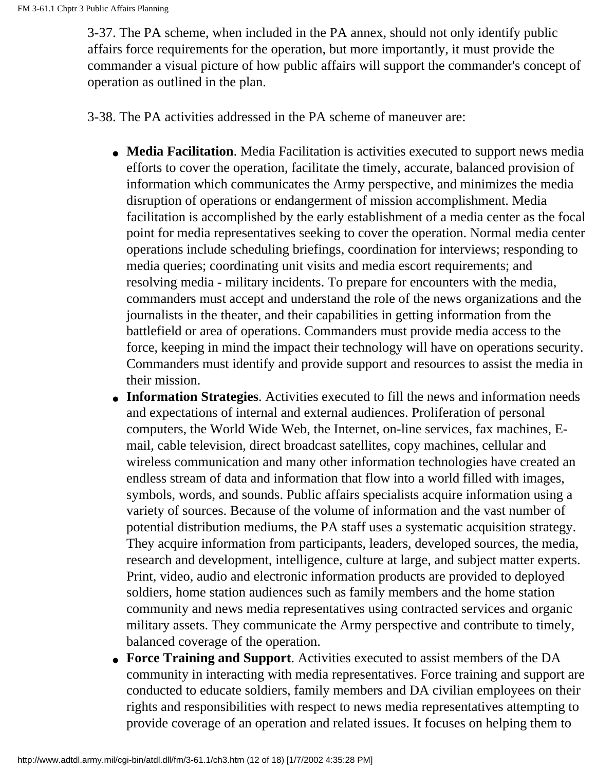3-37. The PA scheme, when included in the PA annex, should not only identify public affairs force requirements for the operation, but more importantly, it must provide the commander a visual picture of how public affairs will support the commander's concept of operation as outlined in the plan.

3-38. The PA activities addressed in the PA scheme of maneuver are:

- **Media Facilitation**. Media Facilitation is activities executed to support news media efforts to cover the operation, facilitate the timely, accurate, balanced provision of information which communicates the Army perspective, and minimizes the media disruption of operations or endangerment of mission accomplishment. Media facilitation is accomplished by the early establishment of a media center as the focal point for media representatives seeking to cover the operation. Normal media center operations include scheduling briefings, coordination for interviews; responding to media queries; coordinating unit visits and media escort requirements; and resolving media - military incidents. To prepare for encounters with the media, commanders must accept and understand the role of the news organizations and the journalists in the theater, and their capabilities in getting information from the battlefield or area of operations. Commanders must provide media access to the force, keeping in mind the impact their technology will have on operations security. Commanders must identify and provide support and resources to assist the media in their mission.
- **Information Strategies**. Activities executed to fill the news and information needs and expectations of internal and external audiences. Proliferation of personal computers, the World Wide Web, the Internet, on-line services, fax machines, Email, cable television, direct broadcast satellites, copy machines, cellular and wireless communication and many other information technologies have created an endless stream of data and information that flow into a world filled with images, symbols, words, and sounds. Public affairs specialists acquire information using a variety of sources. Because of the volume of information and the vast number of potential distribution mediums, the PA staff uses a systematic acquisition strategy. They acquire information from participants, leaders, developed sources, the media, research and development, intelligence, culture at large, and subject matter experts. Print, video, audio and electronic information products are provided to deployed soldiers, home station audiences such as family members and the home station community and news media representatives using contracted services and organic military assets. They communicate the Army perspective and contribute to timely, balanced coverage of the operation.
- **Force Training and Support**. Activities executed to assist members of the DA community in interacting with media representatives. Force training and support are conducted to educate soldiers, family members and DA civilian employees on their rights and responsibilities with respect to news media representatives attempting to provide coverage of an operation and related issues. It focuses on helping them to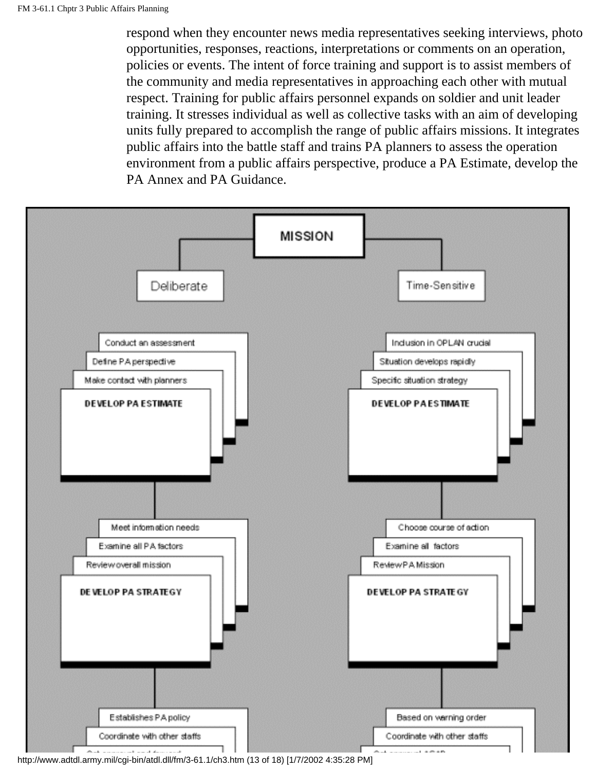respond when they encounter news media representatives seeking interviews, photo opportunities, responses, reactions, interpretations or comments on an operation, policies or events. The intent of force training and support is to assist members of the community and media representatives in approaching each other with mutual respect. Training for public affairs personnel expands on soldier and unit leader training. It stresses individual as well as collective tasks with an aim of developing units fully prepared to accomplish the range of public affairs missions. It integrates public affairs into the battle staff and trains PA planners to assess the operation environment from a public affairs perspective, produce a PA Estimate, develop the PA Annex and PA Guidance.



http://www.adtdl.army.mil/cgi-bin/atdl.dll/fm/3-61.1/ch3.htm (13 of 18) [1/7/2002 4:35:28 PM]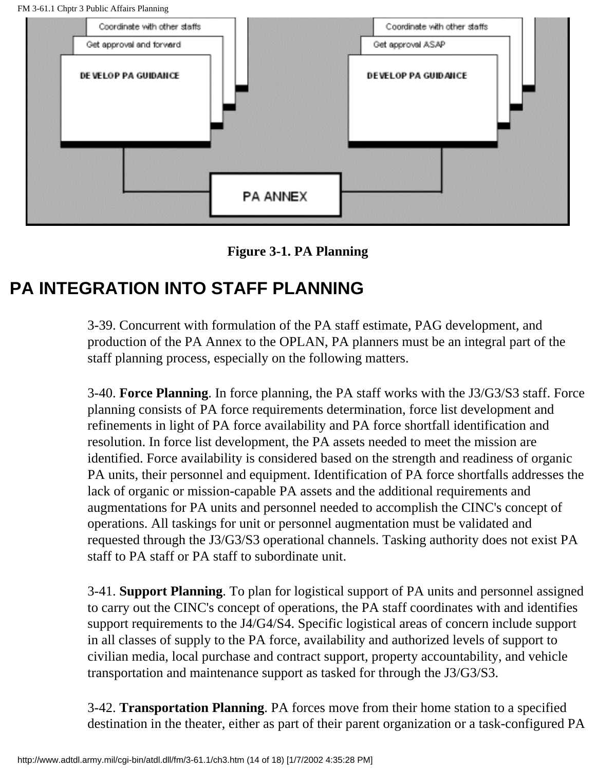FM 3-61.1 Chptr 3 Public Affairs Planning



**Figure 3-1. PA Planning**

### **PA INTEGRATION INTO STAFF PLANNING**

3-39. Concurrent with formulation of the PA staff estimate, PAG development, and production of the PA Annex to the OPLAN, PA planners must be an integral part of the staff planning process, especially on the following matters.

3-40. **Force Planning**. In force planning, the PA staff works with the J3/G3/S3 staff. Force planning consists of PA force requirements determination, force list development and refinements in light of PA force availability and PA force shortfall identification and resolution. In force list development, the PA assets needed to meet the mission are identified. Force availability is considered based on the strength and readiness of organic PA units, their personnel and equipment. Identification of PA force shortfalls addresses the lack of organic or mission-capable PA assets and the additional requirements and augmentations for PA units and personnel needed to accomplish the CINC's concept of operations. All taskings for unit or personnel augmentation must be validated and requested through the J3/G3/S3 operational channels. Tasking authority does not exist PA staff to PA staff or PA staff to subordinate unit.

3-41. **Support Planning**. To plan for logistical support of PA units and personnel assigned to carry out the CINC's concept of operations, the PA staff coordinates with and identifies support requirements to the J4/G4/S4. Specific logistical areas of concern include support in all classes of supply to the PA force, availability and authorized levels of support to civilian media, local purchase and contract support, property accountability, and vehicle transportation and maintenance support as tasked for through the J3/G3/S3.

3-42. **Transportation Planning**. PA forces move from their home station to a specified destination in the theater, either as part of their parent organization or a task-configured PA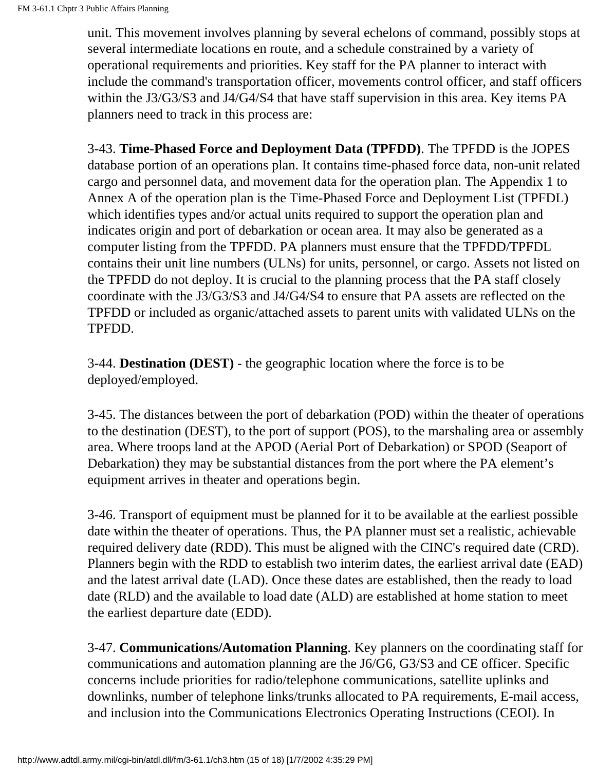unit. This movement involves planning by several echelons of command, possibly stops at several intermediate locations en route, and a schedule constrained by a variety of operational requirements and priorities. Key staff for the PA planner to interact with include the command's transportation officer, movements control officer, and staff officers within the J3/G3/S3 and J4/G4/S4 that have staff supervision in this area. Key items PA planners need to track in this process are:

3-43. **Time-Phased Force and Deployment Data (TPFDD)**. The TPFDD is the JOPES database portion of an operations plan. It contains time-phased force data, non-unit related cargo and personnel data, and movement data for the operation plan. The Appendix 1 to Annex A of the operation plan is the Time-Phased Force and Deployment List (TPFDL) which identifies types and/or actual units required to support the operation plan and indicates origin and port of debarkation or ocean area. It may also be generated as a computer listing from the TPFDD. PA planners must ensure that the TPFDD/TPFDL contains their unit line numbers (ULNs) for units, personnel, or cargo. Assets not listed on the TPFDD do not deploy. It is crucial to the planning process that the PA staff closely coordinate with the J3/G3/S3 and J4/G4/S4 to ensure that PA assets are reflected on the TPFDD or included as organic/attached assets to parent units with validated ULNs on the TPFDD.

3-44. **Destination (DEST)** - the geographic location where the force is to be deployed/employed.

3-45. The distances between the port of debarkation (POD) within the theater of operations to the destination (DEST), to the port of support (POS), to the marshaling area or assembly area. Where troops land at the APOD (Aerial Port of Debarkation) or SPOD (Seaport of Debarkation) they may be substantial distances from the port where the PA element's equipment arrives in theater and operations begin.

3-46. Transport of equipment must be planned for it to be available at the earliest possible date within the theater of operations. Thus, the PA planner must set a realistic, achievable required delivery date (RDD). This must be aligned with the CINC's required date (CRD). Planners begin with the RDD to establish two interim dates, the earliest arrival date (EAD) and the latest arrival date (LAD). Once these dates are established, then the ready to load date (RLD) and the available to load date (ALD) are established at home station to meet the earliest departure date (EDD).

3-47. **Communications/Automation Planning**. Key planners on the coordinating staff for communications and automation planning are the J6/G6, G3/S3 and CE officer. Specific concerns include priorities for radio/telephone communications, satellite uplinks and downlinks, number of telephone links/trunks allocated to PA requirements, E-mail access, and inclusion into the Communications Electronics Operating Instructions (CEOI). In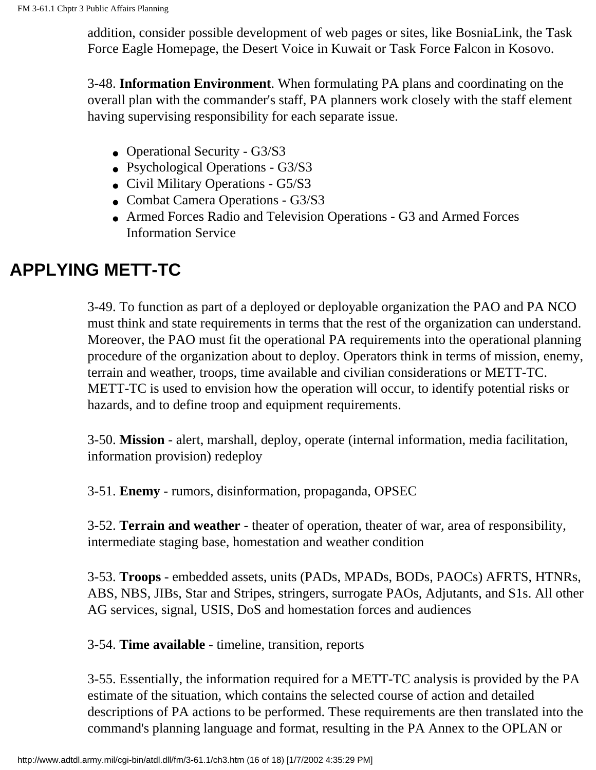addition, consider possible development of web pages or sites, like BosniaLink, the Task Force Eagle Homepage, the Desert Voice in Kuwait or Task Force Falcon in Kosovo.

3-48. **Information Environment**. When formulating PA plans and coordinating on the overall plan with the commander's staff, PA planners work closely with the staff element having supervising responsibility for each separate issue.

- Operational Security G3/S3
- Psychological Operations G3/S3
- Civil Military Operations G5/S3
- Combat Camera Operations G3/S3
- Armed Forces Radio and Television Operations G3 and Armed Forces Information Service

### **APPLYING METT-TC**

3-49. To function as part of a deployed or deployable organization the PAO and PA NCO must think and state requirements in terms that the rest of the organization can understand. Moreover, the PAO must fit the operational PA requirements into the operational planning procedure of the organization about to deploy. Operators think in terms of mission, enemy, terrain and weather, troops, time available and civilian considerations or METT-TC. METT-TC is used to envision how the operation will occur, to identify potential risks or hazards, and to define troop and equipment requirements.

3-50. **Mission** - alert, marshall, deploy, operate (internal information, media facilitation, information provision) redeploy

3-51. **Enemy** - rumors, disinformation, propaganda, OPSEC

3-52. **Terrain and weather** - theater of operation, theater of war, area of responsibility, intermediate staging base, homestation and weather condition

3-53. **Troops** - embedded assets, units (PADs, MPADs, BODs, PAOCs) AFRTS, HTNRs, ABS, NBS, JIBs, Star and Stripes, stringers, surrogate PAOs, Adjutants, and S1s. All other AG services, signal, USIS, DoS and homestation forces and audiences

3-54. **Time available** - timeline, transition, reports

3-55. Essentially, the information required for a METT-TC analysis is provided by the PA estimate of the situation, which contains the selected course of action and detailed descriptions of PA actions to be performed. These requirements are then translated into the command's planning language and format, resulting in the PA Annex to the OPLAN or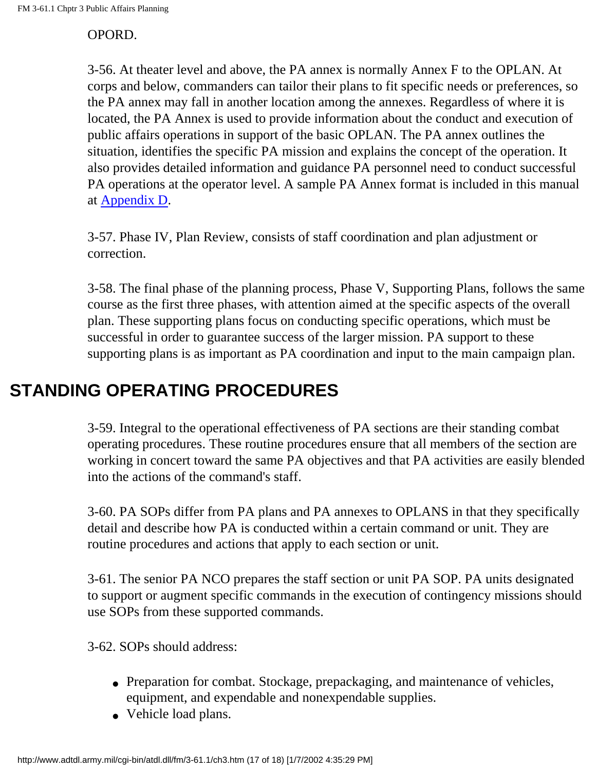#### OPORD.

3-56. At theater level and above, the PA annex is normally Annex F to the OPLAN. At corps and below, commanders can tailor their plans to fit specific needs or preferences, so the PA annex may fall in another location among the annexes. Regardless of where it is located, the PA Annex is used to provide information about the conduct and execution of public affairs operations in support of the basic OPLAN. The PA annex outlines the situation, identifies the specific PA mission and explains the concept of the operation. It also provides detailed information and guidance PA personnel need to conduct successful PA operations at the operator level. A sample PA Annex format is included in this manual at [Appendix D](#page-116-0).

3-57. Phase IV, Plan Review, consists of staff coordination and plan adjustment or correction.

3-58. The final phase of the planning process, Phase V, Supporting Plans, follows the same course as the first three phases, with attention aimed at the specific aspects of the overall plan. These supporting plans focus on conducting specific operations, which must be successful in order to guarantee success of the larger mission. PA support to these supporting plans is as important as PA coordination and input to the main campaign plan.

### **STANDING OPERATING PROCEDURES**

3-59. Integral to the operational effectiveness of PA sections are their standing combat operating procedures. These routine procedures ensure that all members of the section are working in concert toward the same PA objectives and that PA activities are easily blended into the actions of the command's staff.

3-60. PA SOPs differ from PA plans and PA annexes to OPLANS in that they specifically detail and describe how PA is conducted within a certain command or unit. They are routine procedures and actions that apply to each section or unit.

3-61. The senior PA NCO prepares the staff section or unit PA SOP. PA units designated to support or augment specific commands in the execution of contingency missions should use SOPs from these supported commands.

3-62. SOPs should address:

- Preparation for combat. Stockage, prepackaging, and maintenance of vehicles, equipment, and expendable and nonexpendable supplies.
- Vehicle load plans.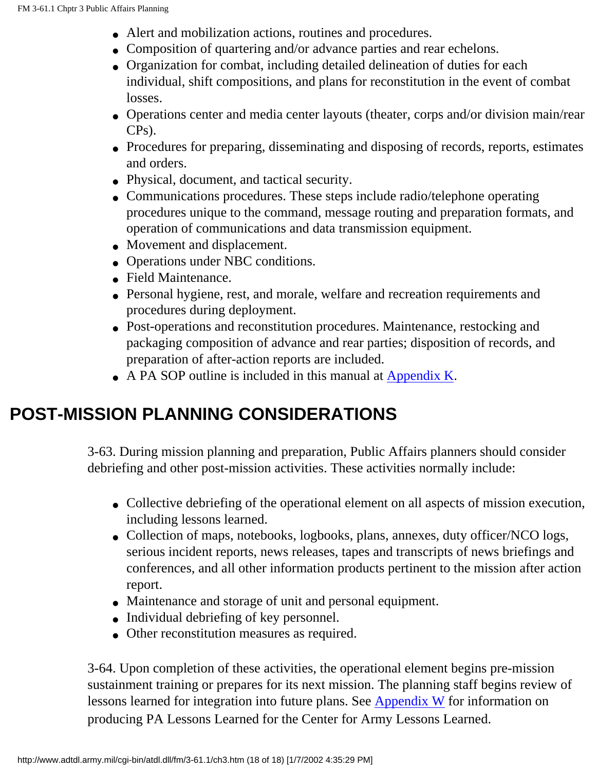- Alert and mobilization actions, routines and procedures.
- Composition of quartering and/or advance parties and rear echelons.
- Organization for combat, including detailed delineation of duties for each individual, shift compositions, and plans for reconstitution in the event of combat losses.
- Operations center and media center layouts (theater, corps and/or division main/rear CPs).
- Procedures for preparing, disseminating and disposing of records, reports, estimates and orders.
- Physical, document, and tactical security.
- Communications procedures. These steps include radio/telephone operating procedures unique to the command, message routing and preparation formats, and operation of communications and data transmission equipment.
- Movement and displacement.
- Operations under NBC conditions.
- Field Maintenance.
- Personal hygiene, rest, and morale, welfare and recreation requirements and procedures during deployment.
- Post-operations and reconstitution procedures. Maintenance, restocking and packaging composition of advance and rear parties; disposition of records, and preparation of after-action reports are included.
- A PA SOP outline is included in this manual at [Appendix K](#page-144-0).

### **POST-MISSION PLANNING CONSIDERATIONS**

3-63. During mission planning and preparation, Public Affairs planners should consider debriefing and other post-mission activities. These activities normally include:

- Collective debriefing of the operational element on all aspects of mission execution, including lessons learned.
- Collection of maps, notebooks, logbooks, plans, annexes, duty officer/NCO logs, serious incident reports, news releases, tapes and transcripts of news briefings and conferences, and all other information products pertinent to the mission after action report.
- Maintenance and storage of unit and personal equipment.
- Individual debriefing of key personnel.
- Other reconstitution measures as required.

3-64. Upon completion of these activities, the operational element begins pre-mission sustainment training or prepares for its next mission. The planning staff begins review of lessons learned for integration into future plans. See [Appendix W](#page-184-0) for information on producing PA Lessons Learned for the Center for Army Lessons Learned.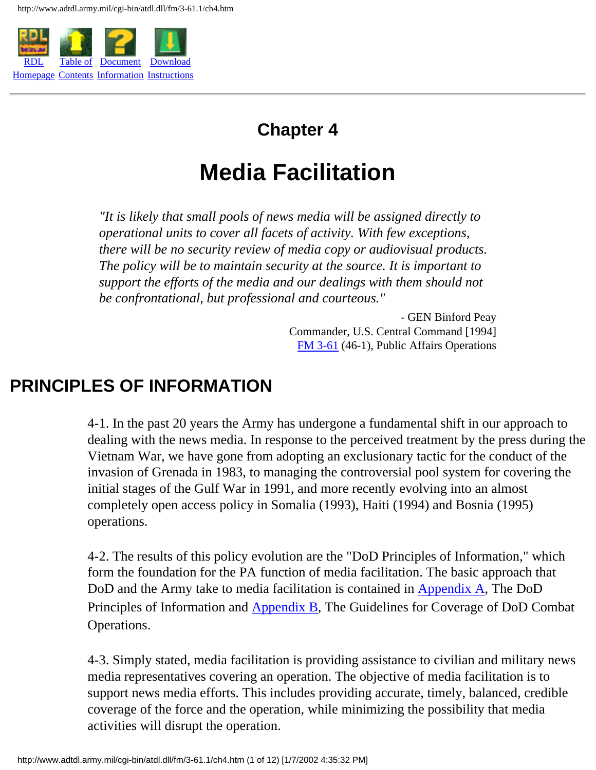

### **Chapter 4**

# **Media Facilitation**

*"It is likely that small pools of news media will be assigned directly to operational units to cover all facets of activity. With few exceptions, there will be no security review of media copy or audiovisual products. The policy will be to maintain security at the source. It is important to support the efforts of the media and our dealings with them should not be confrontational, but professional and courteous."*

> - GEN Binford Peay Commander, U.S. Central Command [1994] FM 3-61 (46-1), Public Affairs Operations

### **PRINCIPLES OF INFORMATION**

4-1. In the past 20 years the Army has undergone a fundamental shift in our approach to dealing with the news media. In response to the perceived treatment by the press during the Vietnam War, we have gone from adopting an exclusionary tactic for the conduct of the invasion of Grenada in 1983, to managing the controversial pool system for covering the initial stages of the Gulf War in 1991, and more recently evolving into an almost completely open access policy in Somalia (1993), Haiti (1994) and Bosnia (1995) operations.

4-2. The results of this policy evolution are the "DoD Principles of Information," which form the foundation for the PA function of media facilitation. The basic approach that DoD and the Army take to media facilitation is contained in [Appendix A](#page-108-0), The DoD Principles of Information and [Appendix B,](#page-110-0) The Guidelines for Coverage of DoD Combat Operations.

4-3. Simply stated, media facilitation is providing assistance to civilian and military news media representatives covering an operation. The objective of media facilitation is to support news media efforts. This includes providing accurate, timely, balanced, credible coverage of the force and the operation, while minimizing the possibility that media activities will disrupt the operation.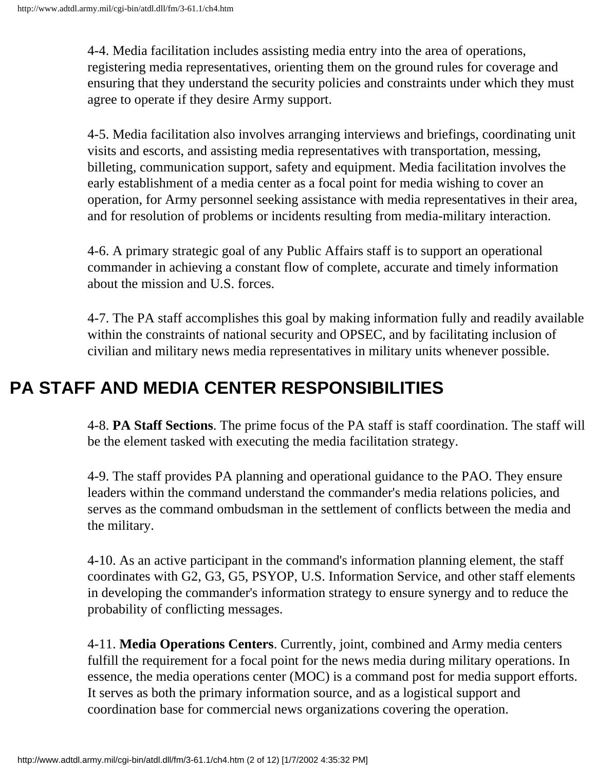4-4. Media facilitation includes assisting media entry into the area of operations, registering media representatives, orienting them on the ground rules for coverage and ensuring that they understand the security policies and constraints under which they must agree to operate if they desire Army support.

4-5. Media facilitation also involves arranging interviews and briefings, coordinating unit visits and escorts, and assisting media representatives with transportation, messing, billeting, communication support, safety and equipment. Media facilitation involves the early establishment of a media center as a focal point for media wishing to cover an operation, for Army personnel seeking assistance with media representatives in their area, and for resolution of problems or incidents resulting from media-military interaction.

4-6. A primary strategic goal of any Public Affairs staff is to support an operational commander in achieving a constant flow of complete, accurate and timely information about the mission and U.S. forces.

4-7. The PA staff accomplishes this goal by making information fully and readily available within the constraints of national security and OPSEC, and by facilitating inclusion of civilian and military news media representatives in military units whenever possible.

# **PA STAFF AND MEDIA CENTER RESPONSIBILITIES**

4-8. **PA Staff Sections**. The prime focus of the PA staff is staff coordination. The staff will be the element tasked with executing the media facilitation strategy.

4-9. The staff provides PA planning and operational guidance to the PAO. They ensure leaders within the command understand the commander's media relations policies, and serves as the command ombudsman in the settlement of conflicts between the media and the military.

4-10. As an active participant in the command's information planning element, the staff coordinates with G2, G3, G5, PSYOP, U.S. Information Service, and other staff elements in developing the commander's information strategy to ensure synergy and to reduce the probability of conflicting messages.

4-11. **Media Operations Centers**. Currently, joint, combined and Army media centers fulfill the requirement for a focal point for the news media during military operations. In essence, the media operations center (MOC) is a command post for media support efforts. It serves as both the primary information source, and as a logistical support and coordination base for commercial news organizations covering the operation.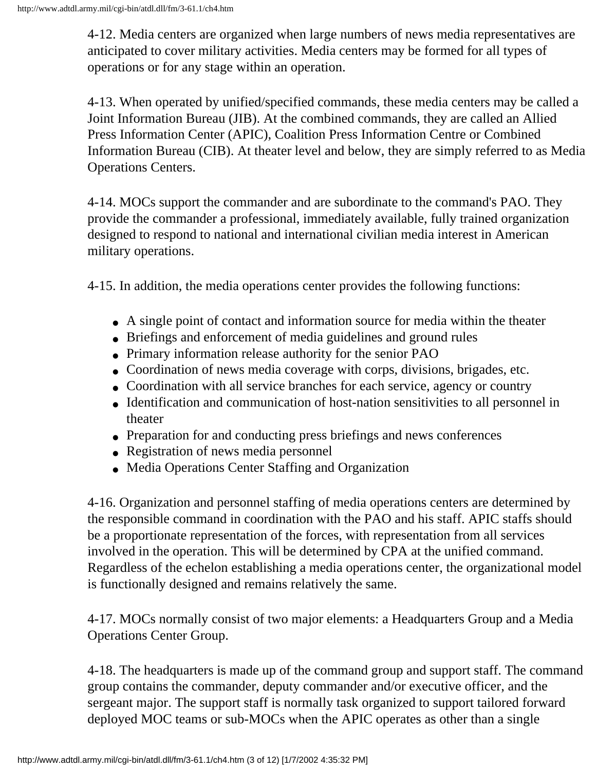4-12. Media centers are organized when large numbers of news media representatives are anticipated to cover military activities. Media centers may be formed for all types of operations or for any stage within an operation.

4-13. When operated by unified/specified commands, these media centers may be called a Joint Information Bureau (JIB). At the combined commands, they are called an Allied Press Information Center (APIC), Coalition Press Information Centre or Combined Information Bureau (CIB). At theater level and below, they are simply referred to as Media Operations Centers.

4-14. MOCs support the commander and are subordinate to the command's PAO. They provide the commander a professional, immediately available, fully trained organization designed to respond to national and international civilian media interest in American military operations.

4-15. In addition, the media operations center provides the following functions:

- A single point of contact and information source for media within the theater
- Briefings and enforcement of media guidelines and ground rules
- Primary information release authority for the senior PAO
- Coordination of news media coverage with corps, divisions, brigades, etc.
- Coordination with all service branches for each service, agency or country
- Identification and communication of host-nation sensitivities to all personnel in theater
- Preparation for and conducting press briefings and news conferences
- Registration of news media personnel
- Media Operations Center Staffing and Organization

4-16. Organization and personnel staffing of media operations centers are determined by the responsible command in coordination with the PAO and his staff. APIC staffs should be a proportionate representation of the forces, with representation from all services involved in the operation. This will be determined by CPA at the unified command. Regardless of the echelon establishing a media operations center, the organizational model is functionally designed and remains relatively the same.

4-17. MOCs normally consist of two major elements: a Headquarters Group and a Media Operations Center Group.

4-18. The headquarters is made up of the command group and support staff. The command group contains the commander, deputy commander and/or executive officer, and the sergeant major. The support staff is normally task organized to support tailored forward deployed MOC teams or sub-MOCs when the APIC operates as other than a single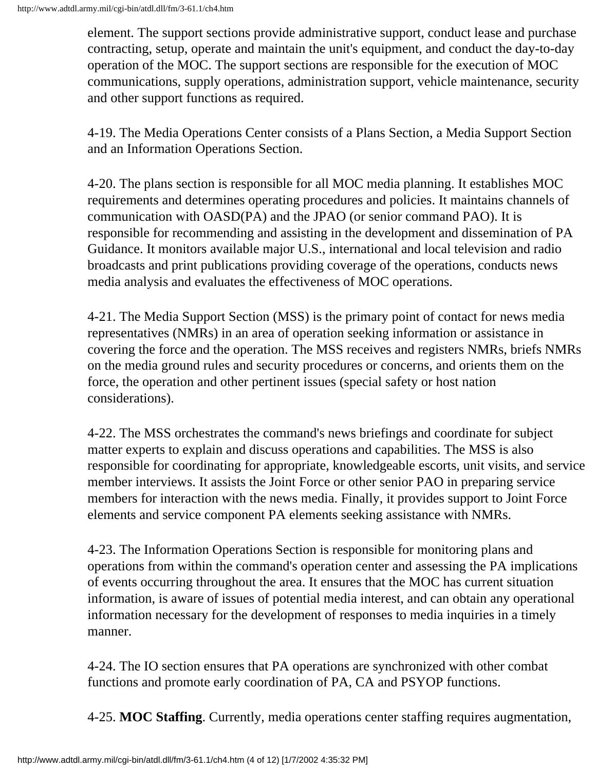element. The support sections provide administrative support, conduct lease and purchase contracting, setup, operate and maintain the unit's equipment, and conduct the day-to-day operation of the MOC. The support sections are responsible for the execution of MOC communications, supply operations, administration support, vehicle maintenance, security and other support functions as required.

4-19. The Media Operations Center consists of a Plans Section, a Media Support Section and an Information Operations Section.

4-20. The plans section is responsible for all MOC media planning. It establishes MOC requirements and determines operating procedures and policies. It maintains channels of communication with OASD(PA) and the JPAO (or senior command PAO). It is responsible for recommending and assisting in the development and dissemination of PA Guidance. It monitors available major U.S., international and local television and radio broadcasts and print publications providing coverage of the operations, conducts news media analysis and evaluates the effectiveness of MOC operations.

4-21. The Media Support Section (MSS) is the primary point of contact for news media representatives (NMRs) in an area of operation seeking information or assistance in covering the force and the operation. The MSS receives and registers NMRs, briefs NMRs on the media ground rules and security procedures or concerns, and orients them on the force, the operation and other pertinent issues (special safety or host nation considerations).

4-22. The MSS orchestrates the command's news briefings and coordinate for subject matter experts to explain and discuss operations and capabilities. The MSS is also responsible for coordinating for appropriate, knowledgeable escorts, unit visits, and service member interviews. It assists the Joint Force or other senior PAO in preparing service members for interaction with the news media. Finally, it provides support to Joint Force elements and service component PA elements seeking assistance with NMRs.

4-23. The Information Operations Section is responsible for monitoring plans and operations from within the command's operation center and assessing the PA implications of events occurring throughout the area. It ensures that the MOC has current situation information, is aware of issues of potential media interest, and can obtain any operational information necessary for the development of responses to media inquiries in a timely manner.

4-24. The IO section ensures that PA operations are synchronized with other combat functions and promote early coordination of PA, CA and PSYOP functions.

4-25. **MOC Staffing**. Currently, media operations center staffing requires augmentation,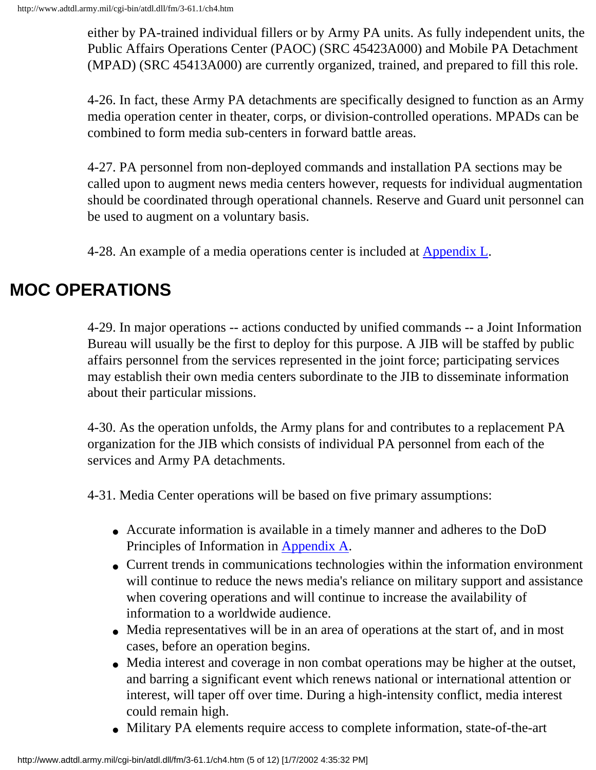either by PA-trained individual fillers or by Army PA units. As fully independent units, the Public Affairs Operations Center (PAOC) (SRC 45423A000) and Mobile PA Detachment (MPAD) (SRC 45413A000) are currently organized, trained, and prepared to fill this role.

4-26. In fact, these Army PA detachments are specifically designed to function as an Army media operation center in theater, corps, or division-controlled operations. MPADs can be combined to form media sub-centers in forward battle areas.

4-27. PA personnel from non-deployed commands and installation PA sections may be called upon to augment news media centers however, requests for individual augmentation should be coordinated through operational channels. Reserve and Guard unit personnel can be used to augment on a voluntary basis.

4-28. An example of a media operations center is included at [Appendix L.](#page-146-0)

### **MOC OPERATIONS**

4-29. In major operations -- actions conducted by unified commands -- a Joint Information Bureau will usually be the first to deploy for this purpose. A JIB will be staffed by public affairs personnel from the services represented in the joint force; participating services may establish their own media centers subordinate to the JIB to disseminate information about their particular missions.

4-30. As the operation unfolds, the Army plans for and contributes to a replacement PA organization for the JIB which consists of individual PA personnel from each of the services and Army PA detachments.

4-31. Media Center operations will be based on five primary assumptions:

- Accurate information is available in a timely manner and adheres to the DoD Principles of Information in [Appendix A](#page-108-0).
- Current trends in communications technologies within the information environment will continue to reduce the news media's reliance on military support and assistance when covering operations and will continue to increase the availability of information to a worldwide audience.
- Media representatives will be in an area of operations at the start of, and in most cases, before an operation begins.
- Media interest and coverage in non combat operations may be higher at the outset, and barring a significant event which renews national or international attention or interest, will taper off over time. During a high-intensity conflict, media interest could remain high.
- Military PA elements require access to complete information, state-of-the-art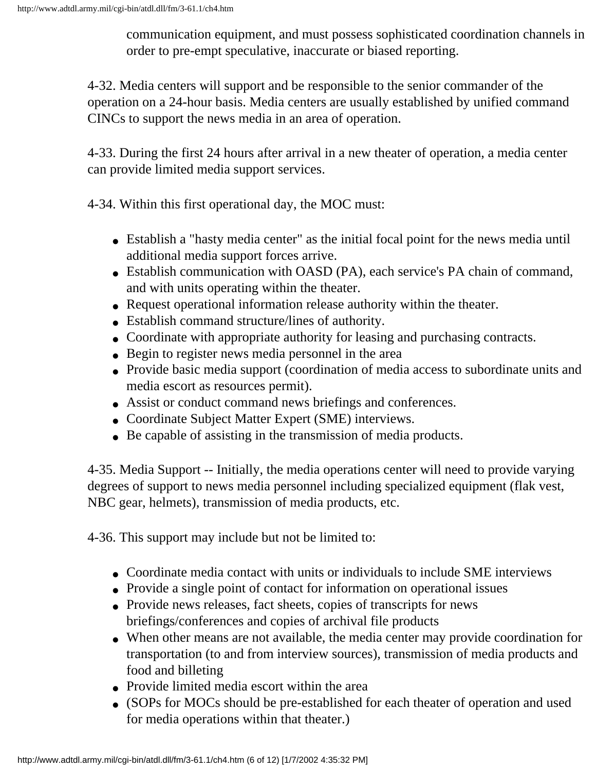communication equipment, and must possess sophisticated coordination channels in order to pre-empt speculative, inaccurate or biased reporting.

4-32. Media centers will support and be responsible to the senior commander of the operation on a 24-hour basis. Media centers are usually established by unified command CINCs to support the news media in an area of operation.

4-33. During the first 24 hours after arrival in a new theater of operation, a media center can provide limited media support services.

4-34. Within this first operational day, the MOC must:

- Establish a "hasty media center" as the initial focal point for the news media until additional media support forces arrive.
- Establish communication with OASD (PA), each service's PA chain of command, and with units operating within the theater.
- Request operational information release authority within the theater.
- Establish command structure/lines of authority.
- Coordinate with appropriate authority for leasing and purchasing contracts.
- Begin to register news media personnel in the area
- Provide basic media support (coordination of media access to subordinate units and media escort as resources permit).
- Assist or conduct command news briefings and conferences.
- Coordinate Subject Matter Expert (SME) interviews.
- Be capable of assisting in the transmission of media products.

4-35. Media Support -- Initially, the media operations center will need to provide varying degrees of support to news media personnel including specialized equipment (flak vest, NBC gear, helmets), transmission of media products, etc.

4-36. This support may include but not be limited to:

- Coordinate media contact with units or individuals to include SME interviews
- Provide a single point of contact for information on operational issues
- Provide news releases, fact sheets, copies of transcripts for news briefings/conferences and copies of archival file products
- When other means are not available, the media center may provide coordination for transportation (to and from interview sources), transmission of media products and food and billeting
- Provide limited media escort within the area
- (SOPs for MOCs should be pre-established for each theater of operation and used for media operations within that theater.)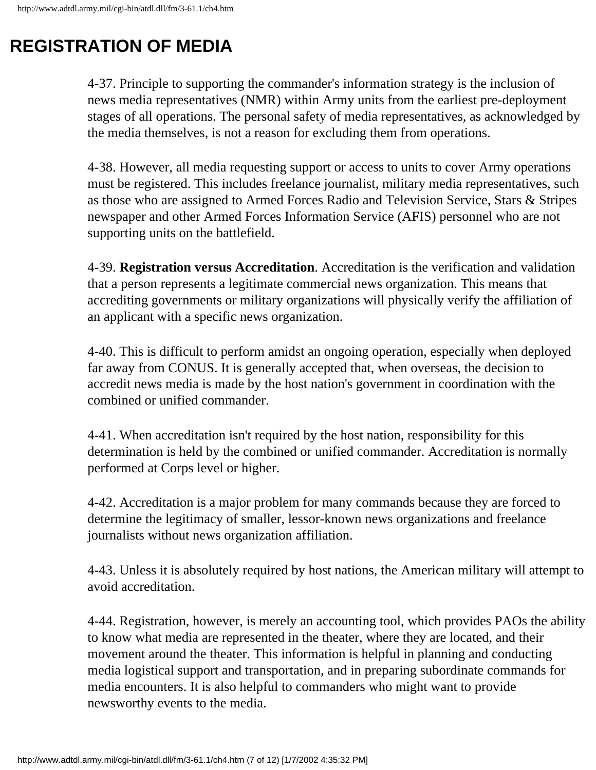# **REGISTRATION OF MEDIA**

4-37. Principle to supporting the commander's information strategy is the inclusion of news media representatives (NMR) within Army units from the earliest pre-deployment stages of all operations. The personal safety of media representatives, as acknowledged by the media themselves, is not a reason for excluding them from operations.

4-38. However, all media requesting support or access to units to cover Army operations must be registered. This includes freelance journalist, military media representatives, such as those who are assigned to Armed Forces Radio and Television Service, Stars & Stripes newspaper and other Armed Forces Information Service (AFIS) personnel who are not supporting units on the battlefield.

4-39. **Registration versus Accreditation**. Accreditation is the verification and validation that a person represents a legitimate commercial news organization. This means that accrediting governments or military organizations will physically verify the affiliation of an applicant with a specific news organization.

4-40. This is difficult to perform amidst an ongoing operation, especially when deployed far away from CONUS. It is generally accepted that, when overseas, the decision to accredit news media is made by the host nation's government in coordination with the combined or unified commander.

4-41. When accreditation isn't required by the host nation, responsibility for this determination is held by the combined or unified commander. Accreditation is normally performed at Corps level or higher.

4-42. Accreditation is a major problem for many commands because they are forced to determine the legitimacy of smaller, lessor-known news organizations and freelance journalists without news organization affiliation.

4-43. Unless it is absolutely required by host nations, the American military will attempt to avoid accreditation.

4-44. Registration, however, is merely an accounting tool, which provides PAOs the ability to know what media are represented in the theater, where they are located, and their movement around the theater. This information is helpful in planning and conducting media logistical support and transportation, and in preparing subordinate commands for media encounters. It is also helpful to commanders who might want to provide newsworthy events to the media.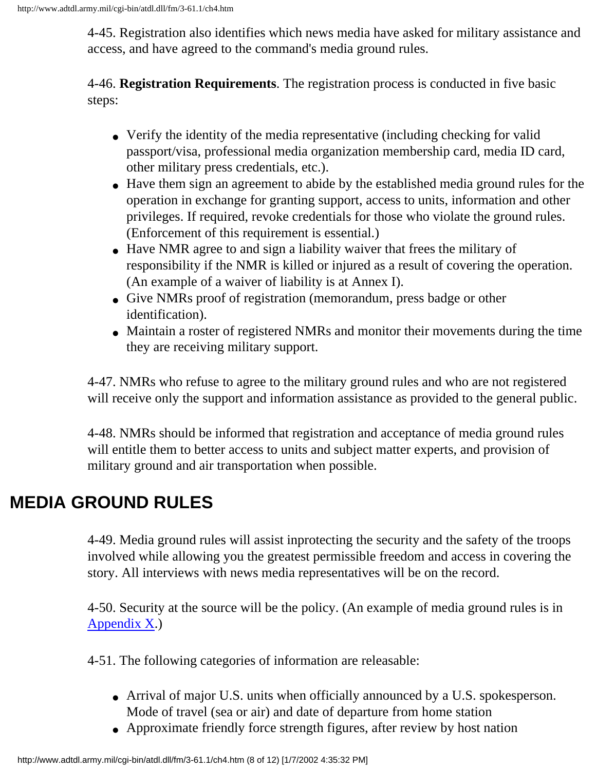4-45. Registration also identifies which news media have asked for military assistance and access, and have agreed to the command's media ground rules.

4-46. **Registration Requirements**. The registration process is conducted in five basic steps:

- Verify the identity of the media representative (including checking for valid passport/visa, professional media organization membership card, media ID card, other military press credentials, etc.).
- Have them sign an agreement to abide by the established media ground rules for the operation in exchange for granting support, access to units, information and other privileges. If required, revoke credentials for those who violate the ground rules. (Enforcement of this requirement is essential.)
- Have NMR agree to and sign a liability waiver that frees the military of responsibility if the NMR is killed or injured as a result of covering the operation. (An example of a waiver of liability is at Annex I).
- Give NMRs proof of registration (memorandum, press badge or other identification).
- Maintain a roster of registered NMRs and monitor their movements during the time they are receiving military support.

4-47. NMRs who refuse to agree to the military ground rules and who are not registered will receive only the support and information assistance as provided to the general public.

4-48. NMRs should be informed that registration and acceptance of media ground rules will entitle them to better access to units and subject matter experts, and provision of military ground and air transportation when possible.

# **MEDIA GROUND RULES**

4-49. Media ground rules will assist inprotecting the security and the safety of the troops involved while allowing you the greatest permissible freedom and access in covering the story. All interviews with news media representatives will be on the record.

4-50. Security at the source will be the policy. (An example of media ground rules is in [Appendix X.](#page-190-0))

4-51. The following categories of information are releasable:

- Arrival of major U.S. units when officially announced by a U.S. spokesperson. Mode of travel (sea or air) and date of departure from home station
- Approximate friendly force strength figures, after review by host nation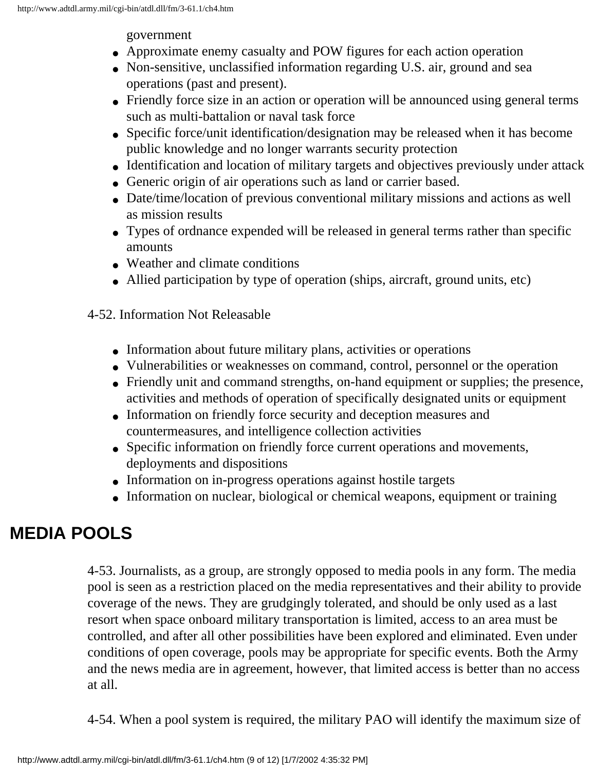government

- Approximate enemy casualty and POW figures for each action operation
- Non-sensitive, unclassified information regarding U.S. air, ground and sea operations (past and present).
- Friendly force size in an action or operation will be announced using general terms such as multi-battalion or naval task force
- Specific force/unit identification/designation may be released when it has become public knowledge and no longer warrants security protection
- Identification and location of military targets and objectives previously under attack
- Generic origin of air operations such as land or carrier based.
- Date/time/location of previous conventional military missions and actions as well as mission results
- Types of ordnance expended will be released in general terms rather than specific amounts
- Weather and climate conditions
- Allied participation by type of operation (ships, aircraft, ground units, etc)

4-52. Information Not Releasable

- Information about future military plans, activities or operations
- Vulnerabilities or weaknesses on command, control, personnel or the operation
- Friendly unit and command strengths, on-hand equipment or supplies; the presence, activities and methods of operation of specifically designated units or equipment
- Information on friendly force security and deception measures and countermeasures, and intelligence collection activities
- Specific information on friendly force current operations and movements, deployments and dispositions
- Information on in-progress operations against hostile targets
- Information on nuclear, biological or chemical weapons, equipment or training

# **MEDIA POOLS**

4-53. Journalists, as a group, are strongly opposed to media pools in any form. The media pool is seen as a restriction placed on the media representatives and their ability to provide coverage of the news. They are grudgingly tolerated, and should be only used as a last resort when space onboard military transportation is limited, access to an area must be controlled, and after all other possibilities have been explored and eliminated. Even under conditions of open coverage, pools may be appropriate for specific events. Both the Army and the news media are in agreement, however, that limited access is better than no access at all.

4-54. When a pool system is required, the military PAO will identify the maximum size of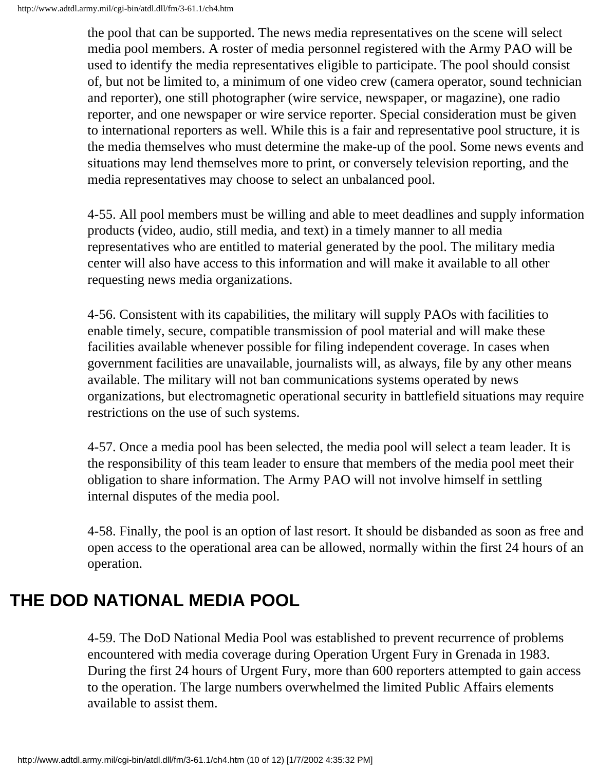the pool that can be supported. The news media representatives on the scene will select media pool members. A roster of media personnel registered with the Army PAO will be used to identify the media representatives eligible to participate. The pool should consist of, but not be limited to, a minimum of one video crew (camera operator, sound technician and reporter), one still photographer (wire service, newspaper, or magazine), one radio reporter, and one newspaper or wire service reporter. Special consideration must be given to international reporters as well. While this is a fair and representative pool structure, it is the media themselves who must determine the make-up of the pool. Some news events and situations may lend themselves more to print, or conversely television reporting, and the media representatives may choose to select an unbalanced pool.

4-55. All pool members must be willing and able to meet deadlines and supply information products (video, audio, still media, and text) in a timely manner to all media representatives who are entitled to material generated by the pool. The military media center will also have access to this information and will make it available to all other requesting news media organizations.

4-56. Consistent with its capabilities, the military will supply PAOs with facilities to enable timely, secure, compatible transmission of pool material and will make these facilities available whenever possible for filing independent coverage. In cases when government facilities are unavailable, journalists will, as always, file by any other means available. The military will not ban communications systems operated by news organizations, but electromagnetic operational security in battlefield situations may require restrictions on the use of such systems.

4-57. Once a media pool has been selected, the media pool will select a team leader. It is the responsibility of this team leader to ensure that members of the media pool meet their obligation to share information. The Army PAO will not involve himself in settling internal disputes of the media pool.

4-58. Finally, the pool is an option of last resort. It should be disbanded as soon as free and open access to the operational area can be allowed, normally within the first 24 hours of an operation.

# **THE DOD NATIONAL MEDIA POOL**

4-59. The DoD National Media Pool was established to prevent recurrence of problems encountered with media coverage during Operation Urgent Fury in Grenada in 1983. During the first 24 hours of Urgent Fury, more than 600 reporters attempted to gain access to the operation. The large numbers overwhelmed the limited Public Affairs elements available to assist them.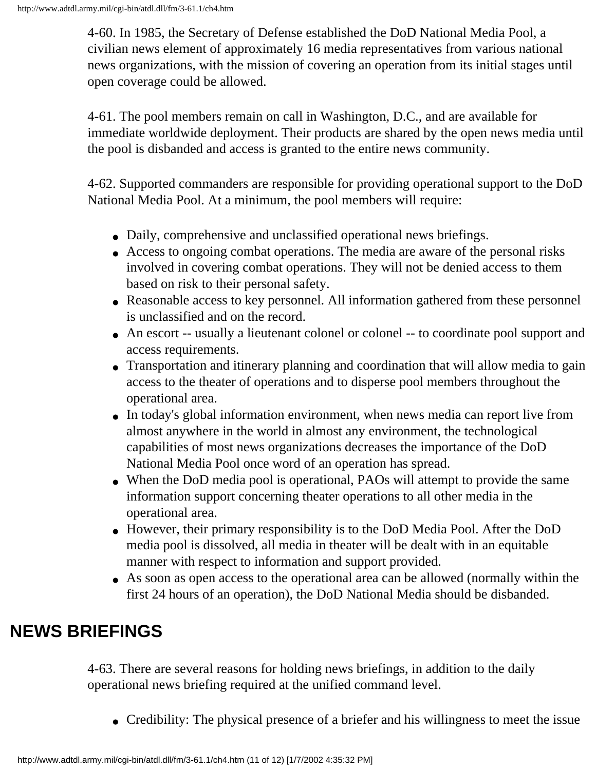4-60. In 1985, the Secretary of Defense established the DoD National Media Pool, a civilian news element of approximately 16 media representatives from various national news organizations, with the mission of covering an operation from its initial stages until open coverage could be allowed.

4-61. The pool members remain on call in Washington, D.C., and are available for immediate worldwide deployment. Their products are shared by the open news media until the pool is disbanded and access is granted to the entire news community.

4-62. Supported commanders are responsible for providing operational support to the DoD National Media Pool. At a minimum, the pool members will require:

- Daily, comprehensive and unclassified operational news briefings.
- Access to ongoing combat operations. The media are aware of the personal risks involved in covering combat operations. They will not be denied access to them based on risk to their personal safety.
- Reasonable access to key personnel. All information gathered from these personnel is unclassified and on the record.
- An escort -- usually a lieutenant colonel or colonel -- to coordinate pool support and access requirements.
- Transportation and itinerary planning and coordination that will allow media to gain access to the theater of operations and to disperse pool members throughout the operational area.
- In today's global information environment, when news media can report live from almost anywhere in the world in almost any environment, the technological capabilities of most news organizations decreases the importance of the DoD National Media Pool once word of an operation has spread.
- When the DoD media pool is operational, PAOs will attempt to provide the same information support concerning theater operations to all other media in the operational area.
- However, their primary responsibility is to the DoD Media Pool. After the DoD media pool is dissolved, all media in theater will be dealt with in an equitable manner with respect to information and support provided.
- As soon as open access to the operational area can be allowed (normally within the first 24 hours of an operation), the DoD National Media should be disbanded.

# **NEWS BRIEFINGS**

4-63. There are several reasons for holding news briefings, in addition to the daily operational news briefing required at the unified command level.

• Credibility: The physical presence of a briefer and his willingness to meet the issue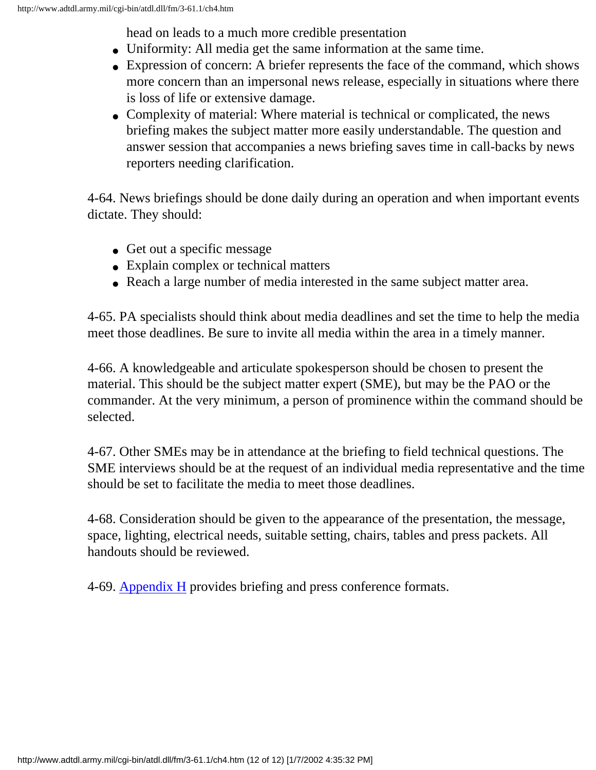head on leads to a much more credible presentation

- Uniformity: All media get the same information at the same time.
- Expression of concern: A briefer represents the face of the command, which shows more concern than an impersonal news release, especially in situations where there is loss of life or extensive damage.
- Complexity of material: Where material is technical or complicated, the news briefing makes the subject matter more easily understandable. The question and answer session that accompanies a news briefing saves time in call-backs by news reporters needing clarification.

4-64. News briefings should be done daily during an operation and when important events dictate. They should:

- Get out a specific message
- Explain complex or technical matters
- Reach a large number of media interested in the same subject matter area.

4-65. PA specialists should think about media deadlines and set the time to help the media meet those deadlines. Be sure to invite all media within the area in a timely manner.

4-66. A knowledgeable and articulate spokesperson should be chosen to present the material. This should be the subject matter expert (SME), but may be the PAO or the commander. At the very minimum, a person of prominence within the command should be selected.

4-67. Other SMEs may be in attendance at the briefing to field technical questions. The SME interviews should be at the request of an individual media representative and the time should be set to facilitate the media to meet those deadlines.

4-68. Consideration should be given to the appearance of the presentation, the message, space, lighting, electrical needs, suitable setting, chairs, tables and press packets. All handouts should be reviewed.

4-69. [Appendix H](#page-136-0) provides briefing and press conference formats.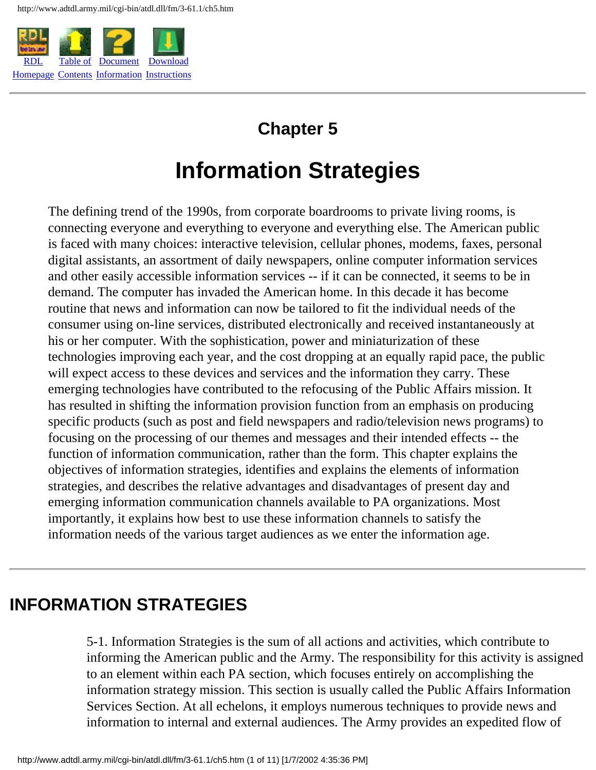

# **Chapter 5**

# **Information Strategies**

The defining trend of the 1990s, from corporate boardrooms to private living rooms, is connecting everyone and everything to everyone and everything else. The American public is faced with many choices: interactive television, cellular phones, modems, faxes, personal digital assistants, an assortment of daily newspapers, online computer information services and other easily accessible information services -- if it can be connected, it seems to be in demand. The computer has invaded the American home. In this decade it has become routine that news and information can now be tailored to fit the individual needs of the consumer using on-line services, distributed electronically and received instantaneously at his or her computer. With the sophistication, power and miniaturization of these technologies improving each year, and the cost dropping at an equally rapid pace, the public will expect access to these devices and services and the information they carry. These emerging technologies have contributed to the refocusing of the Public Affairs mission. It has resulted in shifting the information provision function from an emphasis on producing specific products (such as post and field newspapers and radio/television news programs) to focusing on the processing of our themes and messages and their intended effects -- the function of information communication, rather than the form. This chapter explains the objectives of information strategies, identifies and explains the elements of information strategies, and describes the relative advantages and disadvantages of present day and emerging information communication channels available to PA organizations. Most importantly, it explains how best to use these information channels to satisfy the information needs of the various target audiences as we enter the information age.

### **INFORMATION STRATEGIES**

5-1. Information Strategies is the sum of all actions and activities, which contribute to informing the American public and the Army. The responsibility for this activity is assigned to an element within each PA section, which focuses entirely on accomplishing the information strategy mission. This section is usually called the Public Affairs Information Services Section. At all echelons, it employs numerous techniques to provide news and information to internal and external audiences. The Army provides an expedited flow of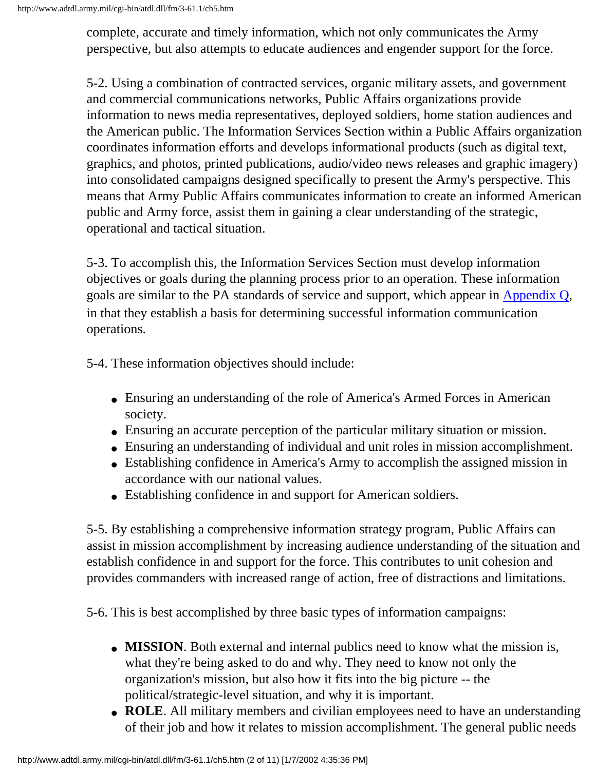complete, accurate and timely information, which not only communicates the Army perspective, but also attempts to educate audiences and engender support for the force.

5-2. Using a combination of contracted services, organic military assets, and government and commercial communications networks, Public Affairs organizations provide information to news media representatives, deployed soldiers, home station audiences and the American public. The Information Services Section within a Public Affairs organization coordinates information efforts and develops informational products (such as digital text, graphics, and photos, printed publications, audio/video news releases and graphic imagery) into consolidated campaigns designed specifically to present the Army's perspective. This means that Army Public Affairs communicates information to create an informed American public and Army force, assist them in gaining a clear understanding of the strategic, operational and tactical situation.

5-3. To accomplish this, the Information Services Section must develop information objectives or goals during the planning process prior to an operation. These information goals are similar to the PA standards of service and support, which appear in [Appendix Q,](#page-161-0) in that they establish a basis for determining successful information communication operations.

5-4. These information objectives should include:

- Ensuring an understanding of the role of America's Armed Forces in American society.
- Ensuring an accurate perception of the particular military situation or mission.
- Ensuring an understanding of individual and unit roles in mission accomplishment.
- Establishing confidence in America's Army to accomplish the assigned mission in accordance with our national values.
- Establishing confidence in and support for American soldiers.

5-5. By establishing a comprehensive information strategy program, Public Affairs can assist in mission accomplishment by increasing audience understanding of the situation and establish confidence in and support for the force. This contributes to unit cohesion and provides commanders with increased range of action, free of distractions and limitations.

5-6. This is best accomplished by three basic types of information campaigns:

- **MISSION**. Both external and internal publics need to know what the mission is, what they're being asked to do and why. They need to know not only the organization's mission, but also how it fits into the big picture -- the political/strategic-level situation, and why it is important.
- **ROLE**. All military members and civilian employees need to have an understanding of their job and how it relates to mission accomplishment. The general public needs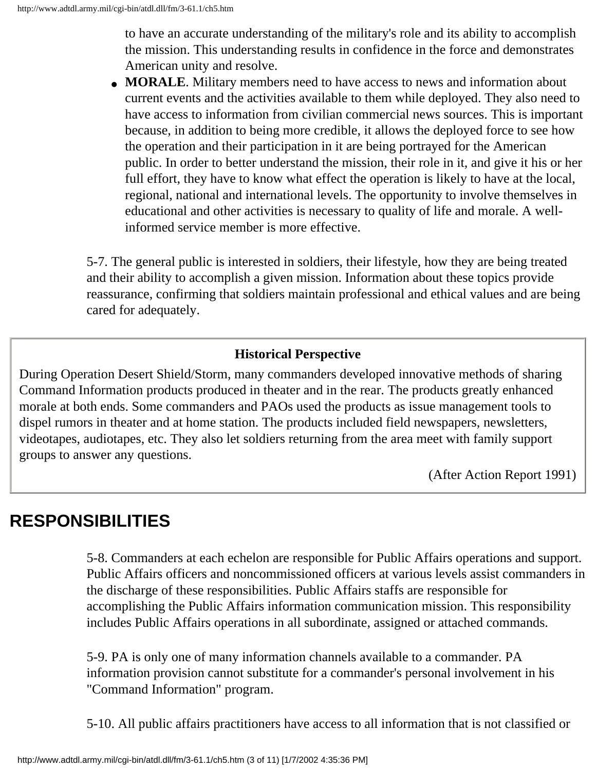to have an accurate understanding of the military's role and its ability to accomplish the mission. This understanding results in confidence in the force and demonstrates American unity and resolve.

• **MORALE**. Military members need to have access to news and information about current events and the activities available to them while deployed. They also need to have access to information from civilian commercial news sources. This is important because, in addition to being more credible, it allows the deployed force to see how the operation and their participation in it are being portrayed for the American public. In order to better understand the mission, their role in it, and give it his or her full effort, they have to know what effect the operation is likely to have at the local, regional, national and international levels. The opportunity to involve themselves in educational and other activities is necessary to quality of life and morale. A wellinformed service member is more effective.

5-7. The general public is interested in soldiers, their lifestyle, how they are being treated and their ability to accomplish a given mission. Information about these topics provide reassurance, confirming that soldiers maintain professional and ethical values and are being cared for adequately.

#### **Historical Perspective**

During Operation Desert Shield/Storm, many commanders developed innovative methods of sharing Command Information products produced in theater and in the rear. The products greatly enhanced morale at both ends. Some commanders and PAOs used the products as issue management tools to dispel rumors in theater and at home station. The products included field newspapers, newsletters, videotapes, audiotapes, etc. They also let soldiers returning from the area meet with family support groups to answer any questions.

(After Action Report 1991)

# **RESPONSIBILITIES**

5-8. Commanders at each echelon are responsible for Public Affairs operations and support. Public Affairs officers and noncommissioned officers at various levels assist commanders in the discharge of these responsibilities. Public Affairs staffs are responsible for accomplishing the Public Affairs information communication mission. This responsibility includes Public Affairs operations in all subordinate, assigned or attached commands.

5-9. PA is only one of many information channels available to a commander. PA information provision cannot substitute for a commander's personal involvement in his "Command Information" program.

5-10. All public affairs practitioners have access to all information that is not classified or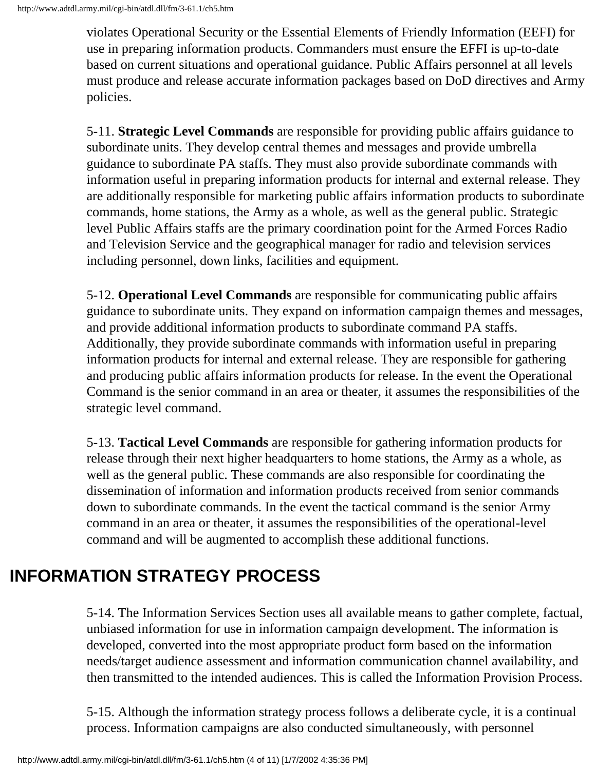violates Operational Security or the Essential Elements of Friendly Information (EEFI) for use in preparing information products. Commanders must ensure the EFFI is up-to-date based on current situations and operational guidance. Public Affairs personnel at all levels must produce and release accurate information packages based on DoD directives and Army policies.

5-11. **Strategic Level Commands** are responsible for providing public affairs guidance to subordinate units. They develop central themes and messages and provide umbrella guidance to subordinate PA staffs. They must also provide subordinate commands with information useful in preparing information products for internal and external release. They are additionally responsible for marketing public affairs information products to subordinate commands, home stations, the Army as a whole, as well as the general public. Strategic level Public Affairs staffs are the primary coordination point for the Armed Forces Radio and Television Service and the geographical manager for radio and television services including personnel, down links, facilities and equipment.

5-12. **Operational Level Commands** are responsible for communicating public affairs guidance to subordinate units. They expand on information campaign themes and messages, and provide additional information products to subordinate command PA staffs. Additionally, they provide subordinate commands with information useful in preparing information products for internal and external release. They are responsible for gathering and producing public affairs information products for release. In the event the Operational Command is the senior command in an area or theater, it assumes the responsibilities of the strategic level command.

5-13. **Tactical Level Commands** are responsible for gathering information products for release through their next higher headquarters to home stations, the Army as a whole, as well as the general public. These commands are also responsible for coordinating the dissemination of information and information products received from senior commands down to subordinate commands. In the event the tactical command is the senior Army command in an area or theater, it assumes the responsibilities of the operational-level command and will be augmented to accomplish these additional functions.

# **INFORMATION STRATEGY PROCESS**

5-14. The Information Services Section uses all available means to gather complete, factual, unbiased information for use in information campaign development. The information is developed, converted into the most appropriate product form based on the information needs/target audience assessment and information communication channel availability, and then transmitted to the intended audiences. This is called the Information Provision Process.

5-15. Although the information strategy process follows a deliberate cycle, it is a continual process. Information campaigns are also conducted simultaneously, with personnel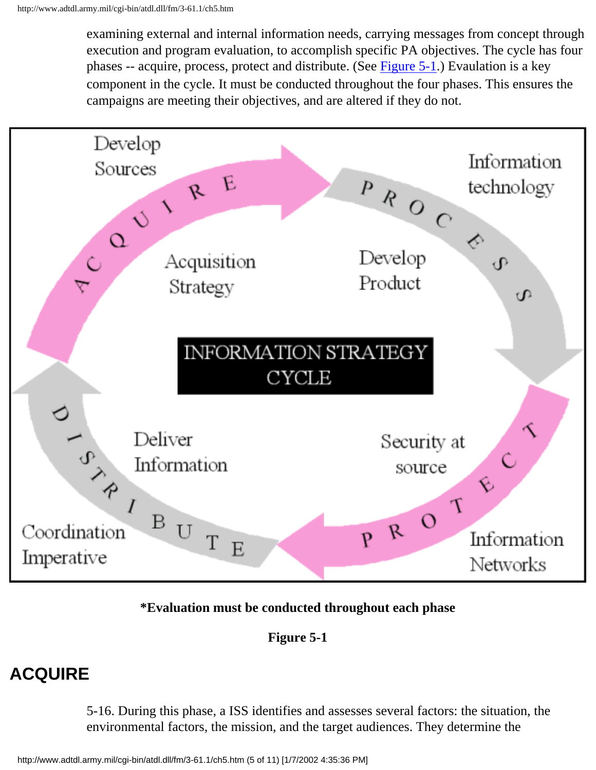examining external and internal information needs, carrying messages from concept through execution and program evaluation, to accomplish specific PA objectives. The cycle has four phases -- acquire, process, protect and distribute. (See [Figure 5-1.](#page-62-0)) Evaulation is a key component in the cycle. It must be conducted throughout the four phases. This ensures the campaigns are meeting their objectives, and are altered if they do not.

<span id="page-62-0"></span>

#### **\*Evaluation must be conducted throughout each phase**

**Figure 5-1**

# **ACQUIRE**

5-16. During this phase, a ISS identifies and assesses several factors: the situation, the environmental factors, the mission, and the target audiences. They determine the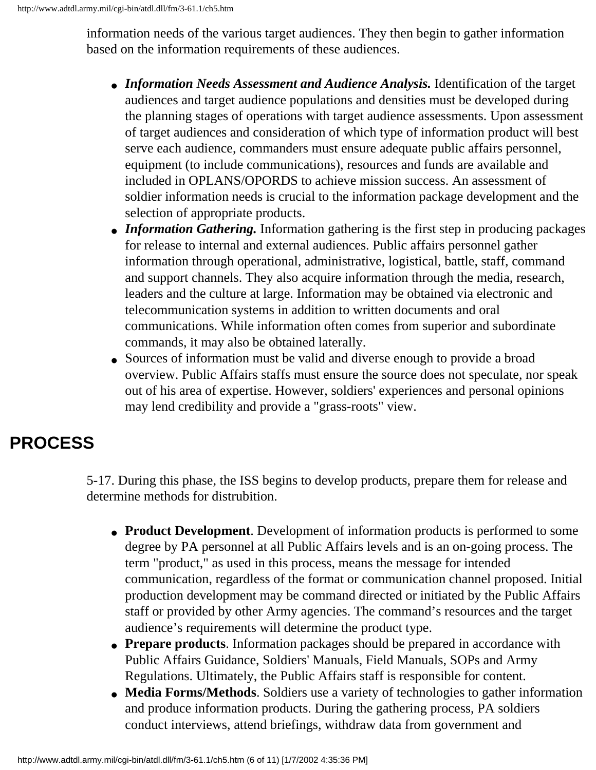information needs of the various target audiences. They then begin to gather information based on the information requirements of these audiences.

- *Information Needs Assessment and Audience Analysis.* Identification of the target audiences and target audience populations and densities must be developed during the planning stages of operations with target audience assessments. Upon assessment of target audiences and consideration of which type of information product will best serve each audience, commanders must ensure adequate public affairs personnel, equipment (to include communications), resources and funds are available and included in OPLANS/OPORDS to achieve mission success. An assessment of soldier information needs is crucial to the information package development and the selection of appropriate products.
- *Information Gathering.* Information gathering is the first step in producing packages for release to internal and external audiences. Public affairs personnel gather information through operational, administrative, logistical, battle, staff, command and support channels. They also acquire information through the media, research, leaders and the culture at large. Information may be obtained via electronic and telecommunication systems in addition to written documents and oral communications. While information often comes from superior and subordinate commands, it may also be obtained laterally.
- Sources of information must be valid and diverse enough to provide a broad overview. Public Affairs staffs must ensure the source does not speculate, nor speak out of his area of expertise. However, soldiers' experiences and personal opinions may lend credibility and provide a "grass-roots" view.

# **PROCESS**

5-17. During this phase, the ISS begins to develop products, prepare them for release and determine methods for distrubition.

- **Product Development**. Development of information products is performed to some degree by PA personnel at all Public Affairs levels and is an on-going process. The term "product," as used in this process, means the message for intended communication, regardless of the format or communication channel proposed. Initial production development may be command directed or initiated by the Public Affairs staff or provided by other Army agencies. The command's resources and the target audience's requirements will determine the product type.
- **Prepare products**. Information packages should be prepared in accordance with Public Affairs Guidance, Soldiers' Manuals, Field Manuals, SOPs and Army Regulations. Ultimately, the Public Affairs staff is responsible for content.
- **Media Forms/Methods**. Soldiers use a variety of technologies to gather information and produce information products. During the gathering process, PA soldiers conduct interviews, attend briefings, withdraw data from government and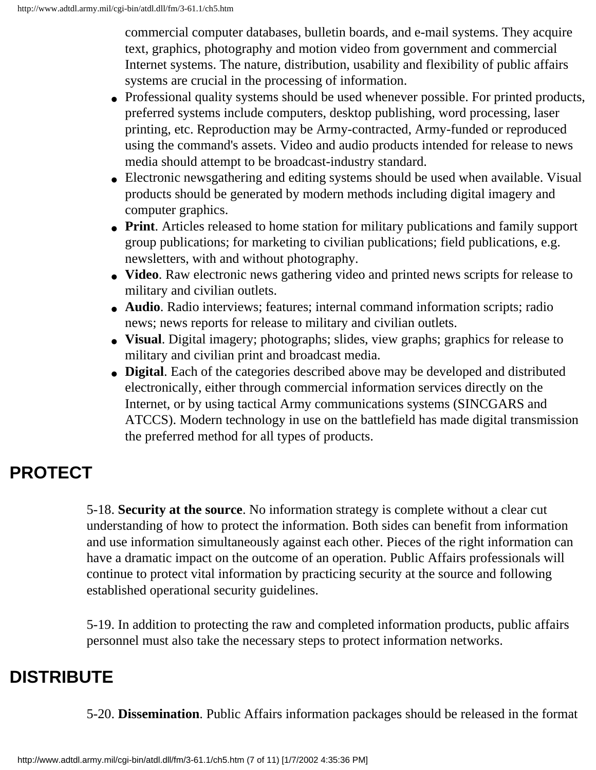commercial computer databases, bulletin boards, and e-mail systems. They acquire text, graphics, photography and motion video from government and commercial Internet systems. The nature, distribution, usability and flexibility of public affairs systems are crucial in the processing of information.

- Professional quality systems should be used whenever possible. For printed products, preferred systems include computers, desktop publishing, word processing, laser printing, etc. Reproduction may be Army-contracted, Army-funded or reproduced using the command's assets. Video and audio products intended for release to news media should attempt to be broadcast-industry standard.
- Electronic newsgathering and editing systems should be used when available. Visual products should be generated by modern methods including digital imagery and computer graphics.
- **Print**. Articles released to home station for military publications and family support group publications; for marketing to civilian publications; field publications, e.g. newsletters, with and without photography.
- **Video**. Raw electronic news gathering video and printed news scripts for release to military and civilian outlets.
- **Audio**. Radio interviews; features; internal command information scripts; radio news; news reports for release to military and civilian outlets.
- **Visual**. Digital imagery; photographs; slides, view graphs; graphics for release to military and civilian print and broadcast media.
- **Digital**. Each of the categories described above may be developed and distributed electronically, either through commercial information services directly on the Internet, or by using tactical Army communications systems (SINCGARS and ATCCS). Modern technology in use on the battlefield has made digital transmission the preferred method for all types of products.

# **PROTECT**

5-18. **Security at the source**. No information strategy is complete without a clear cut understanding of how to protect the information. Both sides can benefit from information and use information simultaneously against each other. Pieces of the right information can have a dramatic impact on the outcome of an operation. Public Affairs professionals will continue to protect vital information by practicing security at the source and following established operational security guidelines.

5-19. In addition to protecting the raw and completed information products, public affairs personnel must also take the necessary steps to protect information networks.

# **DISTRIBUTE**

5-20. **Dissemination**. Public Affairs information packages should be released in the format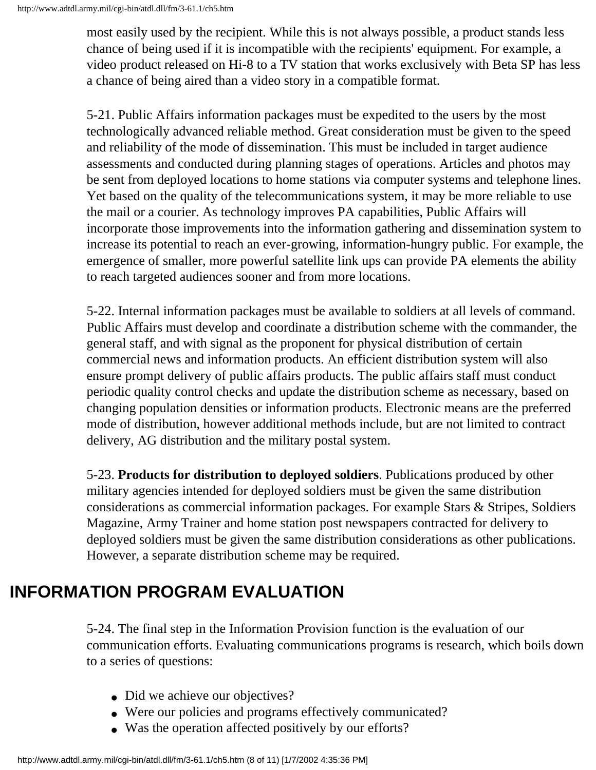most easily used by the recipient. While this is not always possible, a product stands less chance of being used if it is incompatible with the recipients' equipment. For example, a video product released on Hi-8 to a TV station that works exclusively with Beta SP has less a chance of being aired than a video story in a compatible format.

5-21. Public Affairs information packages must be expedited to the users by the most technologically advanced reliable method. Great consideration must be given to the speed and reliability of the mode of dissemination. This must be included in target audience assessments and conducted during planning stages of operations. Articles and photos may be sent from deployed locations to home stations via computer systems and telephone lines. Yet based on the quality of the telecommunications system, it may be more reliable to use the mail or a courier. As technology improves PA capabilities, Public Affairs will incorporate those improvements into the information gathering and dissemination system to increase its potential to reach an ever-growing, information-hungry public. For example, the emergence of smaller, more powerful satellite link ups can provide PA elements the ability to reach targeted audiences sooner and from more locations.

5-22. Internal information packages must be available to soldiers at all levels of command. Public Affairs must develop and coordinate a distribution scheme with the commander, the general staff, and with signal as the proponent for physical distribution of certain commercial news and information products. An efficient distribution system will also ensure prompt delivery of public affairs products. The public affairs staff must conduct periodic quality control checks and update the distribution scheme as necessary, based on changing population densities or information products. Electronic means are the preferred mode of distribution, however additional methods include, but are not limited to contract delivery, AG distribution and the military postal system.

5-23. **Products for distribution to deployed soldiers**. Publications produced by other military agencies intended for deployed soldiers must be given the same distribution considerations as commercial information packages. For example Stars & Stripes, Soldiers Magazine, Army Trainer and home station post newspapers contracted for delivery to deployed soldiers must be given the same distribution considerations as other publications. However, a separate distribution scheme may be required.

# **INFORMATION PROGRAM EVALUATION**

5-24. The final step in the Information Provision function is the evaluation of our communication efforts. Evaluating communications programs is research, which boils down to a series of questions:

- Did we achieve our objectives?
- Were our policies and programs effectively communicated?
- Was the operation affected positively by our efforts?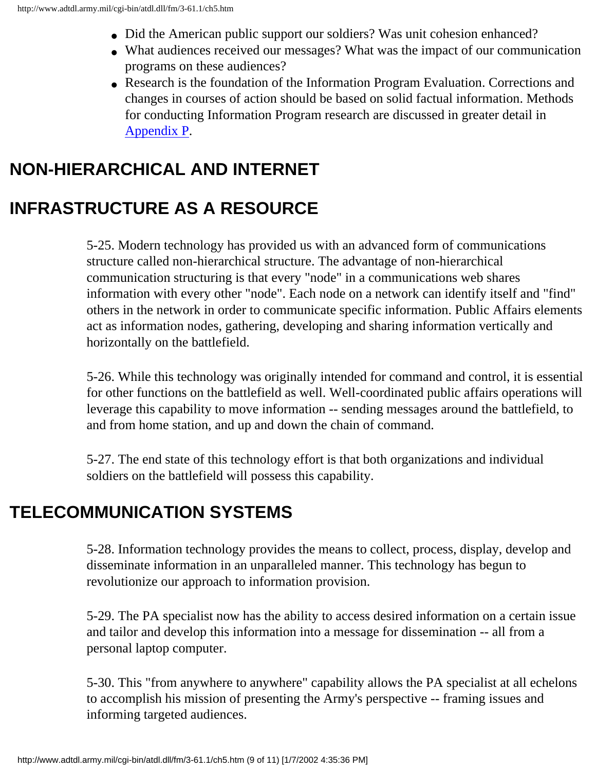- Did the American public support our soldiers? Was unit cohesion enhanced?
- What audiences received our messages? What was the impact of our communication programs on these audiences?
- Research is the foundation of the Information Program Evaluation. Corrections and changes in courses of action should be based on solid factual information. Methods for conducting Information Program research are discussed in greater detail in [Appendix P](#page-159-0).

# **NON-HIERARCHICAL AND INTERNET**

# **INFRASTRUCTURE AS A RESOURCE**

5-25. Modern technology has provided us with an advanced form of communications structure called non-hierarchical structure. The advantage of non-hierarchical communication structuring is that every "node" in a communications web shares information with every other "node". Each node on a network can identify itself and "find" others in the network in order to communicate specific information. Public Affairs elements act as information nodes, gathering, developing and sharing information vertically and horizontally on the battlefield.

5-26. While this technology was originally intended for command and control, it is essential for other functions on the battlefield as well. Well-coordinated public affairs operations will leverage this capability to move information -- sending messages around the battlefield, to and from home station, and up and down the chain of command.

5-27. The end state of this technology effort is that both organizations and individual soldiers on the battlefield will possess this capability.

### **TELECOMMUNICATION SYSTEMS**

5-28. Information technology provides the means to collect, process, display, develop and disseminate information in an unparalleled manner. This technology has begun to revolutionize our approach to information provision.

5-29. The PA specialist now has the ability to access desired information on a certain issue and tailor and develop this information into a message for dissemination -- all from a personal laptop computer.

5-30. This "from anywhere to anywhere" capability allows the PA specialist at all echelons to accomplish his mission of presenting the Army's perspective -- framing issues and informing targeted audiences.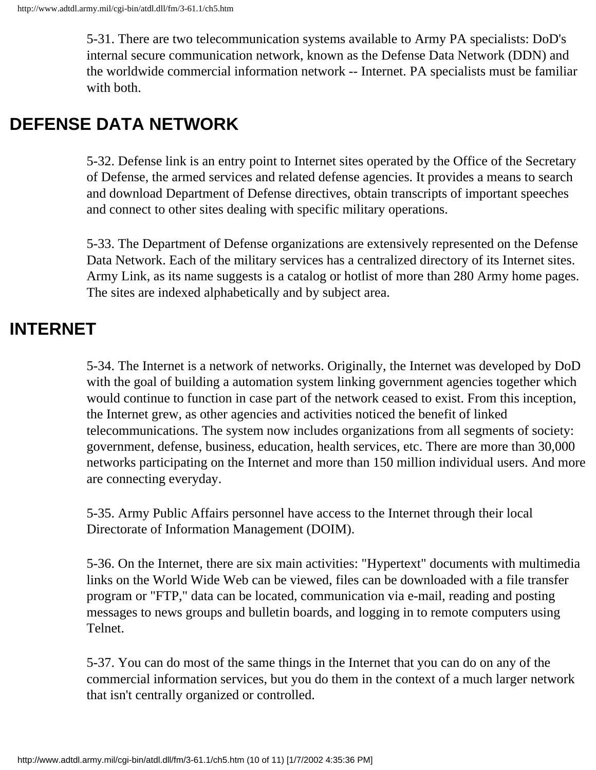5-31. There are two telecommunication systems available to Army PA specialists: DoD's internal secure communication network, known as the Defense Data Network (DDN) and the worldwide commercial information network -- Internet. PA specialists must be familiar with both.

### **DEFENSE DATA NETWORK**

5-32. Defense link is an entry point to Internet sites operated by the Office of the Secretary of Defense, the armed services and related defense agencies. It provides a means to search and download Department of Defense directives, obtain transcripts of important speeches and connect to other sites dealing with specific military operations.

5-33. The Department of Defense organizations are extensively represented on the Defense Data Network. Each of the military services has a centralized directory of its Internet sites. Army Link, as its name suggests is a catalog or hotlist of more than 280 Army home pages. The sites are indexed alphabetically and by subject area.

### **INTERNET**

5-34. The Internet is a network of networks. Originally, the Internet was developed by DoD with the goal of building a automation system linking government agencies together which would continue to function in case part of the network ceased to exist. From this inception, the Internet grew, as other agencies and activities noticed the benefit of linked telecommunications. The system now includes organizations from all segments of society: government, defense, business, education, health services, etc. There are more than 30,000 networks participating on the Internet and more than 150 million individual users. And more are connecting everyday.

5-35. Army Public Affairs personnel have access to the Internet through their local Directorate of Information Management (DOIM).

5-36. On the Internet, there are six main activities: "Hypertext" documents with multimedia links on the World Wide Web can be viewed, files can be downloaded with a file transfer program or "FTP," data can be located, communication via e-mail, reading and posting messages to news groups and bulletin boards, and logging in to remote computers using Telnet.

5-37. You can do most of the same things in the Internet that you can do on any of the commercial information services, but you do them in the context of a much larger network that isn't centrally organized or controlled.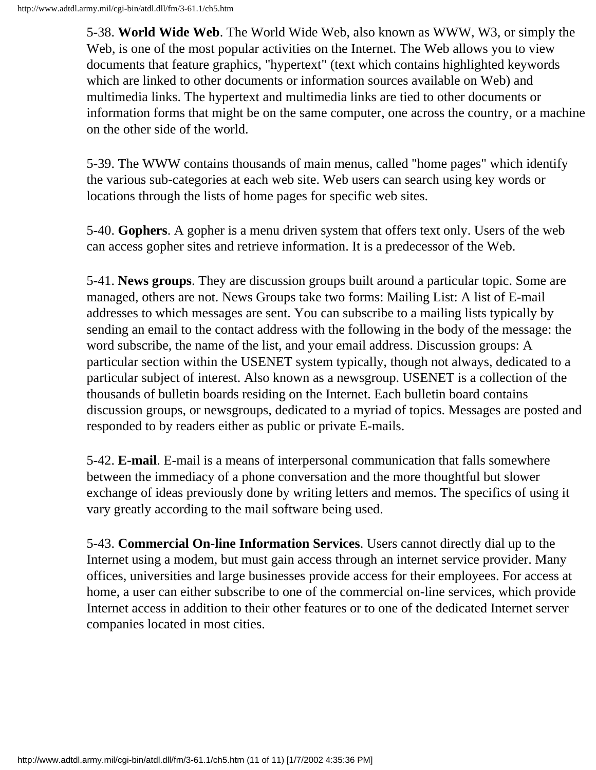5-38. **World Wide Web**. The World Wide Web, also known as WWW, W3, or simply the Web, is one of the most popular activities on the Internet. The Web allows you to view documents that feature graphics, "hypertext" (text which contains highlighted keywords which are linked to other documents or information sources available on Web) and multimedia links. The hypertext and multimedia links are tied to other documents or information forms that might be on the same computer, one across the country, or a machine on the other side of the world.

5-39. The WWW contains thousands of main menus, called "home pages" which identify the various sub-categories at each web site. Web users can search using key words or locations through the lists of home pages for specific web sites.

5-40. **Gophers**. A gopher is a menu driven system that offers text only. Users of the web can access gopher sites and retrieve information. It is a predecessor of the Web.

5-41. **News groups**. They are discussion groups built around a particular topic. Some are managed, others are not. News Groups take two forms: Mailing List: A list of E-mail addresses to which messages are sent. You can subscribe to a mailing lists typically by sending an email to the contact address with the following in the body of the message: the word subscribe, the name of the list, and your email address. Discussion groups: A particular section within the USENET system typically, though not always, dedicated to a particular subject of interest. Also known as a newsgroup. USENET is a collection of the thousands of bulletin boards residing on the Internet. Each bulletin board contains discussion groups, or newsgroups, dedicated to a myriad of topics. Messages are posted and responded to by readers either as public or private E-mails.

5-42. **E-mail**. E-mail is a means of interpersonal communication that falls somewhere between the immediacy of a phone conversation and the more thoughtful but slower exchange of ideas previously done by writing letters and memos. The specifics of using it vary greatly according to the mail software being used.

5-43. **Commercial On-line Information Services**. Users cannot directly dial up to the Internet using a modem, but must gain access through an internet service provider. Many offices, universities and large businesses provide access for their employees. For access at home, a user can either subscribe to one of the commercial on-line services, which provide Internet access in addition to their other features or to one of the dedicated Internet server companies located in most cities.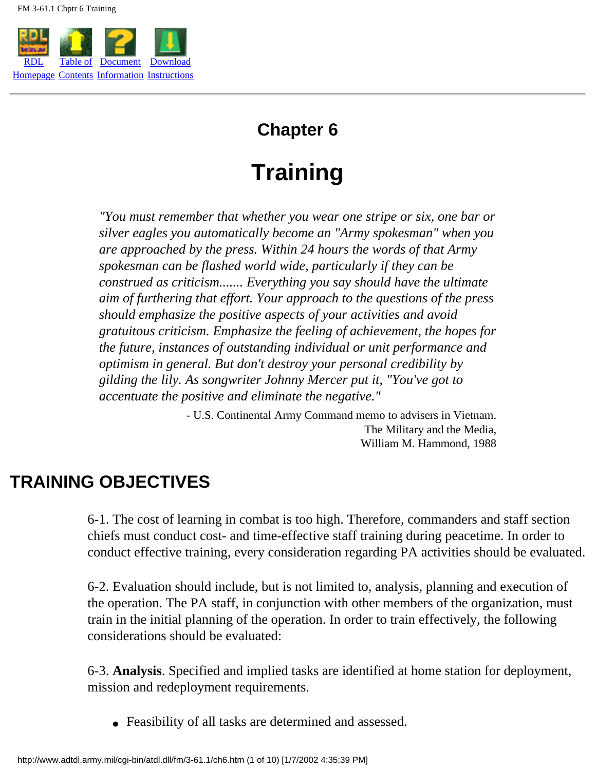

# **Chapter 6**

# **Training**

*"You must remember that whether you wear one stripe or six, one bar or silver eagles you automatically become an "Army spokesman" when you are approached by the press. Within 24 hours the words of that Army spokesman can be flashed world wide, particularly if they can be construed as criticism....... Everything you say should have the ultimate aim of furthering that effort. Your approach to the questions of the press should emphasize the positive aspects of your activities and avoid gratuitous criticism. Emphasize the feeling of achievement, the hopes for the future, instances of outstanding individual or unit performance and optimism in general. But don't destroy your personal credibility by gilding the lily. As songwriter Johnny Mercer put it, "You've got to accentuate the positive and eliminate the negative."*

> - U.S. Continental Army Command memo to advisers in Vietnam. The Military and the Media, William M. Hammond, 1988

### **TRAINING OBJECTIVES**

6-1. The cost of learning in combat is too high. Therefore, commanders and staff section chiefs must conduct cost- and time-effective staff training during peacetime. In order to conduct effective training, every consideration regarding PA activities should be evaluated.

6-2. Evaluation should include, but is not limited to, analysis, planning and execution of the operation. The PA staff, in conjunction with other members of the organization, must train in the initial planning of the operation. In order to train effectively, the following considerations should be evaluated:

6-3. **Analysis**. Specified and implied tasks are identified at home station for deployment, mission and redeployment requirements.

• Feasibility of all tasks are determined and assessed.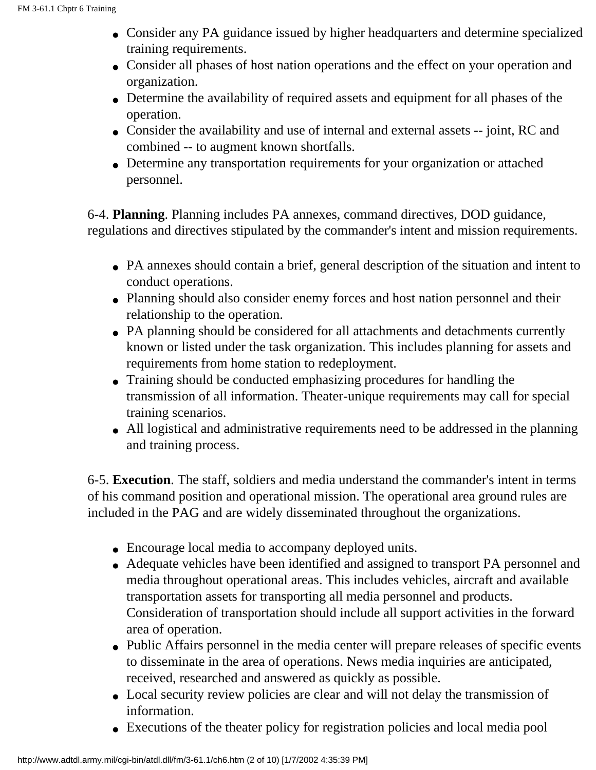- Consider any PA guidance issued by higher headquarters and determine specialized training requirements.
- Consider all phases of host nation operations and the effect on your operation and organization.
- Determine the availability of required assets and equipment for all phases of the operation.
- Consider the availability and use of internal and external assets -- joint, RC and combined -- to augment known shortfalls.
- Determine any transportation requirements for your organization or attached personnel.

6-4. **Planning**. Planning includes PA annexes, command directives, DOD guidance, regulations and directives stipulated by the commander's intent and mission requirements.

- PA annexes should contain a brief, general description of the situation and intent to conduct operations.
- Planning should also consider enemy forces and host nation personnel and their relationship to the operation.
- PA planning should be considered for all attachments and detachments currently known or listed under the task organization. This includes planning for assets and requirements from home station to redeployment.
- Training should be conducted emphasizing procedures for handling the transmission of all information. Theater-unique requirements may call for special training scenarios.
- All logistical and administrative requirements need to be addressed in the planning and training process.

6-5. **Execution**. The staff, soldiers and media understand the commander's intent in terms of his command position and operational mission. The operational area ground rules are included in the PAG and are widely disseminated throughout the organizations.

- Encourage local media to accompany deployed units.
- Adequate vehicles have been identified and assigned to transport PA personnel and media throughout operational areas. This includes vehicles, aircraft and available transportation assets for transporting all media personnel and products. Consideration of transportation should include all support activities in the forward area of operation.
- Public Affairs personnel in the media center will prepare releases of specific events to disseminate in the area of operations. News media inquiries are anticipated, received, researched and answered as quickly as possible.
- Local security review policies are clear and will not delay the transmission of information.
- Executions of the theater policy for registration policies and local media pool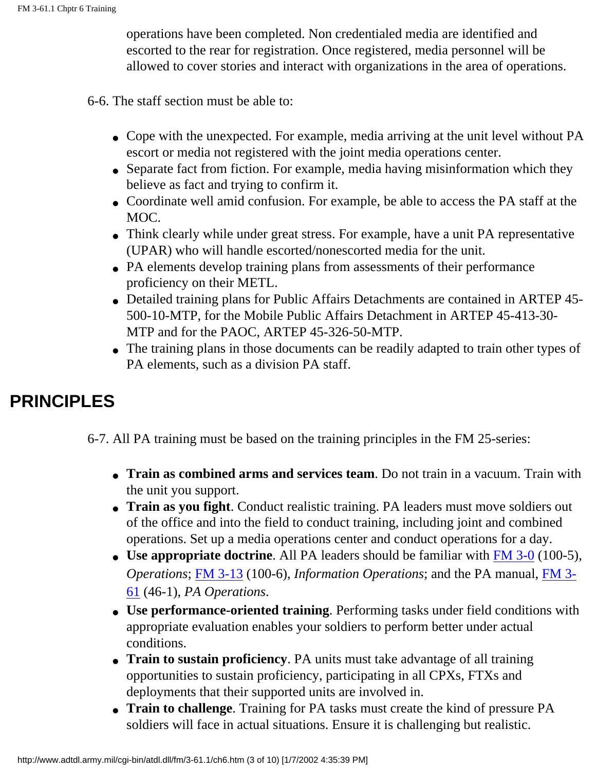operations have been completed. Non credentialed media are identified and escorted to the rear for registration. Once registered, media personnel will be allowed to cover stories and interact with organizations in the area of operations.

6-6. The staff section must be able to:

- Cope with the unexpected. For example, media arriving at the unit level without PA escort or media not registered with the joint media operations center.
- Separate fact from fiction. For example, media having misinformation which they believe as fact and trying to confirm it.
- Coordinate well amid confusion. For example, be able to access the PA staff at the MOC.
- Think clearly while under great stress. For example, have a unit PA representative (UPAR) who will handle escorted/nonescorted media for the unit.
- PA elements develop training plans from assessments of their performance proficiency on their METL.
- Detailed training plans for Public Affairs Detachments are contained in ARTEP 45- 500-10-MTP, for the Mobile Public Affairs Detachment in ARTEP 45-413-30- MTP and for the PAOC, ARTEP 45-326-50-MTP.
- The training plans in those documents can be readily adapted to train other types of PA elements, such as a division PA staff.

### **PRINCIPLES**

6-7. All PA training must be based on the training principles in the FM 25-series:

- **Train as combined arms and services team**. Do not train in a vacuum. Train with the unit you support.
- **Train as you fight**. Conduct realistic training. PA leaders must move soldiers out of the office and into the field to conduct training, including joint and combined operations. Set up a media operations center and conduct operations for a day.
- **Use appropriate doctrine**. All PA leaders should be familiar with FM 3-0 (100-5), *Operations*; FM 3-13 (100-6), *Information Operations*; and the PA manual, FM 3- 61 (46-1), *PA Operations*.
- **Use performance-oriented training**. Performing tasks under field conditions with appropriate evaluation enables your soldiers to perform better under actual conditions.
- **Train to sustain proficiency**. PA units must take advantage of all training opportunities to sustain proficiency, participating in all CPXs, FTXs and deployments that their supported units are involved in.
- **Train to challenge**. Training for PA tasks must create the kind of pressure PA soldiers will face in actual situations. Ensure it is challenging but realistic.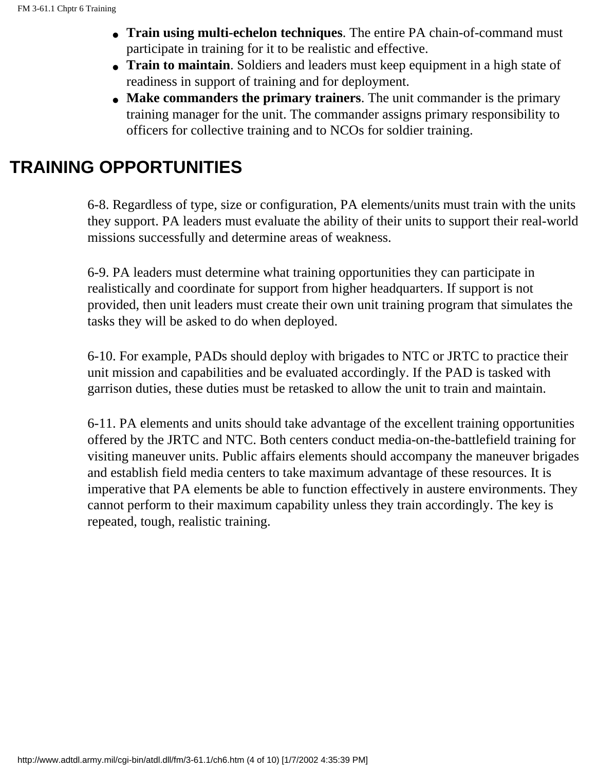- **Train using multi-echelon techniques**. The entire PA chain-of-command must participate in training for it to be realistic and effective.
- **Train to maintain**. Soldiers and leaders must keep equipment in a high state of readiness in support of training and for deployment.
- **Make commanders the primary trainers**. The unit commander is the primary training manager for the unit. The commander assigns primary responsibility to officers for collective training and to NCOs for soldier training.

### **TRAINING OPPORTUNITIES**

6-8. Regardless of type, size or configuration, PA elements/units must train with the units they support. PA leaders must evaluate the ability of their units to support their real-world missions successfully and determine areas of weakness.

6-9. PA leaders must determine what training opportunities they can participate in realistically and coordinate for support from higher headquarters. If support is not provided, then unit leaders must create their own unit training program that simulates the tasks they will be asked to do when deployed.

6-10. For example, PADs should deploy with brigades to NTC or JRTC to practice their unit mission and capabilities and be evaluated accordingly. If the PAD is tasked with garrison duties, these duties must be retasked to allow the unit to train and maintain.

6-11. PA elements and units should take advantage of the excellent training opportunities offered by the JRTC and NTC. Both centers conduct media-on-the-battlefield training for visiting maneuver units. Public affairs elements should accompany the maneuver brigades and establish field media centers to take maximum advantage of these resources. It is imperative that PA elements be able to function effectively in austere environments. They cannot perform to their maximum capability unless they train accordingly. The key is repeated, tough, realistic training.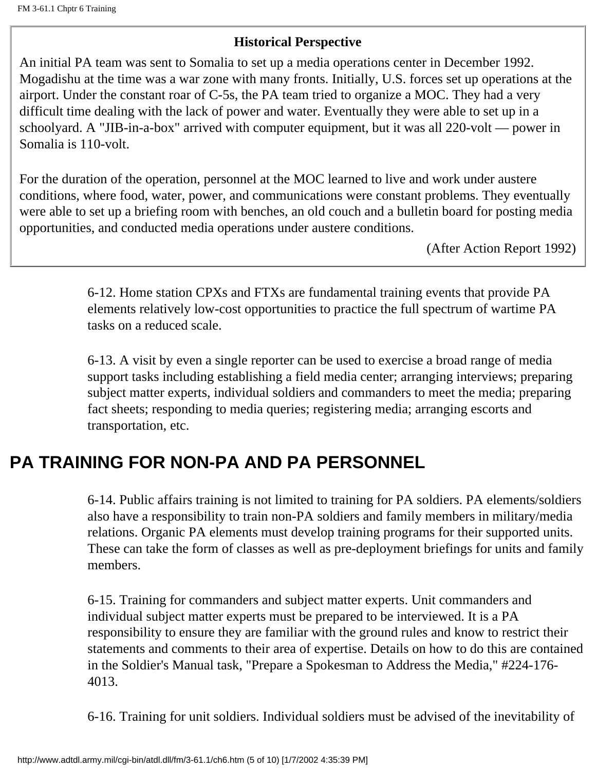#### **Historical Perspective**

An initial PA team was sent to Somalia to set up a media operations center in December 1992. Mogadishu at the time was a war zone with many fronts. Initially, U.S. forces set up operations at the airport. Under the constant roar of C-5s, the PA team tried to organize a MOC. They had a very difficult time dealing with the lack of power and water. Eventually they were able to set up in a schoolyard. A "JIB-in-a-box" arrived with computer equipment, but it was all 220-volt — power in Somalia is 110-volt.

For the duration of the operation, personnel at the MOC learned to live and work under austere conditions, where food, water, power, and communications were constant problems. They eventually were able to set up a briefing room with benches, an old couch and a bulletin board for posting media opportunities, and conducted media operations under austere conditions.

(After Action Report 1992)

6-12. Home station CPXs and FTXs are fundamental training events that provide PA elements relatively low-cost opportunities to practice the full spectrum of wartime PA tasks on a reduced scale.

6-13. A visit by even a single reporter can be used to exercise a broad range of media support tasks including establishing a field media center; arranging interviews; preparing subject matter experts, individual soldiers and commanders to meet the media; preparing fact sheets; responding to media queries; registering media; arranging escorts and transportation, etc.

### **PA TRAINING FOR NON-PA AND PA PERSONNEL**

6-14. Public affairs training is not limited to training for PA soldiers. PA elements/soldiers also have a responsibility to train non-PA soldiers and family members in military/media relations. Organic PA elements must develop training programs for their supported units. These can take the form of classes as well as pre-deployment briefings for units and family members.

6-15. Training for commanders and subject matter experts. Unit commanders and individual subject matter experts must be prepared to be interviewed. It is a PA responsibility to ensure they are familiar with the ground rules and know to restrict their statements and comments to their area of expertise. Details on how to do this are contained in the Soldier's Manual task, "Prepare a Spokesman to Address the Media," #224-176- 4013.

6-16. Training for unit soldiers. Individual soldiers must be advised of the inevitability of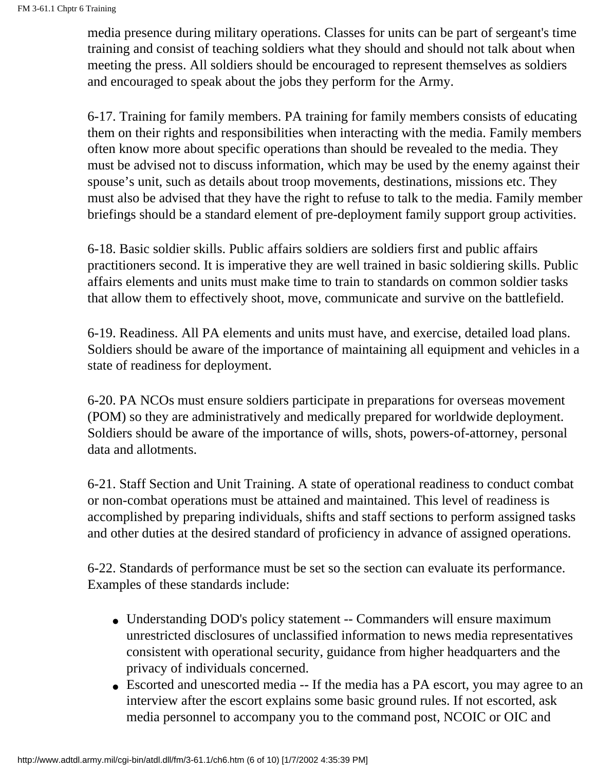media presence during military operations. Classes for units can be part of sergeant's time training and consist of teaching soldiers what they should and should not talk about when meeting the press. All soldiers should be encouraged to represent themselves as soldiers and encouraged to speak about the jobs they perform for the Army.

6-17. Training for family members. PA training for family members consists of educating them on their rights and responsibilities when interacting with the media. Family members often know more about specific operations than should be revealed to the media. They must be advised not to discuss information, which may be used by the enemy against their spouse's unit, such as details about troop movements, destinations, missions etc. They must also be advised that they have the right to refuse to talk to the media. Family member briefings should be a standard element of pre-deployment family support group activities.

6-18. Basic soldier skills. Public affairs soldiers are soldiers first and public affairs practitioners second. It is imperative they are well trained in basic soldiering skills. Public affairs elements and units must make time to train to standards on common soldier tasks that allow them to effectively shoot, move, communicate and survive on the battlefield.

6-19. Readiness. All PA elements and units must have, and exercise, detailed load plans. Soldiers should be aware of the importance of maintaining all equipment and vehicles in a state of readiness for deployment.

6-20. PA NCOs must ensure soldiers participate in preparations for overseas movement (POM) so they are administratively and medically prepared for worldwide deployment. Soldiers should be aware of the importance of wills, shots, powers-of-attorney, personal data and allotments.

6-21. Staff Section and Unit Training. A state of operational readiness to conduct combat or non-combat operations must be attained and maintained. This level of readiness is accomplished by preparing individuals, shifts and staff sections to perform assigned tasks and other duties at the desired standard of proficiency in advance of assigned operations.

6-22. Standards of performance must be set so the section can evaluate its performance. Examples of these standards include:

- Understanding DOD's policy statement -- Commanders will ensure maximum unrestricted disclosures of unclassified information to news media representatives consistent with operational security, guidance from higher headquarters and the privacy of individuals concerned.
- Escorted and unescorted media -- If the media has a PA escort, you may agree to an interview after the escort explains some basic ground rules. If not escorted, ask media personnel to accompany you to the command post, NCOIC or OIC and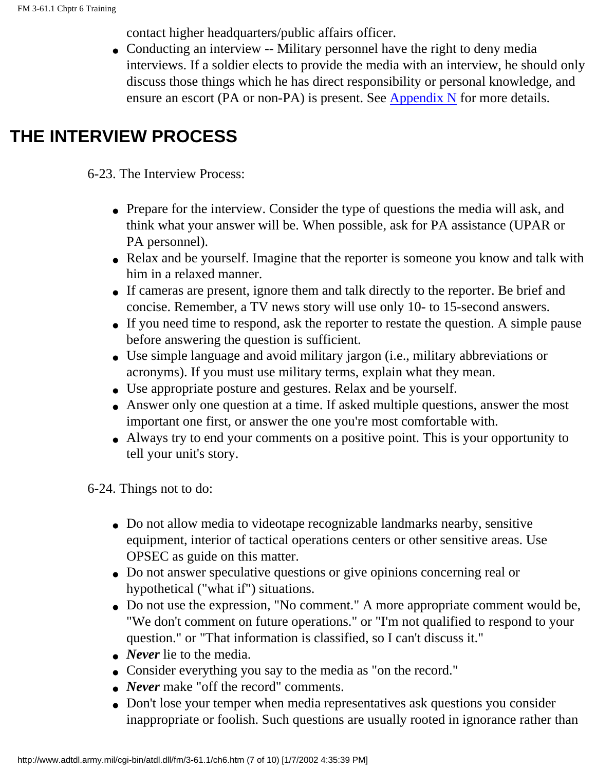contact higher headquarters/public affairs officer.

• Conducting an interview -- Military personnel have the right to deny media interviews. If a soldier elects to provide the media with an interview, he should only discuss those things which he has direct responsibility or personal knowledge, and ensure an escort (PA or non-PA) is present. See [Appendix N](#page-150-0) for more details.

# **THE INTERVIEW PROCESS**

6-23. The Interview Process:

- Prepare for the interview. Consider the type of questions the media will ask, and think what your answer will be. When possible, ask for PA assistance (UPAR or PA personnel).
- Relax and be yourself. Imagine that the reporter is someone you know and talk with him in a relaxed manner.
- If cameras are present, ignore them and talk directly to the reporter. Be brief and concise. Remember, a TV news story will use only 10- to 15-second answers.
- If you need time to respond, ask the reporter to restate the question. A simple pause before answering the question is sufficient.
- Use simple language and avoid military jargon (i.e., military abbreviations or acronyms). If you must use military terms, explain what they mean.
- Use appropriate posture and gestures. Relax and be yourself.
- Answer only one question at a time. If asked multiple questions, answer the most important one first, or answer the one you're most comfortable with.
- Always try to end your comments on a positive point. This is your opportunity to tell your unit's story.

6-24. Things not to do:

- Do not allow media to videotape recognizable landmarks nearby, sensitive equipment, interior of tactical operations centers or other sensitive areas. Use OPSEC as guide on this matter.
- Do not answer speculative questions or give opinions concerning real or hypothetical ("what if") situations.
- Do not use the expression, "No comment." A more appropriate comment would be, "We don't comment on future operations." or "I'm not qualified to respond to your question." or "That information is classified, so I can't discuss it."
- *Never* lie to the media.
- Consider everything you say to the media as "on the record."
- *Never* make "off the record" comments.
- Don't lose your temper when media representatives ask questions you consider inappropriate or foolish. Such questions are usually rooted in ignorance rather than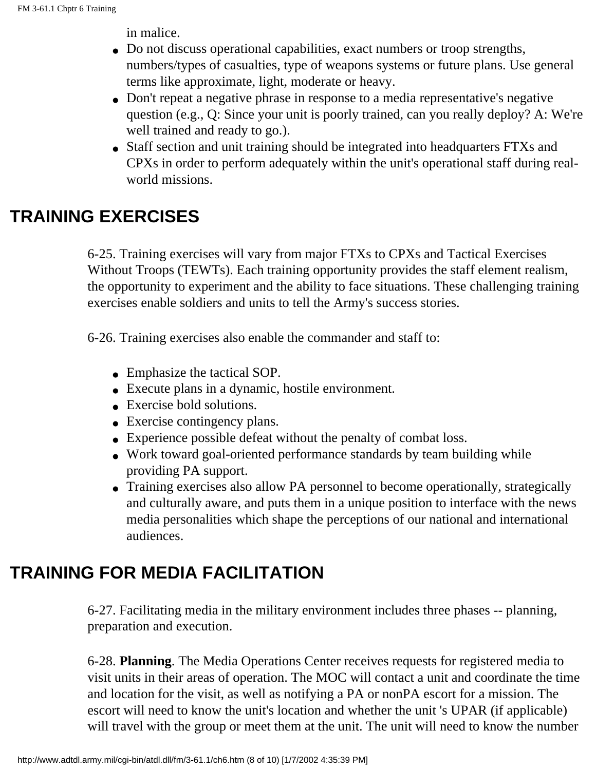in malice.

- Do not discuss operational capabilities, exact numbers or troop strengths, numbers/types of casualties, type of weapons systems or future plans. Use general terms like approximate, light, moderate or heavy.
- Don't repeat a negative phrase in response to a media representative's negative question (e.g., Q: Since your unit is poorly trained, can you really deploy? A: We're well trained and ready to go.).
- Staff section and unit training should be integrated into headquarters FTXs and CPXs in order to perform adequately within the unit's operational staff during realworld missions.

# **TRAINING EXERCISES**

6-25. Training exercises will vary from major FTXs to CPXs and Tactical Exercises Without Troops (TEWTs). Each training opportunity provides the staff element realism, the opportunity to experiment and the ability to face situations. These challenging training exercises enable soldiers and units to tell the Army's success stories.

6-26. Training exercises also enable the commander and staff to:

- Emphasize the tactical SOP.
- Execute plans in a dynamic, hostile environment.
- Exercise bold solutions.
- Exercise contingency plans.
- Experience possible defeat without the penalty of combat loss.
- Work toward goal-oriented performance standards by team building while providing PA support.
- Training exercises also allow PA personnel to become operationally, strategically and culturally aware, and puts them in a unique position to interface with the news media personalities which shape the perceptions of our national and international audiences.

# **TRAINING FOR MEDIA FACILITATION**

6-27. Facilitating media in the military environment includes three phases -- planning, preparation and execution.

6-28. **Planning**. The Media Operations Center receives requests for registered media to visit units in their areas of operation. The MOC will contact a unit and coordinate the time and location for the visit, as well as notifying a PA or nonPA escort for a mission. The escort will need to know the unit's location and whether the unit 's UPAR (if applicable) will travel with the group or meet them at the unit. The unit will need to know the number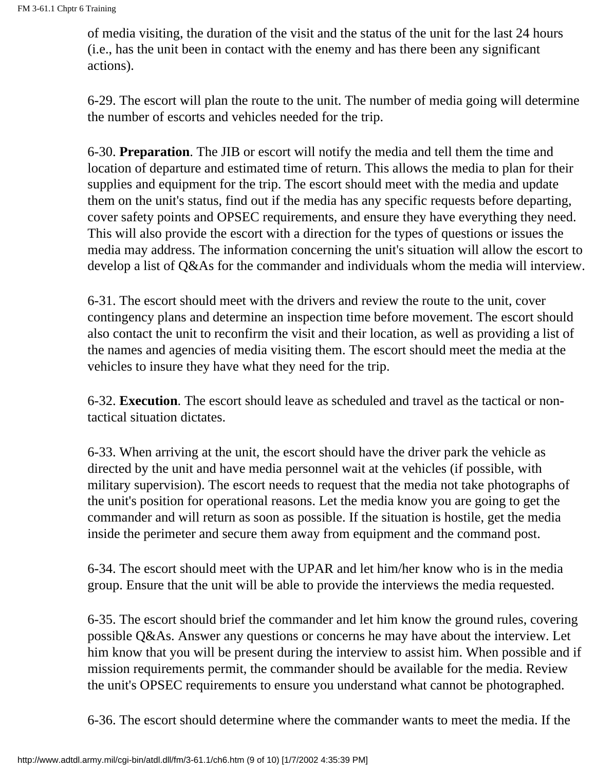of media visiting, the duration of the visit and the status of the unit for the last 24 hours (i.e., has the unit been in contact with the enemy and has there been any significant actions).

6-29. The escort will plan the route to the unit. The number of media going will determine the number of escorts and vehicles needed for the trip.

6-30. **Preparation**. The JIB or escort will notify the media and tell them the time and location of departure and estimated time of return. This allows the media to plan for their supplies and equipment for the trip. The escort should meet with the media and update them on the unit's status, find out if the media has any specific requests before departing, cover safety points and OPSEC requirements, and ensure they have everything they need. This will also provide the escort with a direction for the types of questions or issues the media may address. The information concerning the unit's situation will allow the escort to develop a list of Q&As for the commander and individuals whom the media will interview.

6-31. The escort should meet with the drivers and review the route to the unit, cover contingency plans and determine an inspection time before movement. The escort should also contact the unit to reconfirm the visit and their location, as well as providing a list of the names and agencies of media visiting them. The escort should meet the media at the vehicles to insure they have what they need for the trip.

6-32. **Execution**. The escort should leave as scheduled and travel as the tactical or nontactical situation dictates.

6-33. When arriving at the unit, the escort should have the driver park the vehicle as directed by the unit and have media personnel wait at the vehicles (if possible, with military supervision). The escort needs to request that the media not take photographs of the unit's position for operational reasons. Let the media know you are going to get the commander and will return as soon as possible. If the situation is hostile, get the media inside the perimeter and secure them away from equipment and the command post.

6-34. The escort should meet with the UPAR and let him/her know who is in the media group. Ensure that the unit will be able to provide the interviews the media requested.

6-35. The escort should brief the commander and let him know the ground rules, covering possible Q&As. Answer any questions or concerns he may have about the interview. Let him know that you will be present during the interview to assist him. When possible and if mission requirements permit, the commander should be available for the media. Review the unit's OPSEC requirements to ensure you understand what cannot be photographed.

6-36. The escort should determine where the commander wants to meet the media. If the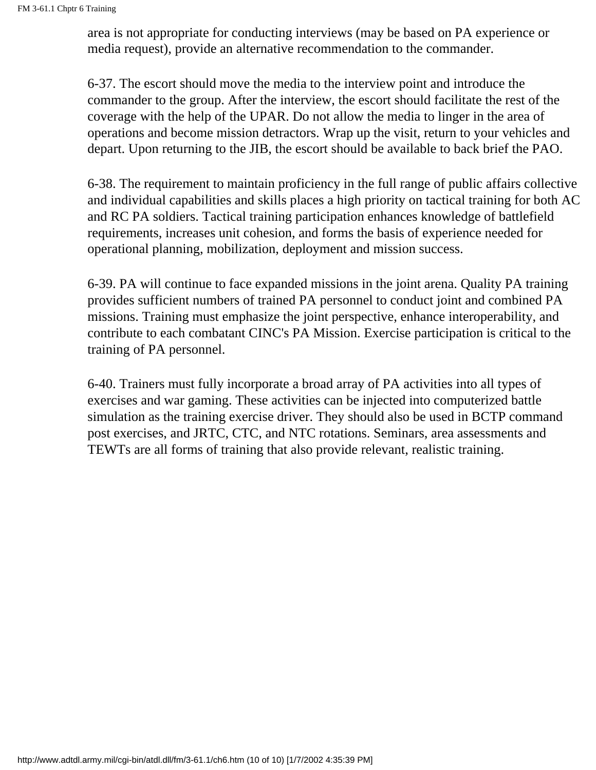area is not appropriate for conducting interviews (may be based on PA experience or media request), provide an alternative recommendation to the commander.

6-37. The escort should move the media to the interview point and introduce the commander to the group. After the interview, the escort should facilitate the rest of the coverage with the help of the UPAR. Do not allow the media to linger in the area of operations and become mission detractors. Wrap up the visit, return to your vehicles and depart. Upon returning to the JIB, the escort should be available to back brief the PAO.

6-38. The requirement to maintain proficiency in the full range of public affairs collective and individual capabilities and skills places a high priority on tactical training for both AC and RC PA soldiers. Tactical training participation enhances knowledge of battlefield requirements, increases unit cohesion, and forms the basis of experience needed for operational planning, mobilization, deployment and mission success.

6-39. PA will continue to face expanded missions in the joint arena. Quality PA training provides sufficient numbers of trained PA personnel to conduct joint and combined PA missions. Training must emphasize the joint perspective, enhance interoperability, and contribute to each combatant CINC's PA Mission. Exercise participation is critical to the training of PA personnel.

6-40. Trainers must fully incorporate a broad array of PA activities into all types of exercises and war gaming. These activities can be injected into computerized battle simulation as the training exercise driver. They should also be used in BCTP command post exercises, and JRTC, CTC, and NTC rotations. Seminars, area assessments and TEWTs are all forms of training that also provide relevant, realistic training.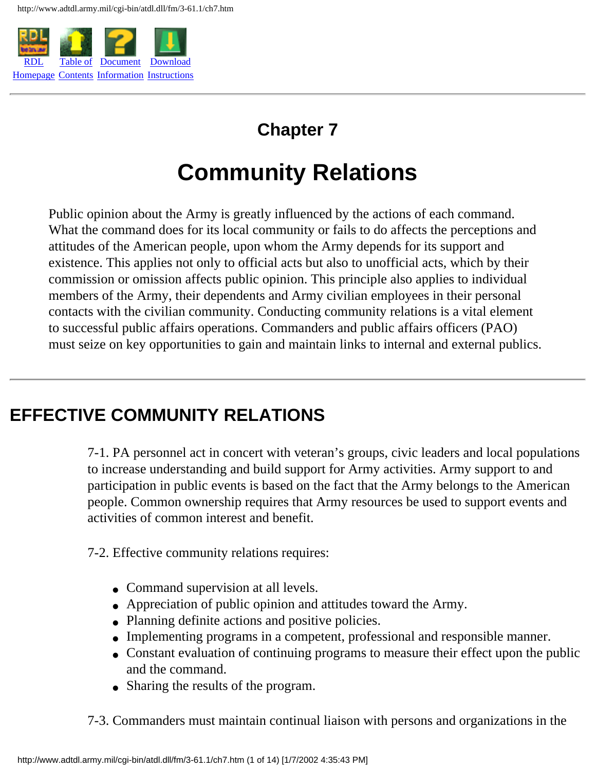

# **Chapter 7**

# **Community Relations**

Public opinion about the Army is greatly influenced by the actions of each command. What the command does for its local community or fails to do affects the perceptions and attitudes of the American people, upon whom the Army depends for its support and existence. This applies not only to official acts but also to unofficial acts, which by their commission or omission affects public opinion. This principle also applies to individual members of the Army, their dependents and Army civilian employees in their personal contacts with the civilian community. Conducting community relations is a vital element to successful public affairs operations. Commanders and public affairs officers (PAO) must seize on key opportunities to gain and maintain links to internal and external publics.

### **EFFECTIVE COMMUNITY RELATIONS**

7-1. PA personnel act in concert with veteran's groups, civic leaders and local populations to increase understanding and build support for Army activities. Army support to and participation in public events is based on the fact that the Army belongs to the American people. Common ownership requires that Army resources be used to support events and activities of common interest and benefit.

7-2. Effective community relations requires:

- Command supervision at all levels.
- Appreciation of public opinion and attitudes toward the Army.
- Planning definite actions and positive policies.
- Implementing programs in a competent, professional and responsible manner.
- Constant evaluation of continuing programs to measure their effect upon the public and the command.
- Sharing the results of the program.

7-3. Commanders must maintain continual liaison with persons and organizations in the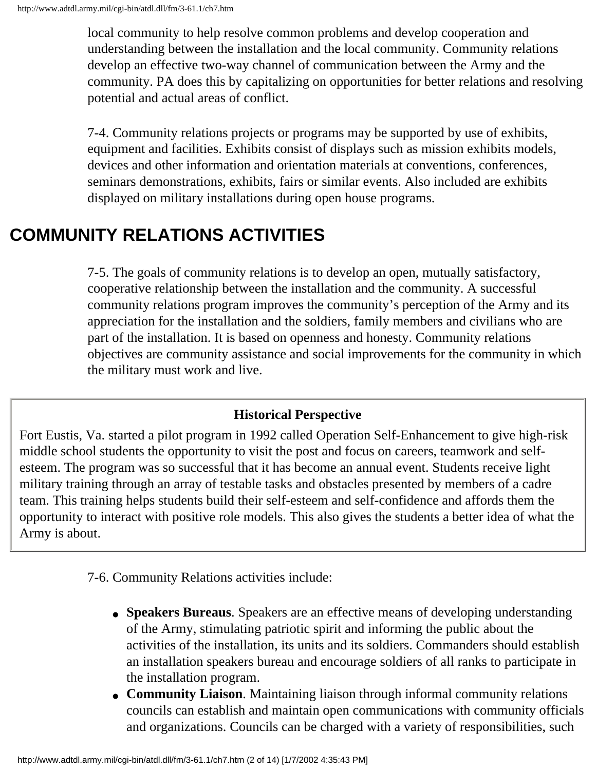local community to help resolve common problems and develop cooperation and understanding between the installation and the local community. Community relations develop an effective two-way channel of communication between the Army and the community. PA does this by capitalizing on opportunities for better relations and resolving potential and actual areas of conflict.

7-4. Community relations projects or programs may be supported by use of exhibits, equipment and facilities. Exhibits consist of displays such as mission exhibits models, devices and other information and orientation materials at conventions, conferences, seminars demonstrations, exhibits, fairs or similar events. Also included are exhibits displayed on military installations during open house programs.

# **COMMUNITY RELATIONS ACTIVITIES**

7-5. The goals of community relations is to develop an open, mutually satisfactory, cooperative relationship between the installation and the community. A successful community relations program improves the community's perception of the Army and its appreciation for the installation and the soldiers, family members and civilians who are part of the installation. It is based on openness and honesty. Community relations objectives are community assistance and social improvements for the community in which the military must work and live.

#### **Historical Perspective**

Fort Eustis, Va. started a pilot program in 1992 called Operation Self-Enhancement to give high-risk middle school students the opportunity to visit the post and focus on careers, teamwork and selfesteem. The program was so successful that it has become an annual event. Students receive light military training through an array of testable tasks and obstacles presented by members of a cadre team. This training helps students build their self-esteem and self-confidence and affords them the opportunity to interact with positive role models. This also gives the students a better idea of what the Army is about.

7-6. Community Relations activities include:

- **Speakers Bureaus**. Speakers are an effective means of developing understanding of the Army, stimulating patriotic spirit and informing the public about the activities of the installation, its units and its soldiers. Commanders should establish an installation speakers bureau and encourage soldiers of all ranks to participate in the installation program.
- **Community Liaison**. Maintaining liaison through informal community relations councils can establish and maintain open communications with community officials and organizations. Councils can be charged with a variety of responsibilities, such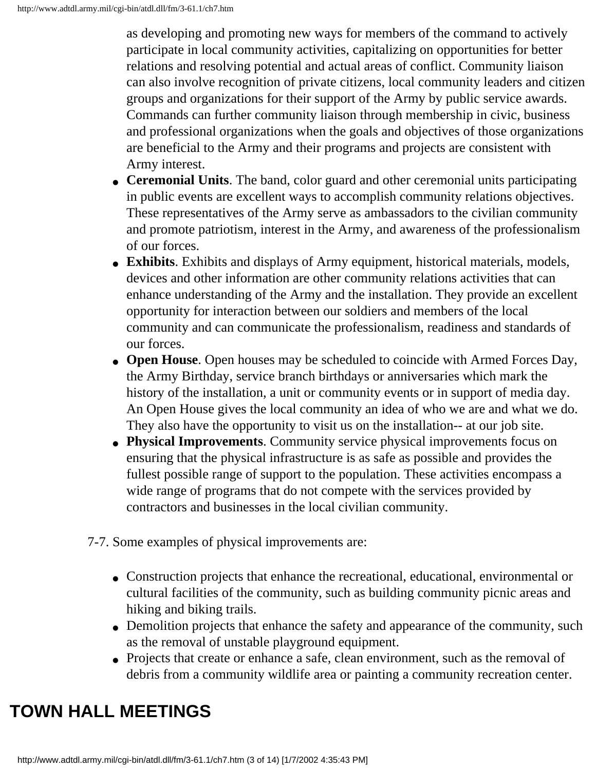as developing and promoting new ways for members of the command to actively participate in local community activities, capitalizing on opportunities for better relations and resolving potential and actual areas of conflict. Community liaison can also involve recognition of private citizens, local community leaders and citizen groups and organizations for their support of the Army by public service awards. Commands can further community liaison through membership in civic, business and professional organizations when the goals and objectives of those organizations are beneficial to the Army and their programs and projects are consistent with Army interest.

- **Ceremonial Units**. The band, color guard and other ceremonial units participating in public events are excellent ways to accomplish community relations objectives. These representatives of the Army serve as ambassadors to the civilian community and promote patriotism, interest in the Army, and awareness of the professionalism of our forces.
- **Exhibits**. Exhibits and displays of Army equipment, historical materials, models, devices and other information are other community relations activities that can enhance understanding of the Army and the installation. They provide an excellent opportunity for interaction between our soldiers and members of the local community and can communicate the professionalism, readiness and standards of our forces.
- **Open House**. Open houses may be scheduled to coincide with Armed Forces Day, the Army Birthday, service branch birthdays or anniversaries which mark the history of the installation, a unit or community events or in support of media day. An Open House gives the local community an idea of who we are and what we do. They also have the opportunity to visit us on the installation-- at our job site.
- **Physical Improvements**. Community service physical improvements focus on ensuring that the physical infrastructure is as safe as possible and provides the fullest possible range of support to the population. These activities encompass a wide range of programs that do not compete with the services provided by contractors and businesses in the local civilian community.
- 7-7. Some examples of physical improvements are:
	- Construction projects that enhance the recreational, educational, environmental or cultural facilities of the community, such as building community picnic areas and hiking and biking trails.
	- Demolition projects that enhance the safety and appearance of the community, such as the removal of unstable playground equipment.
	- Projects that create or enhance a safe, clean environment, such as the removal of debris from a community wildlife area or painting a community recreation center.

# **TOWN HALL MEETINGS**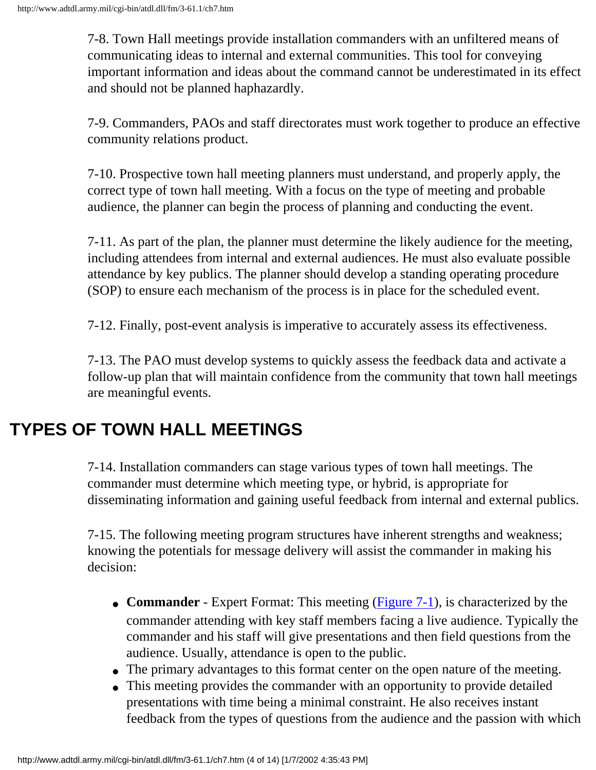7-8. Town Hall meetings provide installation commanders with an unfiltered means of communicating ideas to internal and external communities. This tool for conveying important information and ideas about the command cannot be underestimated in its effect and should not be planned haphazardly.

7-9. Commanders, PAOs and staff directorates must work together to produce an effective community relations product.

7-10. Prospective town hall meeting planners must understand, and properly apply, the correct type of town hall meeting. With a focus on the type of meeting and probable audience, the planner can begin the process of planning and conducting the event.

7-11. As part of the plan, the planner must determine the likely audience for the meeting, including attendees from internal and external audiences. He must also evaluate possible attendance by key publics. The planner should develop a standing operating procedure (SOP) to ensure each mechanism of the process is in place for the scheduled event.

7-12. Finally, post-event analysis is imperative to accurately assess its effectiveness.

7-13. The PAO must develop systems to quickly assess the feedback data and activate a follow-up plan that will maintain confidence from the community that town hall meetings are meaningful events.

# **TYPES OF TOWN HALL MEETINGS**

7-14. Installation commanders can stage various types of town hall meetings. The commander must determine which meeting type, or hybrid, is appropriate for disseminating information and gaining useful feedback from internal and external publics.

7-15. The following meeting program structures have inherent strengths and weakness; knowing the potentials for message delivery will assist the commander in making his decision:

- **Commander** Expert Format: This meeting [\(Figure 7-1](#page-83-0)), is characterized by the commander attending with key staff members facing a live audience. Typically the commander and his staff will give presentations and then field questions from the audience. Usually, attendance is open to the public.
- The primary advantages to this format center on the open nature of the meeting.
- This meeting provides the commander with an opportunity to provide detailed presentations with time being a minimal constraint. He also receives instant feedback from the types of questions from the audience and the passion with which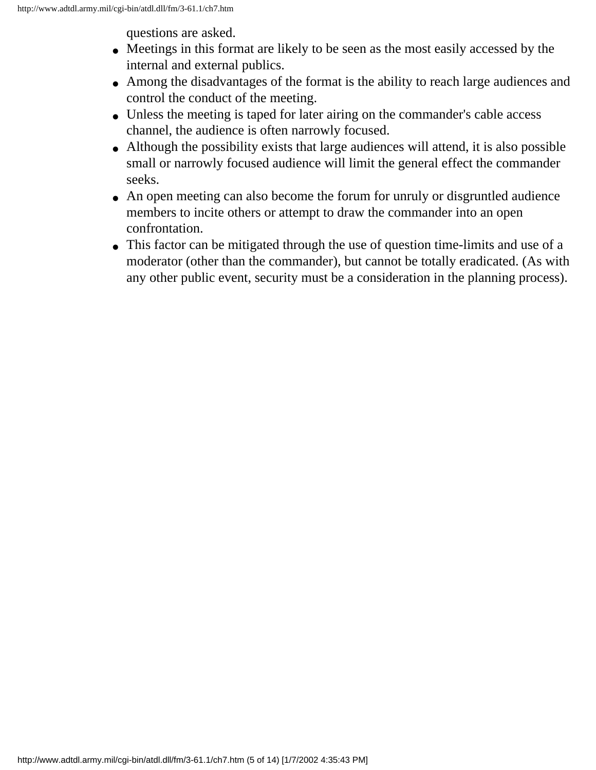questions are asked.

- Meetings in this format are likely to be seen as the most easily accessed by the internal and external publics.
- Among the disadvantages of the format is the ability to reach large audiences and control the conduct of the meeting.
- Unless the meeting is taped for later airing on the commander's cable access channel, the audience is often narrowly focused.
- Although the possibility exists that large audiences will attend, it is also possible small or narrowly focused audience will limit the general effect the commander seeks.
- An open meeting can also become the forum for unruly or disgruntled audience members to incite others or attempt to draw the commander into an open confrontation.
- <span id="page-83-0"></span>• This factor can be mitigated through the use of question time-limits and use of a moderator (other than the commander), but cannot be totally eradicated. (As with any other public event, security must be a consideration in the planning process).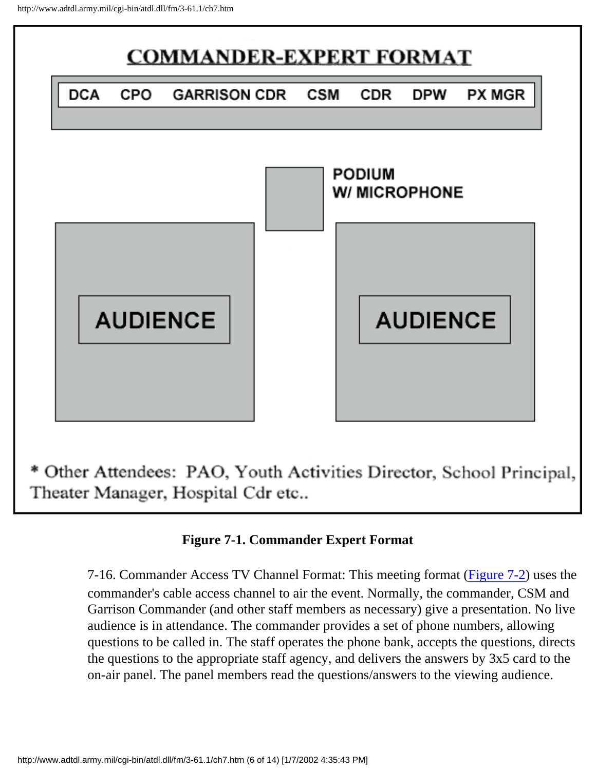

\* Other Attendees: PAO, Youth Activities Director, School Principal, Theater Manager, Hospital Cdr etc..

#### **Figure 7-1. Commander Expert Format**

<span id="page-84-0"></span>7-16. Commander Access TV Channel Format: This meeting format [\(Figure 7-2\)](#page-84-0) uses the commander's cable access channel to air the event. Normally, the commander, CSM and Garrison Commander (and other staff members as necessary) give a presentation. No live audience is in attendance. The commander provides a set of phone numbers, allowing questions to be called in. The staff operates the phone bank, accepts the questions, directs the questions to the appropriate staff agency, and delivers the answers by 3x5 card to the on-air panel. The panel members read the questions/answers to the viewing audience.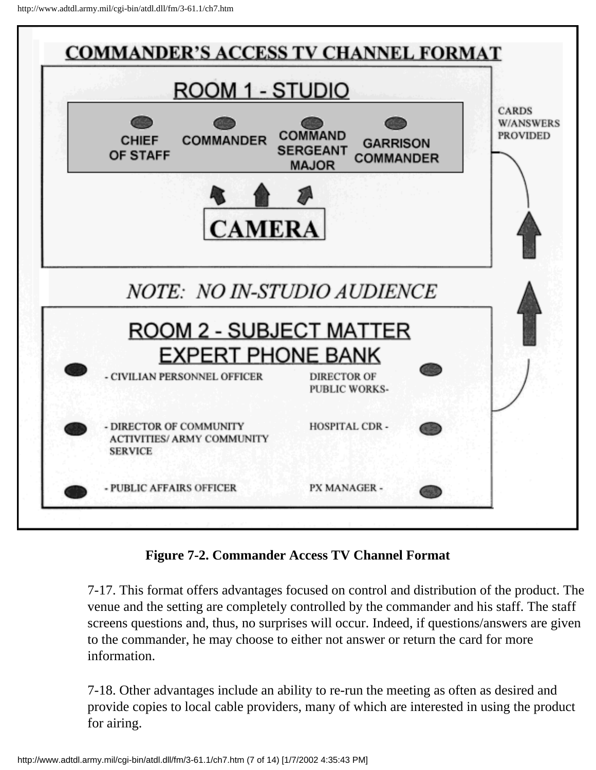

**Figure 7-2. Commander Access TV Channel Format**

7-17. This format offers advantages focused on control and distribution of the product. The venue and the setting are completely controlled by the commander and his staff. The staff screens questions and, thus, no surprises will occur. Indeed, if questions/answers are given to the commander, he may choose to either not answer or return the card for more information.

7-18. Other advantages include an ability to re-run the meeting as often as desired and provide copies to local cable providers, many of which are interested in using the product for airing.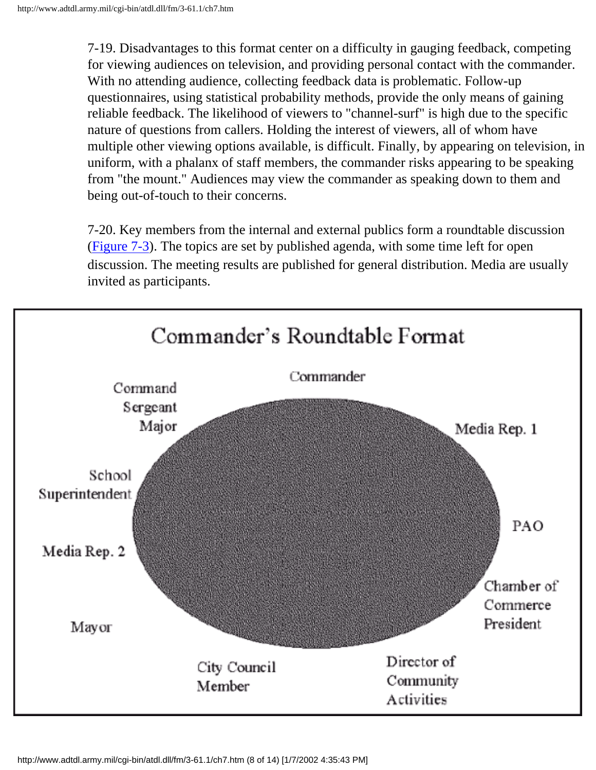7-19. Disadvantages to this format center on a difficulty in gauging feedback, competing for viewing audiences on television, and providing personal contact with the commander. With no attending audience, collecting feedback data is problematic. Follow-up questionnaires, using statistical probability methods, provide the only means of gaining reliable feedback. The likelihood of viewers to "channel-surf" is high due to the specific nature of questions from callers. Holding the interest of viewers, all of whom have multiple other viewing options available, is difficult. Finally, by appearing on television, in uniform, with a phalanx of staff members, the commander risks appearing to be speaking from "the mount." Audiences may view the commander as speaking down to them and being out-of-touch to their concerns.

7-20. Key members from the internal and external publics form a roundtable discussion ([Figure 7-3](#page-86-0)). The topics are set by published agenda, with some time left for open discussion. The meeting results are published for general distribution. Media are usually invited as participants.

<span id="page-86-0"></span>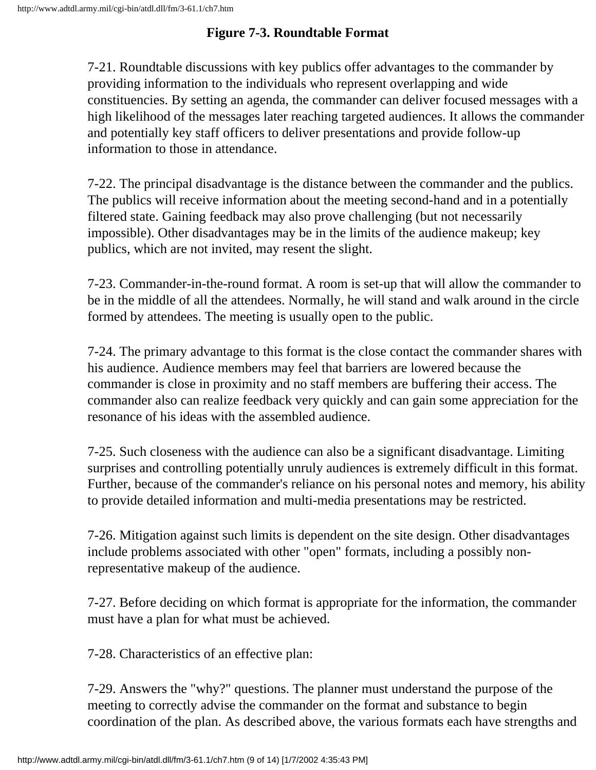#### **Figure 7-3. Roundtable Format**

7-21. Roundtable discussions with key publics offer advantages to the commander by providing information to the individuals who represent overlapping and wide constituencies. By setting an agenda, the commander can deliver focused messages with a high likelihood of the messages later reaching targeted audiences. It allows the commander and potentially key staff officers to deliver presentations and provide follow-up information to those in attendance.

7-22. The principal disadvantage is the distance between the commander and the publics. The publics will receive information about the meeting second-hand and in a potentially filtered state. Gaining feedback may also prove challenging (but not necessarily impossible). Other disadvantages may be in the limits of the audience makeup; key publics, which are not invited, may resent the slight.

7-23. Commander-in-the-round format. A room is set-up that will allow the commander to be in the middle of all the attendees. Normally, he will stand and walk around in the circle formed by attendees. The meeting is usually open to the public.

7-24. The primary advantage to this format is the close contact the commander shares with his audience. Audience members may feel that barriers are lowered because the commander is close in proximity and no staff members are buffering their access. The commander also can realize feedback very quickly and can gain some appreciation for the resonance of his ideas with the assembled audience.

7-25. Such closeness with the audience can also be a significant disadvantage. Limiting surprises and controlling potentially unruly audiences is extremely difficult in this format. Further, because of the commander's reliance on his personal notes and memory, his ability to provide detailed information and multi-media presentations may be restricted.

7-26. Mitigation against such limits is dependent on the site design. Other disadvantages include problems associated with other "open" formats, including a possibly nonrepresentative makeup of the audience.

7-27. Before deciding on which format is appropriate for the information, the commander must have a plan for what must be achieved.

7-28. Characteristics of an effective plan:

7-29. Answers the "why?" questions. The planner must understand the purpose of the meeting to correctly advise the commander on the format and substance to begin coordination of the plan. As described above, the various formats each have strengths and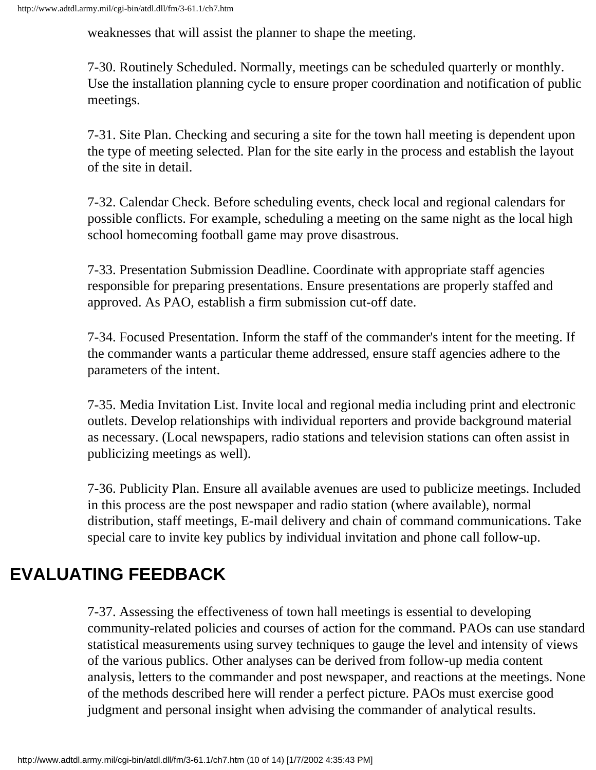weaknesses that will assist the planner to shape the meeting.

7-30. Routinely Scheduled. Normally, meetings can be scheduled quarterly or monthly. Use the installation planning cycle to ensure proper coordination and notification of public meetings.

7-31. Site Plan. Checking and securing a site for the town hall meeting is dependent upon the type of meeting selected. Plan for the site early in the process and establish the layout of the site in detail.

7-32. Calendar Check. Before scheduling events, check local and regional calendars for possible conflicts. For example, scheduling a meeting on the same night as the local high school homecoming football game may prove disastrous.

7-33. Presentation Submission Deadline. Coordinate with appropriate staff agencies responsible for preparing presentations. Ensure presentations are properly staffed and approved. As PAO, establish a firm submission cut-off date.

7-34. Focused Presentation. Inform the staff of the commander's intent for the meeting. If the commander wants a particular theme addressed, ensure staff agencies adhere to the parameters of the intent.

7-35. Media Invitation List. Invite local and regional media including print and electronic outlets. Develop relationships with individual reporters and provide background material as necessary. (Local newspapers, radio stations and television stations can often assist in publicizing meetings as well).

7-36. Publicity Plan. Ensure all available avenues are used to publicize meetings. Included in this process are the post newspaper and radio station (where available), normal distribution, staff meetings, E-mail delivery and chain of command communications. Take special care to invite key publics by individual invitation and phone call follow-up.

# **EVALUATING FEEDBACK**

7-37. Assessing the effectiveness of town hall meetings is essential to developing community-related policies and courses of action for the command. PAOs can use standard statistical measurements using survey techniques to gauge the level and intensity of views of the various publics. Other analyses can be derived from follow-up media content analysis, letters to the commander and post newspaper, and reactions at the meetings. None of the methods described here will render a perfect picture. PAOs must exercise good judgment and personal insight when advising the commander of analytical results.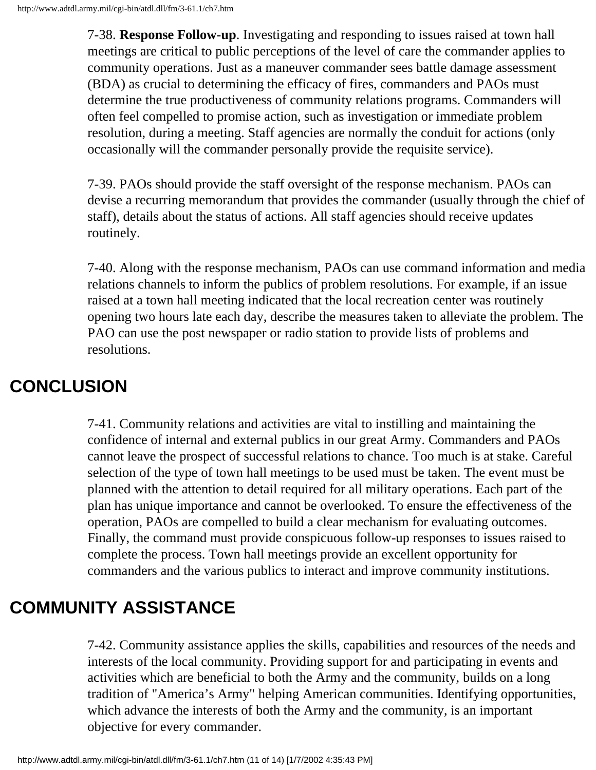7-38. **Response Follow-up**. Investigating and responding to issues raised at town hall meetings are critical to public perceptions of the level of care the commander applies to community operations. Just as a maneuver commander sees battle damage assessment (BDA) as crucial to determining the efficacy of fires, commanders and PAOs must determine the true productiveness of community relations programs. Commanders will often feel compelled to promise action, such as investigation or immediate problem resolution, during a meeting. Staff agencies are normally the conduit for actions (only occasionally will the commander personally provide the requisite service).

7-39. PAOs should provide the staff oversight of the response mechanism. PAOs can devise a recurring memorandum that provides the commander (usually through the chief of staff), details about the status of actions. All staff agencies should receive updates routinely.

7-40. Along with the response mechanism, PAOs can use command information and media relations channels to inform the publics of problem resolutions. For example, if an issue raised at a town hall meeting indicated that the local recreation center was routinely opening two hours late each day, describe the measures taken to alleviate the problem. The PAO can use the post newspaper or radio station to provide lists of problems and resolutions.

# **CONCLUSION**

7-41. Community relations and activities are vital to instilling and maintaining the confidence of internal and external publics in our great Army. Commanders and PAOs cannot leave the prospect of successful relations to chance. Too much is at stake. Careful selection of the type of town hall meetings to be used must be taken. The event must be planned with the attention to detail required for all military operations. Each part of the plan has unique importance and cannot be overlooked. To ensure the effectiveness of the operation, PAOs are compelled to build a clear mechanism for evaluating outcomes. Finally, the command must provide conspicuous follow-up responses to issues raised to complete the process. Town hall meetings provide an excellent opportunity for commanders and the various publics to interact and improve community institutions.

# **COMMUNITY ASSISTANCE**

7-42. Community assistance applies the skills, capabilities and resources of the needs and interests of the local community. Providing support for and participating in events and activities which are beneficial to both the Army and the community, builds on a long tradition of "America's Army" helping American communities. Identifying opportunities, which advance the interests of both the Army and the community, is an important objective for every commander.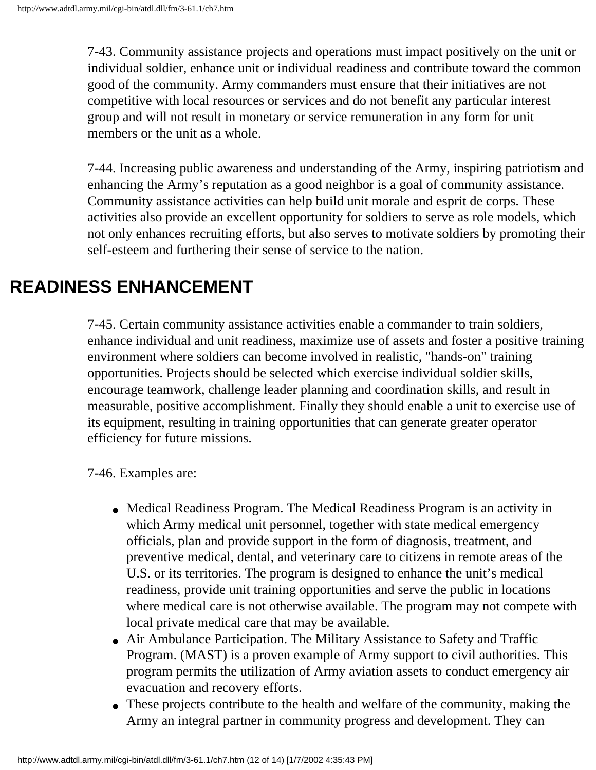7-43. Community assistance projects and operations must impact positively on the unit or individual soldier, enhance unit or individual readiness and contribute toward the common good of the community. Army commanders must ensure that their initiatives are not competitive with local resources or services and do not benefit any particular interest group and will not result in monetary or service remuneration in any form for unit members or the unit as a whole.

7-44. Increasing public awareness and understanding of the Army, inspiring patriotism and enhancing the Army's reputation as a good neighbor is a goal of community assistance. Community assistance activities can help build unit morale and esprit de corps. These activities also provide an excellent opportunity for soldiers to serve as role models, which not only enhances recruiting efforts, but also serves to motivate soldiers by promoting their self-esteem and furthering their sense of service to the nation.

### **READINESS ENHANCEMENT**

7-45. Certain community assistance activities enable a commander to train soldiers, enhance individual and unit readiness, maximize use of assets and foster a positive training environment where soldiers can become involved in realistic, "hands-on" training opportunities. Projects should be selected which exercise individual soldier skills, encourage teamwork, challenge leader planning and coordination skills, and result in measurable, positive accomplishment. Finally they should enable a unit to exercise use of its equipment, resulting in training opportunities that can generate greater operator efficiency for future missions.

7-46. Examples are:

- Medical Readiness Program. The Medical Readiness Program is an activity in which Army medical unit personnel, together with state medical emergency officials, plan and provide support in the form of diagnosis, treatment, and preventive medical, dental, and veterinary care to citizens in remote areas of the U.S. or its territories. The program is designed to enhance the unit's medical readiness, provide unit training opportunities and serve the public in locations where medical care is not otherwise available. The program may not compete with local private medical care that may be available.
- Air Ambulance Participation. The Military Assistance to Safety and Traffic Program. (MAST) is a proven example of Army support to civil authorities. This program permits the utilization of Army aviation assets to conduct emergency air evacuation and recovery efforts.
- These projects contribute to the health and welfare of the community, making the Army an integral partner in community progress and development. They can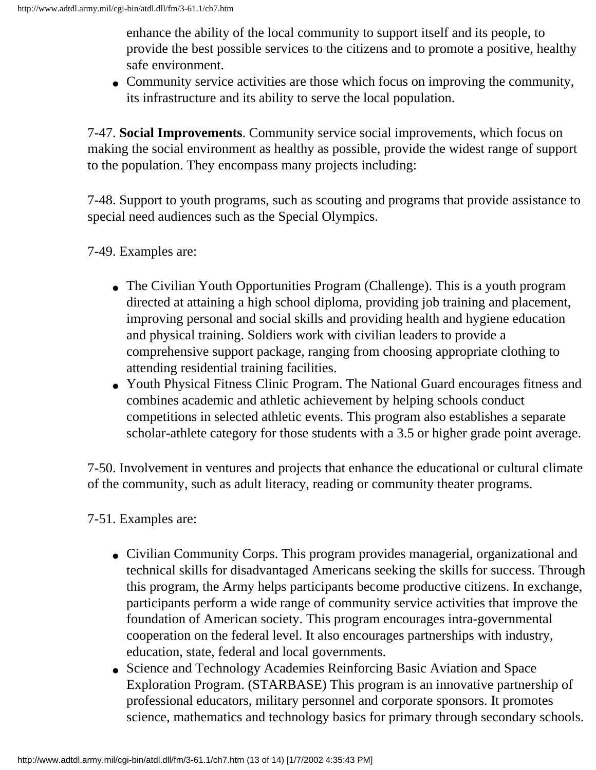enhance the ability of the local community to support itself and its people, to provide the best possible services to the citizens and to promote a positive, healthy safe environment.

• Community service activities are those which focus on improving the community, its infrastructure and its ability to serve the local population.

7-47. **Social Improvements**. Community service social improvements, which focus on making the social environment as healthy as possible, provide the widest range of support to the population. They encompass many projects including:

7-48. Support to youth programs, such as scouting and programs that provide assistance to special need audiences such as the Special Olympics.

7-49. Examples are:

- The Civilian Youth Opportunities Program (Challenge). This is a youth program directed at attaining a high school diploma, providing job training and placement, improving personal and social skills and providing health and hygiene education and physical training. Soldiers work with civilian leaders to provide a comprehensive support package, ranging from choosing appropriate clothing to attending residential training facilities.
- Youth Physical Fitness Clinic Program. The National Guard encourages fitness and combines academic and athletic achievement by helping schools conduct competitions in selected athletic events. This program also establishes a separate scholar-athlete category for those students with a 3.5 or higher grade point average.

7-50. Involvement in ventures and projects that enhance the educational or cultural climate of the community, such as adult literacy, reading or community theater programs.

7-51. Examples are:

- Civilian Community Corps. This program provides managerial, organizational and technical skills for disadvantaged Americans seeking the skills for success. Through this program, the Army helps participants become productive citizens. In exchange, participants perform a wide range of community service activities that improve the foundation of American society. This program encourages intra-governmental cooperation on the federal level. It also encourages partnerships with industry, education, state, federal and local governments.
- Science and Technology Academies Reinforcing Basic Aviation and Space Exploration Program. (STARBASE) This program is an innovative partnership of professional educators, military personnel and corporate sponsors. It promotes science, mathematics and technology basics for primary through secondary schools.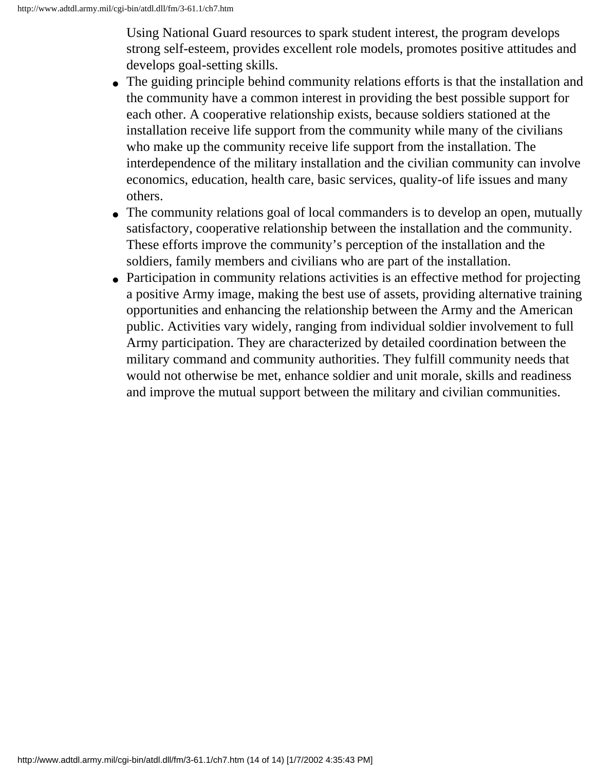Using National Guard resources to spark student interest, the program develops strong self-esteem, provides excellent role models, promotes positive attitudes and develops goal-setting skills.

- The guiding principle behind community relations efforts is that the installation and the community have a common interest in providing the best possible support for each other. A cooperative relationship exists, because soldiers stationed at the installation receive life support from the community while many of the civilians who make up the community receive life support from the installation. The interdependence of the military installation and the civilian community can involve economics, education, health care, basic services, quality-of life issues and many others.
- The community relations goal of local commanders is to develop an open, mutually satisfactory, cooperative relationship between the installation and the community. These efforts improve the community's perception of the installation and the soldiers, family members and civilians who are part of the installation.
- Participation in community relations activities is an effective method for projecting a positive Army image, making the best use of assets, providing alternative training opportunities and enhancing the relationship between the Army and the American public. Activities vary widely, ranging from individual soldier involvement to full Army participation. They are characterized by detailed coordination between the military command and community authorities. They fulfill community needs that would not otherwise be met, enhance soldier and unit morale, skills and readiness and improve the mutual support between the military and civilian communities.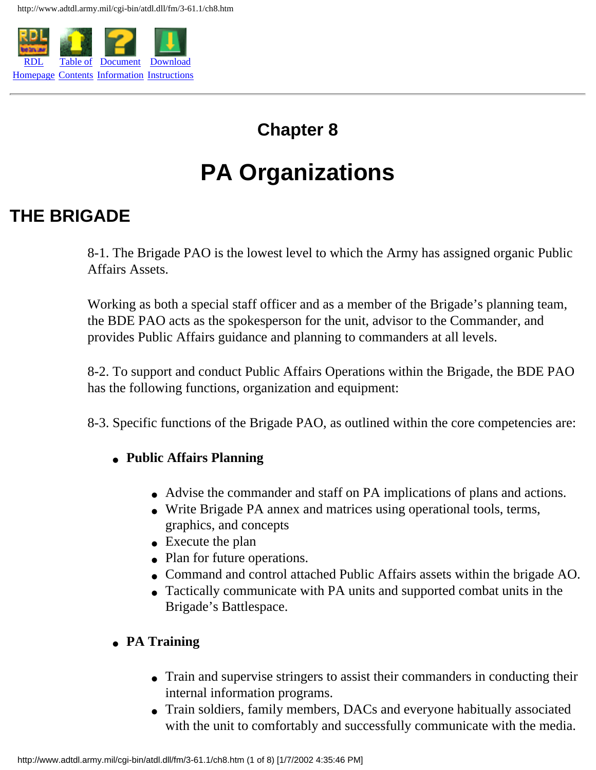

# **Chapter 8**

# **PA Organizations**

# **THE BRIGADE**

8-1. The Brigade PAO is the lowest level to which the Army has assigned organic Public Affairs Assets.

Working as both a special staff officer and as a member of the Brigade's planning team, the BDE PAO acts as the spokesperson for the unit, advisor to the Commander, and provides Public Affairs guidance and planning to commanders at all levels.

8-2. To support and conduct Public Affairs Operations within the Brigade, the BDE PAO has the following functions, organization and equipment:

8-3. Specific functions of the Brigade PAO, as outlined within the core competencies are:

#### ● **Public Affairs Planning**

- Advise the commander and staff on PA implications of plans and actions.
- Write Brigade PA annex and matrices using operational tools, terms, graphics, and concepts
- Execute the plan
- Plan for future operations.
- Command and control attached Public Affairs assets within the brigade AO.
- Tactically communicate with PA units and supported combat units in the Brigade's Battlespace.

#### ● **PA Training**

- Train and supervise stringers to assist their commanders in conducting their internal information programs.
- Train soldiers, family members, DACs and everyone habitually associated with the unit to comfortably and successfully communicate with the media.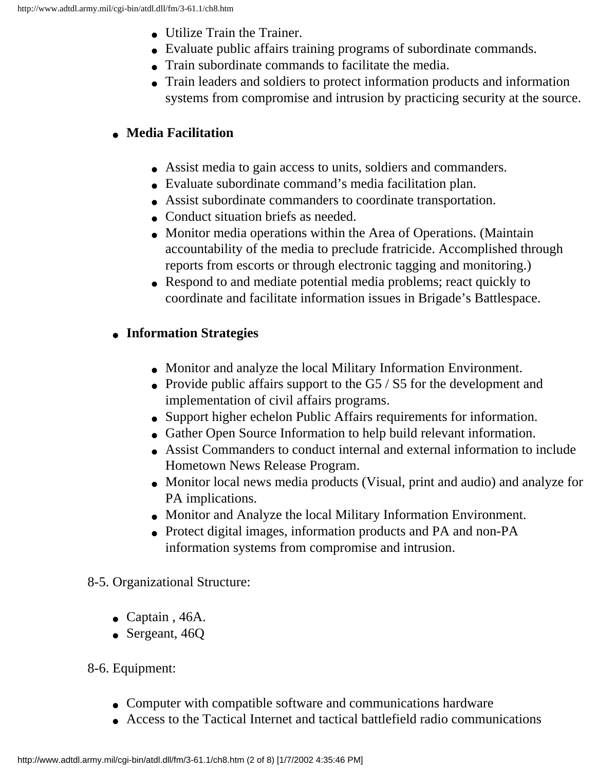- Utilize Train the Trainer.
- Evaluate public affairs training programs of subordinate commands.
- Train subordinate commands to facilitate the media.
- Train leaders and soldiers to protect information products and information systems from compromise and intrusion by practicing security at the source.

#### ● **Media Facilitation**

- Assist media to gain access to units, soldiers and commanders.
- Evaluate subordinate command's media facilitation plan.
- Assist subordinate commanders to coordinate transportation.
- Conduct situation briefs as needed.
- Monitor media operations within the Area of Operations. (Maintain accountability of the media to preclude fratricide. Accomplished through reports from escorts or through electronic tagging and monitoring.)
- Respond to and mediate potential media problems; react quickly to coordinate and facilitate information issues in Brigade's Battlespace.

#### ● **Information Strategies**

- Monitor and analyze the local Military Information Environment.
- Provide public affairs support to the  $G_5 / S_5$  for the development and implementation of civil affairs programs.
- Support higher echelon Public Affairs requirements for information.
- Gather Open Source Information to help build relevant information.
- Assist Commanders to conduct internal and external information to include Hometown News Release Program.
- Monitor local news media products (Visual, print and audio) and analyze for PA implications.
- Monitor and Analyze the local Military Information Environment.
- Protect digital images, information products and PA and non-PA information systems from compromise and intrusion.

8-5. Organizational Structure:

- Captain, 46A.
- Sergeant, 46Q

#### 8-6. Equipment:

- Computer with compatible software and communications hardware
- Access to the Tactical Internet and tactical battlefield radio communications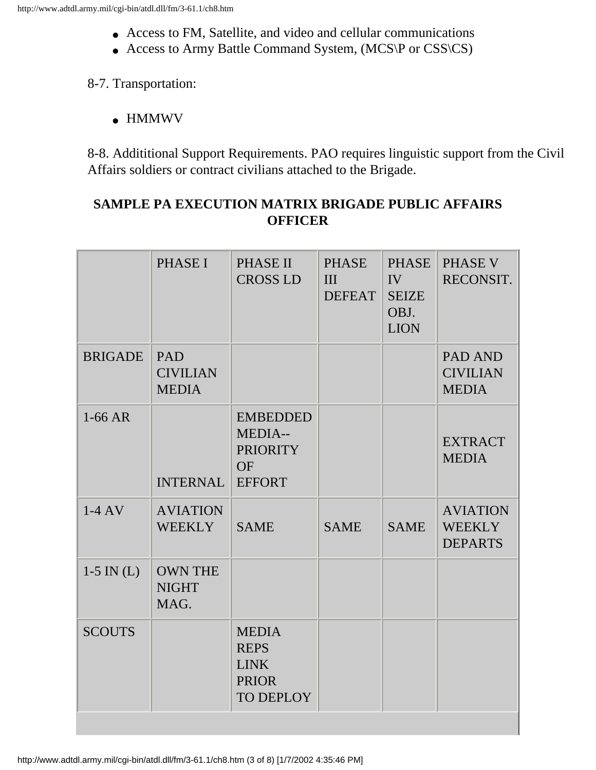- Access to FM, Satellite, and video and cellular communications
- Access to Army Battle Command System, (MCS\P or CSS\CS)

8-7. Transportation:

• HMMWV

8-8. Addititional Support Requirements. PAO requires linguistic support from the Civil Affairs soldiers or contract civilians attached to the Brigade.

#### **SAMPLE PA EXECUTION MATRIX BRIGADE PUBLIC AFFAIRS OFFICER**

|                | <b>PHASE I</b>                                | <b>PHASE II</b><br><b>CROSS LD</b>                                             | <b>PHASE</b><br>III<br><b>DEFEAT</b> | <b>PHASE</b><br>IV<br><b>SEIZE</b><br>OBJ.<br><b>LION</b> | PHASE V<br>RECONSIT.                               |
|----------------|-----------------------------------------------|--------------------------------------------------------------------------------|--------------------------------------|-----------------------------------------------------------|----------------------------------------------------|
| <b>BRIGADE</b> | <b>PAD</b><br><b>CIVILIAN</b><br><b>MEDIA</b> |                                                                                |                                      |                                                           | PAD AND<br><b>CIVILIAN</b><br><b>MEDIA</b>         |
| $1-66 AR$      | <b>INTERNAL</b>                               | <b>EMBEDDED</b><br>MEDIA--<br><b>PRIORITY</b><br><b>OF</b><br><b>EFFORT</b>    |                                      |                                                           | <b>EXTRACT</b><br><b>MEDIA</b>                     |
| $1-4$ AV       | <b>AVIATION</b><br><b>WEEKLY</b>              | <b>SAME</b>                                                                    | <b>SAME</b>                          | <b>SAME</b>                                               | <b>AVIATION</b><br><b>WEEKLY</b><br><b>DEPARTS</b> |
| $1-5$ IN (L)   | <b>OWN THE</b><br><b>NIGHT</b><br>MAG.        |                                                                                |                                      |                                                           |                                                    |
| <b>SCOUTS</b>  |                                               | <b>MEDIA</b><br><b>REPS</b><br><b>LINK</b><br><b>PRIOR</b><br><b>TO DEPLOY</b> |                                      |                                                           |                                                    |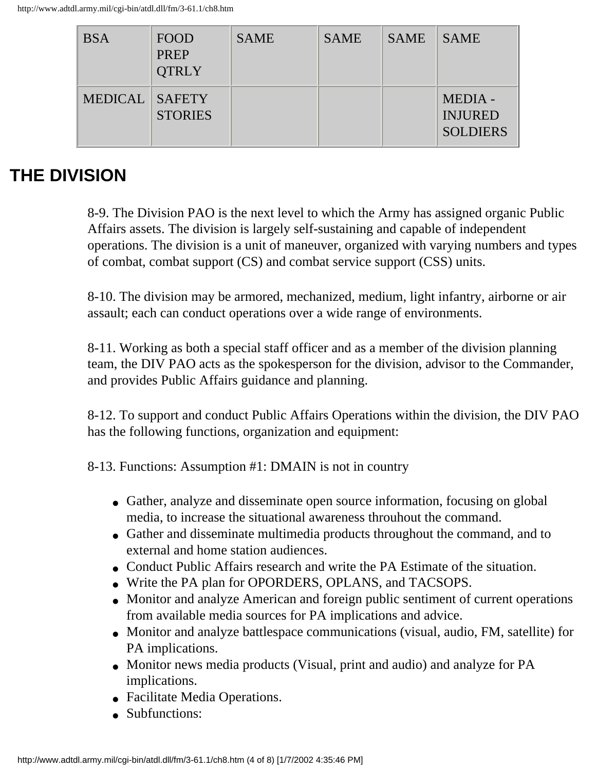| <b>BSA</b>              | <b>FOOD</b><br><b>PREP</b><br><b>QTRLY</b> | <b>SAME</b> | <b>SAME</b> | <b>SAME</b> | <b>SAME</b>                                         |
|-------------------------|--------------------------------------------|-------------|-------------|-------------|-----------------------------------------------------|
| <b>MEDICAL   SAFETY</b> | <b>STORIES</b>                             |             |             |             | <b>MEDIA -</b><br><b>INJURED</b><br><b>SOLDIERS</b> |

### **THE DIVISION**

8-9. The Division PAO is the next level to which the Army has assigned organic Public Affairs assets. The division is largely self-sustaining and capable of independent operations. The division is a unit of maneuver, organized with varying numbers and types of combat, combat support (CS) and combat service support (CSS) units.

8-10. The division may be armored, mechanized, medium, light infantry, airborne or air assault; each can conduct operations over a wide range of environments.

8-11. Working as both a special staff officer and as a member of the division planning team, the DIV PAO acts as the spokesperson for the division, advisor to the Commander, and provides Public Affairs guidance and planning.

8-12. To support and conduct Public Affairs Operations within the division, the DIV PAO has the following functions, organization and equipment:

8-13. Functions: Assumption #1: DMAIN is not in country

- Gather, analyze and disseminate open source information, focusing on global media, to increase the situational awareness throuhout the command.
- Gather and disseminate multimedia products throughout the command, and to external and home station audiences.
- Conduct Public Affairs research and write the PA Estimate of the situation.
- Write the PA plan for OPORDERS, OPLANS, and TACSOPS.
- Monitor and analyze American and foreign public sentiment of current operations from available media sources for PA implications and advice.
- Monitor and analyze battlespace communications (visual, audio, FM, satellite) for PA implications.
- Monitor news media products (Visual, print and audio) and analyze for PA implications.
- Facilitate Media Operations.
- Subfunctions: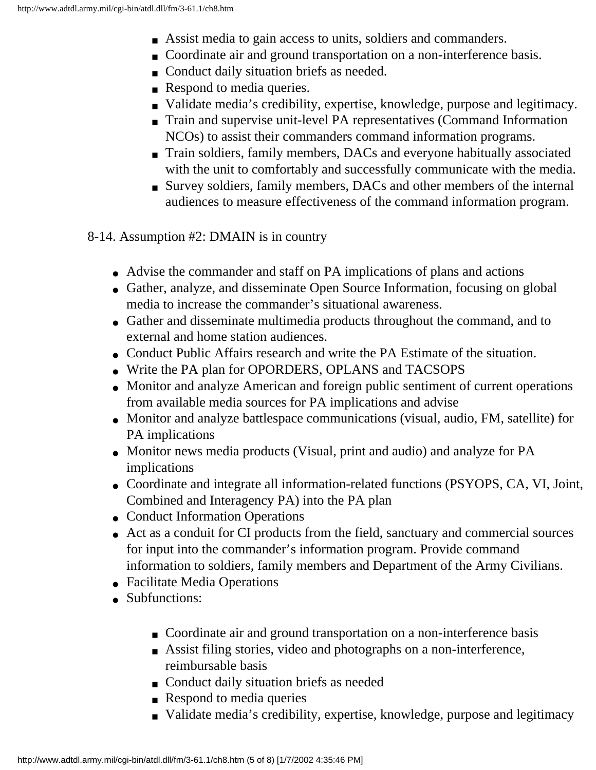- Assist media to gain access to units, soldiers and commanders.
- Coordinate air and ground transportation on a non-interference basis.
- Conduct daily situation briefs as needed.
- Respond to media queries.
- Validate media's credibility, expertise, knowledge, purpose and legitimacy.
- Train and supervise unit-level PA representatives (Command Information NCOs) to assist their commanders command information programs.
- Train soldiers, family members, DACs and everyone habitually associated with the unit to comfortably and successfully communicate with the media.
- Survey soldiers, family members, DACs and other members of the internal audiences to measure effectiveness of the command information program.
- 8-14. Assumption #2: DMAIN is in country
	- Advise the commander and staff on PA implications of plans and actions
	- Gather, analyze, and disseminate Open Source Information, focusing on global media to increase the commander's situational awareness.
	- Gather and disseminate multimedia products throughout the command, and to external and home station audiences.
	- Conduct Public Affairs research and write the PA Estimate of the situation.
	- Write the PA plan for OPORDERS, OPLANS and TACSOPS
	- Monitor and analyze American and foreign public sentiment of current operations from available media sources for PA implications and advise
	- Monitor and analyze battlespace communications (visual, audio, FM, satellite) for PA implications
	- Monitor news media products (Visual, print and audio) and analyze for PA implications
	- Coordinate and integrate all information-related functions (PSYOPS, CA, VI, Joint, Combined and Interagency PA) into the PA plan
	- Conduct Information Operations
	- Act as a conduit for CI products from the field, sanctuary and commercial sources for input into the commander's information program. Provide command information to soldiers, family members and Department of the Army Civilians.
	- Facilitate Media Operations
	- Subfunctions:
		- Coordinate air and ground transportation on a non-interference basis
		- Assist filing stories, video and photographs on a non-interference, reimbursable basis
		- Conduct daily situation briefs as needed
		- Respond to media queries
		- Validate media's credibility, expertise, knowledge, purpose and legitimacy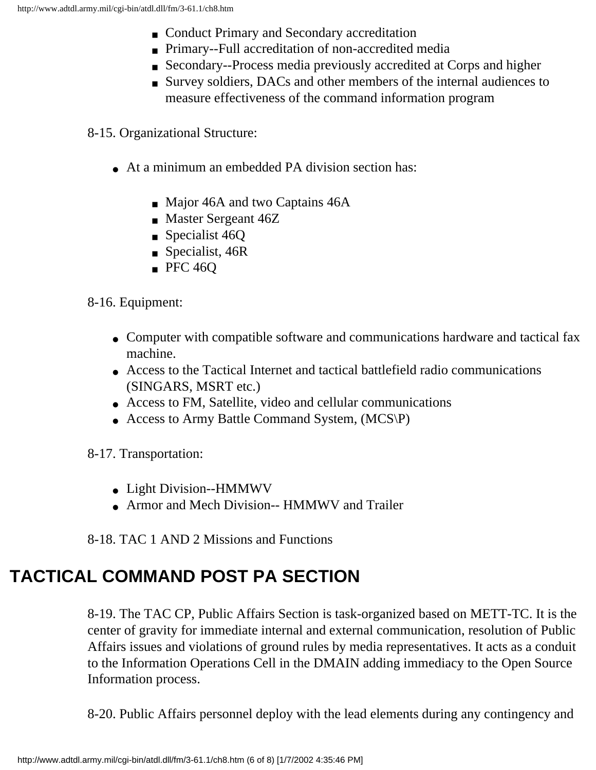- Conduct Primary and Secondary accreditation
- Primary--Full accreditation of non-accredited media
- Secondary--Process media previously accredited at Corps and higher
- Survey soldiers, DACs and other members of the internal audiences to measure effectiveness of the command information program

8-15. Organizational Structure:

- At a minimum an embedded PA division section has:
	- Major 46A and two Captains 46A
	- Master Sergeant 46Z
	- Specialist 46Q
	- Specialist, 46R
	- PFC 460

8-16. Equipment:

- Computer with compatible software and communications hardware and tactical fax machine.
- Access to the Tactical Internet and tactical battlefield radio communications (SINGARS, MSRT etc.)
- Access to FM, Satellite, video and cellular communications
- Access to Army Battle Command System, (MCS\P)

8-17. Transportation:

- Light Division--HMMWV
- Armor and Mech Division-- HMMWV and Trailer

8-18. TAC 1 AND 2 Missions and Functions

# **TACTICAL COMMAND POST PA SECTION**

8-19. The TAC CP, Public Affairs Section is task-organized based on METT-TC. It is the center of gravity for immediate internal and external communication, resolution of Public Affairs issues and violations of ground rules by media representatives. It acts as a conduit to the Information Operations Cell in the DMAIN adding immediacy to the Open Source Information process.

8-20. Public Affairs personnel deploy with the lead elements during any contingency and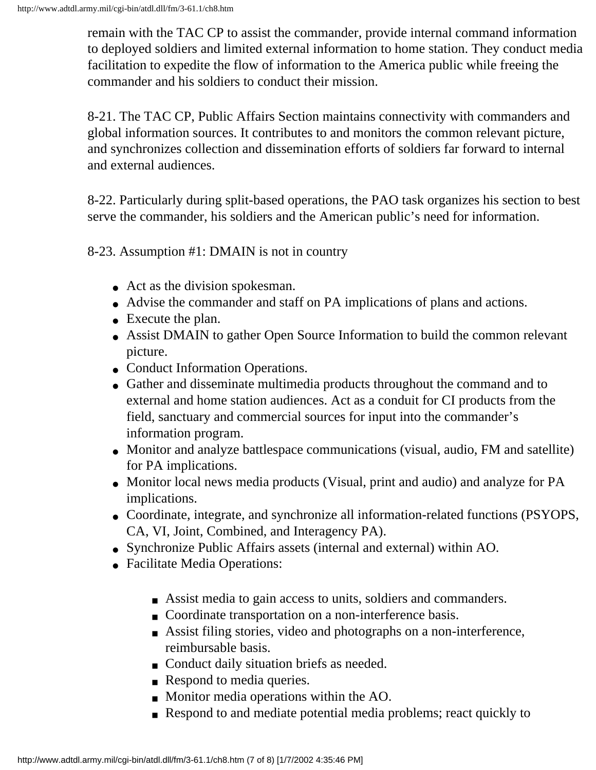remain with the TAC CP to assist the commander, provide internal command information to deployed soldiers and limited external information to home station. They conduct media facilitation to expedite the flow of information to the America public while freeing the commander and his soldiers to conduct their mission.

8-21. The TAC CP, Public Affairs Section maintains connectivity with commanders and global information sources. It contributes to and monitors the common relevant picture, and synchronizes collection and dissemination efforts of soldiers far forward to internal and external audiences.

8-22. Particularly during split-based operations, the PAO task organizes his section to best serve the commander, his soldiers and the American public's need for information.

8-23. Assumption #1: DMAIN is not in country

- Act as the division spokesman.
- Advise the commander and staff on PA implications of plans and actions.
- Execute the plan.
- Assist DMAIN to gather Open Source Information to build the common relevant picture.
- Conduct Information Operations.
- Gather and disseminate multimedia products throughout the command and to external and home station audiences. Act as a conduit for CI products from the field, sanctuary and commercial sources for input into the commander's information program.
- Monitor and analyze battlespace communications (visual, audio, FM and satellite) for PA implications.
- Monitor local news media products (Visual, print and audio) and analyze for PA implications.
- Coordinate, integrate, and synchronize all information-related functions (PSYOPS, CA, VI, Joint, Combined, and Interagency PA).
- Synchronize Public Affairs assets (internal and external) within AO.
- Facilitate Media Operations:
	- Assist media to gain access to units, soldiers and commanders.
	- Coordinate transportation on a non-interference basis.
	- Assist filing stories, video and photographs on a non-interference, reimbursable basis.
	- Conduct daily situation briefs as needed.
	- Respond to media queries.
	- Monitor media operations within the AO.
	- Respond to and mediate potential media problems; react quickly to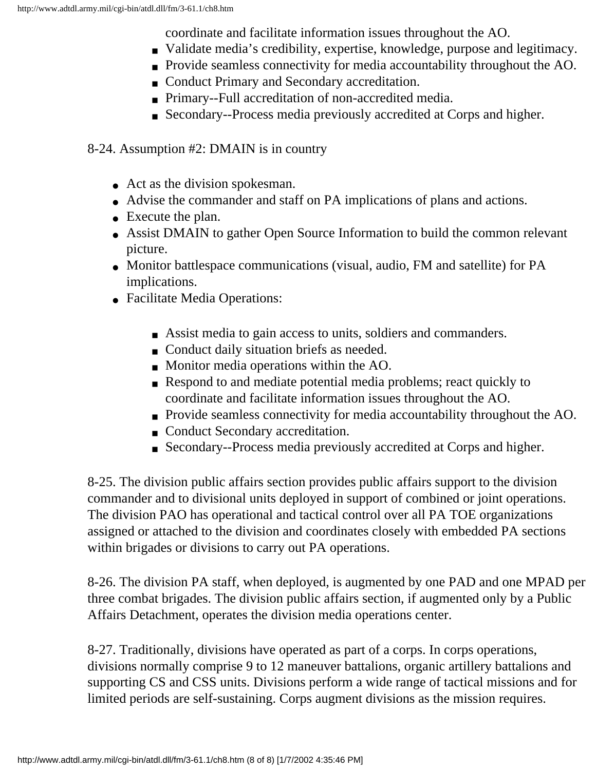coordinate and facilitate information issues throughout the AO.

- Validate media's credibility, expertise, knowledge, purpose and legitimacy.
- Provide seamless connectivity for media accountability throughout the AO.
- Conduct Primary and Secondary accreditation.
- Primary--Full accreditation of non-accredited media.
- Secondary--Process media previously accredited at Corps and higher.

#### 8-24. Assumption #2: DMAIN is in country

- Act as the division spokesman.
- Advise the commander and staff on PA implications of plans and actions.
- Execute the plan.
- Assist DMAIN to gather Open Source Information to build the common relevant picture.
- Monitor battlespace communications (visual, audio, FM and satellite) for PA implications.
- Facilitate Media Operations:
	- Assist media to gain access to units, soldiers and commanders.
	- Conduct daily situation briefs as needed.
	- Monitor media operations within the AO.
	- Respond to and mediate potential media problems; react quickly to coordinate and facilitate information issues throughout the AO.
	- Provide seamless connectivity for media accountability throughout the AO.
	- Conduct Secondary accreditation.
	- Secondary--Process media previously accredited at Corps and higher.

8-25. The division public affairs section provides public affairs support to the division commander and to divisional units deployed in support of combined or joint operations. The division PAO has operational and tactical control over all PA TOE organizations assigned or attached to the division and coordinates closely with embedded PA sections within brigades or divisions to carry out PA operations.

8-26. The division PA staff, when deployed, is augmented by one PAD and one MPAD per three combat brigades. The division public affairs section, if augmented only by a Public Affairs Detachment, operates the division media operations center.

8-27. Traditionally, divisions have operated as part of a corps. In corps operations, divisions normally comprise 9 to 12 maneuver battalions, organic artillery battalions and supporting CS and CSS units. Divisions perform a wide range of tactical missions and for limited periods are self-sustaining. Corps augment divisions as the mission requires.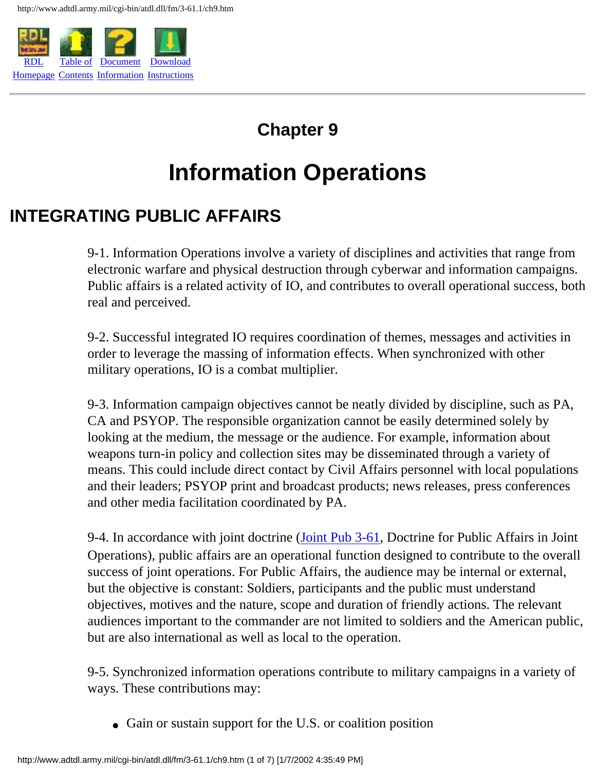

# **Chapter 9**

# **Information Operations**

### **INTEGRATING PUBLIC AFFAIRS**

9-1. Information Operations involve a variety of disciplines and activities that range from electronic warfare and physical destruction through cyberwar and information campaigns. Public affairs is a related activity of IO, and contributes to overall operational success, both real and perceived.

9-2. Successful integrated IO requires coordination of themes, messages and activities in order to leverage the massing of information effects. When synchronized with other military operations, IO is a combat multiplier.

9-3. Information campaign objectives cannot be neatly divided by discipline, such as PA, CA and PSYOP. The responsible organization cannot be easily determined solely by looking at the medium, the message or the audience. For example, information about weapons turn-in policy and collection sites may be disseminated through a variety of means. This could include direct contact by Civil Affairs personnel with local populations and their leaders; PSYOP print and broadcast products; news releases, press conferences and other media facilitation coordinated by PA.

9-4. In accordance with joint doctrine (*Joint Pub 3-61*, Doctrine for Public Affairs in Joint Operations), public affairs are an operational function designed to contribute to the overall success of joint operations. For Public Affairs, the audience may be internal or external, but the objective is constant: Soldiers, participants and the public must understand objectives, motives and the nature, scope and duration of friendly actions. The relevant audiences important to the commander are not limited to soldiers and the American public, but are also international as well as local to the operation.

9-5. Synchronized information operations contribute to military campaigns in a variety of ways. These contributions may:

• Gain or sustain support for the U.S. or coalition position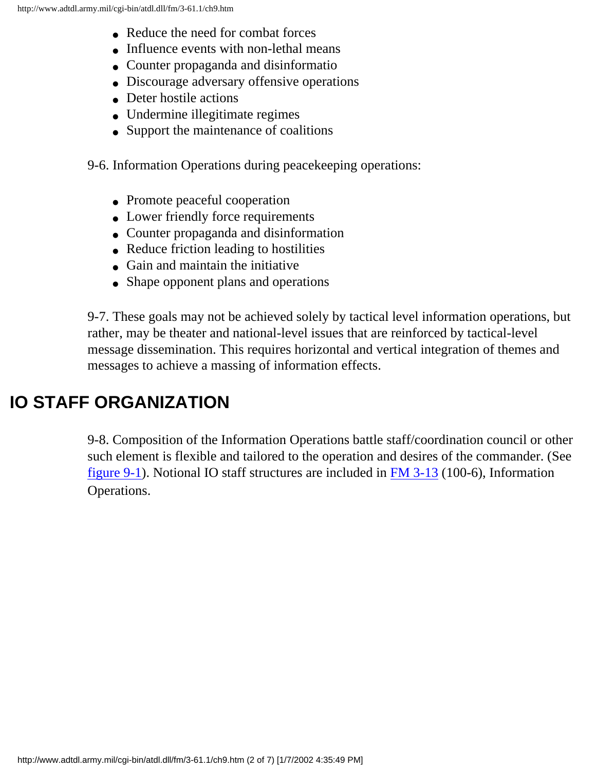- Reduce the need for combat forces
- Influence events with non-lethal means
- Counter propaganda and disinformatio
- Discourage adversary offensive operations
- Deter hostile actions
- Undermine illegitimate regimes
- Support the maintenance of coalitions

9-6. Information Operations during peacekeeping operations:

- Promote peaceful cooperation
- Lower friendly force requirements
- Counter propaganda and disinformation
- Reduce friction leading to hostilities
- Gain and maintain the initiative
- Shape opponent plans and operations

9-7. These goals may not be achieved solely by tactical level information operations, but rather, may be theater and national-level issues that are reinforced by tactical-level message dissemination. This requires horizontal and vertical integration of themes and messages to achieve a massing of information effects.

# **IO STAFF ORGANIZATION**

9-8. Composition of the Information Operations battle staff/coordination council or other such element is flexible and tailored to the operation and desires of the commander. (See figure 9-1). Notional IO staff structures are included in FM 3-13 (100-6), Information Operations.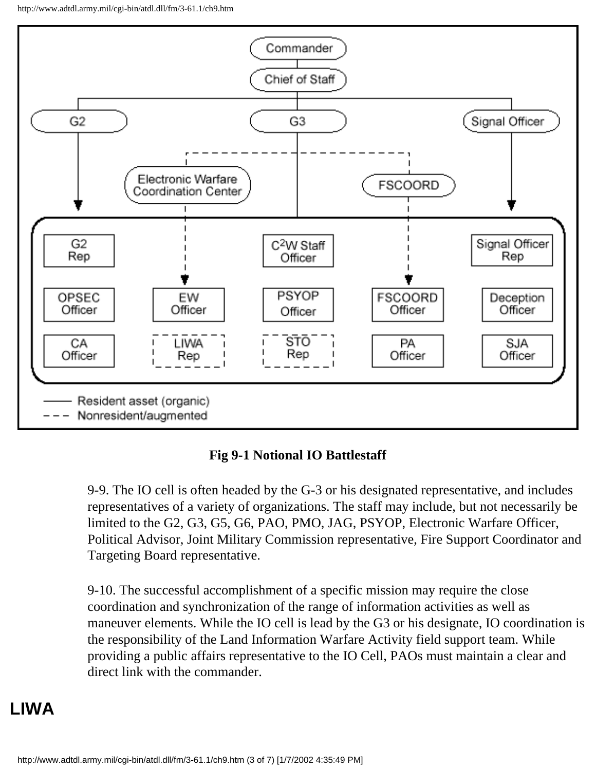```
http://www.adtdl.army.mil/cgi-bin/atdl.dll/fm/3-61.1/ch9.htm
```


#### **Fig 9-1 Notional IO Battlestaff**

9-9. The IO cell is often headed by the G-3 or his designated representative, and includes representatives of a variety of organizations. The staff may include, but not necessarily be limited to the G2, G3, G5, G6, PAO, PMO, JAG, PSYOP, Electronic Warfare Officer, Political Advisor, Joint Military Commission representative, Fire Support Coordinator and Targeting Board representative.

9-10. The successful accomplishment of a specific mission may require the close coordination and synchronization of the range of information activities as well as maneuver elements. While the IO cell is lead by the G3 or his designate, IO coordination is the responsibility of the Land Information Warfare Activity field support team. While providing a public affairs representative to the IO Cell, PAOs must maintain a clear and direct link with the commander.

#### **LIWA**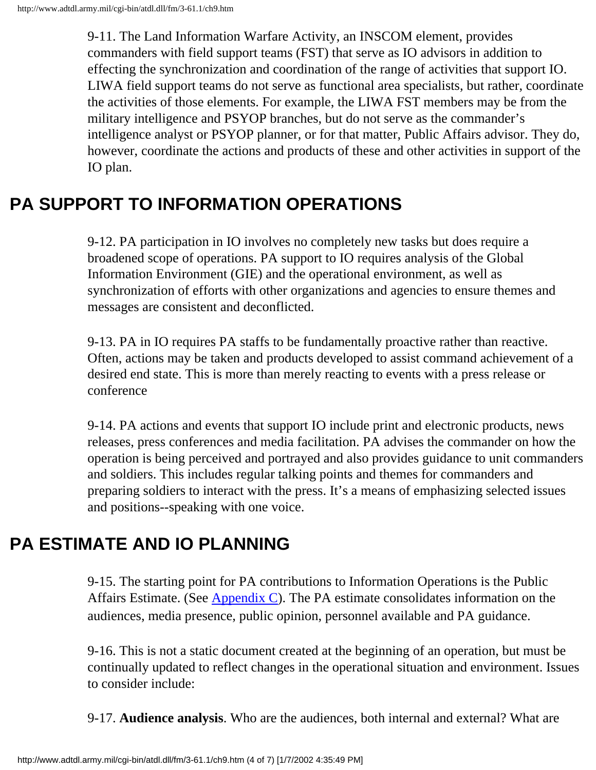9-11. The Land Information Warfare Activity, an INSCOM element, provides commanders with field support teams (FST) that serve as IO advisors in addition to effecting the synchronization and coordination of the range of activities that support IO. LIWA field support teams do not serve as functional area specialists, but rather, coordinate the activities of those elements. For example, the LIWA FST members may be from the military intelligence and PSYOP branches, but do not serve as the commander's intelligence analyst or PSYOP planner, or for that matter, Public Affairs advisor. They do, however, coordinate the actions and products of these and other activities in support of the IO plan.

### **PA SUPPORT TO INFORMATION OPERATIONS**

9-12. PA participation in IO involves no completely new tasks but does require a broadened scope of operations. PA support to IO requires analysis of the Global Information Environment (GIE) and the operational environment, as well as synchronization of efforts with other organizations and agencies to ensure themes and messages are consistent and deconflicted.

9-13. PA in IO requires PA staffs to be fundamentally proactive rather than reactive. Often, actions may be taken and products developed to assist command achievement of a desired end state. This is more than merely reacting to events with a press release or conference

9-14. PA actions and events that support IO include print and electronic products, news releases, press conferences and media facilitation. PA advises the commander on how the operation is being perceived and portrayed and also provides guidance to unit commanders and soldiers. This includes regular talking points and themes for commanders and preparing soldiers to interact with the press. It's a means of emphasizing selected issues and positions--speaking with one voice.

# **PA ESTIMATE AND IO PLANNING**

9-15. The starting point for PA contributions to Information Operations is the Public Affairs Estimate. (See [Appendix C\)](#page-112-0). The PA estimate consolidates information on the audiences, media presence, public opinion, personnel available and PA guidance.

9-16. This is not a static document created at the beginning of an operation, but must be continually updated to reflect changes in the operational situation and environment. Issues to consider include:

9-17. **Audience analysis**. Who are the audiences, both internal and external? What are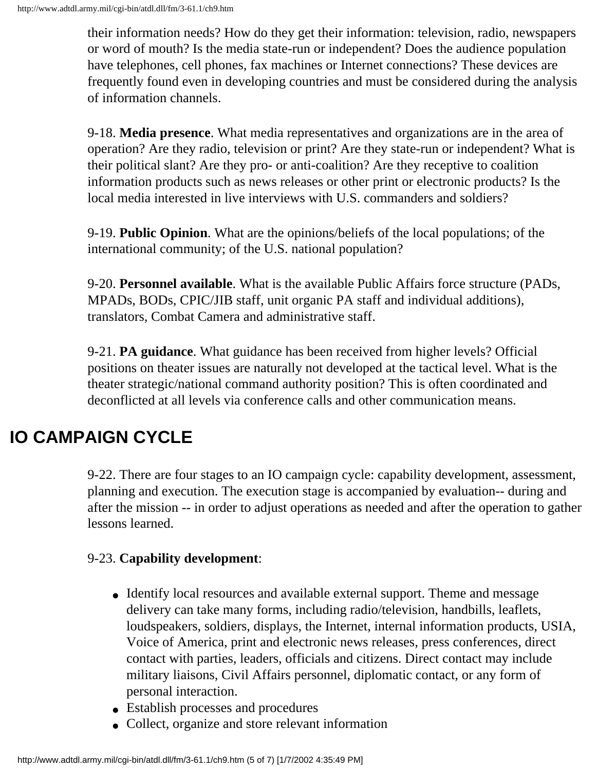their information needs? How do they get their information: television, radio, newspapers or word of mouth? Is the media state-run or independent? Does the audience population have telephones, cell phones, fax machines or Internet connections? These devices are frequently found even in developing countries and must be considered during the analysis of information channels.

9-18. **Media presence**. What media representatives and organizations are in the area of operation? Are they radio, television or print? Are they state-run or independent? What is their political slant? Are they pro- or anti-coalition? Are they receptive to coalition information products such as news releases or other print or electronic products? Is the local media interested in live interviews with U.S. commanders and soldiers?

9-19. **Public Opinion**. What are the opinions/beliefs of the local populations; of the international community; of the U.S. national population?

9-20. **Personnel available**. What is the available Public Affairs force structure (PADs, MPADs, BODs, CPIC/JIB staff, unit organic PA staff and individual additions), translators, Combat Camera and administrative staff.

9-21. **PA guidance**. What guidance has been received from higher levels? Official positions on theater issues are naturally not developed at the tactical level. What is the theater strategic/national command authority position? This is often coordinated and deconflicted at all levels via conference calls and other communication means.

# **IO CAMPAIGN CYCLE**

9-22. There are four stages to an IO campaign cycle: capability development, assessment, planning and execution. The execution stage is accompanied by evaluation-- during and after the mission -- in order to adjust operations as needed and after the operation to gather lessons learned.

#### 9-23. **Capability development**:

- Identify local resources and available external support. Theme and message delivery can take many forms, including radio/television, handbills, leaflets, loudspeakers, soldiers, displays, the Internet, internal information products, USIA, Voice of America, print and electronic news releases, press conferences, direct contact with parties, leaders, officials and citizens. Direct contact may include military liaisons, Civil Affairs personnel, diplomatic contact, or any form of personal interaction.
- Establish processes and procedures
- Collect, organize and store relevant information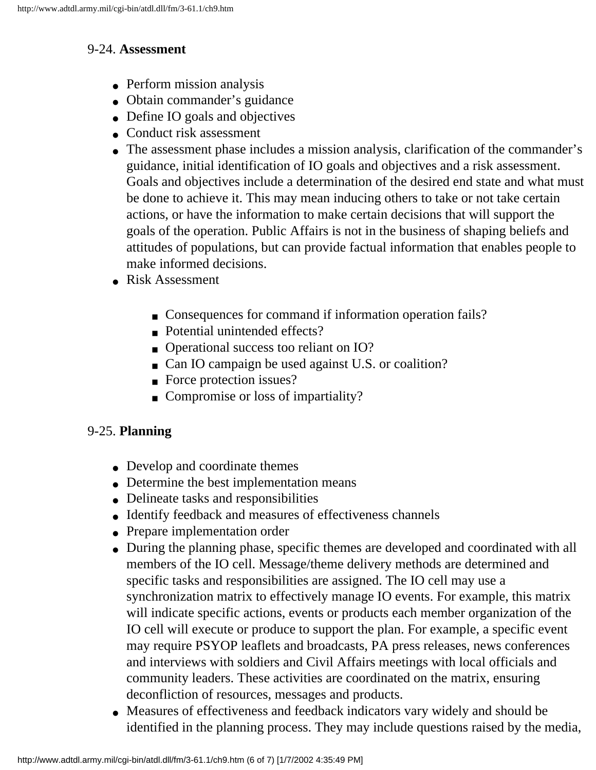#### 9-24. **Assessment**

- Perform mission analysis
- Obtain commander's guidance
- Define IO goals and objectives
- Conduct risk assessment
- The assessment phase includes a mission analysis, clarification of the commander's guidance, initial identification of IO goals and objectives and a risk assessment. Goals and objectives include a determination of the desired end state and what must be done to achieve it. This may mean inducing others to take or not take certain actions, or have the information to make certain decisions that will support the goals of the operation. Public Affairs is not in the business of shaping beliefs and attitudes of populations, but can provide factual information that enables people to make informed decisions.
- Risk Assessment
	- Consequences for command if information operation fails?
	- Potential unintended effects?
	- Operational success too reliant on IO?
	- Can IO campaign be used against U.S. or coalition?
	- Force protection issues?
	- Compromise or loss of impartiality?

#### 9-25. **Planning**

- Develop and coordinate themes
- Determine the best implementation means
- Delineate tasks and responsibilities
- Identify feedback and measures of effectiveness channels
- Prepare implementation order
- During the planning phase, specific themes are developed and coordinated with all members of the IO cell. Message/theme delivery methods are determined and specific tasks and responsibilities are assigned. The IO cell may use a synchronization matrix to effectively manage IO events. For example, this matrix will indicate specific actions, events or products each member organization of the IO cell will execute or produce to support the plan. For example, a specific event may require PSYOP leaflets and broadcasts, PA press releases, news conferences and interviews with soldiers and Civil Affairs meetings with local officials and community leaders. These activities are coordinated on the matrix, ensuring deconfliction of resources, messages and products.
- Measures of effectiveness and feedback indicators vary widely and should be identified in the planning process. They may include questions raised by the media,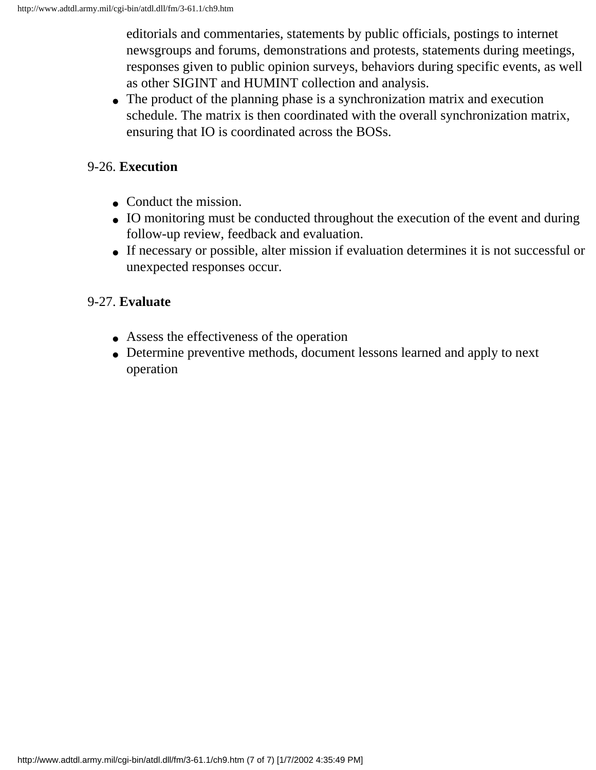editorials and commentaries, statements by public officials, postings to internet newsgroups and forums, demonstrations and protests, statements during meetings, responses given to public opinion surveys, behaviors during specific events, as well as other SIGINT and HUMINT collection and analysis.

• The product of the planning phase is a synchronization matrix and execution schedule. The matrix is then coordinated with the overall synchronization matrix, ensuring that IO is coordinated across the BOSs.

#### 9-26. **Execution**

- Conduct the mission.
- IO monitoring must be conducted throughout the execution of the event and during follow-up review, feedback and evaluation.
- If necessary or possible, alter mission if evaluation determines it is not successful or unexpected responses occur.

#### 9-27. **Evaluate**

- Assess the effectiveness of the operation
- Determine preventive methods, document lessons learned and apply to next operation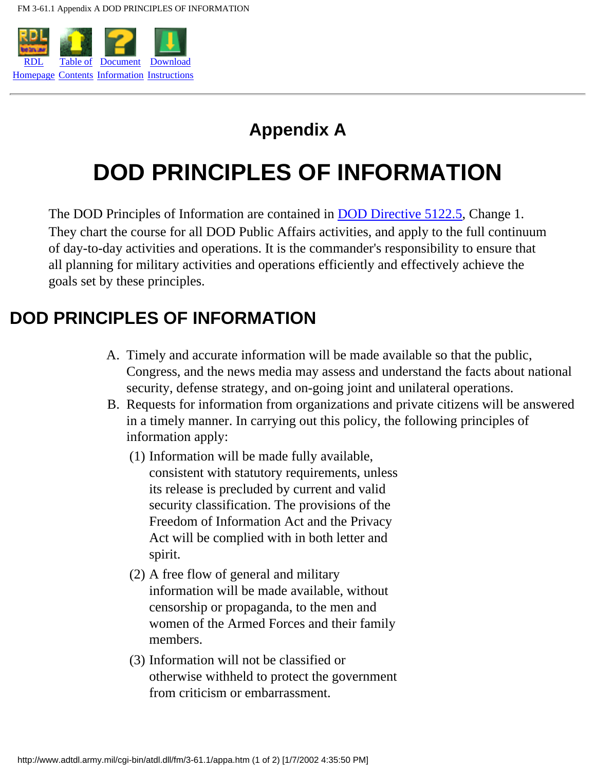

# **Appendix A**

# **DOD PRINCIPLES OF INFORMATION**

The DOD Principles of Information are contained in DOD Directive 5122.5, Change 1. They chart the course for all DOD Public Affairs activities, and apply to the full continuum of day-to-day activities and operations. It is the commander's responsibility to ensure that all planning for military activities and operations efficiently and effectively achieve the goals set by these principles.

# **DOD PRINCIPLES OF INFORMATION**

- A. Timely and accurate information will be made available so that the public, Congress, and the news media may assess and understand the facts about national security, defense strategy, and on-going joint and unilateral operations.
- B. Requests for information from organizations and private citizens will be answered in a timely manner. In carrying out this policy, the following principles of information apply:
	- (1) Information will be made fully available, consistent with statutory requirements, unless its release is precluded by current and valid security classification. The provisions of the Freedom of Information Act and the Privacy Act will be complied with in both letter and spirit.
	- (2) A free flow of general and military information will be made available, without censorship or propaganda, to the men and women of the Armed Forces and their family members.
	- (3) Information will not be classified or otherwise withheld to protect the government from criticism or embarrassment.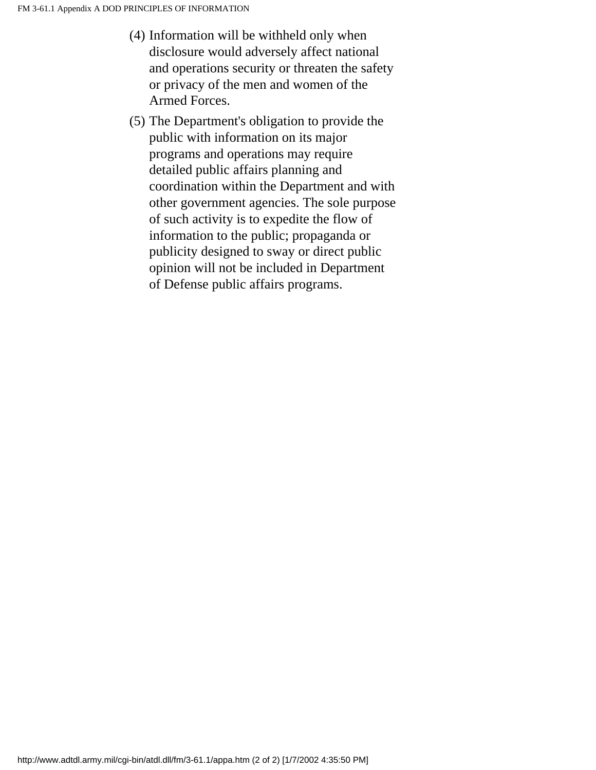- (4) Information will be withheld only when disclosure would adversely affect national and operations security or threaten the safety or privacy of the men and women of the Armed Forces.
- (5) The Department's obligation to provide the public with information on its major programs and operations may require detailed public affairs planning and coordination within the Department and with other government agencies. The sole purpose of such activity is to expedite the flow of information to the public; propaganda or publicity designed to sway or direct public opinion will not be included in Department of Defense public affairs programs.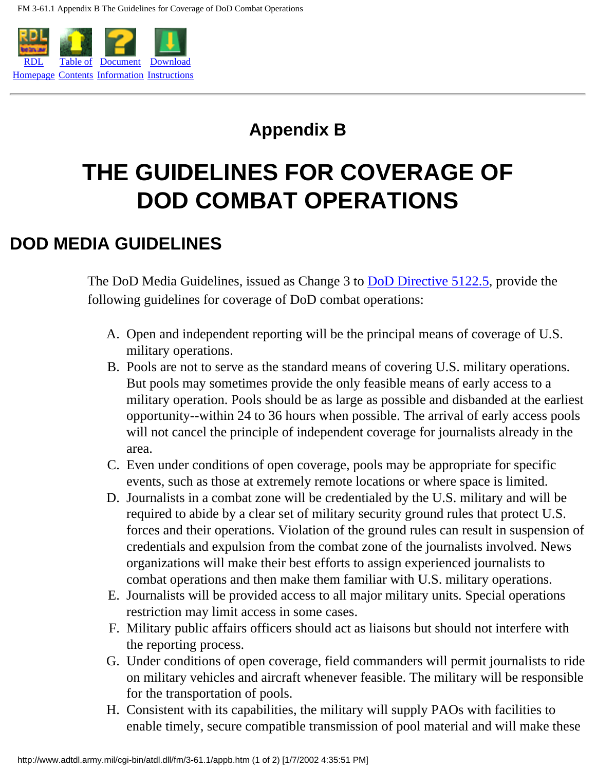

## **Appendix B**

# **THE GUIDELINES FOR COVERAGE OF DOD COMBAT OPERATIONS**

### **DOD MEDIA GUIDELINES**

The DoD Media Guidelines, issued as Change 3 to DoD Directive 5122.5, provide the following guidelines for coverage of DoD combat operations:

- A. Open and independent reporting will be the principal means of coverage of U.S. military operations.
- B. Pools are not to serve as the standard means of covering U.S. military operations. But pools may sometimes provide the only feasible means of early access to a military operation. Pools should be as large as possible and disbanded at the earliest opportunity--within 24 to 36 hours when possible. The arrival of early access pools will not cancel the principle of independent coverage for journalists already in the area.
- C. Even under conditions of open coverage, pools may be appropriate for specific events, such as those at extremely remote locations or where space is limited.
- D. Journalists in a combat zone will be credentialed by the U.S. military and will be required to abide by a clear set of military security ground rules that protect U.S. forces and their operations. Violation of the ground rules can result in suspension of credentials and expulsion from the combat zone of the journalists involved. News organizations will make their best efforts to assign experienced journalists to combat operations and then make them familiar with U.S. military operations.
- E. Journalists will be provided access to all major military units. Special operations restriction may limit access in some cases.
- F. Military public affairs officers should act as liaisons but should not interfere with the reporting process.
- G. Under conditions of open coverage, field commanders will permit journalists to ride on military vehicles and aircraft whenever feasible. The military will be responsible for the transportation of pools.
- H. Consistent with its capabilities, the military will supply PAOs with facilities to enable timely, secure compatible transmission of pool material and will make these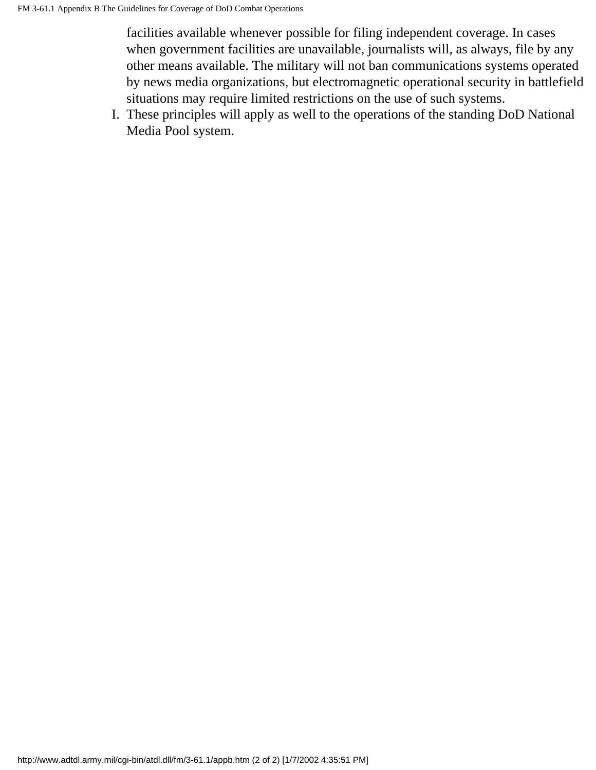facilities available whenever possible for filing independent coverage. In cases when government facilities are unavailable, journalists will, as always, file by any other means available. The military will not ban communications systems operated by news media organizations, but electromagnetic operational security in battlefield situations may require limited restrictions on the use of such systems.

I. These principles will apply as well to the operations of the standing DoD National Media Pool system.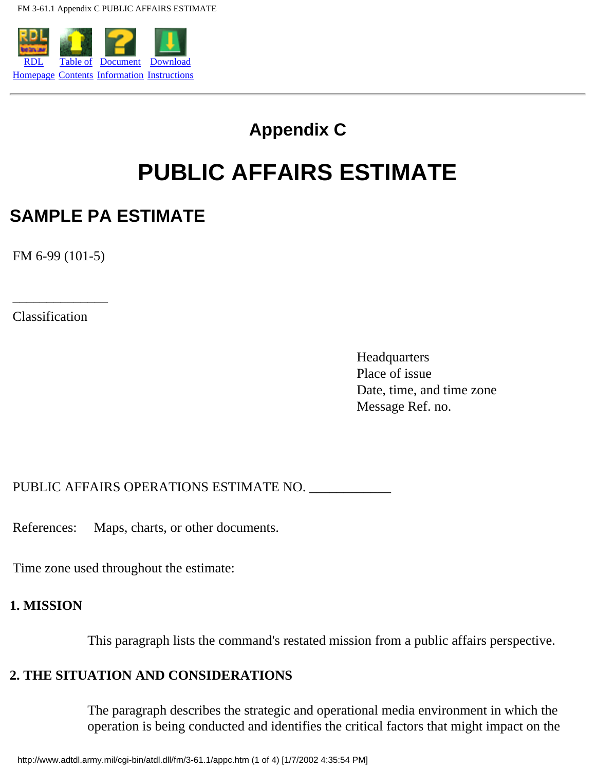

# **Appendix C**

# **PUBLIC AFFAIRS ESTIMATE**

## **SAMPLE PA ESTIMATE**

FM 6-99 (101-5)

\_\_\_\_\_\_\_\_\_\_\_\_\_\_

Classification

**Headquarters** Place of issue Date, time, and time zone Message Ref. no.

PUBLIC AFFAIRS OPERATIONS ESTIMATE NO. \_\_\_\_\_\_\_\_\_\_\_\_

References: Maps, charts, or other documents.

Time zone used throughout the estimate:

#### **1. MISSION**

This paragraph lists the command's restated mission from a public affairs perspective.

#### **2. THE SITUATION AND CONSIDERATIONS**

The paragraph describes the strategic and operational media environment in which the operation is being conducted and identifies the critical factors that might impact on the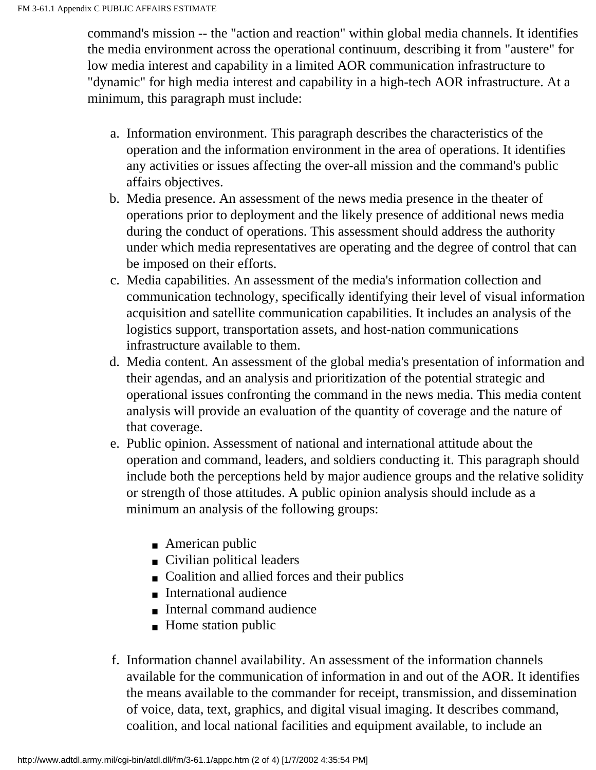command's mission -- the "action and reaction" within global media channels. It identifies the media environment across the operational continuum, describing it from "austere" for low media interest and capability in a limited AOR communication infrastructure to "dynamic" for high media interest and capability in a high-tech AOR infrastructure. At a minimum, this paragraph must include:

- a. Information environment. This paragraph describes the characteristics of the operation and the information environment in the area of operations. It identifies any activities or issues affecting the over-all mission and the command's public affairs objectives.
- b. Media presence. An assessment of the news media presence in the theater of operations prior to deployment and the likely presence of additional news media during the conduct of operations. This assessment should address the authority under which media representatives are operating and the degree of control that can be imposed on their efforts.
- c. Media capabilities. An assessment of the media's information collection and communication technology, specifically identifying their level of visual information acquisition and satellite communication capabilities. It includes an analysis of the logistics support, transportation assets, and host-nation communications infrastructure available to them.
- d. Media content. An assessment of the global media's presentation of information and their agendas, and an analysis and prioritization of the potential strategic and operational issues confronting the command in the news media. This media content analysis will provide an evaluation of the quantity of coverage and the nature of that coverage.
- e. Public opinion. Assessment of national and international attitude about the operation and command, leaders, and soldiers conducting it. This paragraph should include both the perceptions held by major audience groups and the relative solidity or strength of those attitudes. A public opinion analysis should include as a minimum an analysis of the following groups:
	- American public
	- Civilian political leaders
	- Coalition and allied forces and their publics
	- International audience
	- Internal command audience
	- Home station public
- f. Information channel availability. An assessment of the information channels available for the communication of information in and out of the AOR. It identifies the means available to the commander for receipt, transmission, and dissemination of voice, data, text, graphics, and digital visual imaging. It describes command, coalition, and local national facilities and equipment available, to include an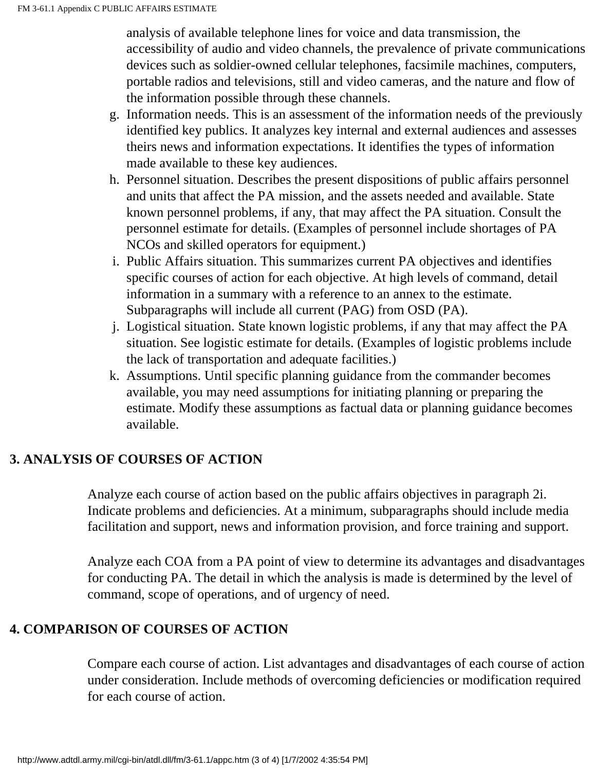analysis of available telephone lines for voice and data transmission, the accessibility of audio and video channels, the prevalence of private communications devices such as soldier-owned cellular telephones, facsimile machines, computers, portable radios and televisions, still and video cameras, and the nature and flow of the information possible through these channels.

- g. Information needs. This is an assessment of the information needs of the previously identified key publics. It analyzes key internal and external audiences and assesses theirs news and information expectations. It identifies the types of information made available to these key audiences.
- h. Personnel situation. Describes the present dispositions of public affairs personnel and units that affect the PA mission, and the assets needed and available. State known personnel problems, if any, that may affect the PA situation. Consult the personnel estimate for details. (Examples of personnel include shortages of PA NCOs and skilled operators for equipment.)
- i. Public Affairs situation. This summarizes current PA objectives and identifies specific courses of action for each objective. At high levels of command, detail information in a summary with a reference to an annex to the estimate. Subparagraphs will include all current (PAG) from OSD (PA).
- j. Logistical situation. State known logistic problems, if any that may affect the PA situation. See logistic estimate for details. (Examples of logistic problems include the lack of transportation and adequate facilities.)
- k. Assumptions. Until specific planning guidance from the commander becomes available, you may need assumptions for initiating planning or preparing the estimate. Modify these assumptions as factual data or planning guidance becomes available.

#### **3. ANALYSIS OF COURSES OF ACTION**

Analyze each course of action based on the public affairs objectives in paragraph 2i. Indicate problems and deficiencies. At a minimum, subparagraphs should include media facilitation and support, news and information provision, and force training and support.

Analyze each COA from a PA point of view to determine its advantages and disadvantages for conducting PA. The detail in which the analysis is made is determined by the level of command, scope of operations, and of urgency of need.

#### **4. COMPARISON OF COURSES OF ACTION**

Compare each course of action. List advantages and disadvantages of each course of action under consideration. Include methods of overcoming deficiencies or modification required for each course of action.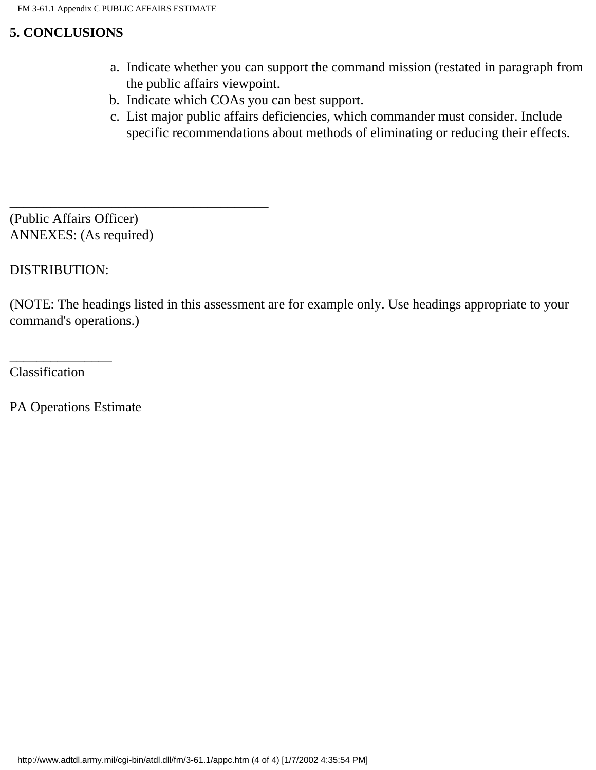### **5. CONCLUSIONS**

- a. Indicate whether you can support the command mission (restated in paragraph from the public affairs viewpoint.
- b. Indicate which COAs you can best support.
- c. List major public affairs deficiencies, which commander must consider. Include specific recommendations about methods of eliminating or reducing their effects.

(Public Affairs Officer) ANNEXES: (As required)

\_\_\_\_\_\_\_\_\_\_\_\_\_\_\_\_\_\_\_\_\_\_\_\_\_\_\_\_\_\_\_\_\_\_\_\_\_\_

DISTRIBUTION:

(NOTE: The headings listed in this assessment are for example only. Use headings appropriate to your command's operations.)

Classification

\_\_\_\_\_\_\_\_\_\_\_\_\_\_\_

PA Operations Estimate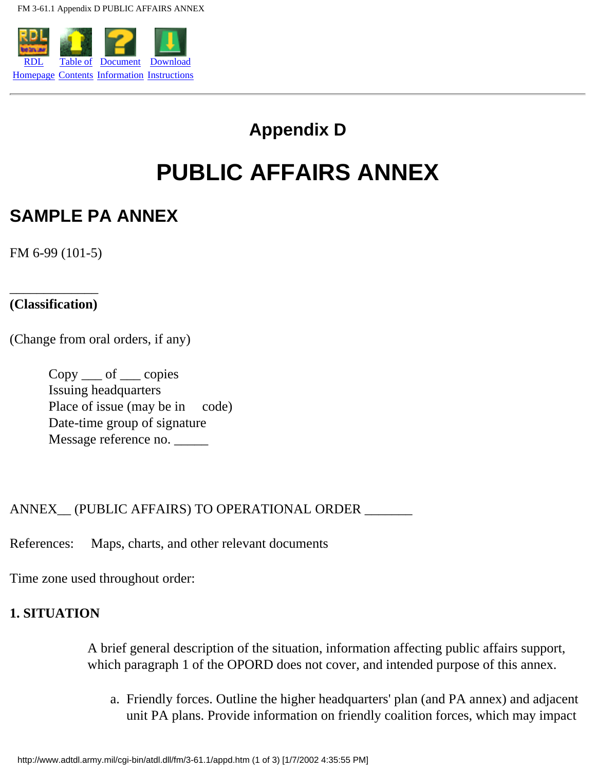

# **Appendix D**

# **PUBLIC AFFAIRS ANNEX**

# **SAMPLE PA ANNEX**

FM 6-99 (101-5)

\_\_\_\_\_\_\_\_\_\_\_\_\_ **(Classification)**

(Change from oral orders, if any)

Copy \_\_\_ of \_\_\_ copies Issuing headquarters Place of issue (may be in code) Date-time group of signature Message reference no. \_\_\_\_\_

#### ANNEX\_\_ (PUBLIC AFFAIRS) TO OPERATIONAL ORDER \_\_\_\_\_\_\_

References: Maps, charts, and other relevant documents

Time zone used throughout order:

#### **1. SITUATION**

A brief general description of the situation, information affecting public affairs support, which paragraph 1 of the OPORD does not cover, and intended purpose of this annex.

a. Friendly forces. Outline the higher headquarters' plan (and PA annex) and adjacent unit PA plans. Provide information on friendly coalition forces, which may impact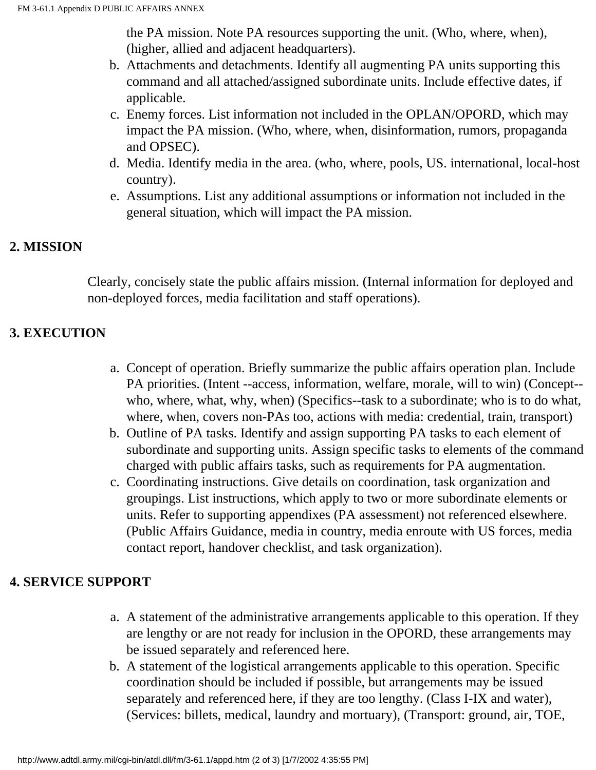the PA mission. Note PA resources supporting the unit. (Who, where, when), (higher, allied and adjacent headquarters).

- b. Attachments and detachments. Identify all augmenting PA units supporting this command and all attached/assigned subordinate units. Include effective dates, if applicable.
- c. Enemy forces. List information not included in the OPLAN/OPORD, which may impact the PA mission. (Who, where, when, disinformation, rumors, propaganda and OPSEC).
- d. Media. Identify media in the area. (who, where, pools, US. international, local-host country).
- e. Assumptions. List any additional assumptions or information not included in the general situation, which will impact the PA mission.

#### **2. MISSION**

Clearly, concisely state the public affairs mission. (Internal information for deployed and non-deployed forces, media facilitation and staff operations).

#### **3. EXECUTION**

- a. Concept of operation. Briefly summarize the public affairs operation plan. Include PA priorities. (Intent --access, information, welfare, morale, will to win) (Concept- who, where, what, why, when) (Specifics--task to a subordinate; who is to do what, where, when, covers non-PAs too, actions with media: credential, train, transport)
- b. Outline of PA tasks. Identify and assign supporting PA tasks to each element of subordinate and supporting units. Assign specific tasks to elements of the command charged with public affairs tasks, such as requirements for PA augmentation.
- c. Coordinating instructions. Give details on coordination, task organization and groupings. List instructions, which apply to two or more subordinate elements or units. Refer to supporting appendixes (PA assessment) not referenced elsewhere. (Public Affairs Guidance, media in country, media enroute with US forces, media contact report, handover checklist, and task organization).

#### **4. SERVICE SUPPORT**

- a. A statement of the administrative arrangements applicable to this operation. If they are lengthy or are not ready for inclusion in the OPORD, these arrangements may be issued separately and referenced here.
- b. A statement of the logistical arrangements applicable to this operation. Specific coordination should be included if possible, but arrangements may be issued separately and referenced here, if they are too lengthy. (Class I-IX and water), (Services: billets, medical, laundry and mortuary), (Transport: ground, air, TOE,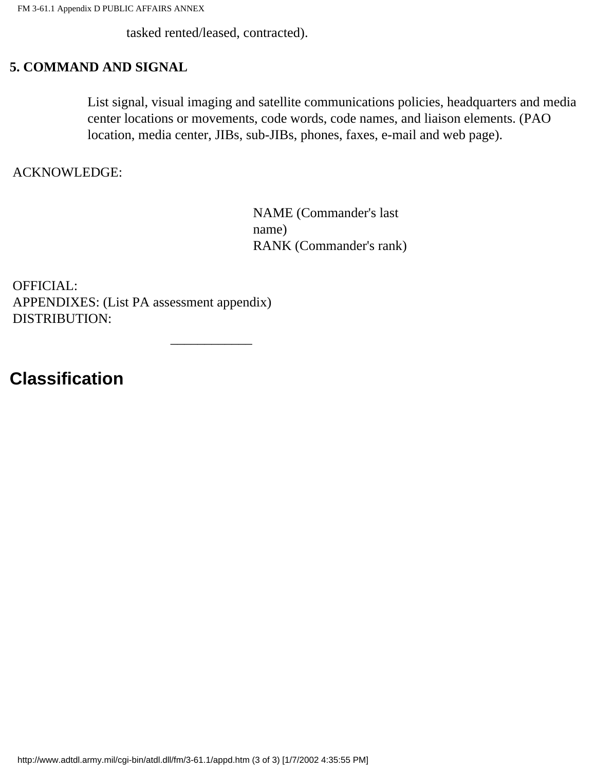FM 3-61.1 Appendix D PUBLIC AFFAIRS ANNEX

tasked rented/leased, contracted).

\_\_\_\_\_\_\_\_\_\_\_\_

#### **5. COMMAND AND SIGNAL**

List signal, visual imaging and satellite communications policies, headquarters and media center locations or movements, code words, code names, and liaison elements. (PAO location, media center, JIBs, sub-JIBs, phones, faxes, e-mail and web page).

ACKNOWLEDGE:

NAME (Commander's last name) RANK (Commander's rank)

OFFICIAL: APPENDIXES: (List PA assessment appendix) DISTRIBUTION:

**Classification**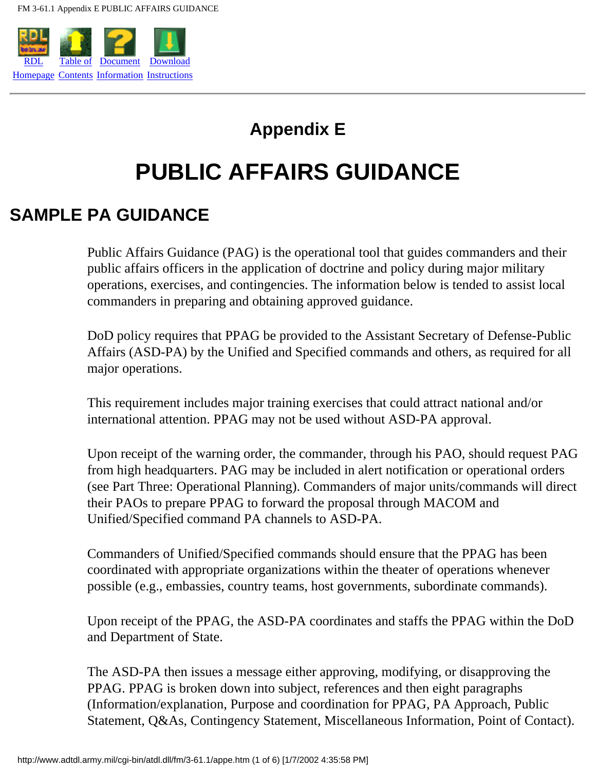

# **Appendix E**

# **PUBLIC AFFAIRS GUIDANCE**

### **SAMPLE PA GUIDANCE**

Public Affairs Guidance (PAG) is the operational tool that guides commanders and their public affairs officers in the application of doctrine and policy during major military operations, exercises, and contingencies. The information below is tended to assist local commanders in preparing and obtaining approved guidance.

DoD policy requires that PPAG be provided to the Assistant Secretary of Defense-Public Affairs (ASD-PA) by the Unified and Specified commands and others, as required for all major operations.

This requirement includes major training exercises that could attract national and/or international attention. PPAG may not be used without ASD-PA approval.

Upon receipt of the warning order, the commander, through his PAO, should request PAG from high headquarters. PAG may be included in alert notification or operational orders (see Part Three: Operational Planning). Commanders of major units/commands will direct their PAOs to prepare PPAG to forward the proposal through MACOM and Unified/Specified command PA channels to ASD-PA.

Commanders of Unified/Specified commands should ensure that the PPAG has been coordinated with appropriate organizations within the theater of operations whenever possible (e.g., embassies, country teams, host governments, subordinate commands).

Upon receipt of the PPAG, the ASD-PA coordinates and staffs the PPAG within the DoD and Department of State.

The ASD-PA then issues a message either approving, modifying, or disapproving the PPAG. PPAG is broken down into subject, references and then eight paragraphs (Information/explanation, Purpose and coordination for PPAG, PA Approach, Public Statement, Q&As, Contingency Statement, Miscellaneous Information, Point of Contact).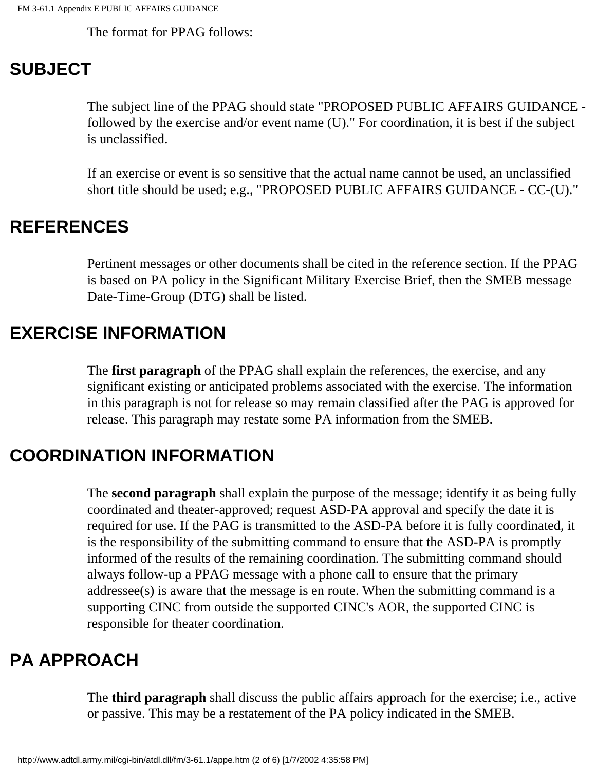The format for PPAG follows:

## **SUBJECT**

The subject line of the PPAG should state "PROPOSED PUBLIC AFFAIRS GUIDANCE followed by the exercise and/or event name (U)." For coordination, it is best if the subject is unclassified.

If an exercise or event is so sensitive that the actual name cannot be used, an unclassified short title should be used; e.g., "PROPOSED PUBLIC AFFAIRS GUIDANCE - CC-(U)."

### **REFERENCES**

Pertinent messages or other documents shall be cited in the reference section. If the PPAG is based on PA policy in the Significant Military Exercise Brief, then the SMEB message Date-Time-Group (DTG) shall be listed.

### **EXERCISE INFORMATION**

The **first paragraph** of the PPAG shall explain the references, the exercise, and any significant existing or anticipated problems associated with the exercise. The information in this paragraph is not for release so may remain classified after the PAG is approved for release. This paragraph may restate some PA information from the SMEB.

## **COORDINATION INFORMATION**

The **second paragraph** shall explain the purpose of the message; identify it as being fully coordinated and theater-approved; request ASD-PA approval and specify the date it is required for use. If the PAG is transmitted to the ASD-PA before it is fully coordinated, it is the responsibility of the submitting command to ensure that the ASD-PA is promptly informed of the results of the remaining coordination. The submitting command should always follow-up a PPAG message with a phone call to ensure that the primary addressee(s) is aware that the message is en route. When the submitting command is a supporting CINC from outside the supported CINC's AOR, the supported CINC is responsible for theater coordination.

## **PA APPROACH**

The **third paragraph** shall discuss the public affairs approach for the exercise; i.e., active or passive. This may be a restatement of the PA policy indicated in the SMEB.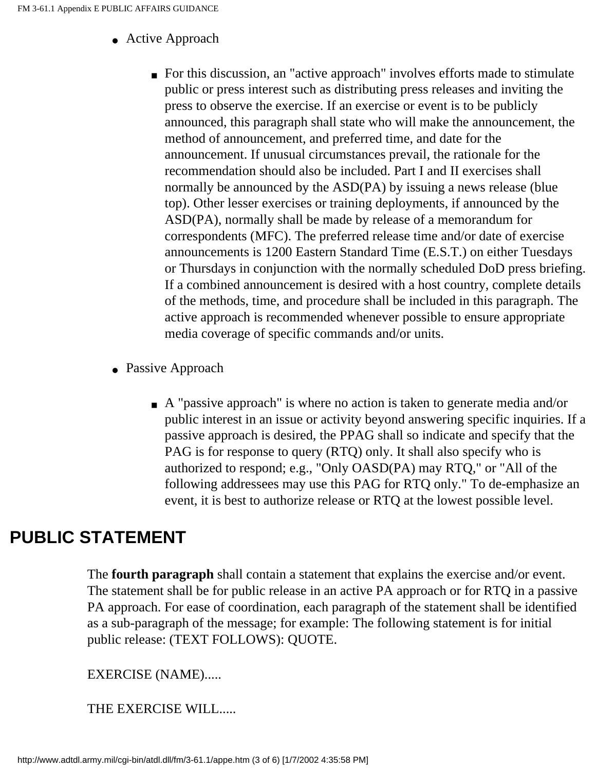- Active Approach
	- For this discussion, an "active approach" involves efforts made to stimulate public or press interest such as distributing press releases and inviting the press to observe the exercise. If an exercise or event is to be publicly announced, this paragraph shall state who will make the announcement, the method of announcement, and preferred time, and date for the announcement. If unusual circumstances prevail, the rationale for the recommendation should also be included. Part I and II exercises shall normally be announced by the ASD(PA) by issuing a news release (blue top). Other lesser exercises or training deployments, if announced by the ASD(PA), normally shall be made by release of a memorandum for correspondents (MFC). The preferred release time and/or date of exercise announcements is 1200 Eastern Standard Time (E.S.T.) on either Tuesdays or Thursdays in conjunction with the normally scheduled DoD press briefing. If a combined announcement is desired with a host country, complete details of the methods, time, and procedure shall be included in this paragraph. The active approach is recommended whenever possible to ensure appropriate media coverage of specific commands and/or units.
- Passive Approach
	- A "passive approach" is where no action is taken to generate media and/or public interest in an issue or activity beyond answering specific inquiries. If a passive approach is desired, the PPAG shall so indicate and specify that the PAG is for response to query (RTQ) only. It shall also specify who is authorized to respond; e.g., "Only OASD(PA) may RTQ," or "All of the following addressees may use this PAG for RTQ only." To de-emphasize an event, it is best to authorize release or RTQ at the lowest possible level.

### **PUBLIC STATEMENT**

The **fourth paragraph** shall contain a statement that explains the exercise and/or event. The statement shall be for public release in an active PA approach or for RTQ in a passive PA approach. For ease of coordination, each paragraph of the statement shall be identified as a sub-paragraph of the message; for example: The following statement is for initial public release: (TEXT FOLLOWS): QUOTE.

#### EXERCISE (NAME).....

THE EXERCISE WILL.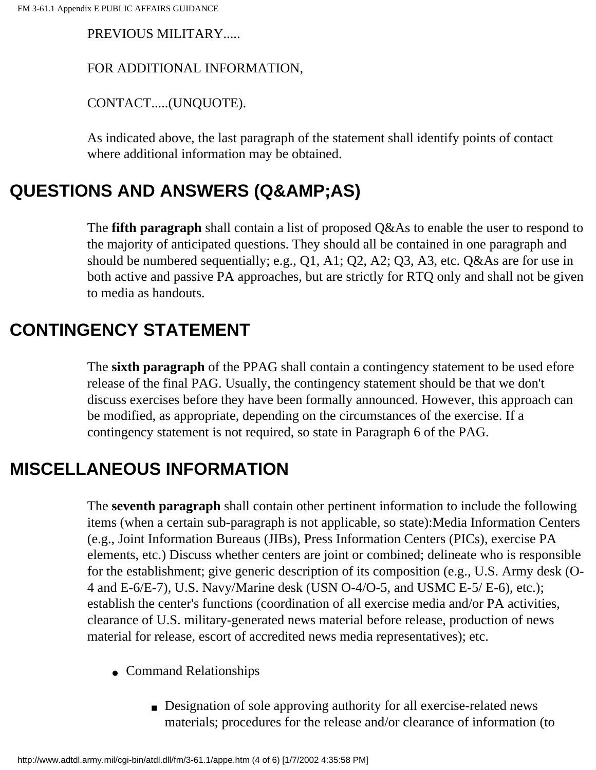PREVIOUS MILITARY.....

FOR ADDITIONAL INFORMATION,

CONTACT.....(UNQUOTE).

As indicated above, the last paragraph of the statement shall identify points of contact where additional information may be obtained.

# **QUESTIONS AND ANSWERS (Q&AS)**

The **fifth paragraph** shall contain a list of proposed Q&As to enable the user to respond to the majority of anticipated questions. They should all be contained in one paragraph and should be numbered sequentially; e.g., Q1, A1; Q2, A2; Q3, A3, etc. Q&As are for use in both active and passive PA approaches, but are strictly for RTQ only and shall not be given to media as handouts.

## **CONTINGENCY STATEMENT**

The **sixth paragraph** of the PPAG shall contain a contingency statement to be used efore release of the final PAG. Usually, the contingency statement should be that we don't discuss exercises before they have been formally announced. However, this approach can be modified, as appropriate, depending on the circumstances of the exercise. If a contingency statement is not required, so state in Paragraph 6 of the PAG.

## **MISCELLANEOUS INFORMATION**

The **seventh paragraph** shall contain other pertinent information to include the following items (when a certain sub-paragraph is not applicable, so state):Media Information Centers (e.g., Joint Information Bureaus (JIBs), Press Information Centers (PICs), exercise PA elements, etc.) Discuss whether centers are joint or combined; delineate who is responsible for the establishment; give generic description of its composition (e.g., U.S. Army desk (O-4 and E-6/E-7), U.S. Navy/Marine desk (USN O-4/O-5, and USMC E-5/ E-6), etc.); establish the center's functions (coordination of all exercise media and/or PA activities, clearance of U.S. military-generated news material before release, production of news material for release, escort of accredited news media representatives); etc.

- Command Relationships
	- Designation of sole approving authority for all exercise-related news materials; procedures for the release and/or clearance of information (to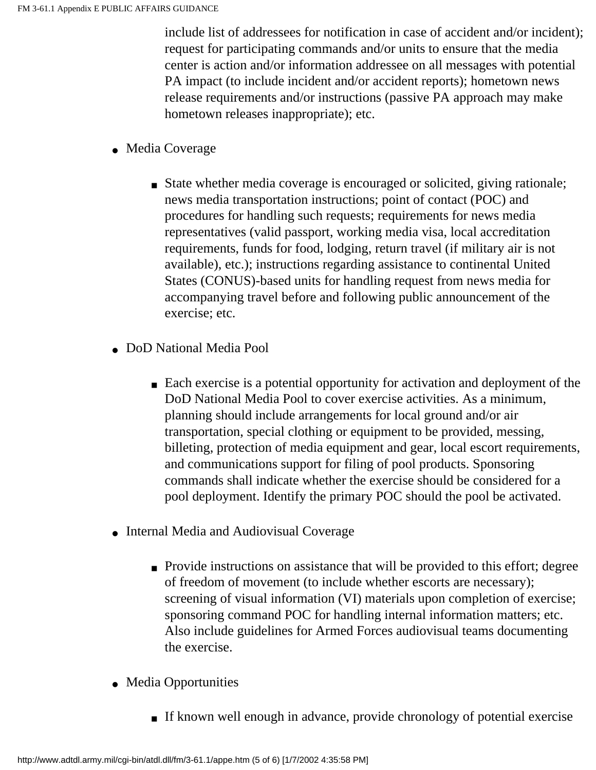include list of addressees for notification in case of accident and/or incident); request for participating commands and/or units to ensure that the media center is action and/or information addressee on all messages with potential PA impact (to include incident and/or accident reports); hometown news release requirements and/or instructions (passive PA approach may make hometown releases inappropriate); etc.

- Media Coverage
	- State whether media coverage is encouraged or solicited, giving rationale; news media transportation instructions; point of contact (POC) and procedures for handling such requests; requirements for news media representatives (valid passport, working media visa, local accreditation requirements, funds for food, lodging, return travel (if military air is not available), etc.); instructions regarding assistance to continental United States (CONUS)-based units for handling request from news media for accompanying travel before and following public announcement of the exercise; etc.
- DoD National Media Pool
	- Each exercise is a potential opportunity for activation and deployment of the DoD National Media Pool to cover exercise activities. As a minimum, planning should include arrangements for local ground and/or air transportation, special clothing or equipment to be provided, messing, billeting, protection of media equipment and gear, local escort requirements, and communications support for filing of pool products. Sponsoring commands shall indicate whether the exercise should be considered for a pool deployment. Identify the primary POC should the pool be activated.
- Internal Media and Audiovisual Coverage
	- Provide instructions on assistance that will be provided to this effort; degree of freedom of movement (to include whether escorts are necessary); screening of visual information (VI) materials upon completion of exercise; sponsoring command POC for handling internal information matters; etc. Also include guidelines for Armed Forces audiovisual teams documenting the exercise.
- Media Opportunities
	- If known well enough in advance, provide chronology of potential exercise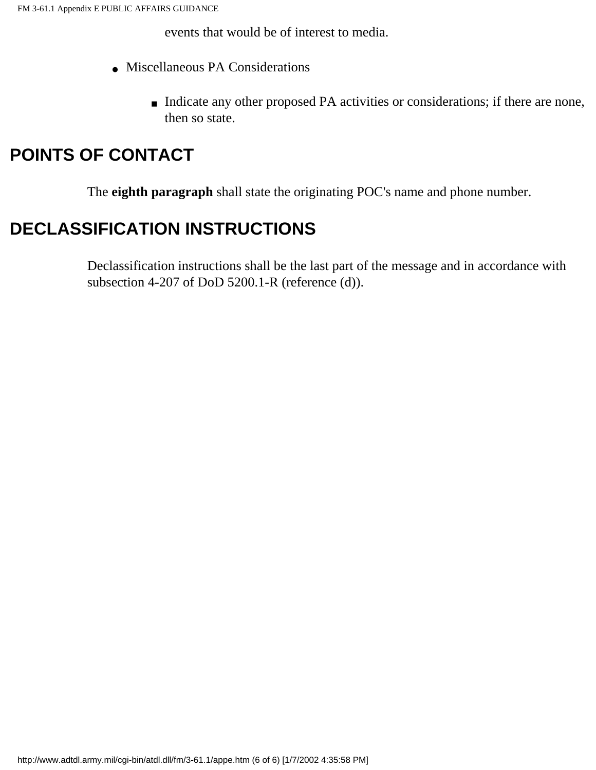events that would be of interest to media.

- Miscellaneous PA Considerations
	- Indicate any other proposed PA activities or considerations; if there are none, then so state.

### **POINTS OF CONTACT**

The **eighth paragraph** shall state the originating POC's name and phone number.

### **DECLASSIFICATION INSTRUCTIONS**

Declassification instructions shall be the last part of the message and in accordance with subsection 4-207 of DoD 5200.1-R (reference (d)).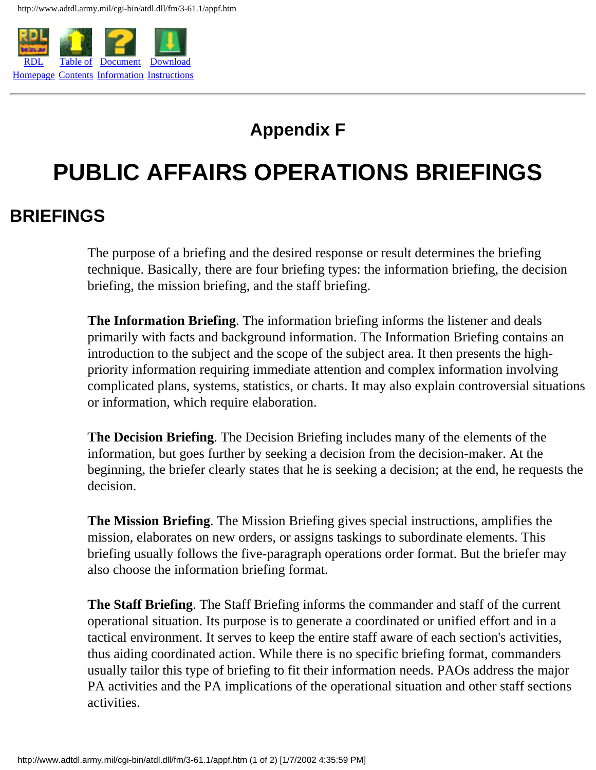

# **Appendix F**

# **PUBLIC AFFAIRS OPERATIONS BRIEFINGS**

### **BRIEFINGS**

The purpose of a briefing and the desired response or result determines the briefing technique. Basically, there are four briefing types: the information briefing, the decision briefing, the mission briefing, and the staff briefing.

**The Information Briefing**. The information briefing informs the listener and deals primarily with facts and background information. The Information Briefing contains an introduction to the subject and the scope of the subject area. It then presents the highpriority information requiring immediate attention and complex information involving complicated plans, systems, statistics, or charts. It may also explain controversial situations or information, which require elaboration.

**The Decision Briefing**. The Decision Briefing includes many of the elements of the information, but goes further by seeking a decision from the decision-maker. At the beginning, the briefer clearly states that he is seeking a decision; at the end, he requests the decision.

**The Mission Briefing**. The Mission Briefing gives special instructions, amplifies the mission, elaborates on new orders, or assigns taskings to subordinate elements. This briefing usually follows the five-paragraph operations order format. But the briefer may also choose the information briefing format.

**The Staff Briefing**. The Staff Briefing informs the commander and staff of the current operational situation. Its purpose is to generate a coordinated or unified effort and in a tactical environment. It serves to keep the entire staff aware of each section's activities, thus aiding coordinated action. While there is no specific briefing format, commanders usually tailor this type of briefing to fit their information needs. PAOs address the major PA activities and the PA implications of the operational situation and other staff sections activities.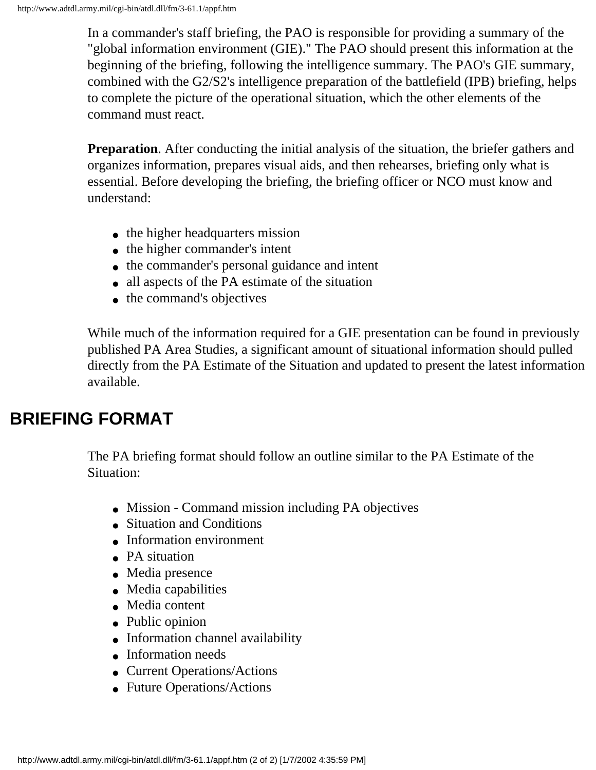In a commander's staff briefing, the PAO is responsible for providing a summary of the "global information environment (GIE)." The PAO should present this information at the beginning of the briefing, following the intelligence summary. The PAO's GIE summary, combined with the G2/S2's intelligence preparation of the battlefield (IPB) briefing, helps to complete the picture of the operational situation, which the other elements of the command must react.

**Preparation.** After conducting the initial analysis of the situation, the briefer gathers and organizes information, prepares visual aids, and then rehearses, briefing only what is essential. Before developing the briefing, the briefing officer or NCO must know and understand:

- the higher headquarters mission
- the higher commander's intent
- the commander's personal guidance and intent
- all aspects of the PA estimate of the situation
- the command's objectives

While much of the information required for a GIE presentation can be found in previously published PA Area Studies, a significant amount of situational information should pulled directly from the PA Estimate of the Situation and updated to present the latest information available.

## **BRIEFING FORMAT**

The PA briefing format should follow an outline similar to the PA Estimate of the Situation:

- Mission Command mission including PA objectives
- Situation and Conditions
- Information environment
- PA situation
- Media presence
- Media capabilities
- Media content
- Public opinion
- Information channel availability
- Information needs
- Current Operations/Actions
- Future Operations/Actions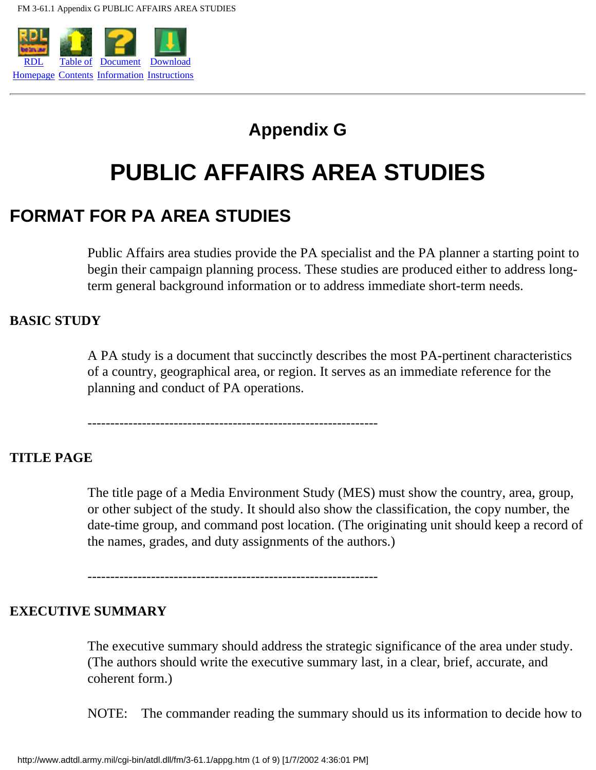

## **Appendix G**

# **PUBLIC AFFAIRS AREA STUDIES**

### **FORMAT FOR PA AREA STUDIES**

Public Affairs area studies provide the PA specialist and the PA planner a starting point to begin their campaign planning process. These studies are produced either to address longterm general background information or to address immediate short-term needs.

#### **BASIC STUDY**

A PA study is a document that succinctly describes the most PA-pertinent characteristics of a country, geographical area, or region. It serves as an immediate reference for the planning and conduct of PA operations.

----------------------------------------------------------------

#### **TITLE PAGE**

The title page of a Media Environment Study (MES) must show the country, area, group, or other subject of the study. It should also show the classification, the copy number, the date-time group, and command post location. (The originating unit should keep a record of the names, grades, and duty assignments of the authors.)

----------------------------------------------------------------

#### **EXECUTIVE SUMMARY**

The executive summary should address the strategic significance of the area under study. (The authors should write the executive summary last, in a clear, brief, accurate, and coherent form.)

NOTE: The commander reading the summary should us its information to decide how to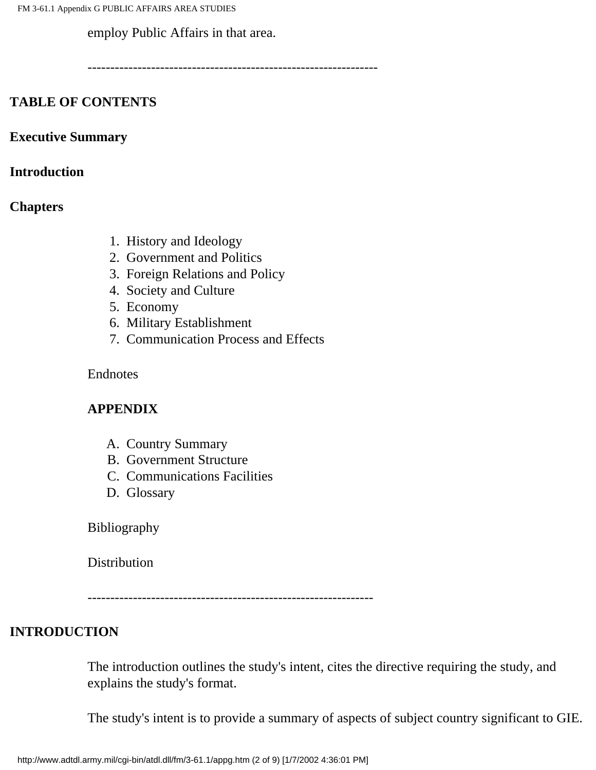employ Public Affairs in that area.

----------------------------------------------------------------

#### **TABLE OF CONTENTS**

#### **Executive Summary**

#### **Introduction**

#### **Chapters**

- 1. History and Ideology
- 2. Government and Politics
- 3. Foreign Relations and Policy
- 4. Society and Culture
- 5. Economy
- 6. Military Establishment
- 7. Communication Process and Effects

#### Endnotes

#### **APPENDIX**

- A. Country Summary
- B. Government Structure
- C. Communications Facilities
- D. Glossary

Bibliography

**Distribution** 

---------------------------------------------------------------

#### **INTRODUCTION**

The introduction outlines the study's intent, cites the directive requiring the study, and explains the study's format.

The study's intent is to provide a summary of aspects of subject country significant to GIE.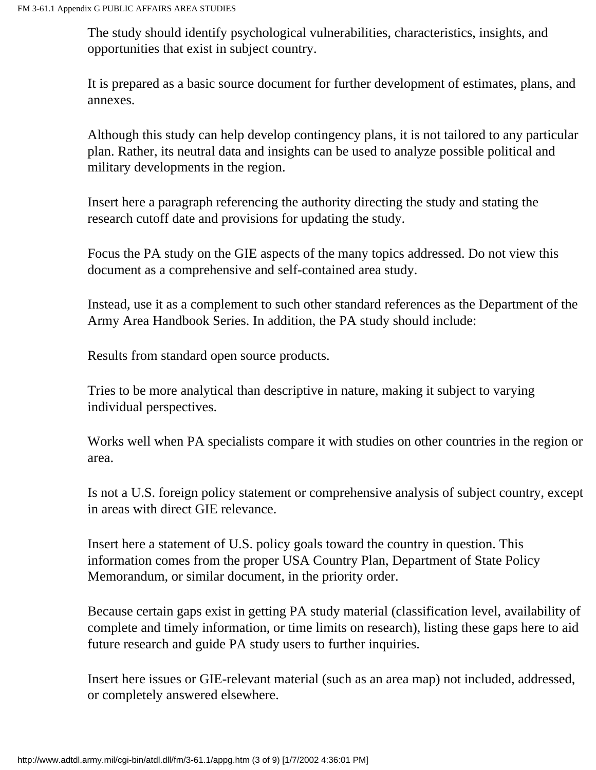The study should identify psychological vulnerabilities, characteristics, insights, and opportunities that exist in subject country.

It is prepared as a basic source document for further development of estimates, plans, and annexes.

Although this study can help develop contingency plans, it is not tailored to any particular plan. Rather, its neutral data and insights can be used to analyze possible political and military developments in the region.

Insert here a paragraph referencing the authority directing the study and stating the research cutoff date and provisions for updating the study.

Focus the PA study on the GIE aspects of the many topics addressed. Do not view this document as a comprehensive and self-contained area study.

Instead, use it as a complement to such other standard references as the Department of the Army Area Handbook Series. In addition, the PA study should include:

Results from standard open source products.

Tries to be more analytical than descriptive in nature, making it subject to varying individual perspectives.

Works well when PA specialists compare it with studies on other countries in the region or area.

Is not a U.S. foreign policy statement or comprehensive analysis of subject country, except in areas with direct GIE relevance.

Insert here a statement of U.S. policy goals toward the country in question. This information comes from the proper USA Country Plan, Department of State Policy Memorandum, or similar document, in the priority order.

Because certain gaps exist in getting PA study material (classification level, availability of complete and timely information, or time limits on research), listing these gaps here to aid future research and guide PA study users to further inquiries.

Insert here issues or GIE-relevant material (such as an area map) not included, addressed, or completely answered elsewhere.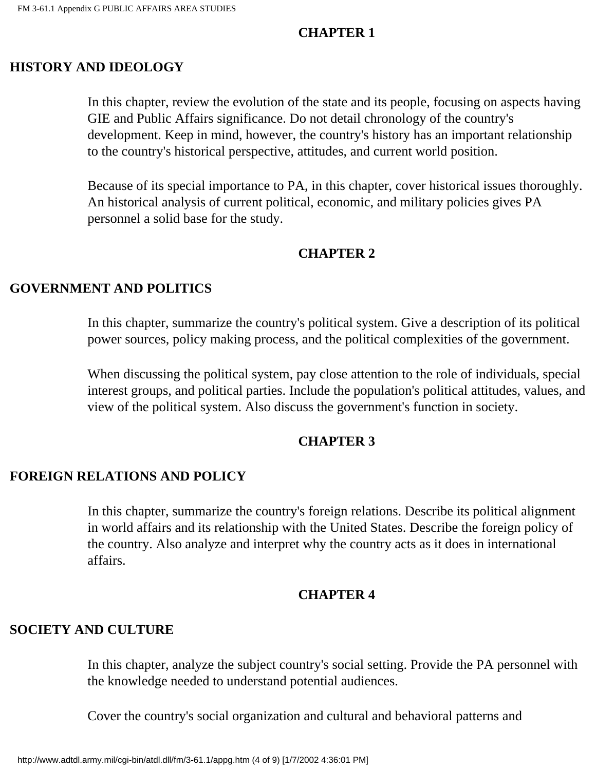#### **CHAPTER 1**

#### **HISTORY AND IDEOLOGY**

In this chapter, review the evolution of the state and its people, focusing on aspects having GIE and Public Affairs significance. Do not detail chronology of the country's development. Keep in mind, however, the country's history has an important relationship to the country's historical perspective, attitudes, and current world position.

Because of its special importance to PA, in this chapter, cover historical issues thoroughly. An historical analysis of current political, economic, and military policies gives PA personnel a solid base for the study.

#### **CHAPTER 2**

#### **GOVERNMENT AND POLITICS**

In this chapter, summarize the country's political system. Give a description of its political power sources, policy making process, and the political complexities of the government.

When discussing the political system, pay close attention to the role of individuals, special interest groups, and political parties. Include the population's political attitudes, values, and view of the political system. Also discuss the government's function in society.

#### **CHAPTER 3**

#### **FOREIGN RELATIONS AND POLICY**

In this chapter, summarize the country's foreign relations. Describe its political alignment in world affairs and its relationship with the United States. Describe the foreign policy of the country. Also analyze and interpret why the country acts as it does in international affairs.

#### **CHAPTER 4**

#### **SOCIETY AND CULTURE**

In this chapter, analyze the subject country's social setting. Provide the PA personnel with the knowledge needed to understand potential audiences.

Cover the country's social organization and cultural and behavioral patterns and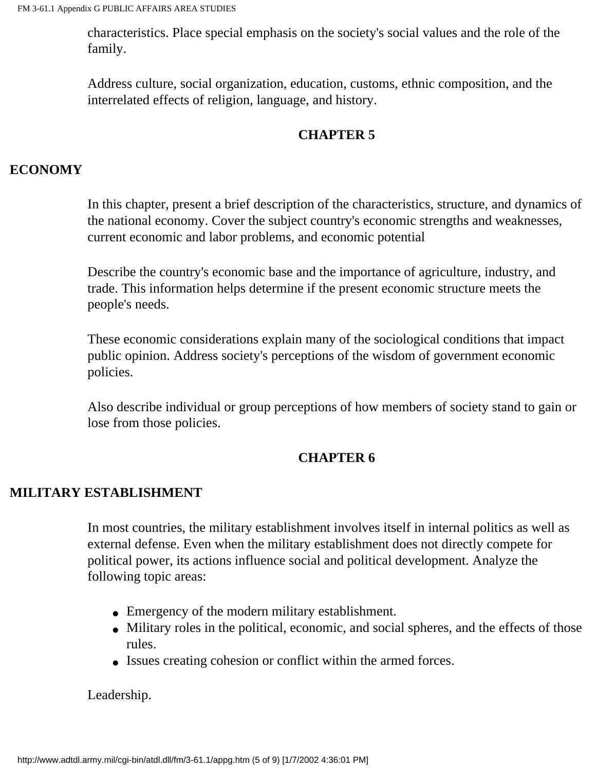characteristics. Place special emphasis on the society's social values and the role of the family.

Address culture, social organization, education, customs, ethnic composition, and the interrelated effects of religion, language, and history.

#### **CHAPTER 5**

#### **ECONOMY**

In this chapter, present a brief description of the characteristics, structure, and dynamics of the national economy. Cover the subject country's economic strengths and weaknesses, current economic and labor problems, and economic potential

Describe the country's economic base and the importance of agriculture, industry, and trade. This information helps determine if the present economic structure meets the people's needs.

These economic considerations explain many of the sociological conditions that impact public opinion. Address society's perceptions of the wisdom of government economic policies.

Also describe individual or group perceptions of how members of society stand to gain or lose from those policies.

#### **CHAPTER 6**

#### **MILITARY ESTABLISHMENT**

In most countries, the military establishment involves itself in internal politics as well as external defense. Even when the military establishment does not directly compete for political power, its actions influence social and political development. Analyze the following topic areas:

- Emergency of the modern military establishment.
- Military roles in the political, economic, and social spheres, and the effects of those rules.
- Issues creating cohesion or conflict within the armed forces.

Leadership.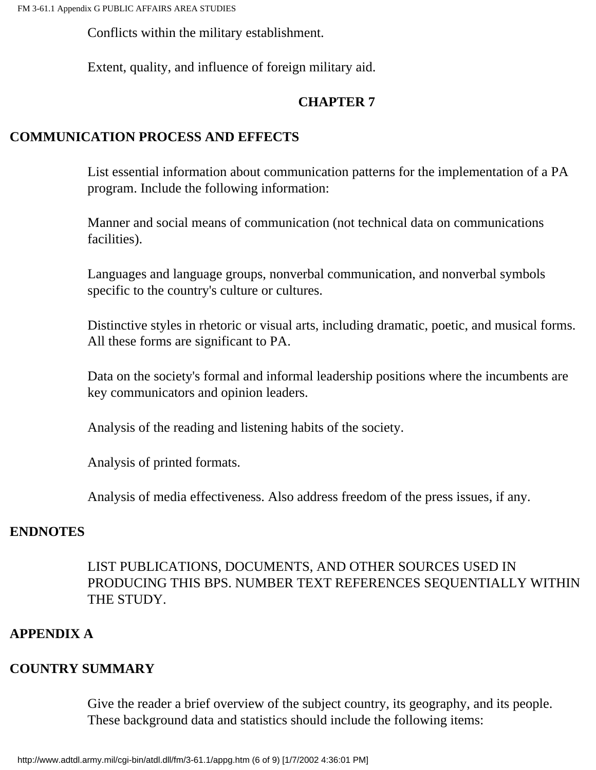Conflicts within the military establishment.

Extent, quality, and influence of foreign military aid.

#### **CHAPTER 7**

#### **COMMUNICATION PROCESS AND EFFECTS**

List essential information about communication patterns for the implementation of a PA program. Include the following information:

Manner and social means of communication (not technical data on communications facilities).

Languages and language groups, nonverbal communication, and nonverbal symbols specific to the country's culture or cultures.

Distinctive styles in rhetoric or visual arts, including dramatic, poetic, and musical forms. All these forms are significant to PA.

Data on the society's formal and informal leadership positions where the incumbents are key communicators and opinion leaders.

Analysis of the reading and listening habits of the society.

Analysis of printed formats.

Analysis of media effectiveness. Also address freedom of the press issues, if any.

#### **ENDNOTES**

#### LIST PUBLICATIONS, DOCUMENTS, AND OTHER SOURCES USED IN PRODUCING THIS BPS. NUMBER TEXT REFERENCES SEQUENTIALLY WITHIN THE STUDY.

#### **APPENDIX A**

#### **COUNTRY SUMMARY**

Give the reader a brief overview of the subject country, its geography, and its people. These background data and statistics should include the following items: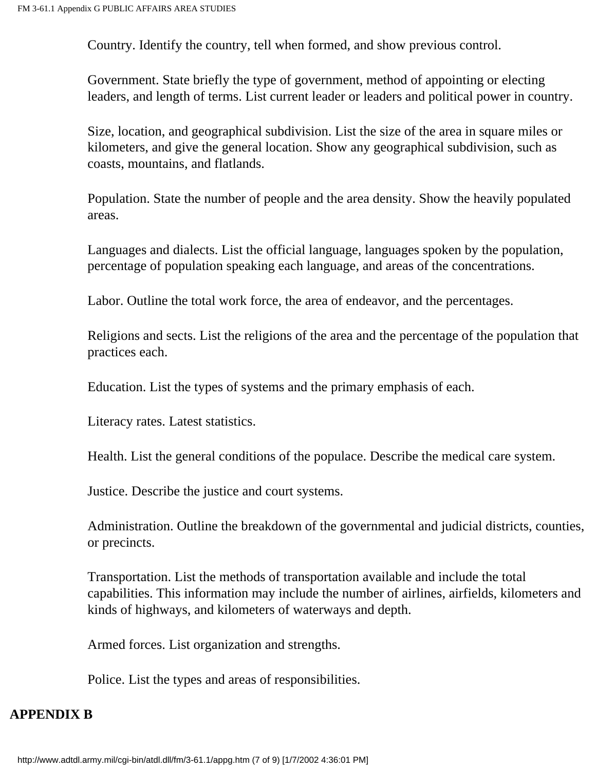Country. Identify the country, tell when formed, and show previous control.

Government. State briefly the type of government, method of appointing or electing leaders, and length of terms. List current leader or leaders and political power in country.

Size, location, and geographical subdivision. List the size of the area in square miles or kilometers, and give the general location. Show any geographical subdivision, such as coasts, mountains, and flatlands.

Population. State the number of people and the area density. Show the heavily populated areas.

Languages and dialects. List the official language, languages spoken by the population, percentage of population speaking each language, and areas of the concentrations.

Labor. Outline the total work force, the area of endeavor, and the percentages.

Religions and sects. List the religions of the area and the percentage of the population that practices each.

Education. List the types of systems and the primary emphasis of each.

Literacy rates. Latest statistics.

Health. List the general conditions of the populace. Describe the medical care system.

Justice. Describe the justice and court systems.

Administration. Outline the breakdown of the governmental and judicial districts, counties, or precincts.

Transportation. List the methods of transportation available and include the total capabilities. This information may include the number of airlines, airfields, kilometers and kinds of highways, and kilometers of waterways and depth.

Armed forces. List organization and strengths.

Police. List the types and areas of responsibilities.

#### **APPENDIX B**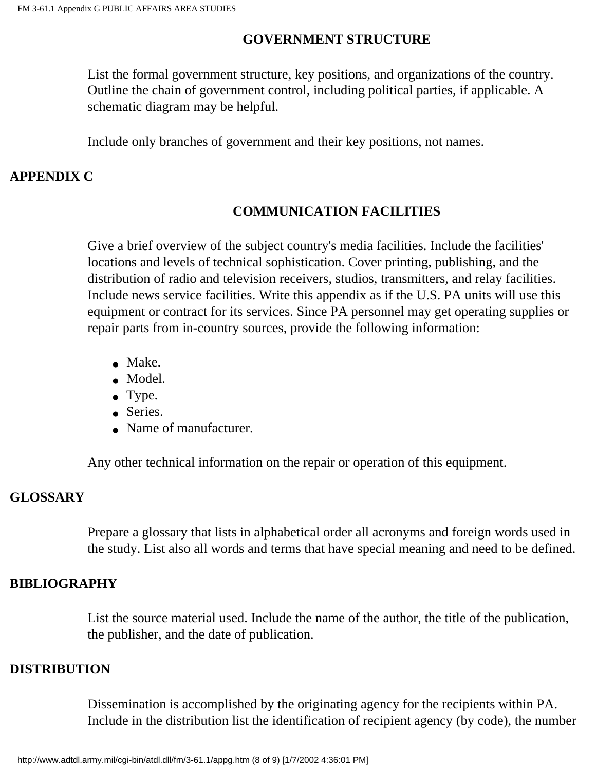#### **GOVERNMENT STRUCTURE**

List the formal government structure, key positions, and organizations of the country. Outline the chain of government control, including political parties, if applicable. A schematic diagram may be helpful.

Include only branches of government and their key positions, not names.

#### **APPENDIX C**

#### **COMMUNICATION FACILITIES**

Give a brief overview of the subject country's media facilities. Include the facilities' locations and levels of technical sophistication. Cover printing, publishing, and the distribution of radio and television receivers, studios, transmitters, and relay facilities. Include news service facilities. Write this appendix as if the U.S. PA units will use this equipment or contract for its services. Since PA personnel may get operating supplies or repair parts from in-country sources, provide the following information:

- $\bullet$  Make.
- Model.
- Type.
- Series.
- Name of manufacturer.

Any other technical information on the repair or operation of this equipment.

#### **GLOSSARY**

Prepare a glossary that lists in alphabetical order all acronyms and foreign words used in the study. List also all words and terms that have special meaning and need to be defined.

#### **BIBLIOGRAPHY**

List the source material used. Include the name of the author, the title of the publication, the publisher, and the date of publication.

#### **DISTRIBUTION**

Dissemination is accomplished by the originating agency for the recipients within PA. Include in the distribution list the identification of recipient agency (by code), the number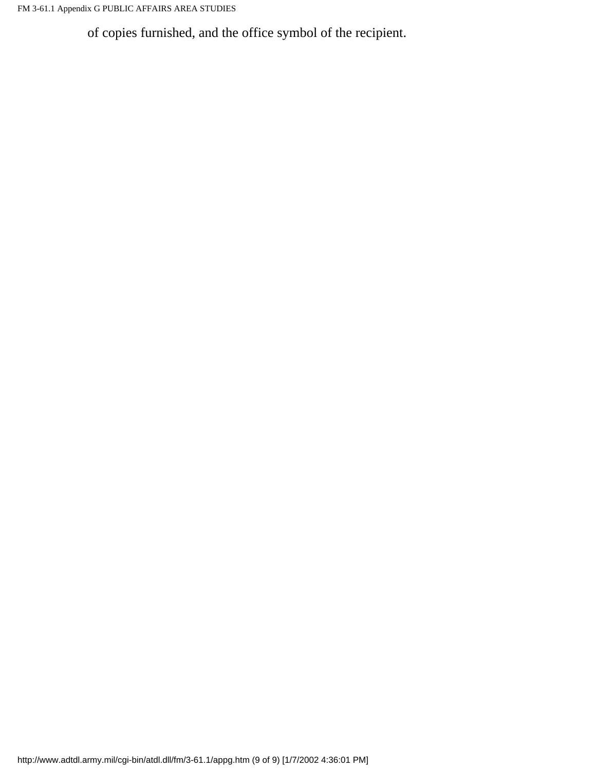of copies furnished, and the office symbol of the recipient.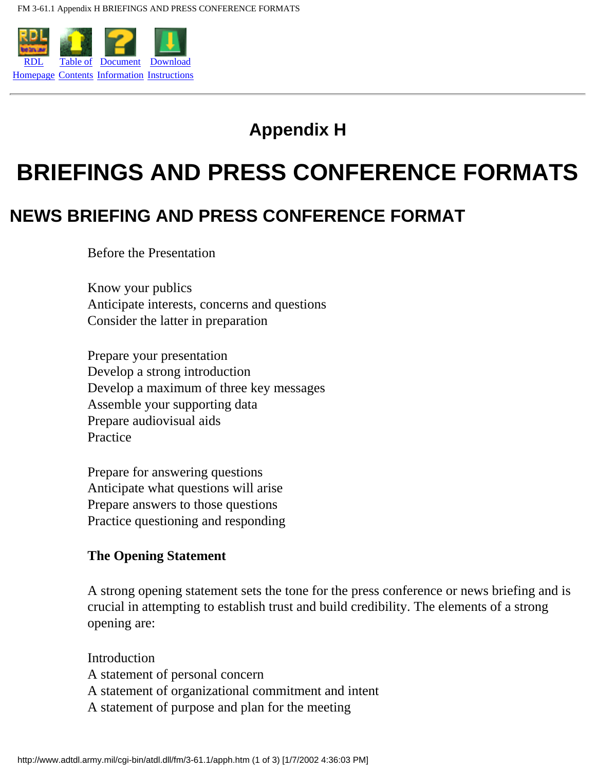

# **Appendix H**

# **BRIEFINGS AND PRESS CONFERENCE FORMATS**

## **NEWS BRIEFING AND PRESS CONFERENCE FORMAT**

Before the Presentation

Know your publics Anticipate interests, concerns and questions Consider the latter in preparation

Prepare your presentation Develop a strong introduction Develop a maximum of three key messages Assemble your supporting data Prepare audiovisual aids Practice

Prepare for answering questions Anticipate what questions will arise Prepare answers to those questions Practice questioning and responding

#### **The Opening Statement**

A strong opening statement sets the tone for the press conference or news briefing and is crucial in attempting to establish trust and build credibility. The elements of a strong opening are:

Introduction A statement of personal concern A statement of organizational commitment and intent A statement of purpose and plan for the meeting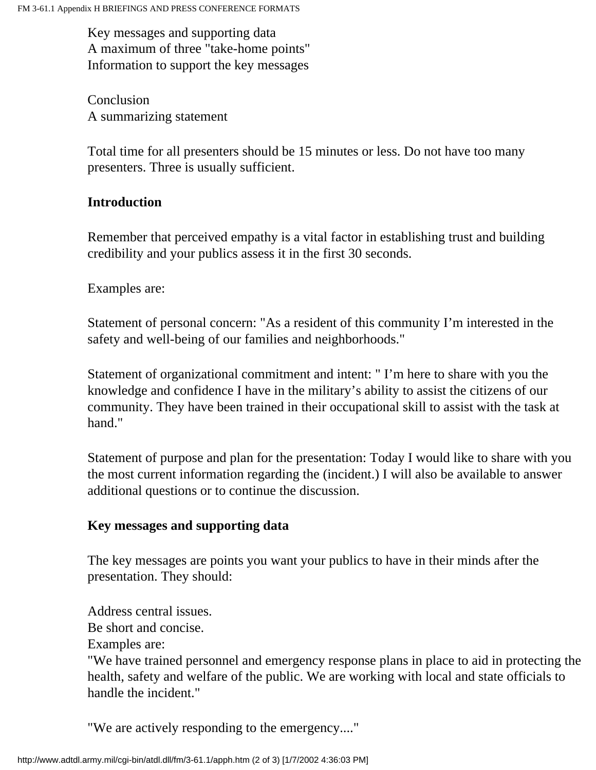Key messages and supporting data A maximum of three "take-home points" Information to support the key messages

**Conclusion** A summarizing statement

Total time for all presenters should be 15 minutes or less. Do not have too many presenters. Three is usually sufficient.

#### **Introduction**

Remember that perceived empathy is a vital factor in establishing trust and building credibility and your publics assess it in the first 30 seconds.

Examples are:

Statement of personal concern: "As a resident of this community I'm interested in the safety and well-being of our families and neighborhoods."

Statement of organizational commitment and intent: " I'm here to share with you the knowledge and confidence I have in the military's ability to assist the citizens of our community. They have been trained in their occupational skill to assist with the task at hand."

Statement of purpose and plan for the presentation: Today I would like to share with you the most current information regarding the (incident.) I will also be available to answer additional questions or to continue the discussion.

#### **Key messages and supporting data**

The key messages are points you want your publics to have in their minds after the presentation. They should:

Address central issues.

Be short and concise.

Examples are:

"We have trained personnel and emergency response plans in place to aid in protecting the health, safety and welfare of the public. We are working with local and state officials to handle the incident."

"We are actively responding to the emergency...."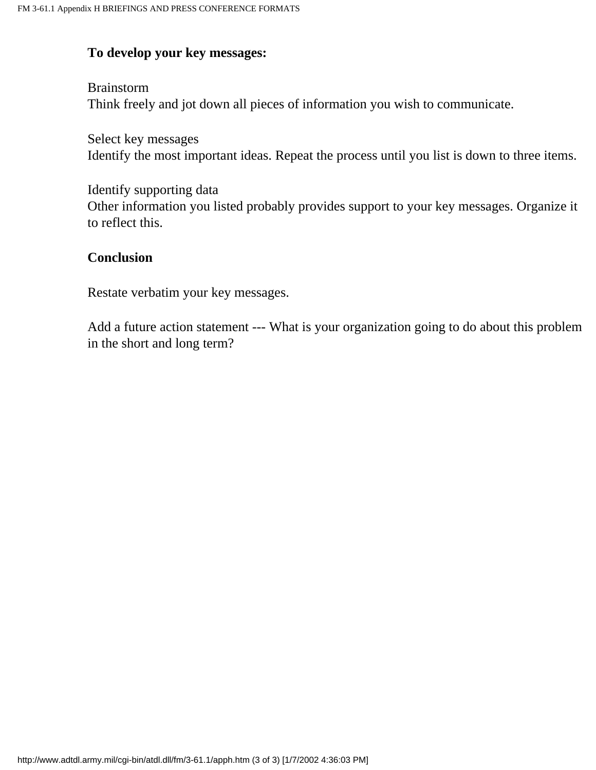#### **To develop your key messages:**

Brainstorm Think freely and jot down all pieces of information you wish to communicate.

Select key messages Identify the most important ideas. Repeat the process until you list is down to three items.

Identify supporting data Other information you listed probably provides support to your key messages. Organize it to reflect this.

#### **Conclusion**

Restate verbatim your key messages.

Add a future action statement --- What is your organization going to do about this problem in the short and long term?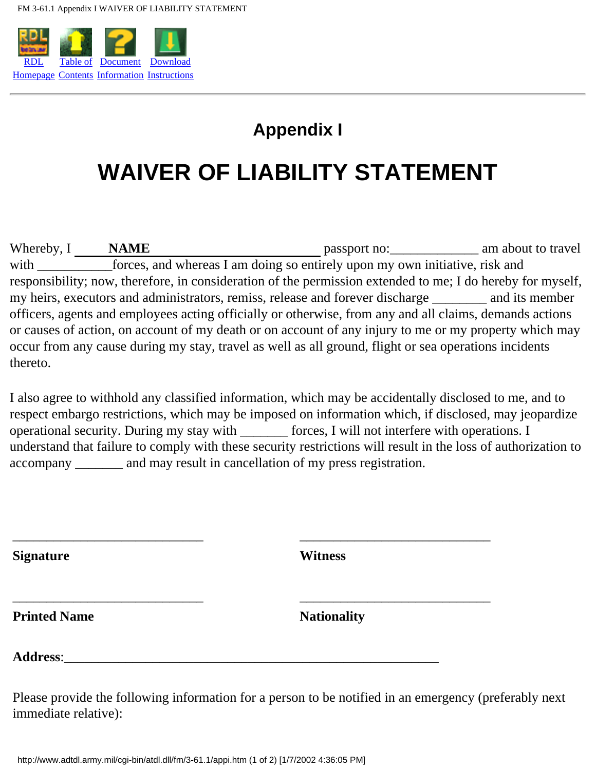

# **Appendix I**

# **WAIVER OF LIABILITY STATEMENT**

Whereby, I **NAME NAME passport no: not** am about to travel with \_\_\_\_\_\_\_\_\_\_forces, and whereas I am doing so entirely upon my own initiative, risk and responsibility; now, therefore, in consideration of the permission extended to me; I do hereby for myself, my heirs, executors and administrators, remiss, release and forever discharge \_\_\_\_\_\_\_\_ and its member officers, agents and employees acting officially or otherwise, from any and all claims, demands actions or causes of action, on account of my death or on account of any injury to me or my property which may occur from any cause during my stay, travel as well as all ground, flight or sea operations incidents thereto.

I also agree to withhold any classified information, which may be accidentally disclosed to me, and to respect embargo restrictions, which may be imposed on information which, if disclosed, may jeopardize operational security. During my stay with \_\_\_\_\_\_\_ forces, I will not interfere with operations. I understand that failure to comply with these security restrictions will result in the loss of authorization to accompany \_\_\_\_\_\_\_ and may result in cancellation of my press registration.

| <b>Signature</b>    | <b>Witness</b>     |  |
|---------------------|--------------------|--|
| <b>Printed Name</b> | <b>Nationality</b> |  |
|                     |                    |  |

Please provide the following information for a person to be notified in an emergency (preferably next immediate relative):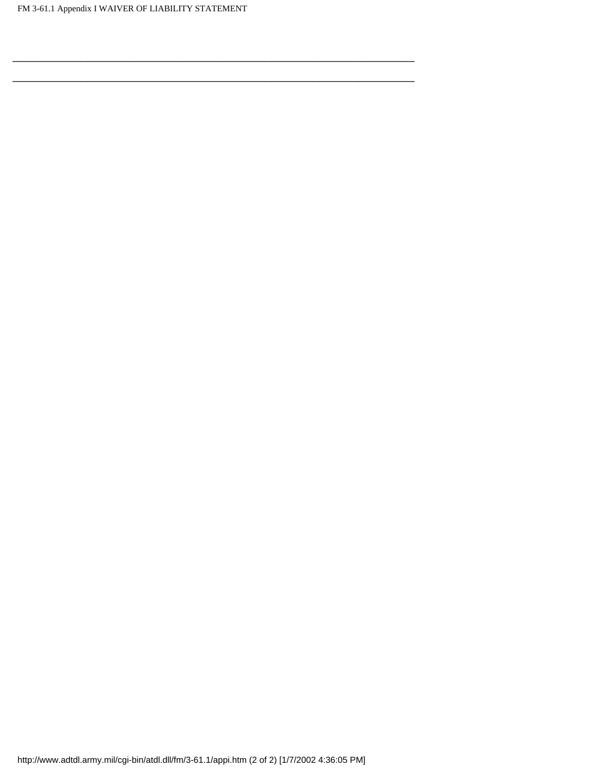\_\_\_\_\_\_\_\_\_\_\_\_\_\_\_\_\_\_\_\_\_\_\_\_\_\_\_\_\_\_\_\_\_\_\_\_\_\_\_\_\_\_\_\_\_\_\_\_\_\_\_\_\_\_\_\_\_\_\_

\_\_\_\_\_\_\_\_\_\_\_\_\_\_\_\_\_\_\_\_\_\_\_\_\_\_\_\_\_\_\_\_\_\_\_\_\_\_\_\_\_\_\_\_\_\_\_\_\_\_\_\_\_\_\_\_\_\_\_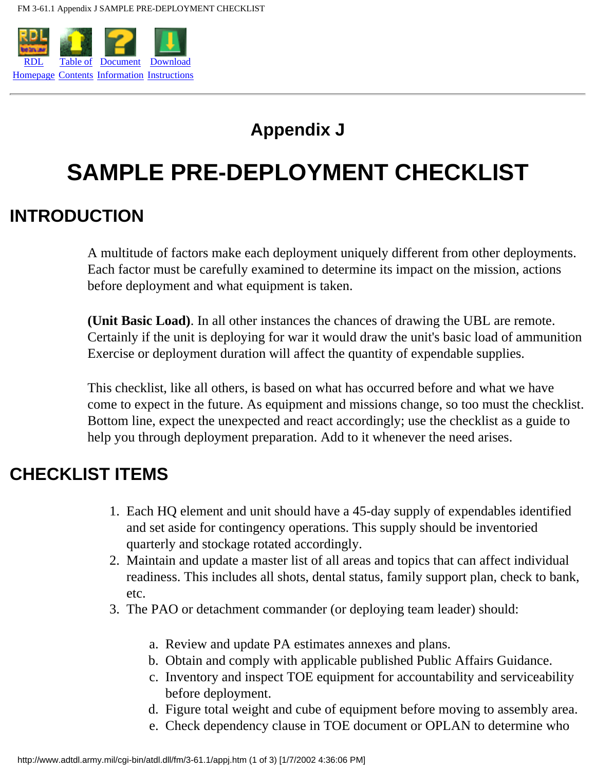

# **Appendix J**

# **SAMPLE PRE-DEPLOYMENT CHECKLIST**

### **INTRODUCTION**

A multitude of factors make each deployment uniquely different from other deployments. Each factor must be carefully examined to determine its impact on the mission, actions before deployment and what equipment is taken.

**(Unit Basic Load)**. In all other instances the chances of drawing the UBL are remote. Certainly if the unit is deploying for war it would draw the unit's basic load of ammunition Exercise or deployment duration will affect the quantity of expendable supplies.

This checklist, like all others, is based on what has occurred before and what we have come to expect in the future. As equipment and missions change, so too must the checklist. Bottom line, expect the unexpected and react accordingly; use the checklist as a guide to help you through deployment preparation. Add to it whenever the need arises.

### **CHECKLIST ITEMS**

- 1. Each HQ element and unit should have a 45-day supply of expendables identified and set aside for contingency operations. This supply should be inventoried quarterly and stockage rotated accordingly.
- 2. Maintain and update a master list of all areas and topics that can affect individual readiness. This includes all shots, dental status, family support plan, check to bank, etc.
- 3. The PAO or detachment commander (or deploying team leader) should:
	- a. Review and update PA estimates annexes and plans.
	- b. Obtain and comply with applicable published Public Affairs Guidance.
	- c. Inventory and inspect TOE equipment for accountability and serviceability before deployment.
	- d. Figure total weight and cube of equipment before moving to assembly area.
	- e. Check dependency clause in TOE document or OPLAN to determine who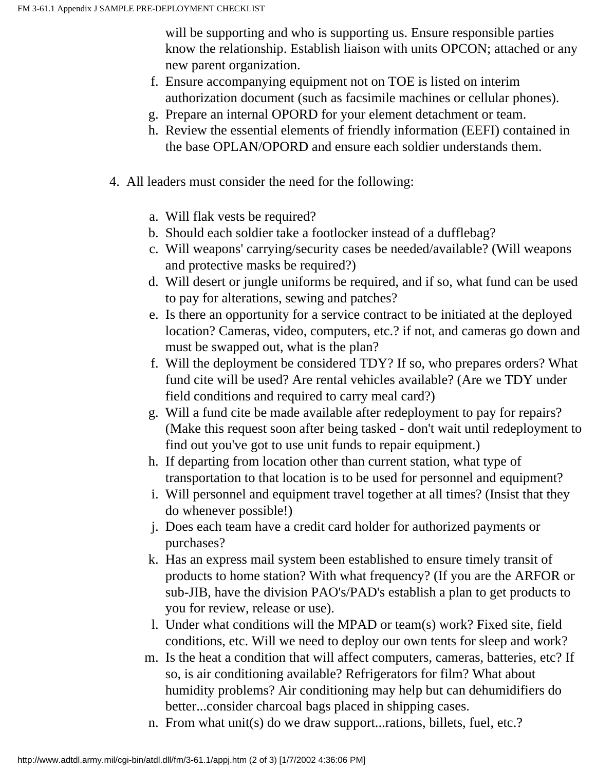will be supporting and who is supporting us. Ensure responsible parties know the relationship. Establish liaison with units OPCON; attached or any new parent organization.

- f. Ensure accompanying equipment not on TOE is listed on interim authorization document (such as facsimile machines or cellular phones).
- g. Prepare an internal OPORD for your element detachment or team.
- h. Review the essential elements of friendly information (EEFI) contained in the base OPLAN/OPORD and ensure each soldier understands them.
- 4. All leaders must consider the need for the following:
	- a. Will flak vests be required?
	- b. Should each soldier take a footlocker instead of a dufflebag?
	- c. Will weapons' carrying/security cases be needed/available? (Will weapons and protective masks be required?)
	- d. Will desert or jungle uniforms be required, and if so, what fund can be used to pay for alterations, sewing and patches?
	- e. Is there an opportunity for a service contract to be initiated at the deployed location? Cameras, video, computers, etc.? if not, and cameras go down and must be swapped out, what is the plan?
	- f. Will the deployment be considered TDY? If so, who prepares orders? What fund cite will be used? Are rental vehicles available? (Are we TDY under field conditions and required to carry meal card?)
	- g. Will a fund cite be made available after redeployment to pay for repairs? (Make this request soon after being tasked - don't wait until redeployment to find out you've got to use unit funds to repair equipment.)
	- h. If departing from location other than current station, what type of transportation to that location is to be used for personnel and equipment?
	- i. Will personnel and equipment travel together at all times? (Insist that they do whenever possible!)
	- j. Does each team have a credit card holder for authorized payments or purchases?
	- k. Has an express mail system been established to ensure timely transit of products to home station? With what frequency? (If you are the ARFOR or sub-JIB, have the division PAO's/PAD's establish a plan to get products to you for review, release or use).
	- l. Under what conditions will the MPAD or team(s) work? Fixed site, field conditions, etc. Will we need to deploy our own tents for sleep and work?
	- m. Is the heat a condition that will affect computers, cameras, batteries, etc? If so, is air conditioning available? Refrigerators for film? What about humidity problems? Air conditioning may help but can dehumidifiers do better...consider charcoal bags placed in shipping cases.
	- n. From what unit(s) do we draw support...rations, billets, fuel, etc.?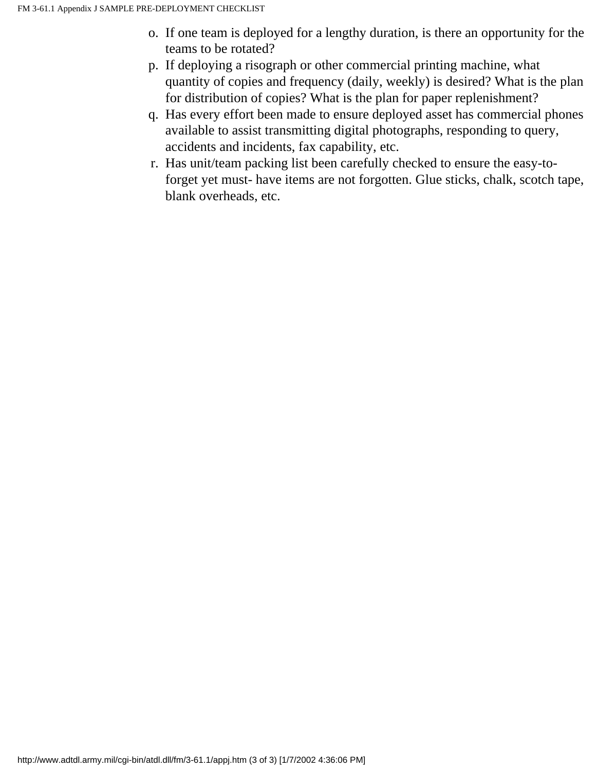- o. If one team is deployed for a lengthy duration, is there an opportunity for the teams to be rotated?
- p. If deploying a risograph or other commercial printing machine, what quantity of copies and frequency (daily, weekly) is desired? What is the plan for distribution of copies? What is the plan for paper replenishment?
- q. Has every effort been made to ensure deployed asset has commercial phones available to assist transmitting digital photographs, responding to query, accidents and incidents, fax capability, etc.
- r. Has unit/team packing list been carefully checked to ensure the easy-toforget yet must- have items are not forgotten. Glue sticks, chalk, scotch tape, blank overheads, etc.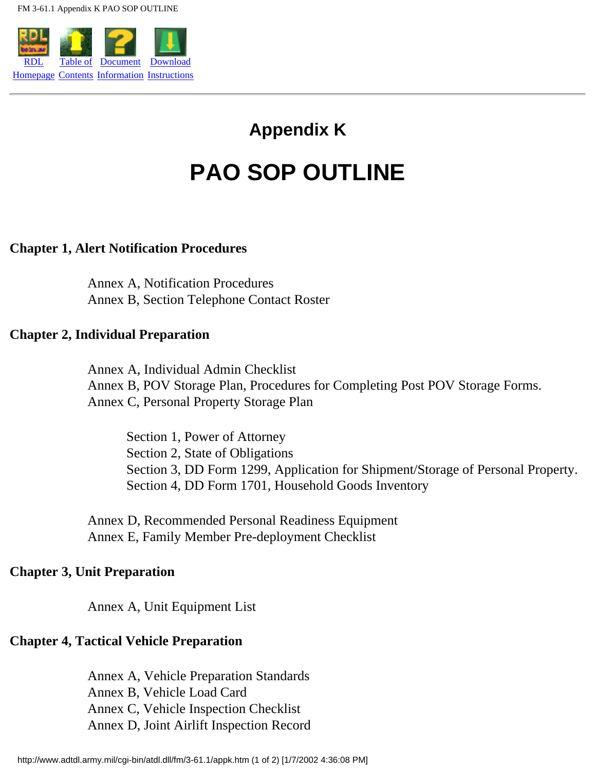

## **Appendix K**

# **PAO SOP OUTLINE**

#### **Chapter 1, Alert Notification Procedures**

Annex A, Notification Procedures Annex B, Section Telephone Contact Roster

#### **Chapter 2, Individual Preparation**

Annex A, Individual Admin Checklist Annex B, POV Storage Plan, Procedures for Completing Post POV Storage Forms. Annex C, Personal Property Storage Plan

Section 1, Power of Attorney Section 2, State of Obligations Section 3, DD Form 1299, Application for Shipment/Storage of Personal Property. Section 4, DD Form 1701, Household Goods Inventory

Annex D, Recommended Personal Readiness Equipment Annex E, Family Member Pre-deployment Checklist

#### **Chapter 3, Unit Preparation**

Annex A, Unit Equipment List

#### **Chapter 4, Tactical Vehicle Preparation**

Annex A, Vehicle Preparation Standards Annex B, Vehicle Load Card Annex C, Vehicle Inspection Checklist Annex D, Joint Airlift Inspection Record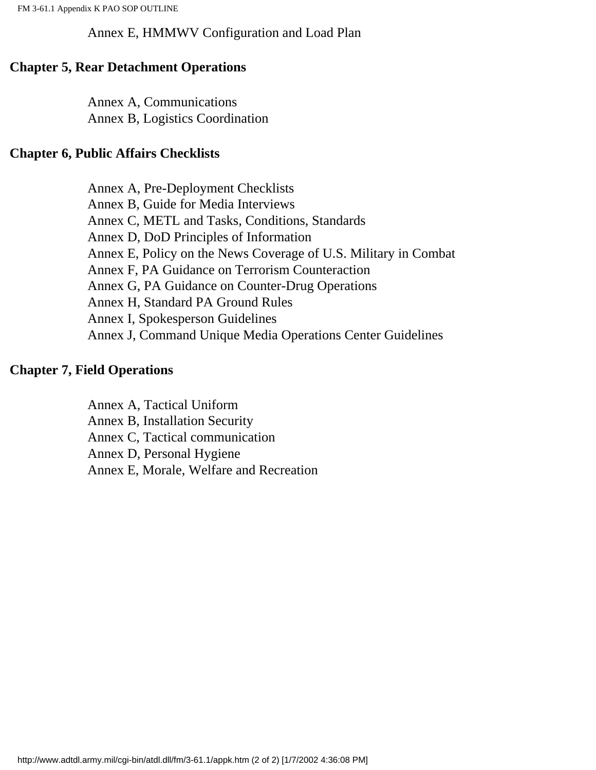Annex E, HMMWV Configuration and Load Plan

#### **Chapter 5, Rear Detachment Operations**

Annex A, Communications Annex B, Logistics Coordination

#### **Chapter 6, Public Affairs Checklists**

Annex A, Pre-Deployment Checklists Annex B, Guide for Media Interviews Annex C, METL and Tasks, Conditions, Standards Annex D, DoD Principles of Information Annex E, Policy on the News Coverage of U.S. Military in Combat Annex F, PA Guidance on Terrorism Counteraction Annex G, PA Guidance on Counter-Drug Operations Annex H, Standard PA Ground Rules Annex I, Spokesperson Guidelines Annex J, Command Unique Media Operations Center Guidelines

#### **Chapter 7, Field Operations**

Annex A, Tactical Uniform Annex B, Installation Security Annex C, Tactical communication Annex D, Personal Hygiene Annex E, Morale, Welfare and Recreation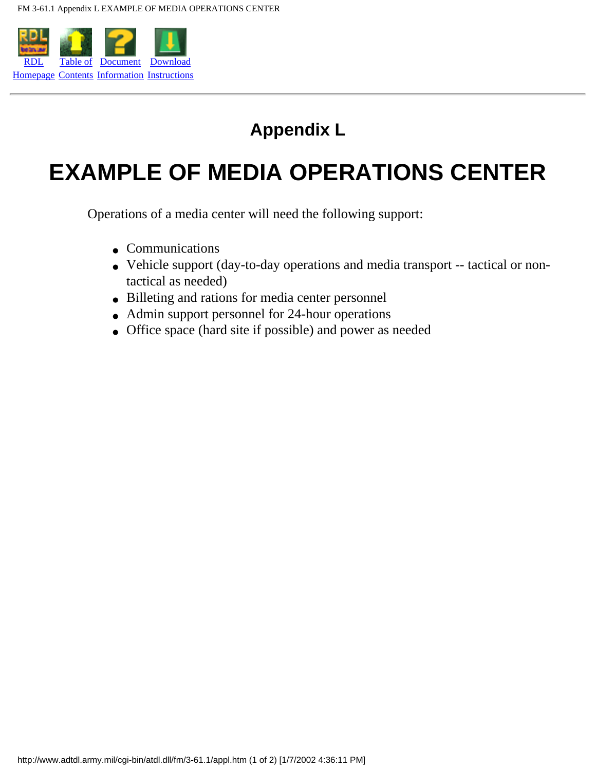

## **Appendix L**

# **EXAMPLE OF MEDIA OPERATIONS CENTER**

Operations of a media center will need the following support:

- Communications
- Vehicle support (day-to-day operations and media transport -- tactical or nontactical as needed)
- Billeting and rations for media center personnel
- Admin support personnel for 24-hour operations
- Office space (hard site if possible) and power as needed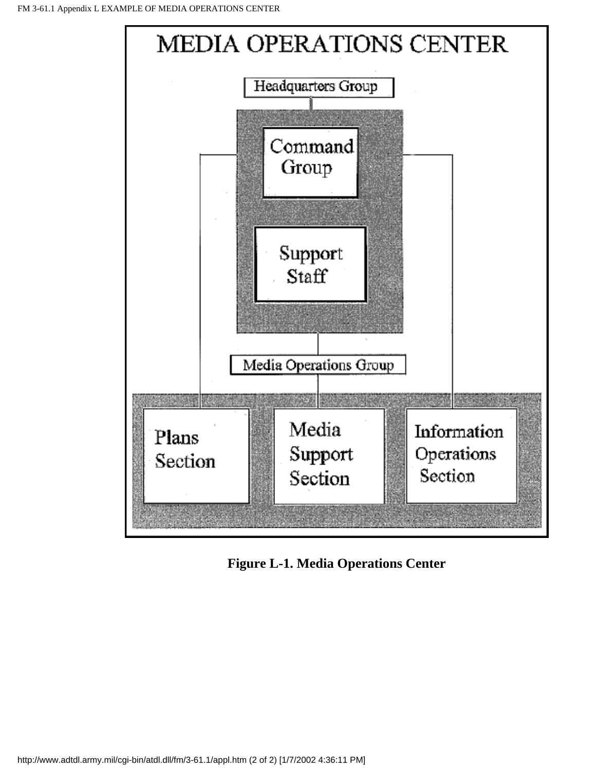

**Figure L-1. Media Operations Center**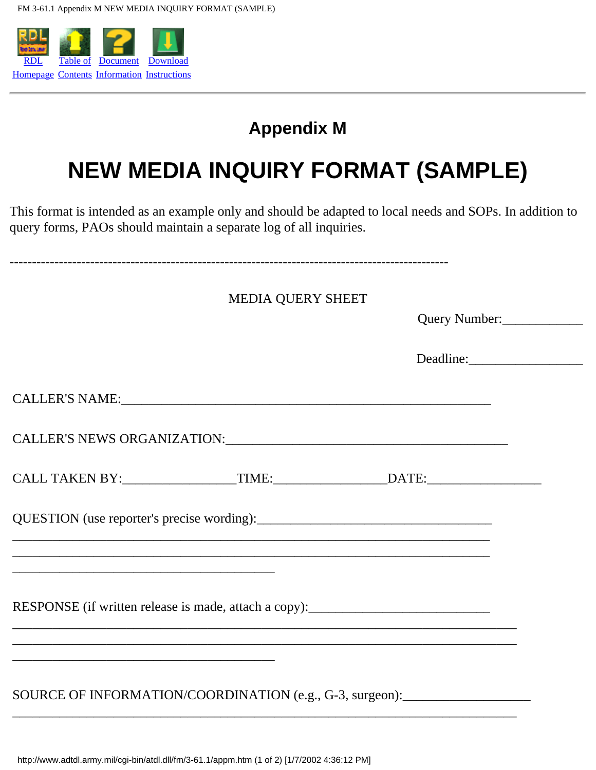

## **Appendix M**

# **NEW MEDIA INQUIRY FORMAT (SAMPLE)**

This format is intended as an example only and should be adapted to local needs and SOPs. In addition to query forms, PAOs should maintain a separate log of all inquiries.

|                                                                                                                       | <b>MEDIA QUERY SHEET</b> |                                                                                                                                                                                                                               |
|-----------------------------------------------------------------------------------------------------------------------|--------------------------|-------------------------------------------------------------------------------------------------------------------------------------------------------------------------------------------------------------------------------|
|                                                                                                                       |                          | Query Number:                                                                                                                                                                                                                 |
|                                                                                                                       |                          |                                                                                                                                                                                                                               |
|                                                                                                                       |                          |                                                                                                                                                                                                                               |
|                                                                                                                       |                          | CALLER'S NEWS ORGANIZATION: University of the set of the set of the set of the set of the set of the set of the set of the set of the set of the set of the set of the set of the set of the set of the set of the set of the |
|                                                                                                                       |                          | CALL TAKEN BY:__________________TIME:___________________DATE:____________________                                                                                                                                             |
|                                                                                                                       |                          | <u> 1989 - Johann Stoff, deutscher Stoff, der Stoff, der Stoff, der Stoff, der Stoff, der Stoff, der Stoff, der S</u>                                                                                                         |
|                                                                                                                       |                          |                                                                                                                                                                                                                               |
| RESPONSE (if written release is made, attach a copy): __________________________                                      |                          | <u> 1989 - Johann Barn, mars an t-Amerikaansk politiker (* 1989)</u>                                                                                                                                                          |
| <u> 1989 - Johann Stein, marwolaethau a bhann an t-Amhain ann an t-Amhain an t-Amhain an t-Amhain an t-Amhain an </u> |                          |                                                                                                                                                                                                                               |
|                                                                                                                       |                          | SOURCE OF INFORMATION/COORDINATION (e.g., G-3, surgeon):                                                                                                                                                                      |
|                                                                                                                       |                          |                                                                                                                                                                                                                               |

http://www.adtdl.army.mil/cgi-bin/atdl.dll/fm/3-61.1/appm.htm (1 of 2) [1/7/2002 4:36:12 PM]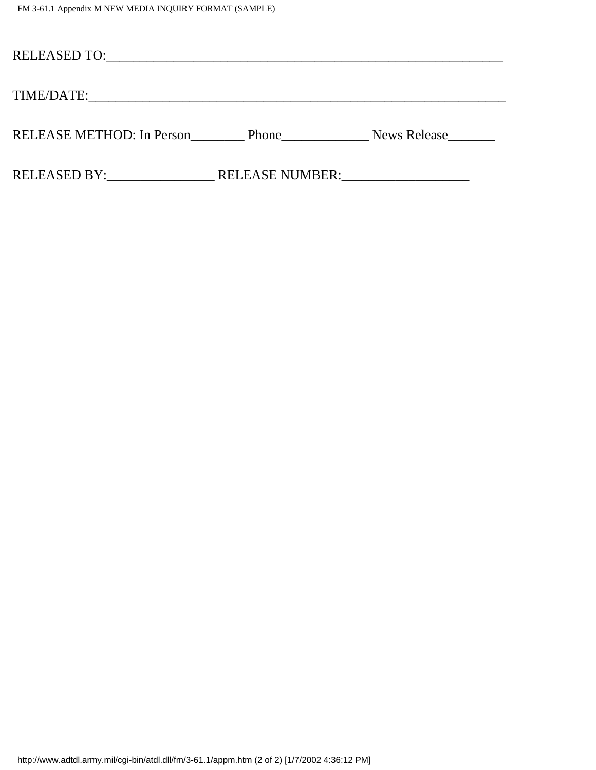FM 3-61.1 Appendix M NEW MEDIA INQUIRY FORMAT (SAMPLE)

| RELEASED TO:              |                        |                     |
|---------------------------|------------------------|---------------------|
| TIME/DATE:                |                        |                     |
| RELEASE METHOD: In Person |                        | <b>News Release</b> |
| <b>RELEASED BY:</b>       | <b>RELEASE NUMBER:</b> |                     |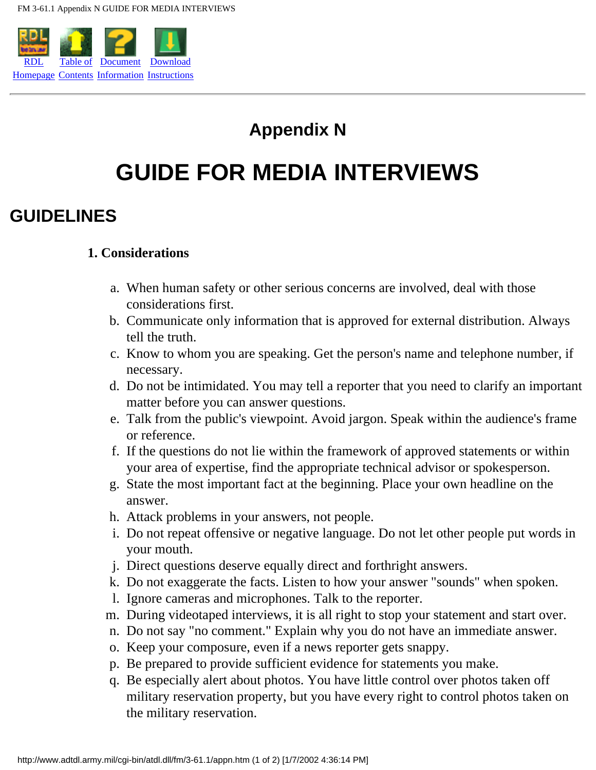

## **Appendix N**

# **GUIDE FOR MEDIA INTERVIEWS**

### **GUIDELINES**

#### **1. Considerations**

- a. When human safety or other serious concerns are involved, deal with those considerations first.
- b. Communicate only information that is approved for external distribution. Always tell the truth.
- c. Know to whom you are speaking. Get the person's name and telephone number, if necessary.
- d. Do not be intimidated. You may tell a reporter that you need to clarify an important matter before you can answer questions.
- e. Talk from the public's viewpoint. Avoid jargon. Speak within the audience's frame or reference.
- f. If the questions do not lie within the framework of approved statements or within your area of expertise, find the appropriate technical advisor or spokesperson.
- g. State the most important fact at the beginning. Place your own headline on the answer.
- h. Attack problems in your answers, not people.
- i. Do not repeat offensive or negative language. Do not let other people put words in your mouth.
- j. Direct questions deserve equally direct and forthright answers.
- k. Do not exaggerate the facts. Listen to how your answer "sounds" when spoken.
- l. Ignore cameras and microphones. Talk to the reporter.
- m. During videotaped interviews, it is all right to stop your statement and start over.
- n. Do not say "no comment." Explain why you do not have an immediate answer.
- o. Keep your composure, even if a news reporter gets snappy.
- p. Be prepared to provide sufficient evidence for statements you make.
- q. Be especially alert about photos. You have little control over photos taken off military reservation property, but you have every right to control photos taken on the military reservation.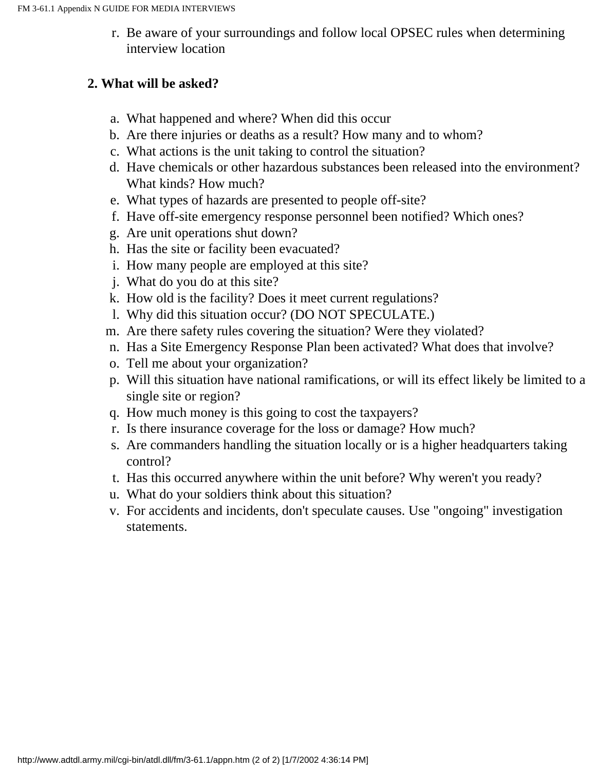r. Be aware of your surroundings and follow local OPSEC rules when determining interview location

#### **2. What will be asked?**

- a. What happened and where? When did this occur
- b. Are there injuries or deaths as a result? How many and to whom?
- c. What actions is the unit taking to control the situation?
- d. Have chemicals or other hazardous substances been released into the environment? What kinds? How much?
- e. What types of hazards are presented to people off-site?
- f. Have off-site emergency response personnel been notified? Which ones?
- g. Are unit operations shut down?
- h. Has the site or facility been evacuated?
- i. How many people are employed at this site?
- j. What do you do at this site?
- k. How old is the facility? Does it meet current regulations?
- l. Why did this situation occur? (DO NOT SPECULATE.)
- m. Are there safety rules covering the situation? Were they violated?
- n. Has a Site Emergency Response Plan been activated? What does that involve?
- o. Tell me about your organization?
- p. Will this situation have national ramifications, or will its effect likely be limited to a single site or region?
- q. How much money is this going to cost the taxpayers?
- r. Is there insurance coverage for the loss or damage? How much?
- s. Are commanders handling the situation locally or is a higher headquarters taking control?
- t. Has this occurred anywhere within the unit before? Why weren't you ready?
- u. What do your soldiers think about this situation?
- v. For accidents and incidents, don't speculate causes. Use "ongoing" investigation statements.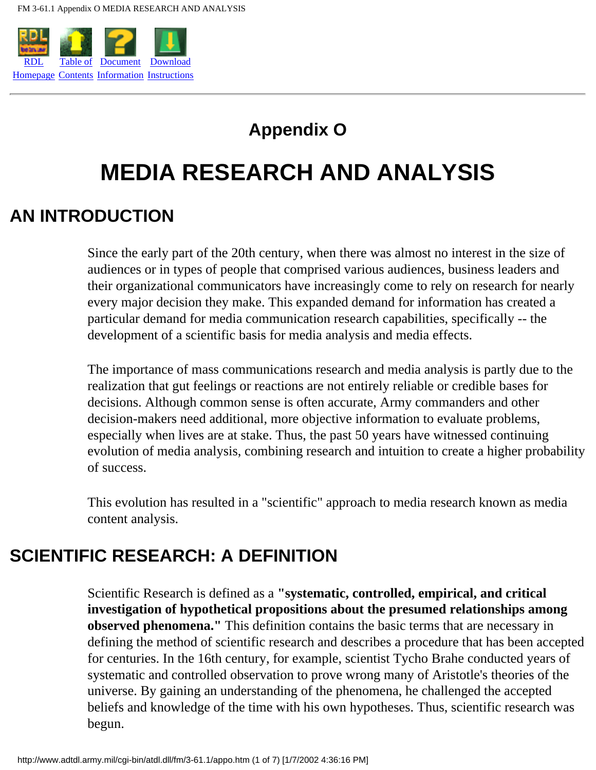

## **Appendix O**

# **MEDIA RESEARCH AND ANALYSIS**

## **AN INTRODUCTION**

Since the early part of the 20th century, when there was almost no interest in the size of audiences or in types of people that comprised various audiences, business leaders and their organizational communicators have increasingly come to rely on research for nearly every major decision they make. This expanded demand for information has created a particular demand for media communication research capabilities, specifically -- the development of a scientific basis for media analysis and media effects.

The importance of mass communications research and media analysis is partly due to the realization that gut feelings or reactions are not entirely reliable or credible bases for decisions. Although common sense is often accurate, Army commanders and other decision-makers need additional, more objective information to evaluate problems, especially when lives are at stake. Thus, the past 50 years have witnessed continuing evolution of media analysis, combining research and intuition to create a higher probability of success.

This evolution has resulted in a "scientific" approach to media research known as media content analysis.

## **SCIENTIFIC RESEARCH: A DEFINITION**

Scientific Research is defined as a **"systematic, controlled, empirical, and critical investigation of hypothetical propositions about the presumed relationships among observed phenomena."** This definition contains the basic terms that are necessary in defining the method of scientific research and describes a procedure that has been accepted for centuries. In the 16th century, for example, scientist Tycho Brahe conducted years of systematic and controlled observation to prove wrong many of Aristotle's theories of the universe. By gaining an understanding of the phenomena, he challenged the accepted beliefs and knowledge of the time with his own hypotheses. Thus, scientific research was begun.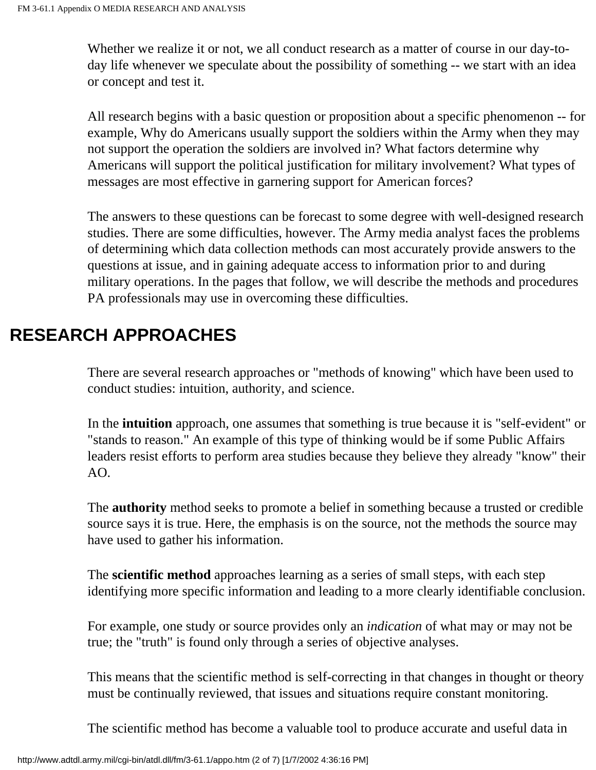Whether we realize it or not, we all conduct research as a matter of course in our day-today life whenever we speculate about the possibility of something -- we start with an idea or concept and test it.

All research begins with a basic question or proposition about a specific phenomenon -- for example, Why do Americans usually support the soldiers within the Army when they may not support the operation the soldiers are involved in? What factors determine why Americans will support the political justification for military involvement? What types of messages are most effective in garnering support for American forces?

The answers to these questions can be forecast to some degree with well-designed research studies. There are some difficulties, however. The Army media analyst faces the problems of determining which data collection methods can most accurately provide answers to the questions at issue, and in gaining adequate access to information prior to and during military operations. In the pages that follow, we will describe the methods and procedures PA professionals may use in overcoming these difficulties.

### **RESEARCH APPROACHES**

There are several research approaches or "methods of knowing" which have been used to conduct studies: intuition, authority, and science.

In the **intuition** approach, one assumes that something is true because it is "self-evident" or "stands to reason." An example of this type of thinking would be if some Public Affairs leaders resist efforts to perform area studies because they believe they already "know" their AO.

The **authority** method seeks to promote a belief in something because a trusted or credible source says it is true. Here, the emphasis is on the source, not the methods the source may have used to gather his information.

The **scientific method** approaches learning as a series of small steps, with each step identifying more specific information and leading to a more clearly identifiable conclusion.

For example, one study or source provides only an *indication* of what may or may not be true; the "truth" is found only through a series of objective analyses.

This means that the scientific method is self-correcting in that changes in thought or theory must be continually reviewed, that issues and situations require constant monitoring.

The scientific method has become a valuable tool to produce accurate and useful data in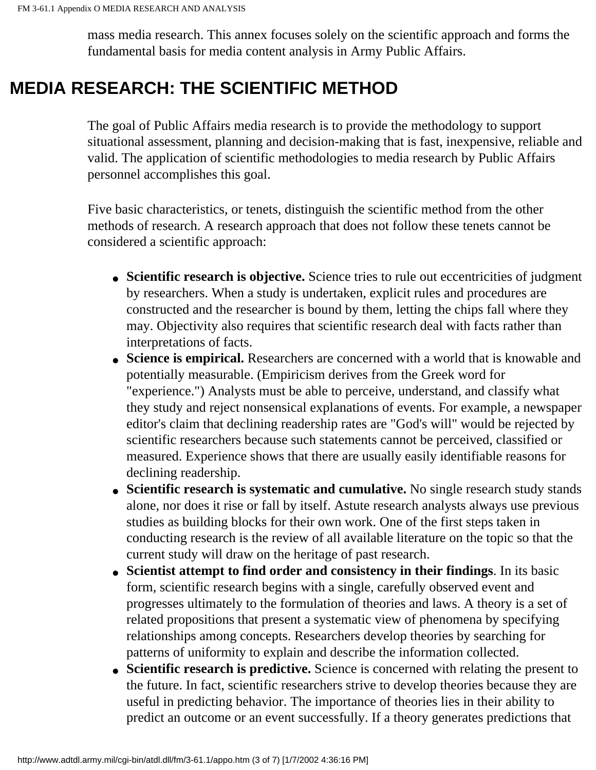mass media research. This annex focuses solely on the scientific approach and forms the fundamental basis for media content analysis in Army Public Affairs.

## **MEDIA RESEARCH: THE SCIENTIFIC METHOD**

The goal of Public Affairs media research is to provide the methodology to support situational assessment, planning and decision-making that is fast, inexpensive, reliable and valid. The application of scientific methodologies to media research by Public Affairs personnel accomplishes this goal.

Five basic characteristics, or tenets, distinguish the scientific method from the other methods of research. A research approach that does not follow these tenets cannot be considered a scientific approach:

- **Scientific research is objective.** Science tries to rule out eccentricities of judgment by researchers. When a study is undertaken, explicit rules and procedures are constructed and the researcher is bound by them, letting the chips fall where they may. Objectivity also requires that scientific research deal with facts rather than interpretations of facts.
- **Science is empirical.** Researchers are concerned with a world that is knowable and potentially measurable. (Empiricism derives from the Greek word for "experience.") Analysts must be able to perceive, understand, and classify what they study and reject nonsensical explanations of events. For example, a newspaper editor's claim that declining readership rates are "God's will" would be rejected by scientific researchers because such statements cannot be perceived, classified or measured. Experience shows that there are usually easily identifiable reasons for declining readership.
- Scientific research is systematic and cumulative. No single research study stands alone, nor does it rise or fall by itself. Astute research analysts always use previous studies as building blocks for their own work. One of the first steps taken in conducting research is the review of all available literature on the topic so that the current study will draw on the heritage of past research.
- **Scientist attempt to find order and consistency in their findings**. In its basic form, scientific research begins with a single, carefully observed event and progresses ultimately to the formulation of theories and laws. A theory is a set of related propositions that present a systematic view of phenomena by specifying relationships among concepts. Researchers develop theories by searching for patterns of uniformity to explain and describe the information collected.
- **Scientific research is predictive.** Science is concerned with relating the present to the future. In fact, scientific researchers strive to develop theories because they are useful in predicting behavior. The importance of theories lies in their ability to predict an outcome or an event successfully. If a theory generates predictions that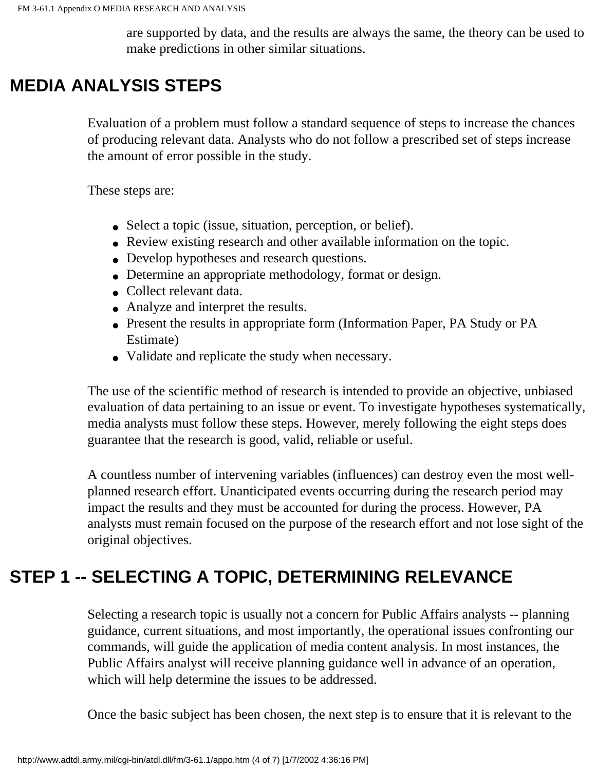are supported by data, and the results are always the same, the theory can be used to make predictions in other similar situations.

## **MEDIA ANALYSIS STEPS**

Evaluation of a problem must follow a standard sequence of steps to increase the chances of producing relevant data. Analysts who do not follow a prescribed set of steps increase the amount of error possible in the study.

These steps are:

- Select a topic (issue, situation, perception, or belief).
- Review existing research and other available information on the topic.
- Develop hypotheses and research questions.
- Determine an appropriate methodology, format or design.
- Collect relevant data.
- Analyze and interpret the results.
- Present the results in appropriate form (Information Paper, PA Study or PA Estimate)
- Validate and replicate the study when necessary.

The use of the scientific method of research is intended to provide an objective, unbiased evaluation of data pertaining to an issue or event. To investigate hypotheses systematically, media analysts must follow these steps. However, merely following the eight steps does guarantee that the research is good, valid, reliable or useful.

A countless number of intervening variables (influences) can destroy even the most wellplanned research effort. Unanticipated events occurring during the research period may impact the results and they must be accounted for during the process. However, PA analysts must remain focused on the purpose of the research effort and not lose sight of the original objectives.

## **STEP 1 -- SELECTING A TOPIC, DETERMINING RELEVANCE**

Selecting a research topic is usually not a concern for Public Affairs analysts -- planning guidance, current situations, and most importantly, the operational issues confronting our commands, will guide the application of media content analysis. In most instances, the Public Affairs analyst will receive planning guidance well in advance of an operation, which will help determine the issues to be addressed.

Once the basic subject has been chosen, the next step is to ensure that it is relevant to the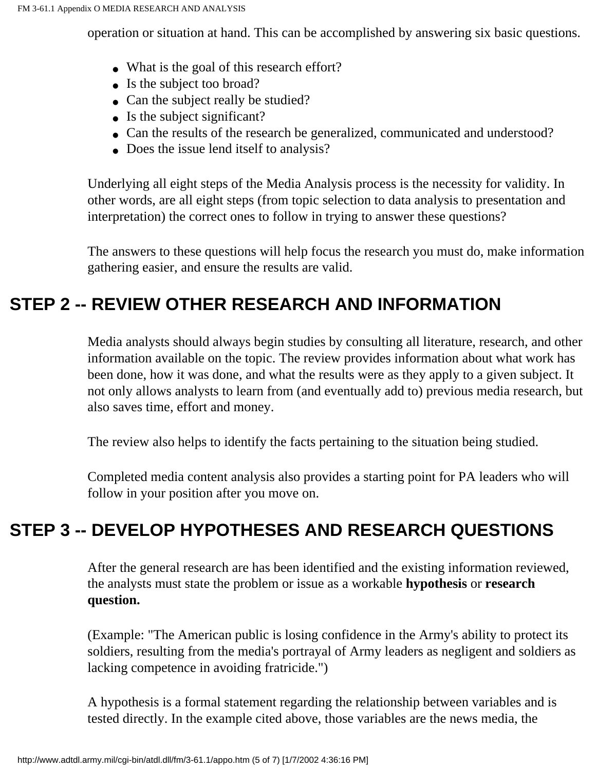operation or situation at hand. This can be accomplished by answering six basic questions.

- What is the goal of this research effort?
- Is the subject too broad?
- Can the subject really be studied?
- Is the subject significant?
- Can the results of the research be generalized, communicated and understood?
- Does the issue lend itself to analysis?

Underlying all eight steps of the Media Analysis process is the necessity for validity. In other words, are all eight steps (from topic selection to data analysis to presentation and interpretation) the correct ones to follow in trying to answer these questions?

The answers to these questions will help focus the research you must do, make information gathering easier, and ensure the results are valid.

## **STEP 2 -- REVIEW OTHER RESEARCH AND INFORMATION**

Media analysts should always begin studies by consulting all literature, research, and other information available on the topic. The review provides information about what work has been done, how it was done, and what the results were as they apply to a given subject. It not only allows analysts to learn from (and eventually add to) previous media research, but also saves time, effort and money.

The review also helps to identify the facts pertaining to the situation being studied.

Completed media content analysis also provides a starting point for PA leaders who will follow in your position after you move on.

## **STEP 3 -- DEVELOP HYPOTHESES AND RESEARCH QUESTIONS**

After the general research are has been identified and the existing information reviewed, the analysts must state the problem or issue as a workable **hypothesis** or **research question.**

(Example: "The American public is losing confidence in the Army's ability to protect its soldiers, resulting from the media's portrayal of Army leaders as negligent and soldiers as lacking competence in avoiding fratricide.")

A hypothesis is a formal statement regarding the relationship between variables and is tested directly. In the example cited above, those variables are the news media, the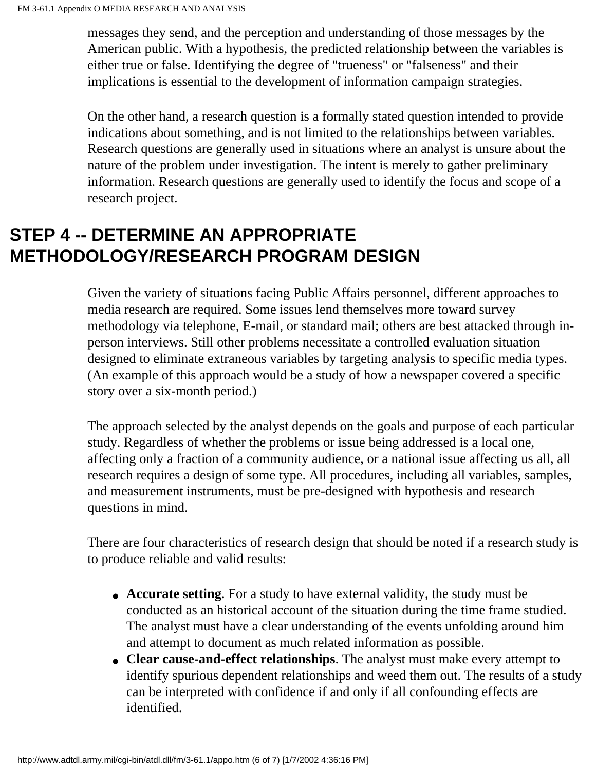messages they send, and the perception and understanding of those messages by the American public. With a hypothesis, the predicted relationship between the variables is either true or false. Identifying the degree of "trueness" or "falseness" and their implications is essential to the development of information campaign strategies.

On the other hand, a research question is a formally stated question intended to provide indications about something, and is not limited to the relationships between variables. Research questions are generally used in situations where an analyst is unsure about the nature of the problem under investigation. The intent is merely to gather preliminary information. Research questions are generally used to identify the focus and scope of a research project.

## **STEP 4 -- DETERMINE AN APPROPRIATE METHODOLOGY/RESEARCH PROGRAM DESIGN**

Given the variety of situations facing Public Affairs personnel, different approaches to media research are required. Some issues lend themselves more toward survey methodology via telephone, E-mail, or standard mail; others are best attacked through inperson interviews. Still other problems necessitate a controlled evaluation situation designed to eliminate extraneous variables by targeting analysis to specific media types. (An example of this approach would be a study of how a newspaper covered a specific story over a six-month period.)

The approach selected by the analyst depends on the goals and purpose of each particular study. Regardless of whether the problems or issue being addressed is a local one, affecting only a fraction of a community audience, or a national issue affecting us all, all research requires a design of some type. All procedures, including all variables, samples, and measurement instruments, must be pre-designed with hypothesis and research questions in mind.

There are four characteristics of research design that should be noted if a research study is to produce reliable and valid results:

- **Accurate setting**. For a study to have external validity, the study must be conducted as an historical account of the situation during the time frame studied. The analyst must have a clear understanding of the events unfolding around him and attempt to document as much related information as possible.
- **Clear cause-and-effect relationships**. The analyst must make every attempt to identify spurious dependent relationships and weed them out. The results of a study can be interpreted with confidence if and only if all confounding effects are identified.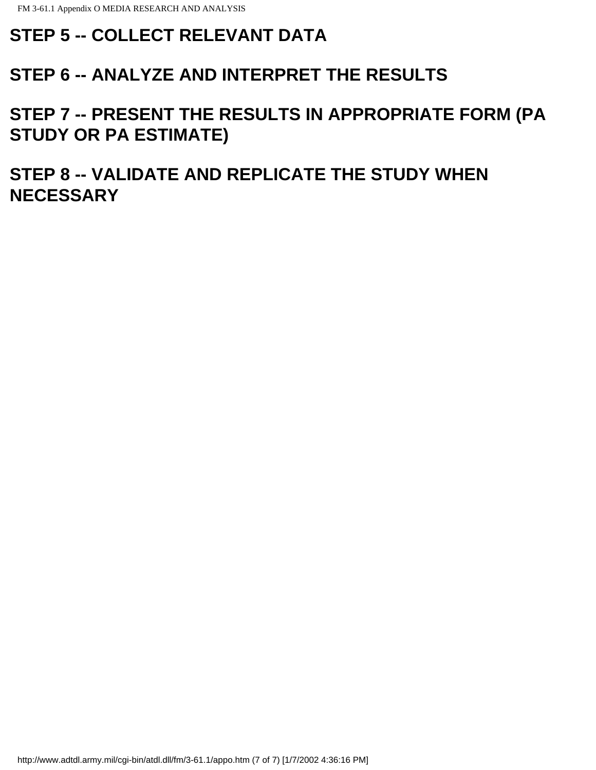## **STEP 5 -- COLLECT RELEVANT DATA**

## **STEP 6 -- ANALYZE AND INTERPRET THE RESULTS**

## **STEP 7 -- PRESENT THE RESULTS IN APPROPRIATE FORM (PA STUDY OR PA ESTIMATE)**

**STEP 8 -- VALIDATE AND REPLICATE THE STUDY WHEN NECESSARY**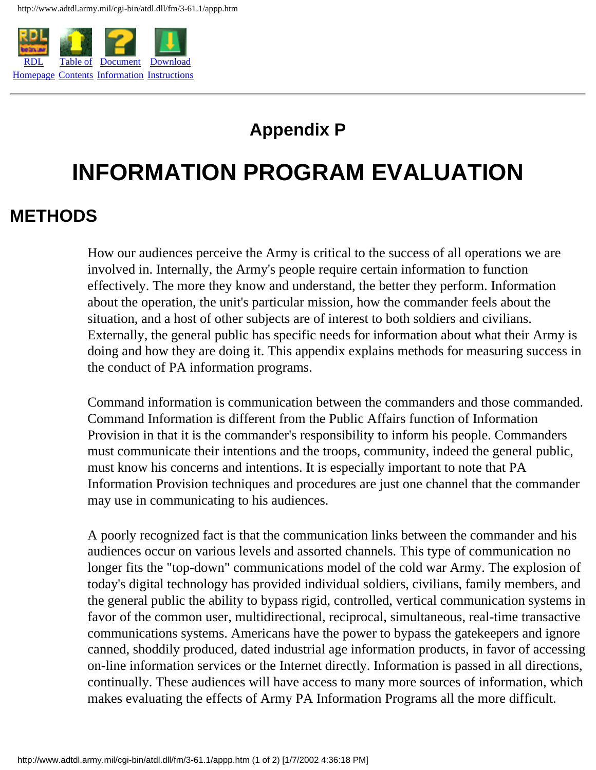

## **Appendix P**

# **INFORMATION PROGRAM EVALUATION**

#### **METHODS**

How our audiences perceive the Army is critical to the success of all operations we are involved in. Internally, the Army's people require certain information to function effectively. The more they know and understand, the better they perform. Information about the operation, the unit's particular mission, how the commander feels about the situation, and a host of other subjects are of interest to both soldiers and civilians. Externally, the general public has specific needs for information about what their Army is doing and how they are doing it. This appendix explains methods for measuring success in the conduct of PA information programs.

Command information is communication between the commanders and those commanded. Command Information is different from the Public Affairs function of Information Provision in that it is the commander's responsibility to inform his people. Commanders must communicate their intentions and the troops, community, indeed the general public, must know his concerns and intentions. It is especially important to note that PA Information Provision techniques and procedures are just one channel that the commander may use in communicating to his audiences.

A poorly recognized fact is that the communication links between the commander and his audiences occur on various levels and assorted channels. This type of communication no longer fits the "top-down" communications model of the cold war Army. The explosion of today's digital technology has provided individual soldiers, civilians, family members, and the general public the ability to bypass rigid, controlled, vertical communication systems in favor of the common user, multidirectional, reciprocal, simultaneous, real-time transactive communications systems. Americans have the power to bypass the gatekeepers and ignore canned, shoddily produced, dated industrial age information products, in favor of accessing on-line information services or the Internet directly. Information is passed in all directions, continually. These audiences will have access to many more sources of information, which makes evaluating the effects of Army PA Information Programs all the more difficult.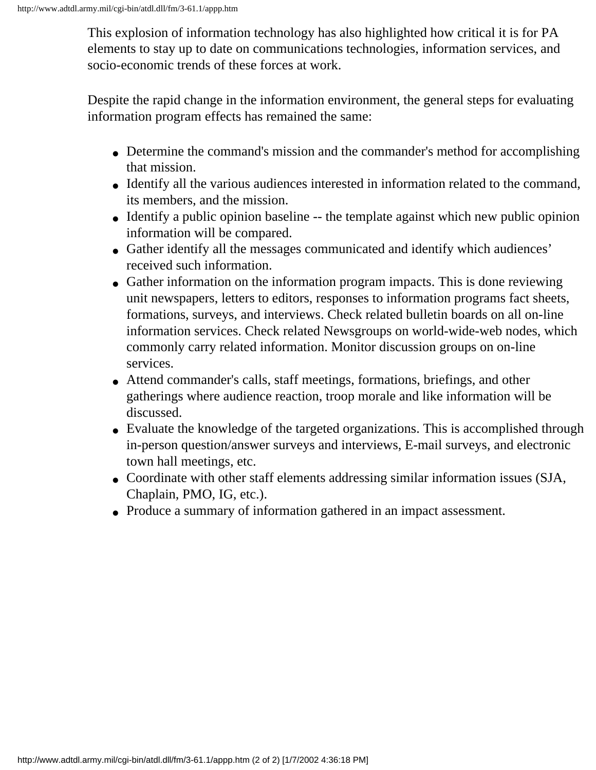This explosion of information technology has also highlighted how critical it is for PA elements to stay up to date on communications technologies, information services, and socio-economic trends of these forces at work.

Despite the rapid change in the information environment, the general steps for evaluating information program effects has remained the same:

- Determine the command's mission and the commander's method for accomplishing that mission.
- Identify all the various audiences interested in information related to the command, its members, and the mission.
- Identify a public opinion baseline -- the template against which new public opinion information will be compared.
- Gather identify all the messages communicated and identify which audiences' received such information.
- Gather information on the information program impacts. This is done reviewing unit newspapers, letters to editors, responses to information programs fact sheets, formations, surveys, and interviews. Check related bulletin boards on all on-line information services. Check related Newsgroups on world-wide-web nodes, which commonly carry related information. Monitor discussion groups on on-line services.
- Attend commander's calls, staff meetings, formations, briefings, and other gatherings where audience reaction, troop morale and like information will be discussed.
- Evaluate the knowledge of the targeted organizations. This is accomplished through in-person question/answer surveys and interviews, E-mail surveys, and electronic town hall meetings, etc.
- Coordinate with other staff elements addressing similar information issues (SJA, Chaplain, PMO, IG, etc.).
- Produce a summary of information gathered in an impact assessment.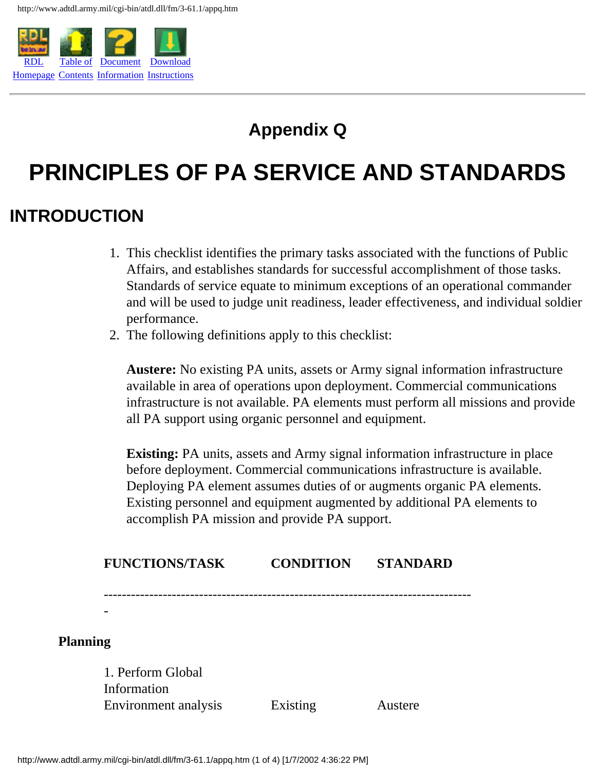

## **Appendix Q**

# **PRINCIPLES OF PA SERVICE AND STANDARDS**

#### **INTRODUCTION**

- 1. This checklist identifies the primary tasks associated with the functions of Public Affairs, and establishes standards for successful accomplishment of those tasks. Standards of service equate to minimum exceptions of an operational commander and will be used to judge unit readiness, leader effectiveness, and individual soldier performance.
- 2. The following definitions apply to this checklist:

**Austere:** No existing PA units, assets or Army signal information infrastructure available in area of operations upon deployment. Commercial communications infrastructure is not available. PA elements must perform all missions and provide all PA support using organic personnel and equipment.

**Existing:** PA units, assets and Army signal information infrastructure in place before deployment. Commercial communications infrastructure is available. Deploying PA element assumes duties of or augments organic PA elements. Existing personnel and equipment augmented by additional PA elements to accomplish PA mission and provide PA support.

| <b>FUNCTIONS/TASK</b> | <b>CONDITION</b> | <b>STANDARD</b> |  |
|-----------------------|------------------|-----------------|--|
|                       |                  |                 |  |
|                       |                  |                 |  |
| <b>Planning</b>       |                  |                 |  |
| 1. Perform Global     |                  |                 |  |
| Information           |                  |                 |  |
| Environment analysis  | Existing         | Austere         |  |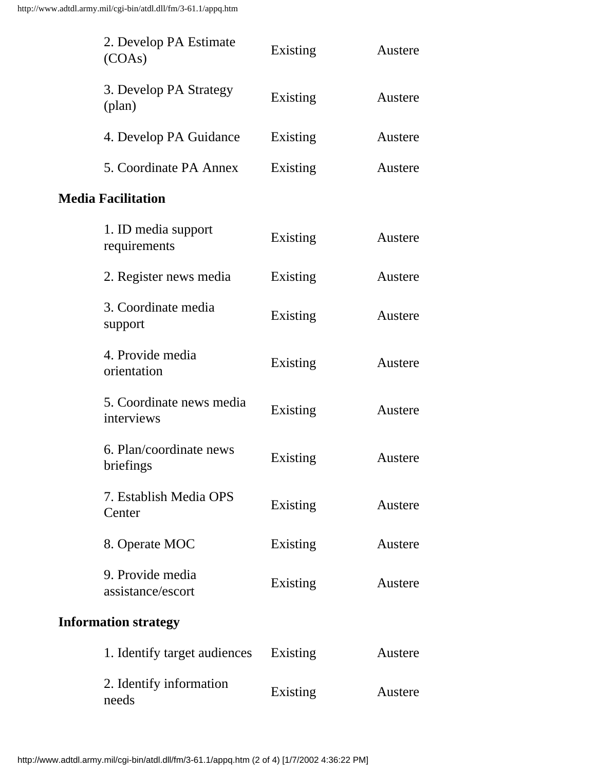| 2. Develop PA Estimate<br>(COAs)       | Existing | Austere |
|----------------------------------------|----------|---------|
| 3. Develop PA Strategy<br>(plan)       | Existing | Austere |
| 4. Develop PA Guidance                 | Existing | Austere |
| 5. Coordinate PA Annex                 | Existing | Austere |
| <b>Media Facilitation</b>              |          |         |
| 1. ID media support<br>requirements    | Existing | Austere |
| 2. Register news media                 | Existing | Austere |
| 3. Coordinate media<br>support         | Existing | Austere |
| 4. Provide media<br>orientation        | Existing | Austere |
| 5. Coordinate news media<br>interviews | Existing | Austere |
| 6. Plan/coordinate news<br>briefings   | Existing | Austere |
| 7. Establish Media OPS<br>Center       | Existing | Austere |
| 8. Operate MOC                         | Existing | Austere |
| 9. Provide media<br>assistance/escort  | Existing | Austere |
| <b>Information strategy</b>            |          |         |
| 1. Identify target audiences           | Existing | Austere |
| 2. Identify information<br>needs       | Existing | Austere |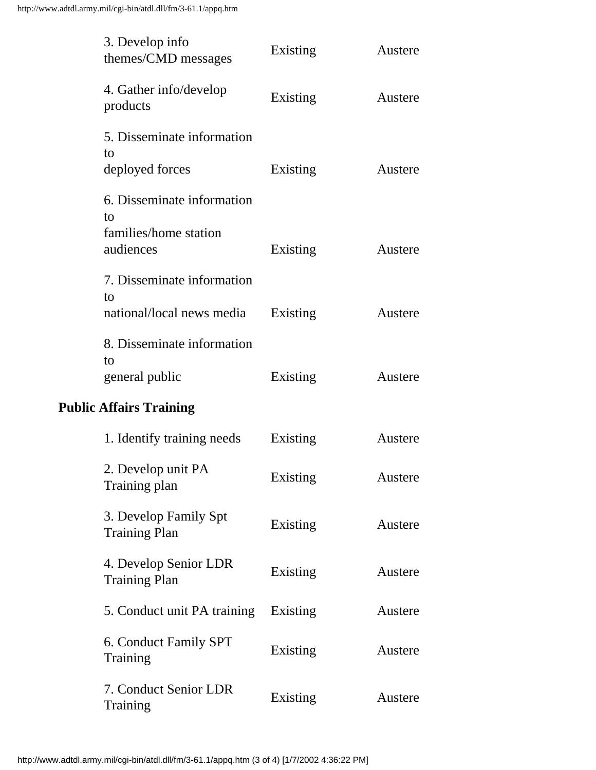| 3. Develop info<br>themes/CMD messages                                 | Existing | Austere |
|------------------------------------------------------------------------|----------|---------|
| 4. Gather info/develop<br>products                                     | Existing | Austere |
| 5. Disseminate information<br>to<br>deployed forces                    | Existing | Austere |
| 6. Disseminate information<br>to<br>families/home station<br>audiences | Existing | Austere |
| 7. Disseminate information<br>to<br>national/local news media          | Existing | Austere |
| 8. Disseminate information<br>to<br>general public                     | Existing | Austere |
| <b>Public Affairs Training</b>                                         |          |         |
| 1. Identify training needs                                             | Existing | Austere |
| 2. Develop unit PA<br>Training plan                                    | Existing | Austere |
| 3. Develop Family Spt<br><b>Training Plan</b>                          | Existing | Austere |
| 4. Develop Senior LDR<br><b>Training Plan</b>                          | Existing | Austere |
| 5. Conduct unit PA training                                            | Existing | Austere |
| 6. Conduct Family SPT<br>Training                                      | Existing | Austere |
| 7. Conduct Senior LDR<br>Training                                      | Existing | Austere |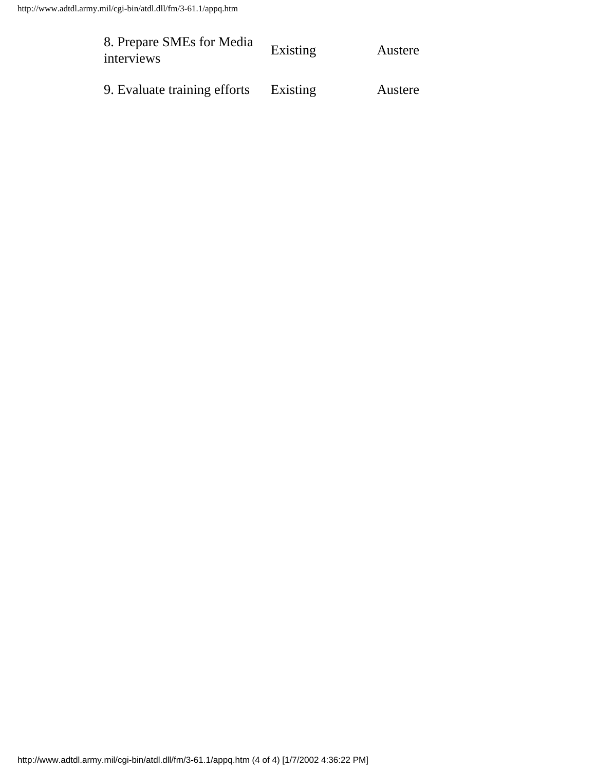| 8. Prepare SMEs for Media<br>interviews | Existing | Austere |
|-----------------------------------------|----------|---------|
| 9. Evaluate training efforts            | Existing | Austere |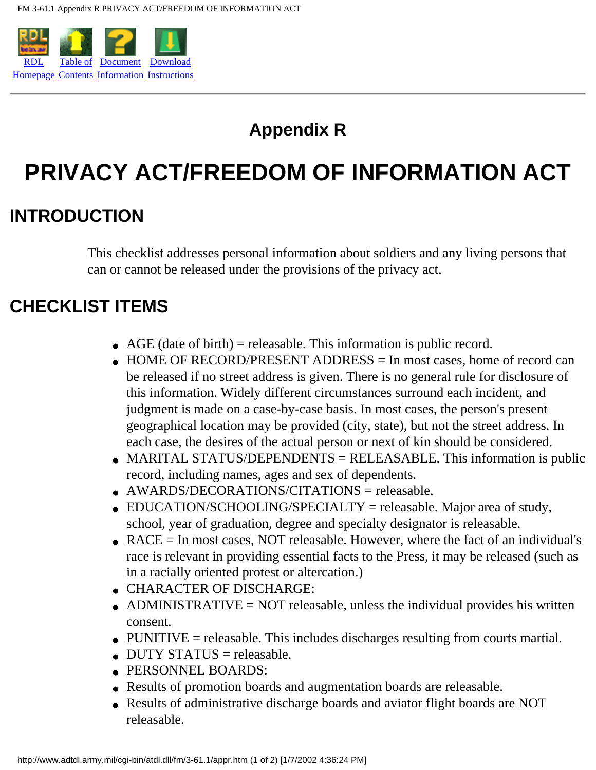

# **Appendix R**

# **PRIVACY ACT/FREEDOM OF INFORMATION ACT**

## **INTRODUCTION**

This checklist addresses personal information about soldiers and any living persons that can or cannot be released under the provisions of the privacy act.

### **CHECKLIST ITEMS**

- AGE (date of birth) = releasable. This information is public record.
- $\bullet$  HOME OF RECORD/PRESENT ADDRESS = In most cases, home of record can be released if no street address is given. There is no general rule for disclosure of this information. Widely different circumstances surround each incident, and judgment is made on a case-by-case basis. In most cases, the person's present geographical location may be provided (city, state), but not the street address. In each case, the desires of the actual person or next of kin should be considered.
- $\bullet$  MARITAL STATUS/DEPENDENTS = RELEASABLE. This information is public record, including names, ages and sex of dependents.
- AWARDS/DECORATIONS/CITATIONS = releasable.
- $\bullet$  EDUCATION/SCHOOLING/SPECIALTY = releasable. Major area of study, school, year of graduation, degree and specialty designator is releasable.
- $\bullet$  RACE = In most cases, NOT releasable. However, where the fact of an individual's race is relevant in providing essential facts to the Press, it may be released (such as in a racially oriented protest or altercation.)
- CHARACTER OF DISCHARGE:
- ADMINISTRATIVE = NOT releasable, unless the individual provides his written consent.
- $\bullet$  PUNITIVE = releasable. This includes discharges resulting from courts martial.
- $\bullet$  DUTY STATUS = releasable.
- PERSONNEL BOARDS:
- Results of promotion boards and augmentation boards are releasable.
- Results of administrative discharge boards and aviator flight boards are NOT releasable.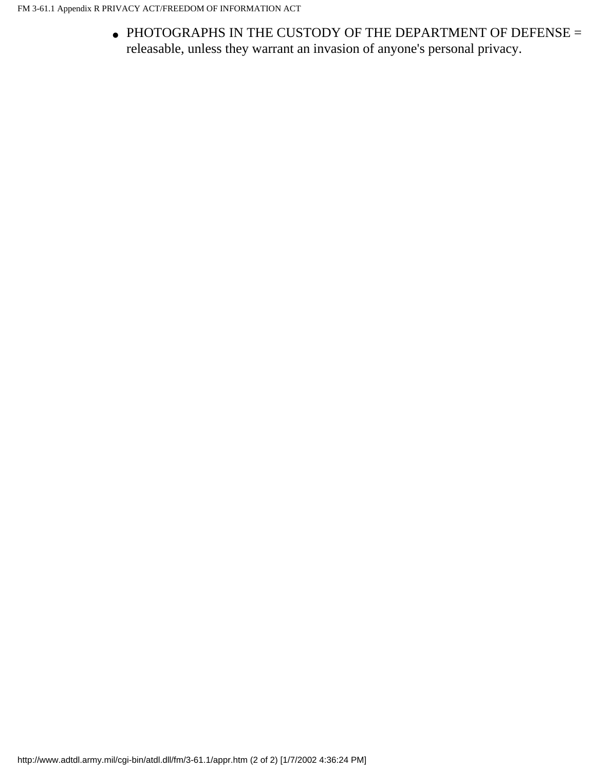$\bullet$  PHOTOGRAPHS IN THE CUSTODY OF THE DEPARTMENT OF DEFENSE = releasable, unless they warrant an invasion of anyone's personal privacy.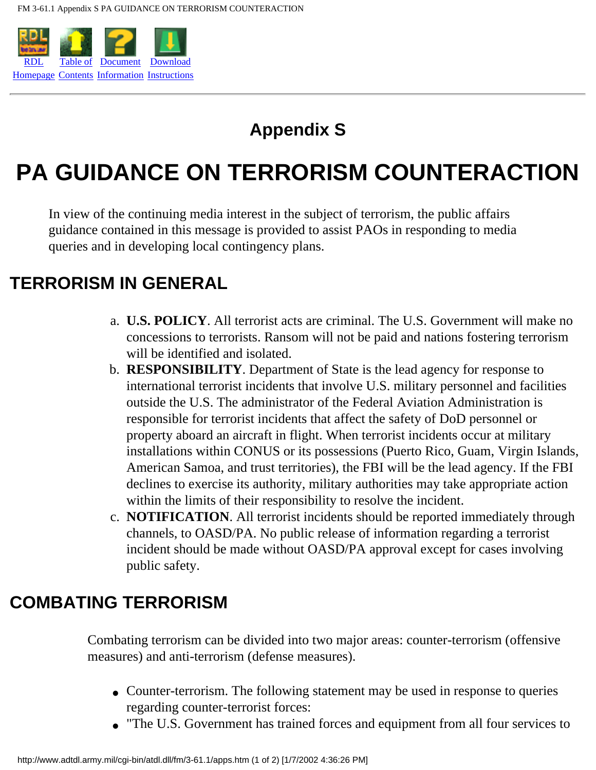

## **Appendix S**

# **PA GUIDANCE ON TERRORISM COUNTERACTION**

In view of the continuing media interest in the subject of terrorism, the public affairs guidance contained in this message is provided to assist PAOs in responding to media queries and in developing local contingency plans.

### **TERRORISM IN GENERAL**

- a. **U.S. POLICY**. All terrorist acts are criminal. The U.S. Government will make no concessions to terrorists. Ransom will not be paid and nations fostering terrorism will be identified and isolated.
- b. **RESPONSIBILITY**. Department of State is the lead agency for response to international terrorist incidents that involve U.S. military personnel and facilities outside the U.S. The administrator of the Federal Aviation Administration is responsible for terrorist incidents that affect the safety of DoD personnel or property aboard an aircraft in flight. When terrorist incidents occur at military installations within CONUS or its possessions (Puerto Rico, Guam, Virgin Islands, American Samoa, and trust territories), the FBI will be the lead agency. If the FBI declines to exercise its authority, military authorities may take appropriate action within the limits of their responsibility to resolve the incident.
- c. **NOTIFICATION**. All terrorist incidents should be reported immediately through channels, to OASD/PA. No public release of information regarding a terrorist incident should be made without OASD/PA approval except for cases involving public safety.

## **COMBATING TERRORISM**

Combating terrorism can be divided into two major areas: counter-terrorism (offensive measures) and anti-terrorism (defense measures).

- Counter-terrorism. The following statement may be used in response to queries regarding counter-terrorist forces:
- "The U.S. Government has trained forces and equipment from all four services to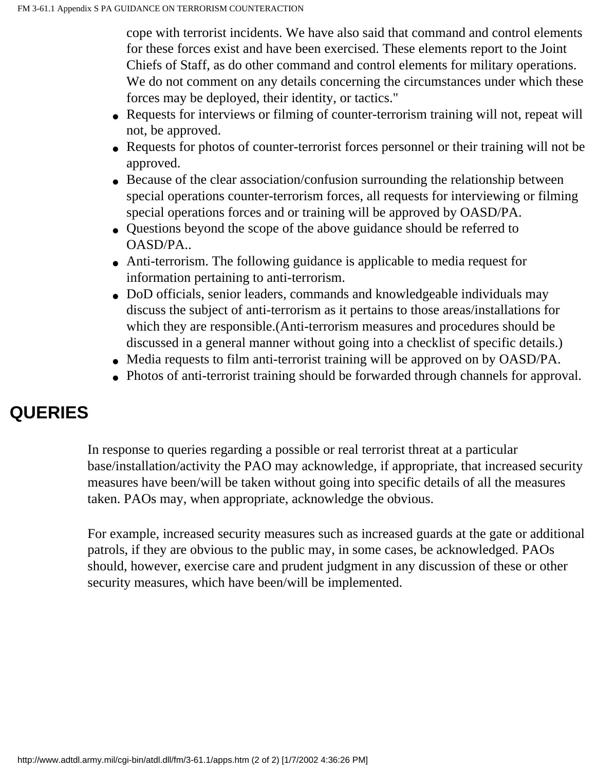cope with terrorist incidents. We have also said that command and control elements for these forces exist and have been exercised. These elements report to the Joint Chiefs of Staff, as do other command and control elements for military operations. We do not comment on any details concerning the circumstances under which these forces may be deployed, their identity, or tactics."

- Requests for interviews or filming of counter-terrorism training will not, repeat will not, be approved.
- Requests for photos of counter-terrorist forces personnel or their training will not be approved.
- Because of the clear association/confusion surrounding the relationship between special operations counter-terrorism forces, all requests for interviewing or filming special operations forces and or training will be approved by OASD/PA.
- Questions beyond the scope of the above guidance should be referred to OASD/PA..
- Anti-terrorism. The following guidance is applicable to media request for information pertaining to anti-terrorism.
- DoD officials, senior leaders, commands and knowledgeable individuals may discuss the subject of anti-terrorism as it pertains to those areas/installations for which they are responsible.(Anti-terrorism measures and procedures should be discussed in a general manner without going into a checklist of specific details.)
- Media requests to film anti-terrorist training will be approved on by OASD/PA.
- Photos of anti-terrorist training should be forwarded through channels for approval.

## **QUERIES**

In response to queries regarding a possible or real terrorist threat at a particular base/installation/activity the PAO may acknowledge, if appropriate, that increased security measures have been/will be taken without going into specific details of all the measures taken. PAOs may, when appropriate, acknowledge the obvious.

For example, increased security measures such as increased guards at the gate or additional patrols, if they are obvious to the public may, in some cases, be acknowledged. PAOs should, however, exercise care and prudent judgment in any discussion of these or other security measures, which have been/will be implemented.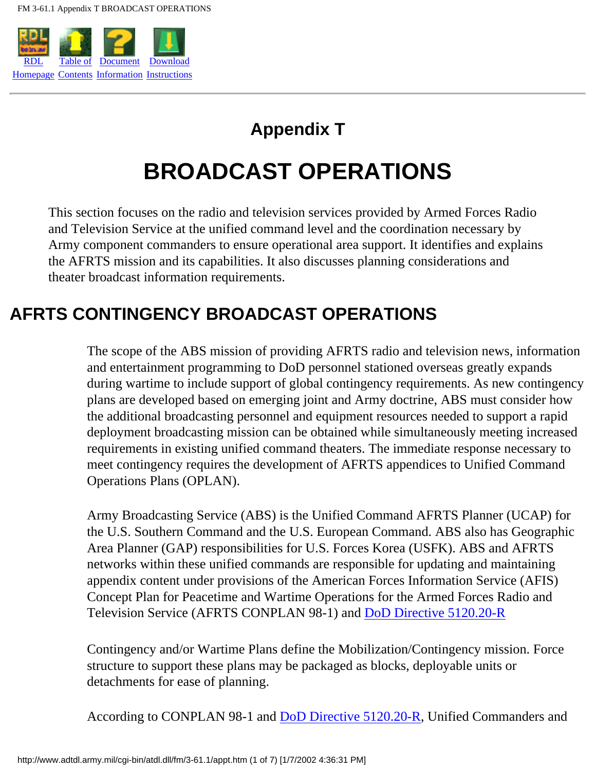

## **Appendix T**

# **BROADCAST OPERATIONS**

This section focuses on the radio and television services provided by Armed Forces Radio and Television Service at the unified command level and the coordination necessary by Army component commanders to ensure operational area support. It identifies and explains the AFRTS mission and its capabilities. It also discusses planning considerations and theater broadcast information requirements.

## **AFRTS CONTINGENCY BROADCAST OPERATIONS**

The scope of the ABS mission of providing AFRTS radio and television news, information and entertainment programming to DoD personnel stationed overseas greatly expands during wartime to include support of global contingency requirements. As new contingency plans are developed based on emerging joint and Army doctrine, ABS must consider how the additional broadcasting personnel and equipment resources needed to support a rapid deployment broadcasting mission can be obtained while simultaneously meeting increased requirements in existing unified command theaters. The immediate response necessary to meet contingency requires the development of AFRTS appendices to Unified Command Operations Plans (OPLAN).

Army Broadcasting Service (ABS) is the Unified Command AFRTS Planner (UCAP) for the U.S. Southern Command and the U.S. European Command. ABS also has Geographic Area Planner (GAP) responsibilities for U.S. Forces Korea (USFK). ABS and AFRTS networks within these unified commands are responsible for updating and maintaining appendix content under provisions of the American Forces Information Service (AFIS) Concept Plan for Peacetime and Wartime Operations for the Armed Forces Radio and Television Service (AFRTS CONPLAN 98-1) and DoD Directive 5120.20-R

Contingency and/or Wartime Plans define the Mobilization/Contingency mission. Force structure to support these plans may be packaged as blocks, deployable units or detachments for ease of planning.

According to CONPLAN 98-1 and DoD Directive 5120.20-R, Unified Commanders and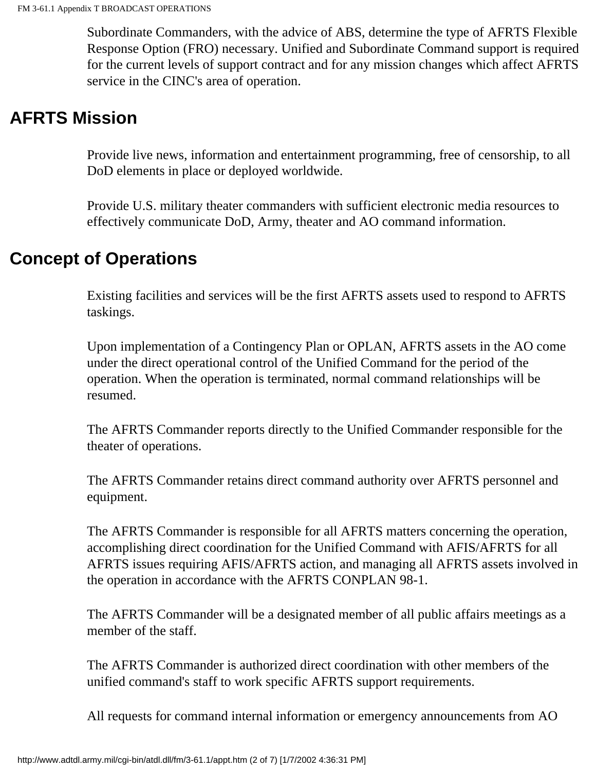Subordinate Commanders, with the advice of ABS, determine the type of AFRTS Flexible Response Option (FRO) necessary. Unified and Subordinate Command support is required for the current levels of support contract and for any mission changes which affect AFRTS service in the CINC's area of operation.

### **AFRTS Mission**

Provide live news, information and entertainment programming, free of censorship, to all DoD elements in place or deployed worldwide.

Provide U.S. military theater commanders with sufficient electronic media resources to effectively communicate DoD, Army, theater and AO command information.

### **Concept of Operations**

Existing facilities and services will be the first AFRTS assets used to respond to AFRTS taskings.

Upon implementation of a Contingency Plan or OPLAN, AFRTS assets in the AO come under the direct operational control of the Unified Command for the period of the operation. When the operation is terminated, normal command relationships will be resumed.

The AFRTS Commander reports directly to the Unified Commander responsible for the theater of operations.

The AFRTS Commander retains direct command authority over AFRTS personnel and equipment.

The AFRTS Commander is responsible for all AFRTS matters concerning the operation, accomplishing direct coordination for the Unified Command with AFIS/AFRTS for all AFRTS issues requiring AFIS/AFRTS action, and managing all AFRTS assets involved in the operation in accordance with the AFRTS CONPLAN 98-1.

The AFRTS Commander will be a designated member of all public affairs meetings as a member of the staff.

The AFRTS Commander is authorized direct coordination with other members of the unified command's staff to work specific AFRTS support requirements.

All requests for command internal information or emergency announcements from AO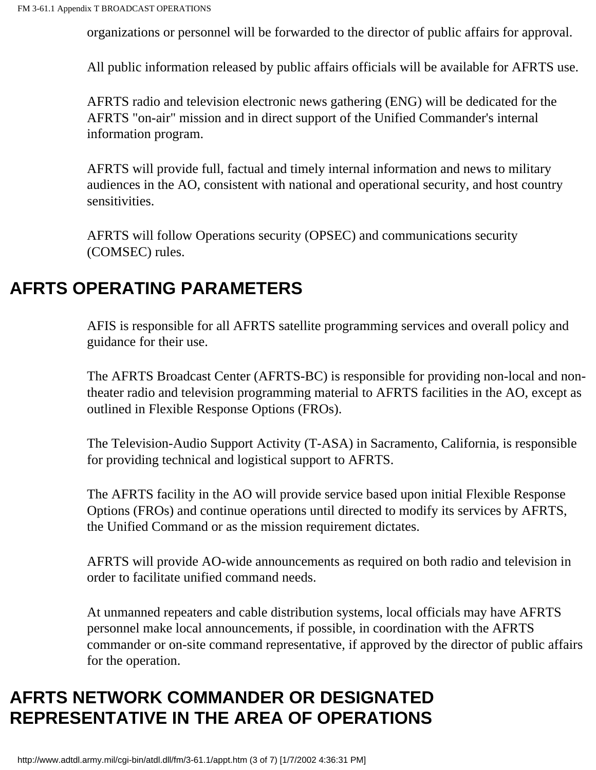organizations or personnel will be forwarded to the director of public affairs for approval.

All public information released by public affairs officials will be available for AFRTS use.

AFRTS radio and television electronic news gathering (ENG) will be dedicated for the AFRTS "on-air" mission and in direct support of the Unified Commander's internal information program.

AFRTS will provide full, factual and timely internal information and news to military audiences in the AO, consistent with national and operational security, and host country sensitivities.

AFRTS will follow Operations security (OPSEC) and communications security (COMSEC) rules.

### **AFRTS OPERATING PARAMETERS**

AFIS is responsible for all AFRTS satellite programming services and overall policy and guidance for their use.

The AFRTS Broadcast Center (AFRTS-BC) is responsible for providing non-local and nontheater radio and television programming material to AFRTS facilities in the AO, except as outlined in Flexible Response Options (FROs).

The Television-Audio Support Activity (T-ASA) in Sacramento, California, is responsible for providing technical and logistical support to AFRTS.

The AFRTS facility in the AO will provide service based upon initial Flexible Response Options (FROs) and continue operations until directed to modify its services by AFRTS, the Unified Command or as the mission requirement dictates.

AFRTS will provide AO-wide announcements as required on both radio and television in order to facilitate unified command needs.

At unmanned repeaters and cable distribution systems, local officials may have AFRTS personnel make local announcements, if possible, in coordination with the AFRTS commander or on-site command representative, if approved by the director of public affairs for the operation.

## **AFRTS NETWORK COMMANDER OR DESIGNATED REPRESENTATIVE IN THE AREA OF OPERATIONS**

http://www.adtdl.army.mil/cgi-bin/atdl.dll/fm/3-61.1/appt.htm (3 of 7) [1/7/2002 4:36:31 PM]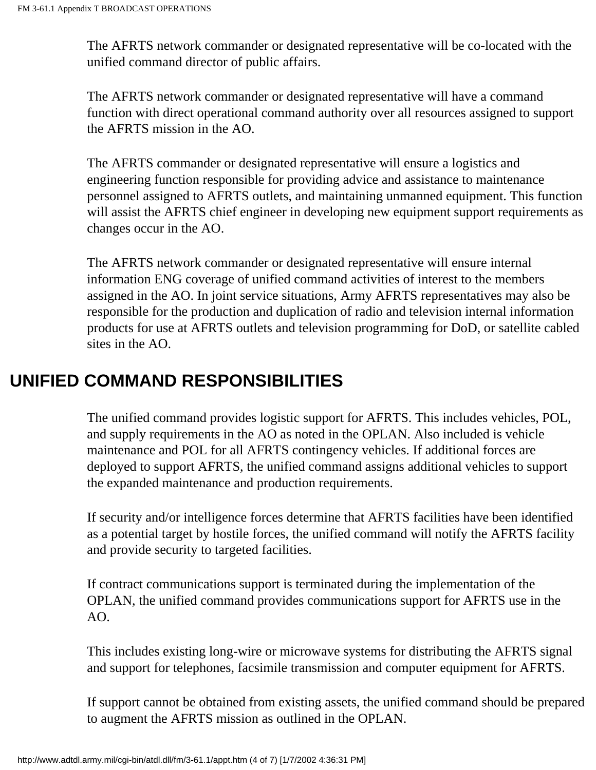The AFRTS network commander or designated representative will be co-located with the unified command director of public affairs.

The AFRTS network commander or designated representative will have a command function with direct operational command authority over all resources assigned to support the AFRTS mission in the AO.

The AFRTS commander or designated representative will ensure a logistics and engineering function responsible for providing advice and assistance to maintenance personnel assigned to AFRTS outlets, and maintaining unmanned equipment. This function will assist the AFRTS chief engineer in developing new equipment support requirements as changes occur in the AO.

The AFRTS network commander or designated representative will ensure internal information ENG coverage of unified command activities of interest to the members assigned in the AO. In joint service situations, Army AFRTS representatives may also be responsible for the production and duplication of radio and television internal information products for use at AFRTS outlets and television programming for DoD, or satellite cabled sites in the AO.

## **UNIFIED COMMAND RESPONSIBILITIES**

The unified command provides logistic support for AFRTS. This includes vehicles, POL, and supply requirements in the AO as noted in the OPLAN. Also included is vehicle maintenance and POL for all AFRTS contingency vehicles. If additional forces are deployed to support AFRTS, the unified command assigns additional vehicles to support the expanded maintenance and production requirements.

If security and/or intelligence forces determine that AFRTS facilities have been identified as a potential target by hostile forces, the unified command will notify the AFRTS facility and provide security to targeted facilities.

If contract communications support is terminated during the implementation of the OPLAN, the unified command provides communications support for AFRTS use in the AO.

This includes existing long-wire or microwave systems for distributing the AFRTS signal and support for telephones, facsimile transmission and computer equipment for AFRTS.

If support cannot be obtained from existing assets, the unified command should be prepared to augment the AFRTS mission as outlined in the OPLAN.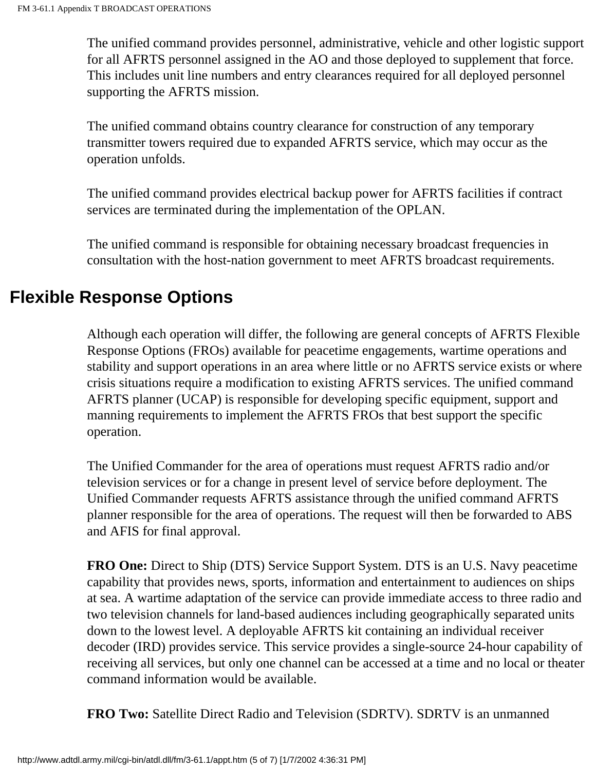The unified command provides personnel, administrative, vehicle and other logistic support for all AFRTS personnel assigned in the AO and those deployed to supplement that force. This includes unit line numbers and entry clearances required for all deployed personnel supporting the AFRTS mission.

The unified command obtains country clearance for construction of any temporary transmitter towers required due to expanded AFRTS service, which may occur as the operation unfolds.

The unified command provides electrical backup power for AFRTS facilities if contract services are terminated during the implementation of the OPLAN.

The unified command is responsible for obtaining necessary broadcast frequencies in consultation with the host-nation government to meet AFRTS broadcast requirements.

#### **Flexible Response Options**

Although each operation will differ, the following are general concepts of AFRTS Flexible Response Options (FROs) available for peacetime engagements, wartime operations and stability and support operations in an area where little or no AFRTS service exists or where crisis situations require a modification to existing AFRTS services. The unified command AFRTS planner (UCAP) is responsible for developing specific equipment, support and manning requirements to implement the AFRTS FROs that best support the specific operation.

The Unified Commander for the area of operations must request AFRTS radio and/or television services or for a change in present level of service before deployment. The Unified Commander requests AFRTS assistance through the unified command AFRTS planner responsible for the area of operations. The request will then be forwarded to ABS and AFIS for final approval.

**FRO One:** Direct to Ship (DTS) Service Support System. DTS is an U.S. Navy peacetime capability that provides news, sports, information and entertainment to audiences on ships at sea. A wartime adaptation of the service can provide immediate access to three radio and two television channels for land-based audiences including geographically separated units down to the lowest level. A deployable AFRTS kit containing an individual receiver decoder (IRD) provides service. This service provides a single-source 24-hour capability of receiving all services, but only one channel can be accessed at a time and no local or theater command information would be available.

**FRO Two:** Satellite Direct Radio and Television (SDRTV). SDRTV is an unmanned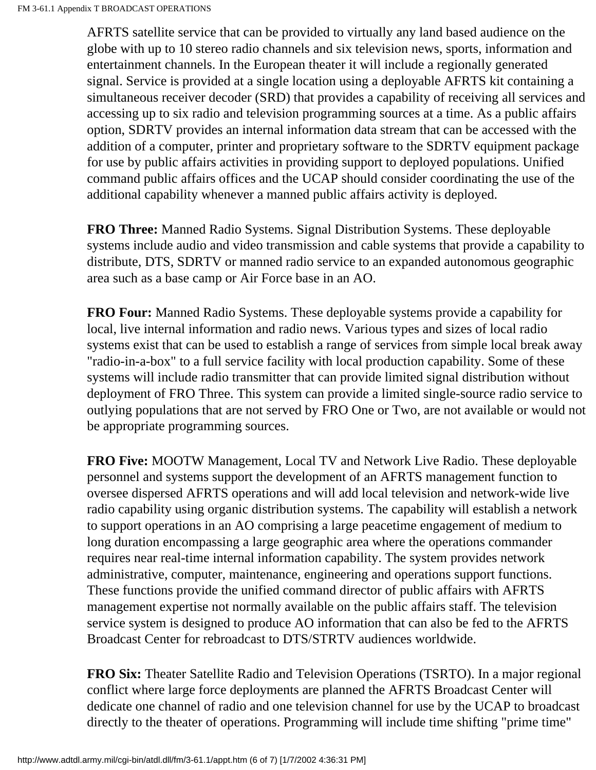AFRTS satellite service that can be provided to virtually any land based audience on the globe with up to 10 stereo radio channels and six television news, sports, information and entertainment channels. In the European theater it will include a regionally generated signal. Service is provided at a single location using a deployable AFRTS kit containing a simultaneous receiver decoder (SRD) that provides a capability of receiving all services and accessing up to six radio and television programming sources at a time. As a public affairs option, SDRTV provides an internal information data stream that can be accessed with the addition of a computer, printer and proprietary software to the SDRTV equipment package for use by public affairs activities in providing support to deployed populations. Unified command public affairs offices and the UCAP should consider coordinating the use of the additional capability whenever a manned public affairs activity is deployed.

**FRO Three:** Manned Radio Systems. Signal Distribution Systems. These deployable systems include audio and video transmission and cable systems that provide a capability to distribute, DTS, SDRTV or manned radio service to an expanded autonomous geographic area such as a base camp or Air Force base in an AO.

**FRO Four:** Manned Radio Systems. These deployable systems provide a capability for local, live internal information and radio news. Various types and sizes of local radio systems exist that can be used to establish a range of services from simple local break away "radio-in-a-box" to a full service facility with local production capability. Some of these systems will include radio transmitter that can provide limited signal distribution without deployment of FRO Three. This system can provide a limited single-source radio service to outlying populations that are not served by FRO One or Two, are not available or would not be appropriate programming sources.

**FRO Five:** MOOTW Management, Local TV and Network Live Radio. These deployable personnel and systems support the development of an AFRTS management function to oversee dispersed AFRTS operations and will add local television and network-wide live radio capability using organic distribution systems. The capability will establish a network to support operations in an AO comprising a large peacetime engagement of medium to long duration encompassing a large geographic area where the operations commander requires near real-time internal information capability. The system provides network administrative, computer, maintenance, engineering and operations support functions. These functions provide the unified command director of public affairs with AFRTS management expertise not normally available on the public affairs staff. The television service system is designed to produce AO information that can also be fed to the AFRTS Broadcast Center for rebroadcast to DTS/STRTV audiences worldwide.

**FRO Six:** Theater Satellite Radio and Television Operations (TSRTO). In a major regional conflict where large force deployments are planned the AFRTS Broadcast Center will dedicate one channel of radio and one television channel for use by the UCAP to broadcast directly to the theater of operations. Programming will include time shifting "prime time"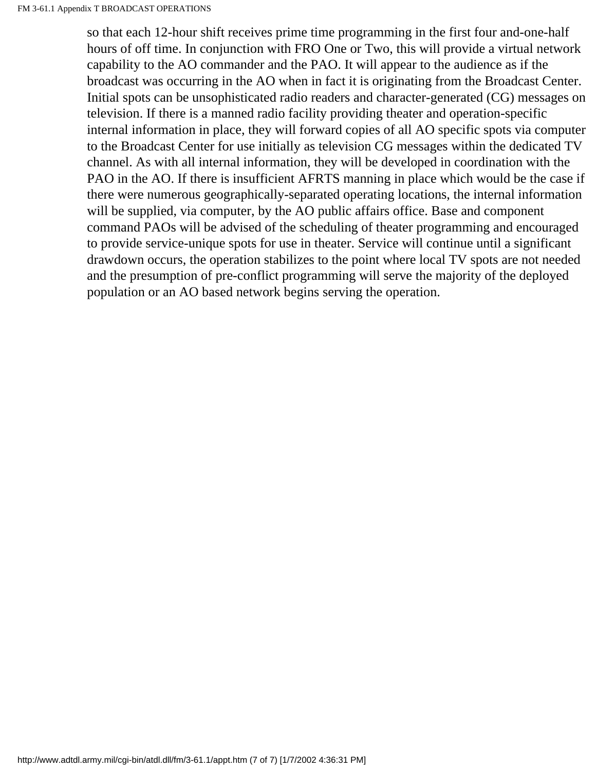so that each 12-hour shift receives prime time programming in the first four and-one-half hours of off time. In conjunction with FRO One or Two, this will provide a virtual network capability to the AO commander and the PAO. It will appear to the audience as if the broadcast was occurring in the AO when in fact it is originating from the Broadcast Center. Initial spots can be unsophisticated radio readers and character-generated (CG) messages on television. If there is a manned radio facility providing theater and operation-specific internal information in place, they will forward copies of all AO specific spots via computer to the Broadcast Center for use initially as television CG messages within the dedicated TV channel. As with all internal information, they will be developed in coordination with the PAO in the AO. If there is insufficient AFRTS manning in place which would be the case if there were numerous geographically-separated operating locations, the internal information will be supplied, via computer, by the AO public affairs office. Base and component command PAOs will be advised of the scheduling of theater programming and encouraged to provide service-unique spots for use in theater. Service will continue until a significant drawdown occurs, the operation stabilizes to the point where local TV spots are not needed and the presumption of pre-conflict programming will serve the majority of the deployed population or an AO based network begins serving the operation.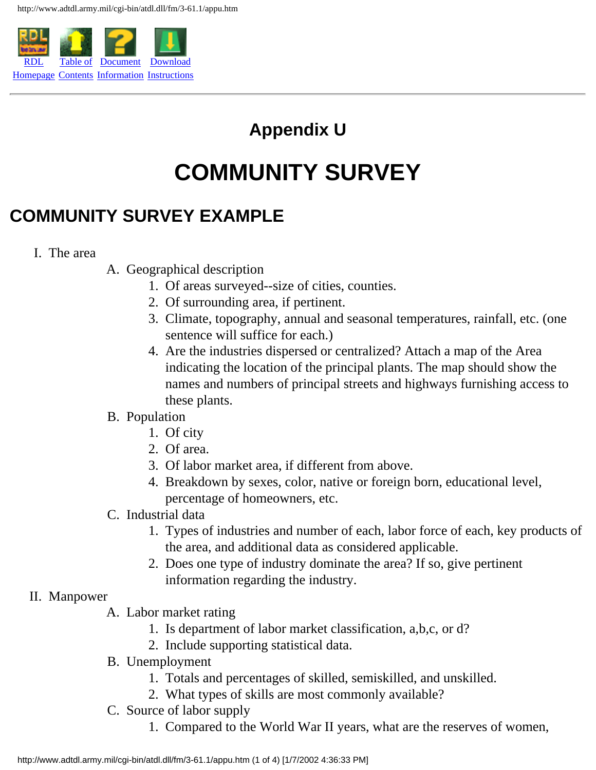

## **Appendix U**

# **COMMUNITY SURVEY**

## **COMMUNITY SURVEY EXAMPLE**

- I. The area
- A. Geographical description
	- 1. Of areas surveyed--size of cities, counties.
	- 2. Of surrounding area, if pertinent.
	- 3. Climate, topography, annual and seasonal temperatures, rainfall, etc. (one sentence will suffice for each.)
	- 4. Are the industries dispersed or centralized? Attach a map of the Area indicating the location of the principal plants. The map should show the names and numbers of principal streets and highways furnishing access to these plants.
- B. Population
	- 1. Of city
	- 2. Of area.
	- 3. Of labor market area, if different from above.
	- 4. Breakdown by sexes, color, native or foreign born, educational level, percentage of homeowners, etc.
- C. Industrial data
	- 1. Types of industries and number of each, labor force of each, key products of the area, and additional data as considered applicable.
	- 2. Does one type of industry dominate the area? If so, give pertinent information regarding the industry.

#### II. Manpower

- A. Labor market rating
	- 1. Is department of labor market classification, a,b,c, or d?
	- 2. Include supporting statistical data.
- B. Unemployment
	- 1. Totals and percentages of skilled, semiskilled, and unskilled.
	- 2. What types of skills are most commonly available?
- C. Source of labor supply
	- 1. Compared to the World War II years, what are the reserves of women,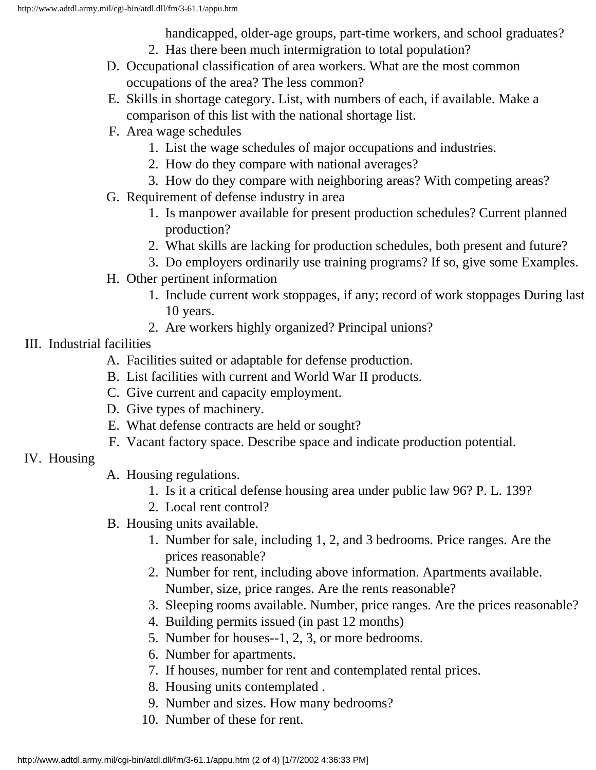handicapped, older-age groups, part-time workers, and school graduates?

- 2. Has there been much intermigration to total population?
- D. Occupational classification of area workers. What are the most common occupations of the area? The less common?
- E. Skills in shortage category. List, with numbers of each, if available. Make a comparison of this list with the national shortage list.
- F. Area wage schedules
	- 1. List the wage schedules of major occupations and industries.
	- 2. How do they compare with national averages?
	- 3. How do they compare with neighboring areas? With competing areas?
- G. Requirement of defense industry in area
	- 1. Is manpower available for present production schedules? Current planned production?
	- 2. What skills are lacking for production schedules, both present and future?
	- 3. Do employers ordinarily use training programs? If so, give some Examples.
- H. Other pertinent information
	- 1. Include current work stoppages, if any; record of work stoppages During last 10 years.
	- 2. Are workers highly organized? Principal unions?

#### III. Industrial facilities

- A. Facilities suited or adaptable for defense production.
- B. List facilities with current and World War II products.
- C. Give current and capacity employment.
- D. Give types of machinery.
- E. What defense contracts are held or sought?
- F. Vacant factory space. Describe space and indicate production potential.

#### IV. Housing

- A. Housing regulations.
	- 1. Is it a critical defense housing area under public law 96? P. L. 139?
	- 2. Local rent control?
- B. Housing units available.
	- 1. Number for sale, including 1, 2, and 3 bedrooms. Price ranges. Are the prices reasonable?
	- 2. Number for rent, including above information. Apartments available. Number, size, price ranges. Are the rents reasonable?
	- 3. Sleeping rooms available. Number, price ranges. Are the prices reasonable?
	- 4. Building permits issued (in past 12 months)
	- 5. Number for houses--1, 2, 3, or more bedrooms.
	- 6. Number for apartments.
	- 7. If houses, number for rent and contemplated rental prices.
	- 8. Housing units contemplated .
	- 9. Number and sizes. How many bedrooms?
	- 10. Number of these for rent.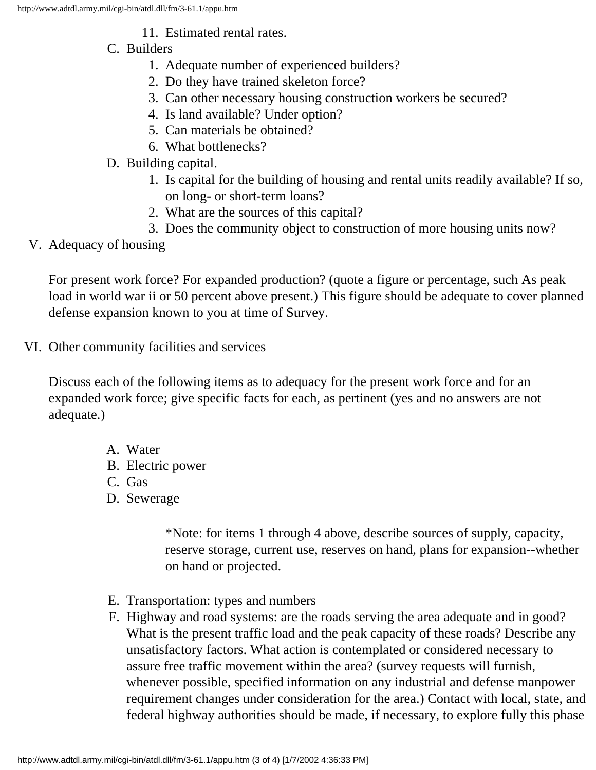- 11. Estimated rental rates.
- C. Builders
	- 1. Adequate number of experienced builders?
	- 2. Do they have trained skeleton force?
	- 3. Can other necessary housing construction workers be secured?
	- 4. Is land available? Under option?
	- 5. Can materials be obtained?
	- 6. What bottlenecks?
- D. Building capital.
	- 1. Is capital for the building of housing and rental units readily available? If so, on long- or short-term loans?
	- 2. What are the sources of this capital?
	- 3. Does the community object to construction of more housing units now?
- V. Adequacy of housing

For present work force? For expanded production? (quote a figure or percentage, such As peak load in world war ii or 50 percent above present.) This figure should be adequate to cover planned defense expansion known to you at time of Survey.

VI. Other community facilities and services

Discuss each of the following items as to adequacy for the present work force and for an expanded work force; give specific facts for each, as pertinent (yes and no answers are not adequate.)

- A. Water
- B. Electric power
- C. Gas
- D. Sewerage

\*Note: for items 1 through 4 above, describe sources of supply, capacity, reserve storage, current use, reserves on hand, plans for expansion--whether on hand or projected.

- E. Transportation: types and numbers
- F. Highway and road systems: are the roads serving the area adequate and in good? What is the present traffic load and the peak capacity of these roads? Describe any unsatisfactory factors. What action is contemplated or considered necessary to assure free traffic movement within the area? (survey requests will furnish, whenever possible, specified information on any industrial and defense manpower requirement changes under consideration for the area.) Contact with local, state, and federal highway authorities should be made, if necessary, to explore fully this phase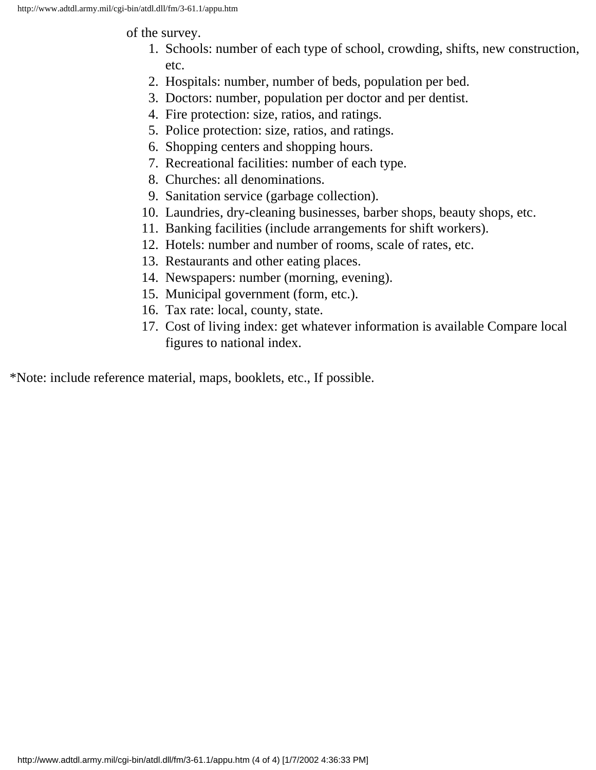of the survey.

- 1. Schools: number of each type of school, crowding, shifts, new construction, etc.
- 2. Hospitals: number, number of beds, population per bed.
- 3. Doctors: number, population per doctor and per dentist.
- 4. Fire protection: size, ratios, and ratings.
- 5. Police protection: size, ratios, and ratings.
- 6. Shopping centers and shopping hours.
- 7. Recreational facilities: number of each type.
- 8. Churches: all denominations.
- 9. Sanitation service (garbage collection).
- 10. Laundries, dry-cleaning businesses, barber shops, beauty shops, etc.
- 11. Banking facilities (include arrangements for shift workers).
- 12. Hotels: number and number of rooms, scale of rates, etc.
- 13. Restaurants and other eating places.
- 14. Newspapers: number (morning, evening).
- 15. Municipal government (form, etc.).
- 16. Tax rate: local, county, state.
- 17. Cost of living index: get whatever information is available Compare local figures to national index.

\*Note: include reference material, maps, booklets, etc., If possible.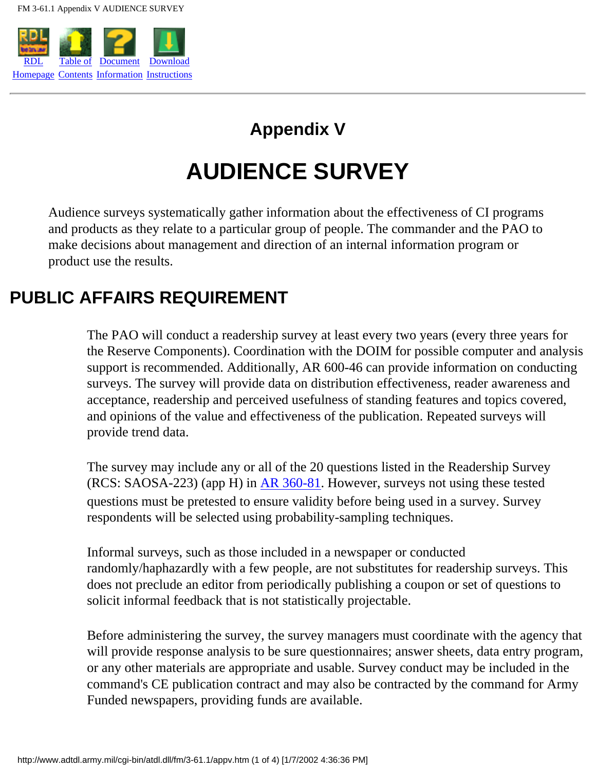

## **Appendix V**

# **AUDIENCE SURVEY**

Audience surveys systematically gather information about the effectiveness of CI programs and products as they relate to a particular group of people. The commander and the PAO to make decisions about management and direction of an internal information program or product use the results.

### **PUBLIC AFFAIRS REQUIREMENT**

The PAO will conduct a readership survey at least every two years (every three years for the Reserve Components). Coordination with the DOIM for possible computer and analysis support is recommended. Additionally, AR 600-46 can provide information on conducting surveys. The survey will provide data on distribution effectiveness, reader awareness and acceptance, readership and perceived usefulness of standing features and topics covered, and opinions of the value and effectiveness of the publication. Repeated surveys will provide trend data.

The survey may include any or all of the 20 questions listed in the Readership Survey (RCS: SAOSA-223) (app H) in  $AR$  360-81. However, surveys not using these tested questions must be pretested to ensure validity before being used in a survey. Survey respondents will be selected using probability-sampling techniques.

Informal surveys, such as those included in a newspaper or conducted randomly/haphazardly with a few people, are not substitutes for readership surveys. This does not preclude an editor from periodically publishing a coupon or set of questions to solicit informal feedback that is not statistically projectable.

Before administering the survey, the survey managers must coordinate with the agency that will provide response analysis to be sure questionnaires; answer sheets, data entry program, or any other materials are appropriate and usable. Survey conduct may be included in the command's CE publication contract and may also be contracted by the command for Army Funded newspapers, providing funds are available.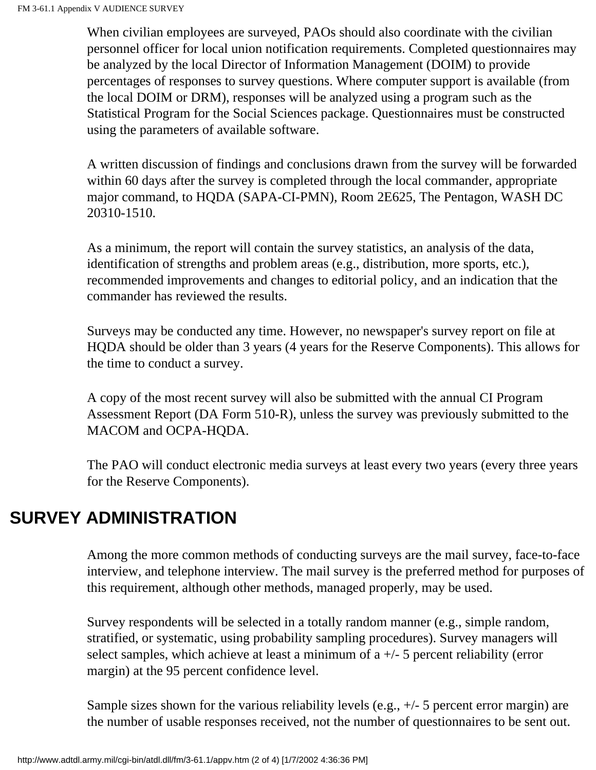When civilian employees are surveyed, PAOs should also coordinate with the civilian personnel officer for local union notification requirements. Completed questionnaires may be analyzed by the local Director of Information Management (DOIM) to provide percentages of responses to survey questions. Where computer support is available (from the local DOIM or DRM), responses will be analyzed using a program such as the Statistical Program for the Social Sciences package. Questionnaires must be constructed using the parameters of available software.

A written discussion of findings and conclusions drawn from the survey will be forwarded within 60 days after the survey is completed through the local commander, appropriate major command, to HQDA (SAPA-CI-PMN), Room 2E625, The Pentagon, WASH DC 20310-1510.

As a minimum, the report will contain the survey statistics, an analysis of the data, identification of strengths and problem areas (e.g., distribution, more sports, etc.), recommended improvements and changes to editorial policy, and an indication that the commander has reviewed the results.

Surveys may be conducted any time. However, no newspaper's survey report on file at HQDA should be older than 3 years (4 years for the Reserve Components). This allows for the time to conduct a survey.

A copy of the most recent survey will also be submitted with the annual CI Program Assessment Report (DA Form 510-R), unless the survey was previously submitted to the MACOM and OCPA-HQDA.

The PAO will conduct electronic media surveys at least every two years (every three years for the Reserve Components).

### **SURVEY ADMINISTRATION**

Among the more common methods of conducting surveys are the mail survey, face-to-face interview, and telephone interview. The mail survey is the preferred method for purposes of this requirement, although other methods, managed properly, may be used.

Survey respondents will be selected in a totally random manner (e.g., simple random, stratified, or systematic, using probability sampling procedures). Survey managers will select samples, which achieve at least a minimum of  $a +/2$  5 percent reliability (error margin) at the 95 percent confidence level.

Sample sizes shown for the various reliability levels (e.g.,  $+/-$  5 percent error margin) are the number of usable responses received, not the number of questionnaires to be sent out.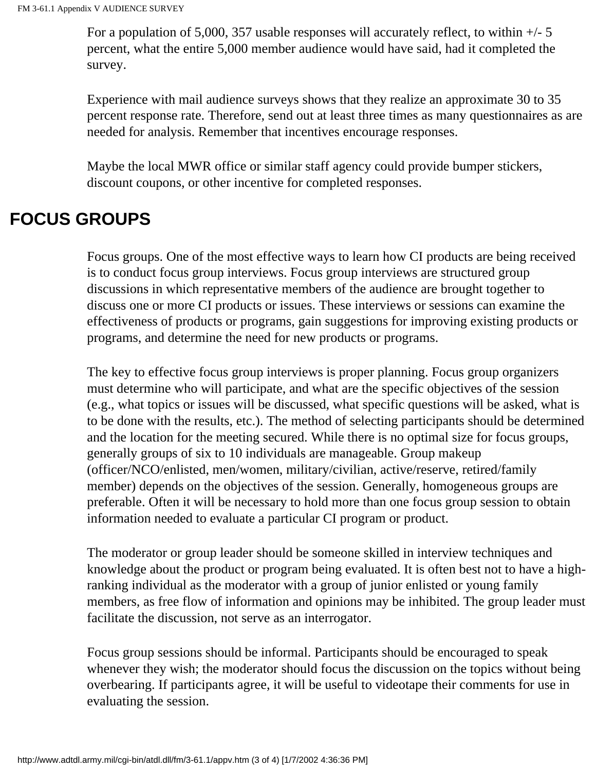For a population of 5,000, 357 usable responses will accurately reflect, to within +/- 5 percent, what the entire 5,000 member audience would have said, had it completed the survey.

Experience with mail audience surveys shows that they realize an approximate 30 to 35 percent response rate. Therefore, send out at least three times as many questionnaires as are needed for analysis. Remember that incentives encourage responses.

Maybe the local MWR office or similar staff agency could provide bumper stickers, discount coupons, or other incentive for completed responses.

#### **FOCUS GROUPS**

Focus groups. One of the most effective ways to learn how CI products are being received is to conduct focus group interviews. Focus group interviews are structured group discussions in which representative members of the audience are brought together to discuss one or more CI products or issues. These interviews or sessions can examine the effectiveness of products or programs, gain suggestions for improving existing products or programs, and determine the need for new products or programs.

The key to effective focus group interviews is proper planning. Focus group organizers must determine who will participate, and what are the specific objectives of the session (e.g., what topics or issues will be discussed, what specific questions will be asked, what is to be done with the results, etc.). The method of selecting participants should be determined and the location for the meeting secured. While there is no optimal size for focus groups, generally groups of six to 10 individuals are manageable. Group makeup (officer/NCO/enlisted, men/women, military/civilian, active/reserve, retired/family member) depends on the objectives of the session. Generally, homogeneous groups are preferable. Often it will be necessary to hold more than one focus group session to obtain information needed to evaluate a particular CI program or product.

The moderator or group leader should be someone skilled in interview techniques and knowledge about the product or program being evaluated. It is often best not to have a highranking individual as the moderator with a group of junior enlisted or young family members, as free flow of information and opinions may be inhibited. The group leader must facilitate the discussion, not serve as an interrogator.

Focus group sessions should be informal. Participants should be encouraged to speak whenever they wish; the moderator should focus the discussion on the topics without being overbearing. If participants agree, it will be useful to videotape their comments for use in evaluating the session.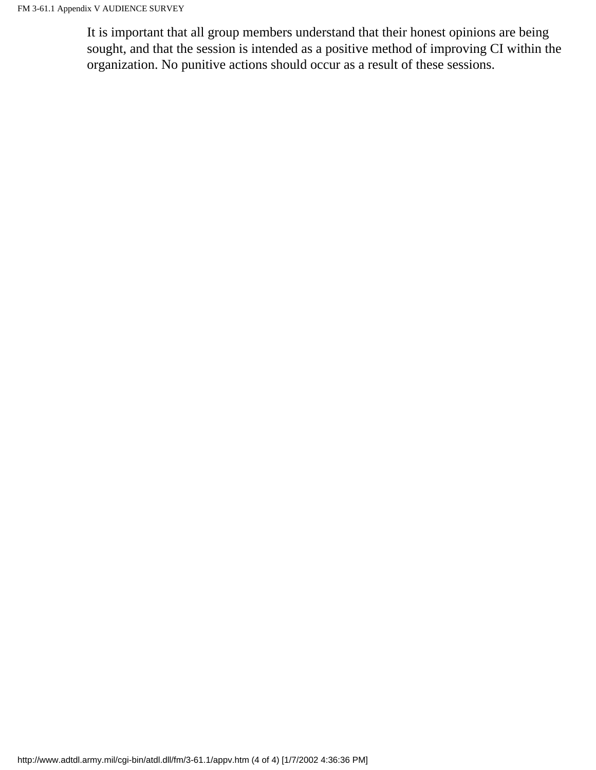It is important that all group members understand that their honest opinions are being sought, and that the session is intended as a positive method of improving CI within the organization. No punitive actions should occur as a result of these sessions.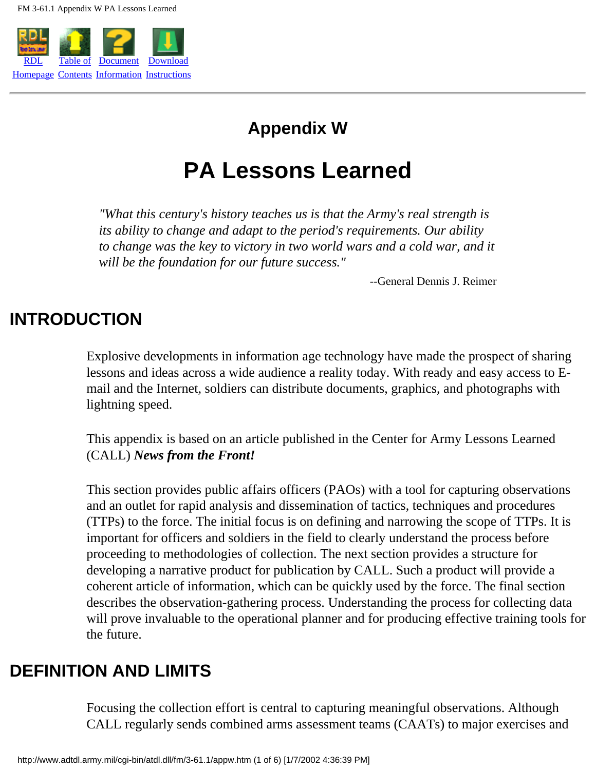

### **Appendix W**

# **PA Lessons Learned**

*"What this century's history teaches us is that the Army's real strength is its ability to change and adapt to the period's requirements. Our ability*  to change was the key to victory in two world wars and a cold war, and it *will be the foundation for our future success."*

--General Dennis J. Reimer

## **INTRODUCTION**

Explosive developments in information age technology have made the prospect of sharing lessons and ideas across a wide audience a reality today. With ready and easy access to Email and the Internet, soldiers can distribute documents, graphics, and photographs with lightning speed.

This appendix is based on an article published in the Center for Army Lessons Learned (CALL) *News from the Front!*

This section provides public affairs officers (PAOs) with a tool for capturing observations and an outlet for rapid analysis and dissemination of tactics, techniques and procedures (TTPs) to the force. The initial focus is on defining and narrowing the scope of TTPs. It is important for officers and soldiers in the field to clearly understand the process before proceeding to methodologies of collection. The next section provides a structure for developing a narrative product for publication by CALL. Such a product will provide a coherent article of information, which can be quickly used by the force. The final section describes the observation-gathering process. Understanding the process for collecting data will prove invaluable to the operational planner and for producing effective training tools for the future.

### **DEFINITION AND LIMITS**

Focusing the collection effort is central to capturing meaningful observations. Although CALL regularly sends combined arms assessment teams (CAATs) to major exercises and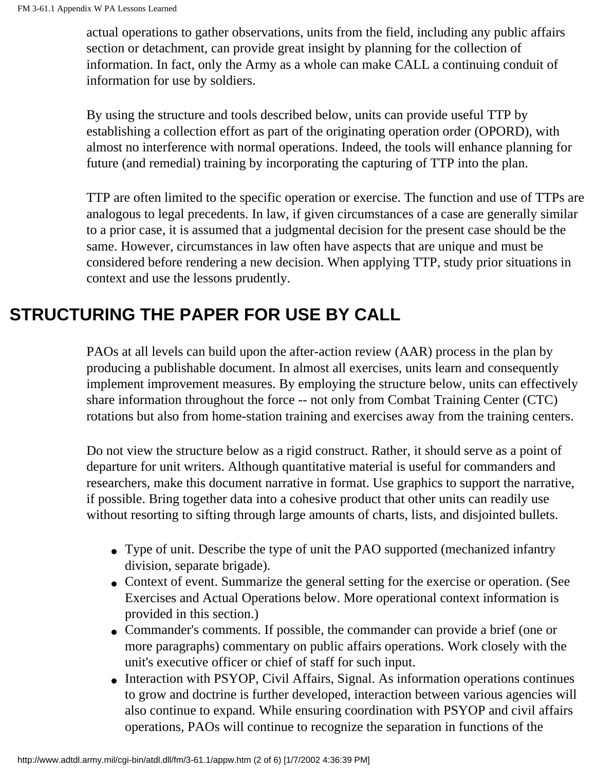actual operations to gather observations, units from the field, including any public affairs section or detachment, can provide great insight by planning for the collection of information. In fact, only the Army as a whole can make CALL a continuing conduit of information for use by soldiers.

By using the structure and tools described below, units can provide useful TTP by establishing a collection effort as part of the originating operation order (OPORD), with almost no interference with normal operations. Indeed, the tools will enhance planning for future (and remedial) training by incorporating the capturing of TTP into the plan.

TTP are often limited to the specific operation or exercise. The function and use of TTPs are analogous to legal precedents. In law, if given circumstances of a case are generally similar to a prior case, it is assumed that a judgmental decision for the present case should be the same. However, circumstances in law often have aspects that are unique and must be considered before rendering a new decision. When applying TTP, study prior situations in context and use the lessons prudently.

## **STRUCTURING THE PAPER FOR USE BY CALL**

PAOs at all levels can build upon the after-action review (AAR) process in the plan by producing a publishable document. In almost all exercises, units learn and consequently implement improvement measures. By employing the structure below, units can effectively share information throughout the force -- not only from Combat Training Center (CTC) rotations but also from home-station training and exercises away from the training centers.

Do not view the structure below as a rigid construct. Rather, it should serve as a point of departure for unit writers. Although quantitative material is useful for commanders and researchers, make this document narrative in format. Use graphics to support the narrative, if possible. Bring together data into a cohesive product that other units can readily use without resorting to sifting through large amounts of charts, lists, and disjointed bullets.

- Type of unit. Describe the type of unit the PAO supported (mechanized infantry division, separate brigade).
- Context of event. Summarize the general setting for the exercise or operation. (See Exercises and Actual Operations below. More operational context information is provided in this section.)
- Commander's comments. If possible, the commander can provide a brief (one or more paragraphs) commentary on public affairs operations. Work closely with the unit's executive officer or chief of staff for such input.
- Interaction with PSYOP, Civil Affairs, Signal. As information operations continues to grow and doctrine is further developed, interaction between various agencies will also continue to expand. While ensuring coordination with PSYOP and civil affairs operations, PAOs will continue to recognize the separation in functions of the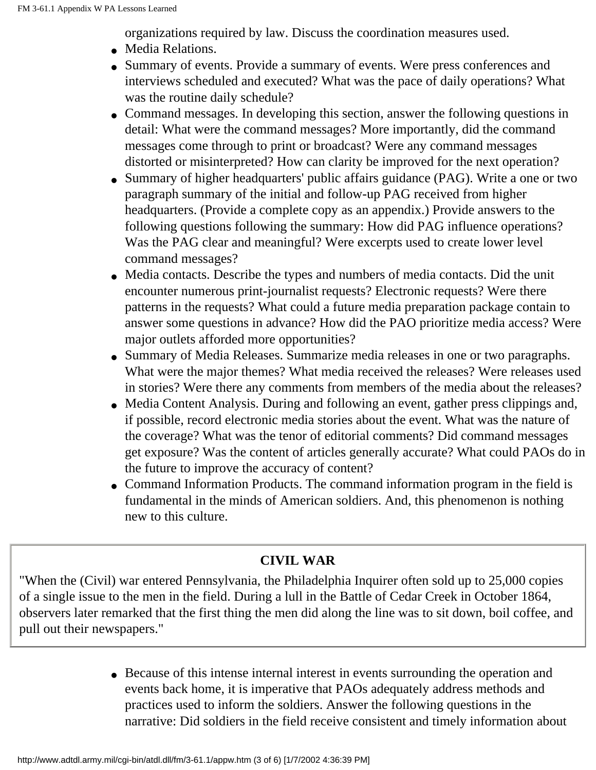organizations required by law. Discuss the coordination measures used.

- Media Relations.
- Summary of events. Provide a summary of events. Were press conferences and interviews scheduled and executed? What was the pace of daily operations? What was the routine daily schedule?
- Command messages. In developing this section, answer the following questions in detail: What were the command messages? More importantly, did the command messages come through to print or broadcast? Were any command messages distorted or misinterpreted? How can clarity be improved for the next operation?
- Summary of higher headquarters' public affairs guidance (PAG). Write a one or two paragraph summary of the initial and follow-up PAG received from higher headquarters. (Provide a complete copy as an appendix.) Provide answers to the following questions following the summary: How did PAG influence operations? Was the PAG clear and meaningful? Were excerpts used to create lower level command messages?
- Media contacts. Describe the types and numbers of media contacts. Did the unit encounter numerous print-journalist requests? Electronic requests? Were there patterns in the requests? What could a future media preparation package contain to answer some questions in advance? How did the PAO prioritize media access? Were major outlets afforded more opportunities?
- Summary of Media Releases. Summarize media releases in one or two paragraphs. What were the major themes? What media received the releases? Were releases used in stories? Were there any comments from members of the media about the releases?
- Media Content Analysis. During and following an event, gather press clippings and, if possible, record electronic media stories about the event. What was the nature of the coverage? What was the tenor of editorial comments? Did command messages get exposure? Was the content of articles generally accurate? What could PAOs do in the future to improve the accuracy of content?
- Command Information Products. The command information program in the field is fundamental in the minds of American soldiers. And, this phenomenon is nothing new to this culture.

#### **CIVIL WAR**

"When the (Civil) war entered Pennsylvania, the Philadelphia Inquirer often sold up to 25,000 copies of a single issue to the men in the field. During a lull in the Battle of Cedar Creek in October 1864, observers later remarked that the first thing the men did along the line was to sit down, boil coffee, and pull out their newspapers."

> • Because of this intense internal interest in events surrounding the operation and events back home, it is imperative that PAOs adequately address methods and practices used to inform the soldiers. Answer the following questions in the narrative: Did soldiers in the field receive consistent and timely information about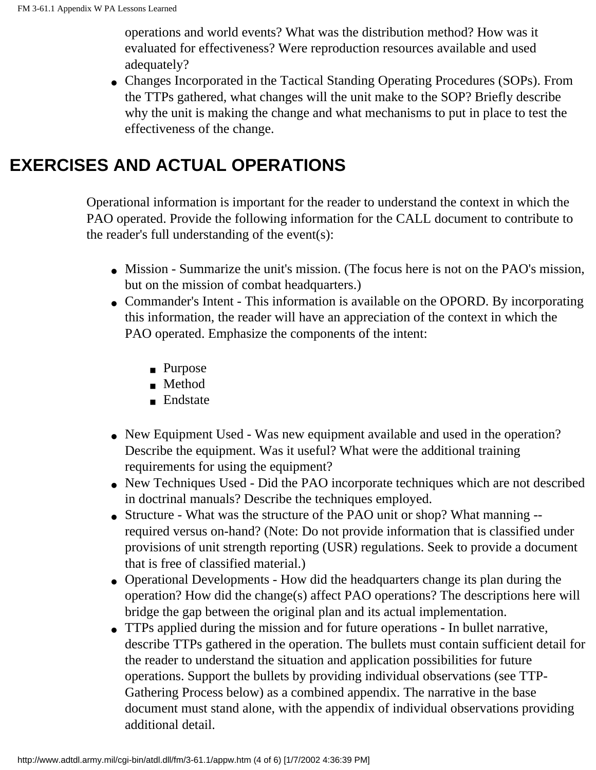operations and world events? What was the distribution method? How was it evaluated for effectiveness? Were reproduction resources available and used adequately?

• Changes Incorporated in the Tactical Standing Operating Procedures (SOPs). From the TTPs gathered, what changes will the unit make to the SOP? Briefly describe why the unit is making the change and what mechanisms to put in place to test the effectiveness of the change.

## **EXERCISES AND ACTUAL OPERATIONS**

Operational information is important for the reader to understand the context in which the PAO operated. Provide the following information for the CALL document to contribute to the reader's full understanding of the event(s):

- Mission Summarize the unit's mission. (The focus here is not on the PAO's mission, but on the mission of combat headquarters.)
- Commander's Intent This information is available on the OPORD. By incorporating this information, the reader will have an appreciation of the context in which the PAO operated. Emphasize the components of the intent:
	- Purpose
	- Method
	- Endstate
- New Equipment Used Was new equipment available and used in the operation? Describe the equipment. Was it useful? What were the additional training requirements for using the equipment?
- New Techniques Used Did the PAO incorporate techniques which are not described in doctrinal manuals? Describe the techniques employed.
- Structure What was the structure of the PAO unit or shop? What manning -required versus on-hand? (Note: Do not provide information that is classified under provisions of unit strength reporting (USR) regulations. Seek to provide a document that is free of classified material.)
- Operational Developments How did the headquarters change its plan during the operation? How did the change(s) affect PAO operations? The descriptions here will bridge the gap between the original plan and its actual implementation.
- TTPs applied during the mission and for future operations In bullet narrative, describe TTPs gathered in the operation. The bullets must contain sufficient detail for the reader to understand the situation and application possibilities for future operations. Support the bullets by providing individual observations (see TTP-Gathering Process below) as a combined appendix. The narrative in the base document must stand alone, with the appendix of individual observations providing additional detail.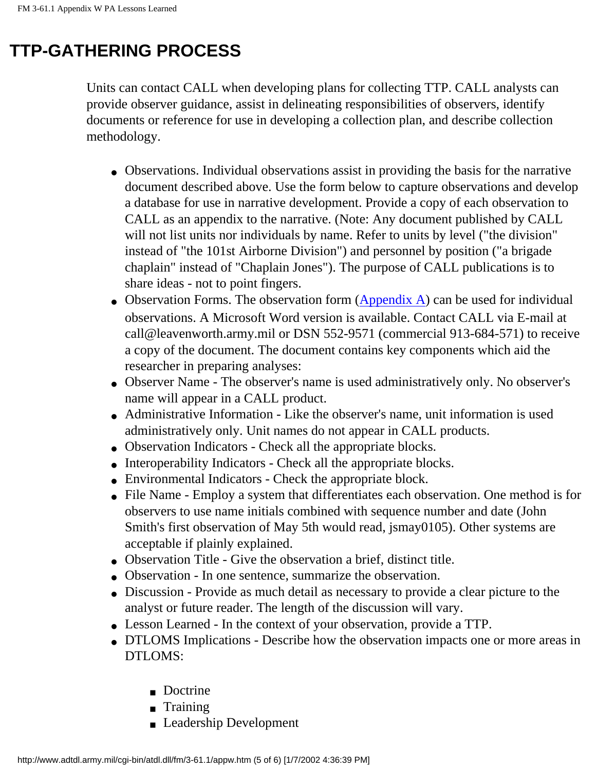## **TTP-GATHERING PROCESS**

Units can contact CALL when developing plans for collecting TTP. CALL analysts can provide observer guidance, assist in delineating responsibilities of observers, identify documents or reference for use in developing a collection plan, and describe collection methodology.

- Observations. Individual observations assist in providing the basis for the narrative document described above. Use the form below to capture observations and develop a database for use in narrative development. Provide a copy of each observation to CALL as an appendix to the narrative. (Note: Any document published by CALL will not list units nor individuals by name. Refer to units by level ("the division" instead of "the 101st Airborne Division") and personnel by position ("a brigade chaplain" instead of "Chaplain Jones"). The purpose of CALL publications is to share ideas - not to point fingers.
- Observation Forms. The observation form [\(Appendix A](#page-108-0)) can be used for individual observations. A Microsoft Word version is available. Contact CALL via E-mail at call@leavenworth.army.mil or DSN 552-9571 (commercial 913-684-571) to receive a copy of the document. The document contains key components which aid the researcher in preparing analyses:
- Observer Name The observer's name is used administratively only. No observer's name will appear in a CALL product.
- Administrative Information Like the observer's name, unit information is used administratively only. Unit names do not appear in CALL products.
- Observation Indicators Check all the appropriate blocks.
- Interoperability Indicators Check all the appropriate blocks.
- Environmental Indicators Check the appropriate block.
- File Name Employ a system that differentiates each observation. One method is for observers to use name initials combined with sequence number and date (John Smith's first observation of May 5th would read, jsmay0105). Other systems are acceptable if plainly explained.
- Observation Title Give the observation a brief, distinct title.
- Observation In one sentence, summarize the observation.
- Discussion Provide as much detail as necessary to provide a clear picture to the analyst or future reader. The length of the discussion will vary.
- Lesson Learned In the context of your observation, provide a TTP.
- DTLOMS Implications Describe how the observation impacts one or more areas in DTLOMS:
	- Doctrine
	- Training
	- Leadership Development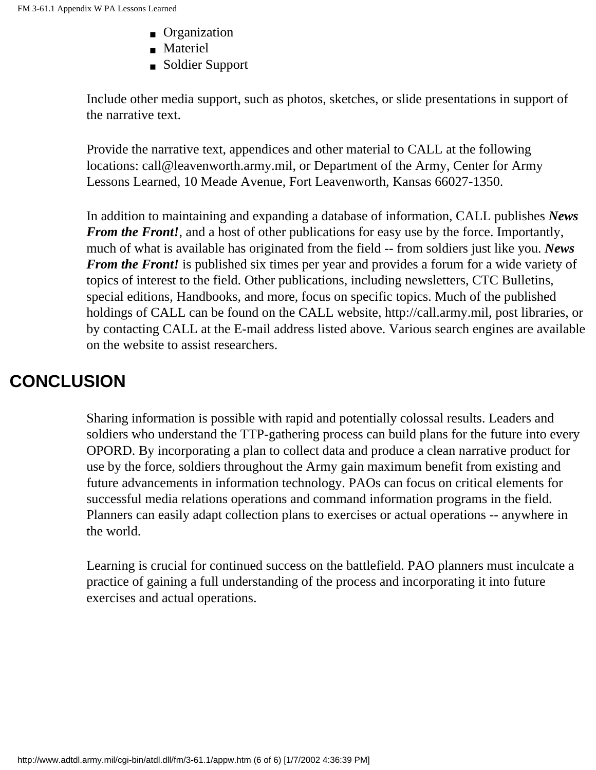- Organization
- Materiel
- Soldier Support

Include other media support, such as photos, sketches, or slide presentations in support of the narrative text.

Provide the narrative text, appendices and other material to CALL at the following locations: call@leavenworth.army.mil, or Department of the Army, Center for Army Lessons Learned, 10 Meade Avenue, Fort Leavenworth, Kansas 66027-1350.

In addition to maintaining and expanding a database of information, CALL publishes *News From the Front!*, and a host of other publications for easy use by the force. Importantly, much of what is available has originated from the field -- from soldiers just like you. *News From the Front!* is published six times per year and provides a forum for a wide variety of topics of interest to the field. Other publications, including newsletters, CTC Bulletins, special editions, Handbooks, and more, focus on specific topics. Much of the published holdings of CALL can be found on the CALL website, http://call.army.mil, post libraries, or by contacting CALL at the E-mail address listed above. Various search engines are available on the website to assist researchers.

#### **CONCLUSION**

Sharing information is possible with rapid and potentially colossal results. Leaders and soldiers who understand the TTP-gathering process can build plans for the future into every OPORD. By incorporating a plan to collect data and produce a clean narrative product for use by the force, soldiers throughout the Army gain maximum benefit from existing and future advancements in information technology. PAOs can focus on critical elements for successful media relations operations and command information programs in the field. Planners can easily adapt collection plans to exercises or actual operations -- anywhere in the world.

Learning is crucial for continued success on the battlefield. PAO planners must inculcate a practice of gaining a full understanding of the process and incorporating it into future exercises and actual operations.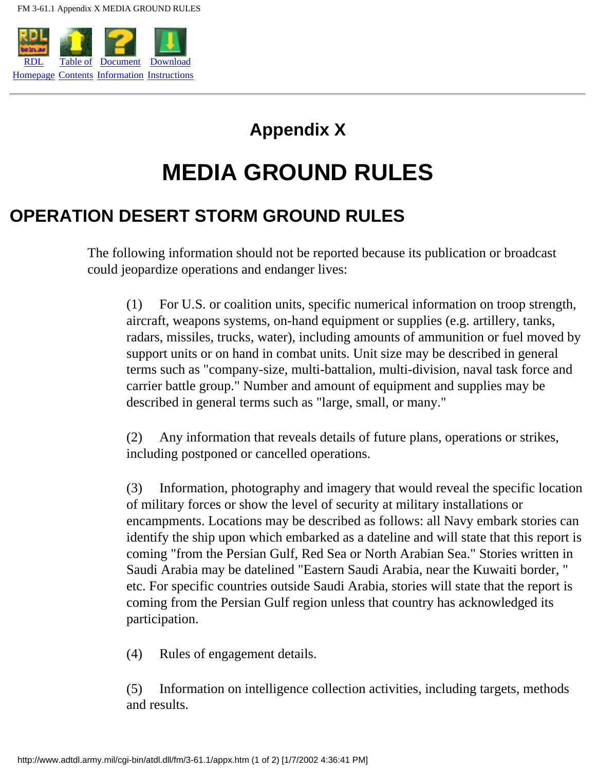

## **Appendix X**

# **MEDIA GROUND RULES**

### **OPERATION DESERT STORM GROUND RULES**

The following information should not be reported because its publication or broadcast could jeopardize operations and endanger lives:

(1) For U.S. or coalition units, specific numerical information on troop strength, aircraft, weapons systems, on-hand equipment or supplies (e.g. artillery, tanks, radars, missiles, trucks, water), including amounts of ammunition or fuel moved by support units or on hand in combat units. Unit size may be described in general terms such as "company-size, multi-battalion, multi-division, naval task force and carrier battle group." Number and amount of equipment and supplies may be described in general terms such as "large, small, or many."

(2) Any information that reveals details of future plans, operations or strikes, including postponed or cancelled operations.

(3) Information, photography and imagery that would reveal the specific location of military forces or show the level of security at military installations or encampments. Locations may be described as follows: all Navy embark stories can identify the ship upon which embarked as a dateline and will state that this report is coming "from the Persian Gulf, Red Sea or North Arabian Sea." Stories written in Saudi Arabia may be datelined "Eastern Saudi Arabia, near the Kuwaiti border, " etc. For specific countries outside Saudi Arabia, stories will state that the report is coming from the Persian Gulf region unless that country has acknowledged its participation.

(4) Rules of engagement details.

(5) Information on intelligence collection activities, including targets, methods and results.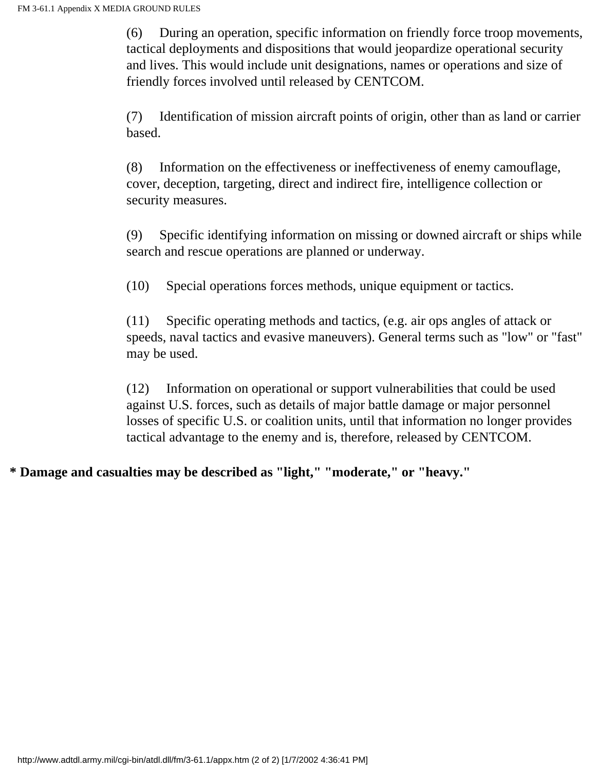(6) During an operation, specific information on friendly force troop movements, tactical deployments and dispositions that would jeopardize operational security and lives. This would include unit designations, names or operations and size of friendly forces involved until released by CENTCOM.

(7) Identification of mission aircraft points of origin, other than as land or carrier based.

(8) Information on the effectiveness or ineffectiveness of enemy camouflage, cover, deception, targeting, direct and indirect fire, intelligence collection or security measures.

(9) Specific identifying information on missing or downed aircraft or ships while search and rescue operations are planned or underway.

(10) Special operations forces methods, unique equipment or tactics.

(11) Specific operating methods and tactics, (e.g. air ops angles of attack or speeds, naval tactics and evasive maneuvers). General terms such as "low" or "fast" may be used.

(12) Information on operational or support vulnerabilities that could be used against U.S. forces, such as details of major battle damage or major personnel losses of specific U.S. or coalition units, until that information no longer provides tactical advantage to the enemy and is, therefore, released by CENTCOM.

#### **\* Damage and casualties may be described as "light," "moderate," or "heavy."**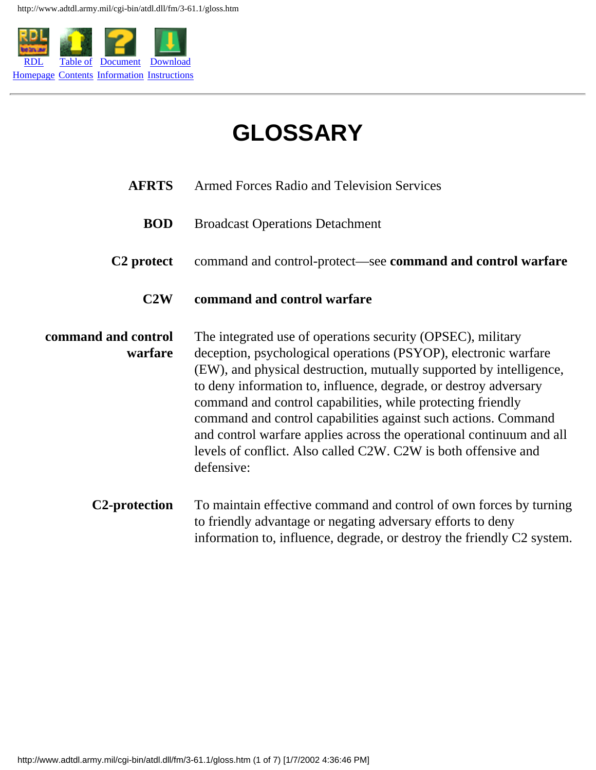

# **GLOSSARY**

| <b>AFRTS</b>                   | <b>Armed Forces Radio and Television Services</b>                                                                                                                                                                                                                                                                                                                                                                                                                                                                                                                  |
|--------------------------------|--------------------------------------------------------------------------------------------------------------------------------------------------------------------------------------------------------------------------------------------------------------------------------------------------------------------------------------------------------------------------------------------------------------------------------------------------------------------------------------------------------------------------------------------------------------------|
| <b>BOD</b>                     | <b>Broadcast Operations Detachment</b>                                                                                                                                                                                                                                                                                                                                                                                                                                                                                                                             |
| C <sub>2</sub> protect         | command and control-protect—see command and control warfare                                                                                                                                                                                                                                                                                                                                                                                                                                                                                                        |
| C2W                            | command and control warfare                                                                                                                                                                                                                                                                                                                                                                                                                                                                                                                                        |
| command and control<br>warfare | The integrated use of operations security (OPSEC), military<br>deception, psychological operations (PSYOP), electronic warfare<br>(EW), and physical destruction, mutually supported by intelligence,<br>to deny information to, influence, degrade, or destroy adversary<br>command and control capabilities, while protecting friendly<br>command and control capabilities against such actions. Command<br>and control warfare applies across the operational continuum and all<br>levels of conflict. Also called C2W. C2W is both offensive and<br>defensive: |
| <b>C2-protection</b>           | To maintain effective command and control of own forces by turning<br>to friendly advantage or negating adversary efforts to deny<br>information to, influence, degrade, or destroy the friendly C2 system.                                                                                                                                                                                                                                                                                                                                                        |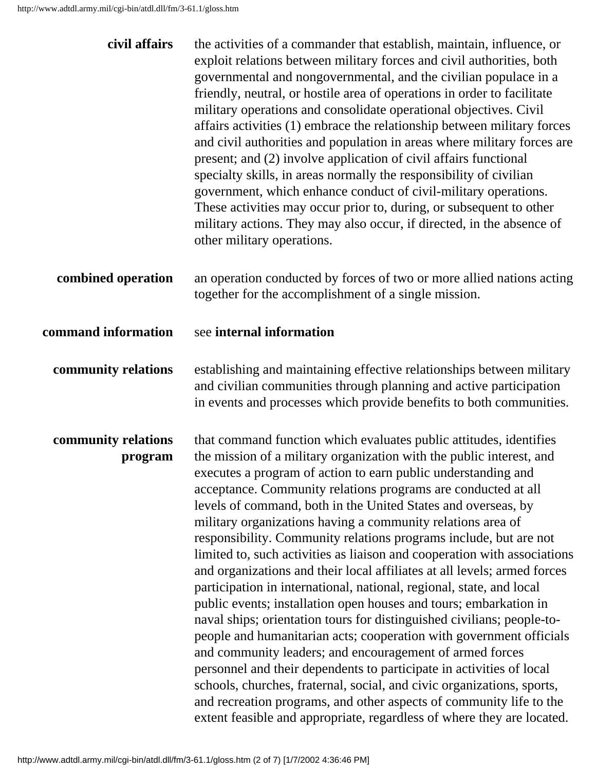| civil affairs                  | the activities of a commander that establish, maintain, influence, or<br>exploit relations between military forces and civil authorities, both<br>governmental and nongovernmental, and the civilian populace in a<br>friendly, neutral, or hostile area of operations in order to facilitate<br>military operations and consolidate operational objectives. Civil<br>affairs activities (1) embrace the relationship between military forces<br>and civil authorities and population in areas where military forces are<br>present; and (2) involve application of civil affairs functional<br>specialty skills, in areas normally the responsibility of civilian<br>government, which enhance conduct of civil-military operations.<br>These activities may occur prior to, during, or subsequent to other<br>military actions. They may also occur, if directed, in the absence of<br>other military operations.                                                                                                                                                                                                                                                                                                                                                                                    |
|--------------------------------|--------------------------------------------------------------------------------------------------------------------------------------------------------------------------------------------------------------------------------------------------------------------------------------------------------------------------------------------------------------------------------------------------------------------------------------------------------------------------------------------------------------------------------------------------------------------------------------------------------------------------------------------------------------------------------------------------------------------------------------------------------------------------------------------------------------------------------------------------------------------------------------------------------------------------------------------------------------------------------------------------------------------------------------------------------------------------------------------------------------------------------------------------------------------------------------------------------------------------------------------------------------------------------------------------------|
| combined operation             | an operation conducted by forces of two or more allied nations acting<br>together for the accomplishment of a single mission.                                                                                                                                                                                                                                                                                                                                                                                                                                                                                                                                                                                                                                                                                                                                                                                                                                                                                                                                                                                                                                                                                                                                                                          |
| command information            | see internal information                                                                                                                                                                                                                                                                                                                                                                                                                                                                                                                                                                                                                                                                                                                                                                                                                                                                                                                                                                                                                                                                                                                                                                                                                                                                               |
| community relations            | establishing and maintaining effective relationships between military<br>and civilian communities through planning and active participation<br>in events and processes which provide benefits to both communities.                                                                                                                                                                                                                                                                                                                                                                                                                                                                                                                                                                                                                                                                                                                                                                                                                                                                                                                                                                                                                                                                                     |
| community relations<br>program | that command function which evaluates public attitudes, identifies<br>the mission of a military organization with the public interest, and<br>executes a program of action to earn public understanding and<br>acceptance. Community relations programs are conducted at all<br>levels of command, both in the United States and overseas, by<br>military organizations having a community relations area of<br>responsibility. Community relations programs include, but are not<br>limited to, such activities as liaison and cooperation with associations<br>and organizations and their local affiliates at all levels; armed forces<br>participation in international, national, regional, state, and local<br>public events; installation open houses and tours; embarkation in<br>naval ships; orientation tours for distinguished civilians; people-to-<br>people and humanitarian acts; cooperation with government officials<br>and community leaders; and encouragement of armed forces<br>personnel and their dependents to participate in activities of local<br>schools, churches, fraternal, social, and civic organizations, sports,<br>and recreation programs, and other aspects of community life to the<br>extent feasible and appropriate, regardless of where they are located. |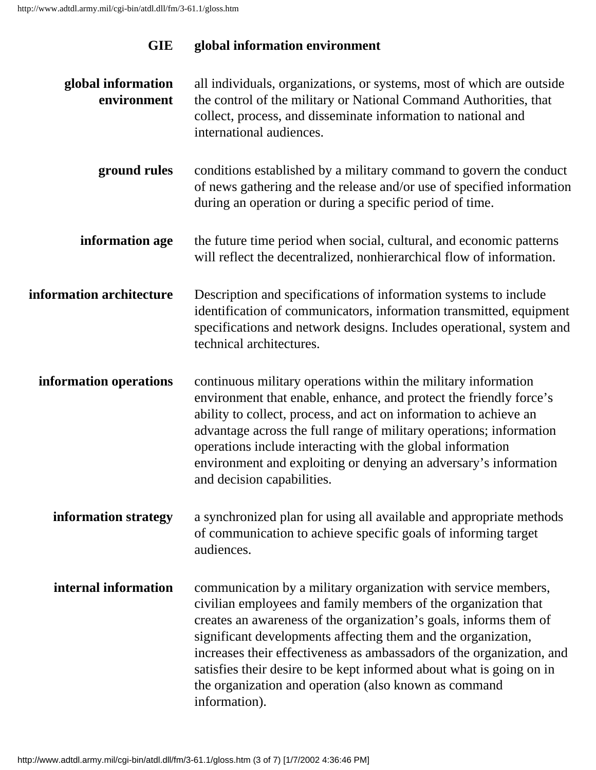#### **GIE global information environment**

| global information<br>environment | all individuals, organizations, or systems, most of which are outside<br>the control of the military or National Command Authorities, that<br>collect, process, and disseminate information to national and<br>international audiences.                                                                                                                                                                                                                                                           |
|-----------------------------------|---------------------------------------------------------------------------------------------------------------------------------------------------------------------------------------------------------------------------------------------------------------------------------------------------------------------------------------------------------------------------------------------------------------------------------------------------------------------------------------------------|
| ground rules                      | conditions established by a military command to govern the conduct<br>of news gathering and the release and/or use of specified information<br>during an operation or during a specific period of time.                                                                                                                                                                                                                                                                                           |
| information age                   | the future time period when social, cultural, and economic patterns<br>will reflect the decentralized, nonhierarchical flow of information.                                                                                                                                                                                                                                                                                                                                                       |
| information architecture          | Description and specifications of information systems to include<br>identification of communicators, information transmitted, equipment<br>specifications and network designs. Includes operational, system and<br>technical architectures.                                                                                                                                                                                                                                                       |
| information operations            | continuous military operations within the military information<br>environment that enable, enhance, and protect the friendly force's<br>ability to collect, process, and act on information to achieve an<br>advantage across the full range of military operations; information<br>operations include interacting with the global information<br>environment and exploiting or denying an adversary's information<br>and decision capabilities.                                                  |
| information strategy              | a synchronized plan for using all available and appropriate methods<br>of communication to achieve specific goals of informing target<br>audiences.                                                                                                                                                                                                                                                                                                                                               |
| internal information              | communication by a military organization with service members,<br>civilian employees and family members of the organization that<br>creates an awareness of the organization's goals, informs them of<br>significant developments affecting them and the organization,<br>increases their effectiveness as ambassadors of the organization, and<br>satisfies their desire to be kept informed about what is going on in<br>the organization and operation (also known as command<br>information). |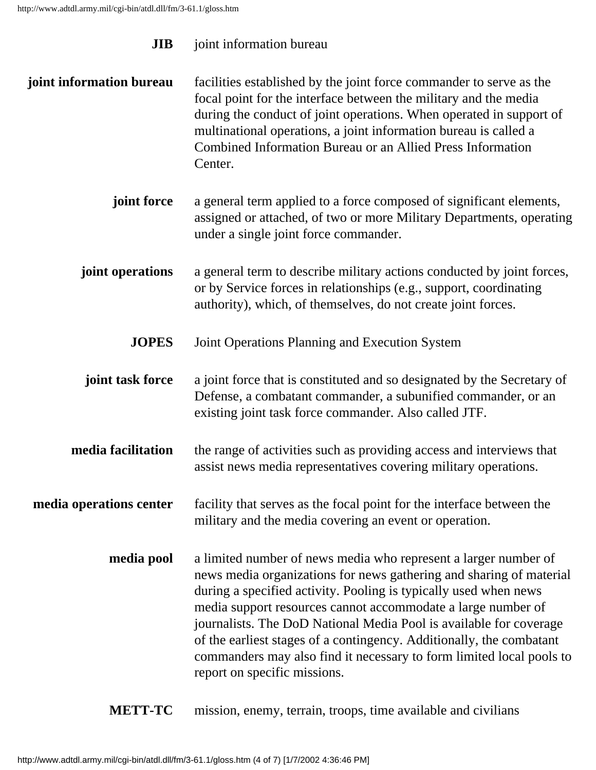#### **JIB** joint information bureau

| joint information bureau | facilities established by the joint force commander to serve as the<br>focal point for the interface between the military and the media<br>during the conduct of joint operations. When operated in support of<br>multinational operations, a joint information bureau is called a<br>Combined Information Bureau or an Allied Press Information<br>Center.                                                                                                                                                                      |
|--------------------------|----------------------------------------------------------------------------------------------------------------------------------------------------------------------------------------------------------------------------------------------------------------------------------------------------------------------------------------------------------------------------------------------------------------------------------------------------------------------------------------------------------------------------------|
| joint force              | a general term applied to a force composed of significant elements,<br>assigned or attached, of two or more Military Departments, operating<br>under a single joint force commander.                                                                                                                                                                                                                                                                                                                                             |
| joint operations         | a general term to describe military actions conducted by joint forces,<br>or by Service forces in relationships (e.g., support, coordinating<br>authority), which, of themselves, do not create joint forces.                                                                                                                                                                                                                                                                                                                    |
| <b>JOPES</b>             | Joint Operations Planning and Execution System                                                                                                                                                                                                                                                                                                                                                                                                                                                                                   |
| joint task force         | a joint force that is constituted and so designated by the Secretary of<br>Defense, a combatant commander, a subunified commander, or an<br>existing joint task force commander. Also called JTF.                                                                                                                                                                                                                                                                                                                                |
| media facilitation       | the range of activities such as providing access and interviews that<br>assist news media representatives covering military operations.                                                                                                                                                                                                                                                                                                                                                                                          |
| media operations center  | facility that serves as the focal point for the interface between the<br>military and the media covering an event or operation.                                                                                                                                                                                                                                                                                                                                                                                                  |
| media pool               | a limited number of news media who represent a larger number of<br>news media organizations for news gathering and sharing of material<br>during a specified activity. Pooling is typically used when news<br>media support resources cannot accommodate a large number of<br>journalists. The DoD National Media Pool is available for coverage<br>of the earliest stages of a contingency. Additionally, the combatant<br>commanders may also find it necessary to form limited local pools to<br>report on specific missions. |

**METT-TC** mission, enemy, terrain, troops, time available and civilians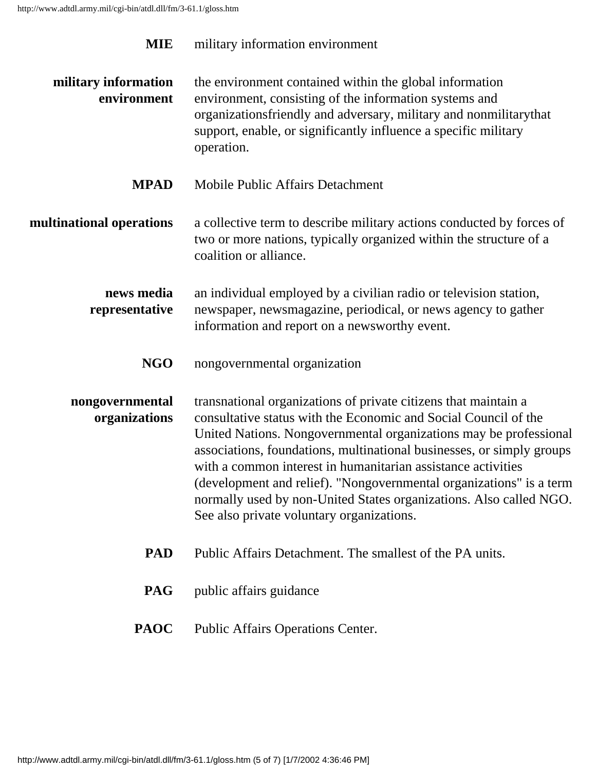| <b>MIE</b>                          | military information environment                                                                                                                                                                                                                                                                                                                                                                                                                                                                                                           |
|-------------------------------------|--------------------------------------------------------------------------------------------------------------------------------------------------------------------------------------------------------------------------------------------------------------------------------------------------------------------------------------------------------------------------------------------------------------------------------------------------------------------------------------------------------------------------------------------|
| military information<br>environment | the environment contained within the global information<br>environment, consisting of the information systems and<br>organizationsfriendly and adversary, military and nonmilitary that<br>support, enable, or significantly influence a specific military<br>operation.                                                                                                                                                                                                                                                                   |
| <b>MPAD</b>                         | <b>Mobile Public Affairs Detachment</b>                                                                                                                                                                                                                                                                                                                                                                                                                                                                                                    |
| multinational operations            | a collective term to describe military actions conducted by forces of<br>two or more nations, typically organized within the structure of a<br>coalition or alliance.                                                                                                                                                                                                                                                                                                                                                                      |
| news media<br>representative        | an individual employed by a civilian radio or television station,<br>newspaper, newsmagazine, periodical, or news agency to gather<br>information and report on a newsworthy event.                                                                                                                                                                                                                                                                                                                                                        |
| <b>NGO</b>                          | nongovernmental organization                                                                                                                                                                                                                                                                                                                                                                                                                                                                                                               |
| nongovernmental<br>organizations    | transnational organizations of private citizens that maintain a<br>consultative status with the Economic and Social Council of the<br>United Nations. Nongovernmental organizations may be professional<br>associations, foundations, multinational businesses, or simply groups<br>with a common interest in humanitarian assistance activities<br>(development and relief). "Nongovernmental organizations" is a term<br>normally used by non-United States organizations. Also called NGO.<br>See also private voluntary organizations. |
| <b>PAD</b>                          | Public Affairs Detachment. The smallest of the PA units.                                                                                                                                                                                                                                                                                                                                                                                                                                                                                   |
| <b>PAG</b>                          | public affairs guidance                                                                                                                                                                                                                                                                                                                                                                                                                                                                                                                    |
| <b>PAOC</b>                         | <b>Public Affairs Operations Center.</b>                                                                                                                                                                                                                                                                                                                                                                                                                                                                                                   |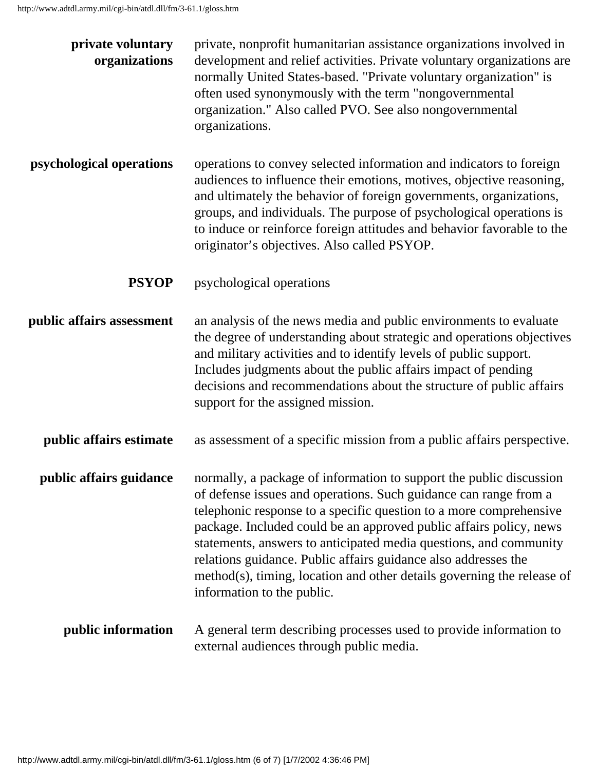| private voluntary<br>organizations | private, nonprofit humanitarian assistance organizations involved in<br>development and relief activities. Private voluntary organizations are<br>normally United States-based. "Private voluntary organization" is<br>often used synonymously with the term "nongovernmental<br>organization." Also called PVO. See also nongovernmental<br>organizations.                                                                                                                                                                        |
|------------------------------------|------------------------------------------------------------------------------------------------------------------------------------------------------------------------------------------------------------------------------------------------------------------------------------------------------------------------------------------------------------------------------------------------------------------------------------------------------------------------------------------------------------------------------------|
| psychological operations           | operations to convey selected information and indicators to foreign<br>audiences to influence their emotions, motives, objective reasoning,<br>and ultimately the behavior of foreign governments, organizations,<br>groups, and individuals. The purpose of psychological operations is<br>to induce or reinforce foreign attitudes and behavior favorable to the<br>originator's objectives. Also called PSYOP.                                                                                                                  |
| <b>PSYOP</b>                       | psychological operations                                                                                                                                                                                                                                                                                                                                                                                                                                                                                                           |
| public affairs assessment          | an analysis of the news media and public environments to evaluate<br>the degree of understanding about strategic and operations objectives<br>and military activities and to identify levels of public support.<br>Includes judgments about the public affairs impact of pending<br>decisions and recommendations about the structure of public affairs<br>support for the assigned mission.                                                                                                                                       |
| public affairs estimate            | as assessment of a specific mission from a public affairs perspective.                                                                                                                                                                                                                                                                                                                                                                                                                                                             |
| public affairs guidance            | normally, a package of information to support the public discussion<br>of defense issues and operations. Such guidance can range from a<br>telephonic response to a specific question to a more comprehensive<br>package. Included could be an approved public affairs policy, news<br>statements, answers to anticipated media questions, and community<br>relations guidance. Public affairs guidance also addresses the<br>method(s), timing, location and other details governing the release of<br>information to the public. |
| public information                 | A general term describing processes used to provide information to<br>external audiences through public media.                                                                                                                                                                                                                                                                                                                                                                                                                     |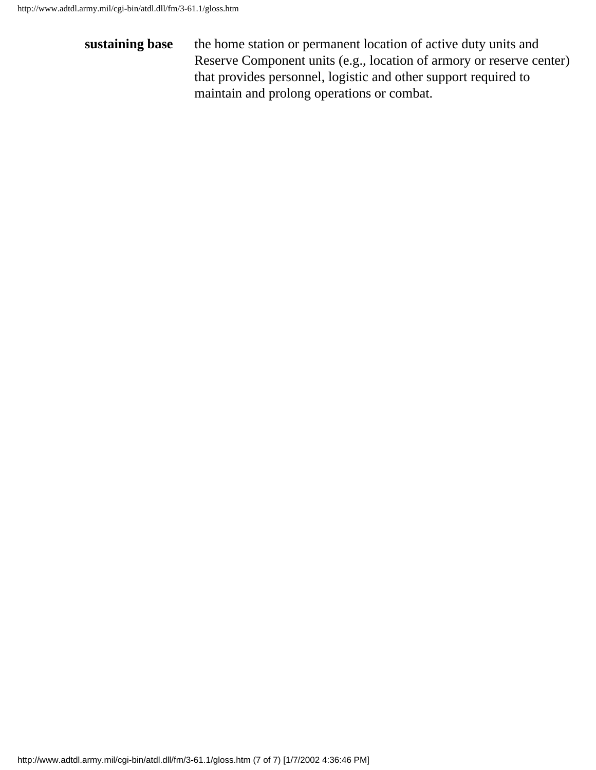sustaining base the home station or permanent location of active duty units and Reserve Component units (e.g., location of armory or reserve center) that provides personnel, logistic and other support required to maintain and prolong operations or combat.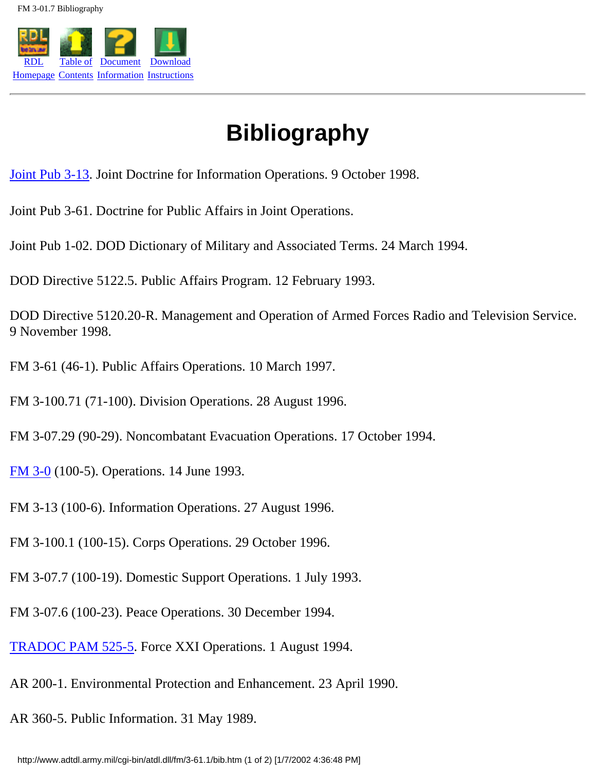

# **Bibliography**

[Joint Pub 3-13.](http://www.adtdl.army.mil/cgi-bin/atdl.dll/jt/3-13/default.htm) Joint Doctrine for Information Operations. 9 October 1998.

- Joint Pub 3-61. Doctrine for Public Affairs in Joint Operations.
- Joint Pub 1-02. DOD Dictionary of Military and Associated Terms. 24 March 1994.

DOD Directive 5122.5. Public Affairs Program. 12 February 1993.

DOD Directive 5120.20-R. Management and Operation of Armed Forces Radio and Television Service. 9 November 1998.

FM 3-61 (46-1). Public Affairs Operations. 10 March 1997.

FM 3-100.71 (71-100). Division Operations. 28 August 1996.

FM 3-07.29 (90-29). Noncombatant Evacuation Operations. 17 October 1994.

[FM 3-0](http://www.adtdl.army.mil/cgi-bin/atdl.dll/fm/3-0/toc.htm) (100-5). Operations. 14 June 1993.

FM 3-13 (100-6). Information Operations. 27 August 1996.

FM 3-100.1 (100-15). Corps Operations. 29 October 1996.

FM 3-07.7 (100-19). Domestic Support Operations. 1 July 1993.

FM 3-07.6 (100-23). Peace Operations. 30 December 1994.

[TRADOC PAM 525-5.](http://www.adtdl.army.mil/cgi-bin/atdl.dll/pam/525-5/toc.htm) Force XXI Operations. 1 August 1994.

AR 200-1. Environmental Protection and Enhancement. 23 April 1990.

AR 360-5. Public Information. 31 May 1989.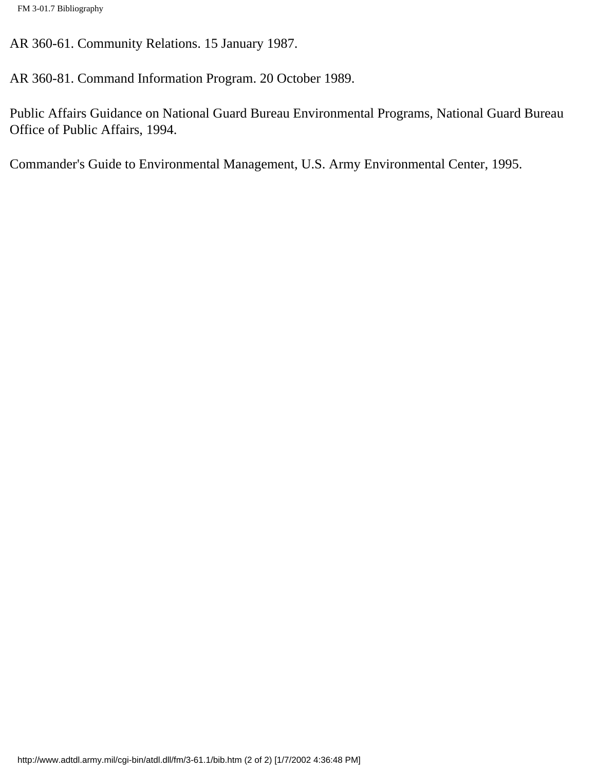AR 360-61. Community Relations. 15 January 1987.

AR 360-81. Command Information Program. 20 October 1989.

Public Affairs Guidance on National Guard Bureau Environmental Programs, National Guard Bureau Office of Public Affairs, 1994.

Commander's Guide to Environmental Management, U.S. Army Environmental Center, 1995.